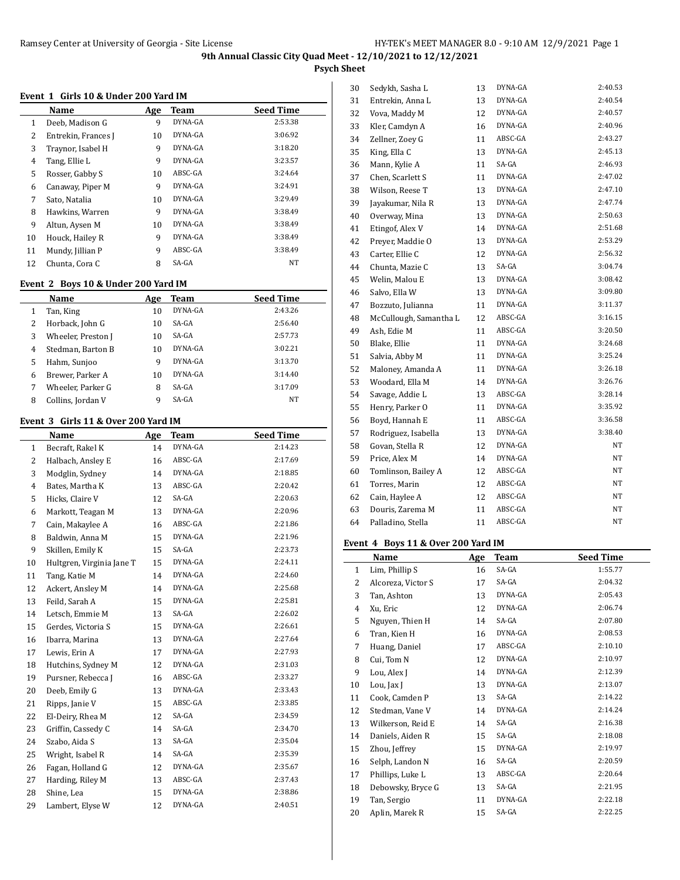**Psych Sheet**

### **Event 1 Girls 10 & Under 200 Yard IM**

|    | Name                | Age | Team    | <b>Seed Time</b> |
|----|---------------------|-----|---------|------------------|
| 1  | Deeb, Madison G     | 9   | DYNA-GA | 2:53.38          |
| 2  | Entrekin, Frances J | 10  | DYNA-GA | 3:06.92          |
| 3  | Traynor, Isabel H   | 9   | DYNA-GA | 3:18.20          |
| 4  | Tang, Ellie L       | 9   | DYNA-GA | 3:23.57          |
| 5  | Rosser, Gabby S     | 10  | ABSC-GA | 3:24.64          |
| 6  | Canaway, Piper M    | 9   | DYNA-GA | 3:24.91          |
| 7  | Sato, Natalia       | 10  | DYNA-GA | 3:29.49          |
| 8  | Hawkins, Warren     | 9   | DYNA-GA | 3:38.49          |
| 9  | Altun, Aysen M      | 10  | DYNA-GA | 3:38.49          |
| 10 | Houck, Hailey R     | 9   | DYNA-GA | 3:38.49          |
| 11 | Mundy, Jillian P    | 9   | ABSC-GA | 3:38.49          |
| 12 | Chunta, Cora C      | 8   | SA-GA   | NT               |

#### **Event 2 Boys 10 & Under 200 Yard IM**

|   | Name               | Age | Team    | <b>Seed Time</b> |
|---|--------------------|-----|---------|------------------|
| 1 | Tan, King          | 10  | DYNA-GA | 2:43.26          |
| 2 | Horback, John G    | 10  | $SA-GA$ | 2:56.40          |
| 3 | Wheeler, Preston J | 10  | $SA-GA$ | 2:57.73          |
| 4 | Stedman, Barton B  | 10  | DYNA-GA | 3:02.21          |
| 5 | Hahm, Sunjoo       | 9   | DYNA-GA | 3:13.70          |
| 6 | Brewer, Parker A   | 10  | DYNA-GA | 3:14.40          |
| 7 | Wheeler, Parker G  | 8   | $SA-GA$ | 3:17.09          |
| 8 | Collins, Jordan V  | 9   | SA-GA   | NT               |

## **Event 3 Girls 11 & Over 200 Yard IM**

| vent J       | and 11 & Over 200 Tard Im |     |         |                  |
|--------------|---------------------------|-----|---------|------------------|
|              | Name                      | Age | Team    | <b>Seed Time</b> |
| $\mathbf{1}$ | Becraft, Rakel K          | 14  | DYNA-GA | 2:14.23          |
| 2            | Halbach, Ansley E         | 16  | ABSC-GA | 2:17.69          |
| 3            | Modglin, Sydney           | 14  | DYNA-GA | 2:18.85          |
| 4            | Bates, Martha K           | 13  | ABSC-GA | 2:20.42          |
| 5            | Hicks, Claire V           | 12  | SA-GA   | 2:20.63          |
| 6            | Markott, Teagan M         | 13  | DYNA-GA | 2:20.96          |
| 7            | Cain, Makaylee A          | 16  | ABSC-GA | 2:21.86          |
| 8            | Baldwin, Anna M           | 15  | DYNA-GA | 2:21.96          |
| 9            | Skillen, Emily K          | 15  | SA-GA   | 2:23.73          |
| 10           | Hultgren, Virginia Jane T | 15  | DYNA-GA | 2:24.11          |
| 11           | Tang, Katie M             | 14  | DYNA-GA | 2:24.60          |
| 12           | Ackert, Ansley M          | 14  | DYNA-GA | 2:25.68          |
| 13           | Feild, Sarah A            | 15  | DYNA-GA | 2:25.81          |
| 14           | Letsch, Emmie M           | 13  | SA-GA   | 2:26.02          |
| 15           | Gerdes, Victoria S        | 15  | DYNA-GA | 2:26.61          |
| 16           | Ibarra, Marina            | 13  | DYNA-GA | 2:27.64          |
| 17           | Lewis, Erin A             | 17  | DYNA-GA | 2:27.93          |
| 18           | Hutchins, Sydney M        | 12  | DYNA-GA | 2:31.03          |
| 19           | Pursner, Rebecca J        | 16  | ABSC-GA | 2:33.27          |
| 20           | Deeb, Emily G             | 13  | DYNA-GA | 2:33.43          |
| 21           | Ripps, Janie V            | 15  | ABSC-GA | 2:33.85          |
| 22           | El-Deiry, Rhea M          | 12  | SA-GA   | 2:34.59          |
| 23           | Griffin, Cassedy C        | 14  | SA-GA   | 2:34.70          |
| 24           | Szabo, Aida S             | 13  | SA-GA   | 2:35.04          |
| 25           | Wright, Isabel R          | 14  | SA-GA   | 2:35.39          |
| 26           | Fagan, Holland G          | 12  | DYNA-GA | 2:35.67          |
| 27           | Harding, Riley M          | 13  | ABSC-GA | 2:37.43          |
| 28           | Shine, Lea                | 15  | DYNA-GA | 2:38.86          |
| 29           | Lambert, Elyse W          | 12  | DYNA-GA | 2:40.51          |

| 30 | Sedykh, Sasha L        | 13 | DYNA-GA | 2:40.53   |
|----|------------------------|----|---------|-----------|
| 31 | Entrekin, Anna L       | 13 | DYNA-GA | 2:40.54   |
| 32 | Vova, Maddy M          | 12 | DYNA-GA | 2:40.57   |
| 33 | Kler, Camdyn A         | 16 | DYNA-GA | 2:40.96   |
| 34 | Zellner, Zoey G        | 11 | ABSC-GA | 2:43.27   |
| 35 | King, Ella C           | 13 | DYNA-GA | 2:45.13   |
| 36 | Mann, Kylie A          | 11 | SA-GA   | 2:46.93   |
| 37 | Chen, Scarlett S       | 11 | DYNA-GA | 2:47.02   |
| 38 | Wilson, Reese T        | 13 | DYNA-GA | 2:47.10   |
| 39 | Jayakumar, Nila R      | 13 | DYNA-GA | 2:47.74   |
| 40 | Overway, Mina          | 13 | DYNA-GA | 2:50.63   |
| 41 | Etingof, Alex V        | 14 | DYNA-GA | 2:51.68   |
| 42 | Preyer, Maddie O       | 13 | DYNA-GA | 2:53.29   |
| 43 | Carter, Ellie C        | 12 | DYNA-GA | 2:56.32   |
| 44 | Chunta, Mazie C        | 13 | SA-GA   | 3:04.74   |
| 45 | Welin, Malou E         | 13 | DYNA-GA | 3:08.42   |
| 46 | Salvo, Ella W          | 13 | DYNA-GA | 3:09.80   |
| 47 | Bozzuto, Julianna      | 11 | DYNA-GA | 3:11.37   |
| 48 | McCullough, Samantha L | 12 | ABSC-GA | 3:16.15   |
| 49 | Ash, Edie M            | 11 | ABSC-GA | 3:20.50   |
| 50 | Blake, Ellie           | 11 | DYNA-GA | 3:24.68   |
| 51 | Salvia, Abby M         | 11 | DYNA-GA | 3:25.24   |
| 52 | Maloney, Amanda A      | 11 | DYNA-GA | 3:26.18   |
| 53 | Woodard, Ella M        | 14 | DYNA-GA | 3:26.76   |
| 54 | Savage, Addie L        | 13 | ABSC-GA | 3:28.14   |
| 55 | Henry, Parker O        | 11 | DYNA-GA | 3:35.92   |
| 56 | Boyd, Hannah E         | 11 | ABSC-GA | 3:36.58   |
| 57 | Rodriguez, Isabella    | 13 | DYNA-GA | 3:38.40   |
| 58 | Govan, Stella R        | 12 | DYNA-GA | NΤ        |
| 59 | Price, Alex M          | 14 | DYNA-GA | NT        |
| 60 | Tomlinson, Bailey A    | 12 | ABSC-GA | $\rm{NT}$ |
| 61 | Torres, Marin          | 12 | ABSC-GA | NT        |
| 62 | Cain, Haylee A         | 12 | ABSC-GA | NΤ        |
| 63 | Douris, Zarema M       | 11 | ABSC-GA | NT        |
| 64 | Palladino, Stella      | 11 | ABSC-GA | NΤ        |

## **Event 4 Boys 11 & Over 200 Yard IM**

l,

|    | Name               | Age | Team    | <b>Seed Time</b> |
|----|--------------------|-----|---------|------------------|
| 1  | Lim, Phillip S     | 16  | SA-GA   | 1:55.77          |
| 2  | Alcoreza, Victor S | 17  | SA-GA   | 2:04.32          |
| 3  | Tan, Ashton        | 13  | DYNA-GA | 2:05.43          |
| 4  | Xu, Eric           | 12  | DYNA-GA | 2:06.74          |
| 5  | Nguyen, Thien H    | 14  | SA-GA   | 2:07.80          |
| 6  | Tran, Kien H       | 16  | DYNA-GA | 2:08.53          |
| 7  | Huang, Daniel      | 17  | ABSC-GA | 2:10.10          |
| 8  | Cui, Tom N         | 12  | DYNA-GA | 2:10.97          |
| 9  | Lou, Alex J        | 14  | DYNA-GA | 2:12.39          |
| 10 | Lou, Jax J         | 13  | DYNA-GA | 2:13.07          |
| 11 | Cook, Camden P     | 13  | SA-GA   | 2:14.22          |
| 12 | Stedman, Vane V    | 14  | DYNA-GA | 2:14.24          |
| 13 | Wilkerson, Reid E  | 14  | SA-GA   | 2:16.38          |
| 14 | Daniels, Aiden R   | 15  | SA-GA   | 2:18.08          |
| 15 | Zhou, Jeffrey      | 15  | DYNA-GA | 2:19.97          |
| 16 | Selph, Landon N    | 16  | SA-GA   | 2:20.59          |
| 17 | Phillips, Luke L   | 13  | ABSC-GA | 2:20.64          |
| 18 | Debowsky, Bryce G  | 13  | SA-GA   | 2:21.95          |
| 19 | Tan, Sergio        | 11  | DYNA-GA | 2:22.18          |
| 20 | Aplin, Marek R     | 15  | SA-GA   | 2:22.25          |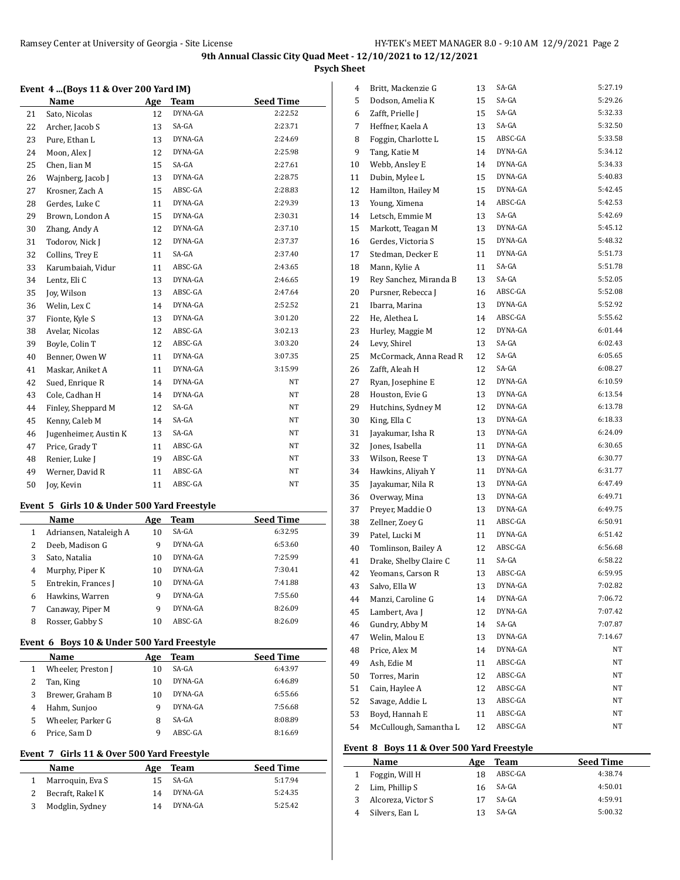**Psych Sheet**

### **Event 4 ...(Boys 11 & Over 200 Yard IM)**

|    | Name                  | Age | Team    | <b>Seed Time</b> |
|----|-----------------------|-----|---------|------------------|
| 21 | Sato, Nicolas         | 12  | DYNA-GA | 2:22.52          |
| 22 | Archer, Jacob S       | 13  | SA-GA   | 2:23.71          |
| 23 | Pure, Ethan L         | 13  | DYNA-GA | 2:24.69          |
| 24 | Moon, Alex J          | 12  | DYNA-GA | 2:25.98          |
| 25 | Chen, Iian M          | 15  | SA-GA   | 2:27.61          |
| 26 | Wajnberg, Jacob J     | 13  | DYNA-GA | 2:28.75          |
| 27 | Krosner, Zach A       | 15  | ABSC-GA | 2:28.83          |
| 28 | Gerdes, Luke C        | 11  | DYNA-GA | 2:29.39          |
| 29 | Brown, London A       | 15  | DYNA-GA | 2:30.31          |
| 30 | Zhang, Andy A         | 12  | DYNA-GA | 2:37.10          |
| 31 | Todorov, Nick J       | 12  | DYNA-GA | 2:37.37          |
| 32 | Collins, Trey E       | 11  | SA-GA   | 2:37.40          |
| 33 | Karumbaiah, Vidur     | 11  | ABSC-GA | 2:43.65          |
| 34 | Lentz, Eli C          | 13  | DYNA-GA | 2:46.65          |
| 35 | Joy, Wilson           | 13  | ABSC-GA | 2:47.64          |
| 36 | Welin, Lex C          | 14  | DYNA-GA | 2:52.52          |
| 37 | Fionte, Kyle S        | 13  | DYNA-GA | 3:01.20          |
| 38 | Avelar, Nicolas       | 12  | ABSC-GA | 3:02.13          |
| 39 | Boyle, Colin T        | 12  | ABSC-GA | 3:03.20          |
| 40 | Benner, Owen W        | 11  | DYNA-GA | 3:07.35          |
| 41 | Maskar, Aniket A      | 11  | DYNA-GA | 3:15.99          |
| 42 | Sued, Enrique R       | 14  | DYNA-GA | NT               |
| 43 | Cole, Cadhan H        | 14  | DYNA-GA | NT               |
| 44 | Finley, Sheppard M    | 12  | SA-GA   | NT               |
| 45 | Kenny, Caleb M        | 14  | SA-GA   | NT               |
| 46 | Jugenheimer, Austin K | 13  | SA-GA   | NT               |
| 47 | Price, Grady T        | 11  | ABSC-GA | NT               |
| 48 | Renier, Luke J        | 19  | ABSC-GA | NT               |
| 49 | Werner, David R       | 11  | ABSC-GA | NT               |
| 50 | Joy, Kevin            | 11  | ABSC-GA | NT               |

### **Event 5 Girls 10 & Under 500 Yard Freestyle**

|   | Name                   | Age | Team    | <b>Seed Time</b> |
|---|------------------------|-----|---------|------------------|
| 1 | Adriansen, Nataleigh A | 10  | $SA-GA$ | 6:32.95          |
| 2 | Deeb, Madison G        | 9   | DYNA-GA | 6:53.60          |
| 3 | Sato, Natalia          | 10  | DYNA-GA | 7:25.99          |
| 4 | Murphy, Piper K        | 10  | DYNA-GA | 7:30.41          |
| 5 | Entrekin, Frances J    | 10  | DYNA-GA | 7:41.88          |
| 6 | Hawkins, Warren        | 9   | DYNA-GA | 7:55.60          |
| 7 | Canaway, Piper M       | 9   | DYNA-GA | 8:26.09          |
| 8 | Rosser, Gabby S        | 10  | ABSC-GA | 8:26.09          |

## **Event 6 Boys 10 & Under 500 Yard Freestyle**

|   | Name               | Age | Team    | <b>Seed Time</b> |
|---|--------------------|-----|---------|------------------|
|   | Wheeler, Preston J | 10  | $SA-GA$ | 6:43.97          |
|   | Tan, King          | 10  | DYNA-GA | 6:46.89          |
| 3 | Brewer, Graham B   | 10  | DYNA-GA | 6:55.66          |
| 4 | Hahm, Sunjoo       | q   | DYNA-GA | 7:56.68          |
| 5 | Wheeler, Parker G  | 8   | SA-GA   | 8:08.89          |
|   | Price, Sam D       | a   | ABSC-GA | 8:16.69          |

### **Event 7 Girls 11 & Over 500 Yard Freestyle**

| <b>Name</b>      | Age | Team    | <b>Seed Time</b> |
|------------------|-----|---------|------------------|
| Marroquin, Eva S | 15  | SA-GA   | 5:17.94          |
| Becraft, Rakel K | 14  | DYNA-GA | 5:24.35          |
| Modglin, Sydney  | 14  | DYNA-GA | 5:25.42          |

| 4  | Britt, Mackenzie G     | 13 | SA-GA   | 5:27.19 |
|----|------------------------|----|---------|---------|
| 5  | Dodson, Amelia K       | 15 | SA-GA   | 5:29.26 |
| 6  | Zafft, Prielle J       | 15 | SA-GA   | 5:32.33 |
| 7  | Heffner, Kaela A       | 13 | SA-GA   | 5:32.50 |
| 8  | Foggin, Charlotte L    | 15 | ABSC-GA | 5:33.58 |
| 9  | Tang, Katie M          | 14 | DYNA-GA | 5:34.12 |
| 10 | Webb, Ansley E         | 14 | DYNA-GA | 5:34.33 |
| 11 | Dubin, Mylee L         | 15 | DYNA-GA | 5:40.83 |
| 12 | Hamilton, Hailey M     | 15 | DYNA-GA | 5:42.45 |
| 13 | Young, Ximena          | 14 | ABSC-GA | 5:42.53 |
| 14 | Letsch, Emmie M        | 13 | SA-GA   | 5:42.69 |
| 15 | Markott, Teagan M      | 13 | DYNA-GA | 5:45.12 |
| 16 | Gerdes, Victoria S     | 15 | DYNA-GA | 5:48.32 |
| 17 | Stedman, Decker E      | 11 | DYNA-GA | 5:51.73 |
| 18 | Mann, Kylie A          | 11 | SA-GA   | 5:51.78 |
| 19 | Rey Sanchez, Miranda B | 13 | SA-GA   | 5:52.05 |
| 20 | Pursner, Rebecca J     | 16 | ABSC-GA | 5:52.08 |
| 21 | Ibarra, Marina         | 13 | DYNA-GA | 5:52.92 |
| 22 | He, Alethea L          | 14 | ABSC-GA | 5:55.62 |
| 23 | Hurley, Maggie M       | 12 | DYNA-GA | 6:01.44 |
| 24 | Levy, Shirel           | 13 | SA-GA   | 6:02.43 |
| 25 | McCormack, Anna Read R | 12 | SA-GA   | 6:05.65 |
| 26 | Zafft, Aleah H         | 12 | SA-GA   | 6:08.27 |
| 27 | Ryan, Josephine E      | 12 | DYNA-GA | 6:10.59 |
| 28 | Houston, Evie G        | 13 | DYNA-GA | 6:13.54 |
| 29 | Hutchins, Sydney M     | 12 | DYNA-GA | 6:13.78 |
| 30 | King, Ella C           | 13 | DYNA-GA | 6:18.33 |
| 31 | Jayakumar, Isha R      | 13 | DYNA-GA | 6:24.09 |
| 32 | Jones, Isabella        | 11 | DYNA-GA | 6:30.65 |
| 33 | Wilson, Reese T        | 13 | DYNA-GA | 6:30.77 |
| 34 | Hawkins, Aliyah Y      | 11 | DYNA-GA | 6:31.77 |
| 35 | Jayakumar, Nila R      | 13 | DYNA-GA | 6:47.49 |
| 36 | Overway, Mina          | 13 | DYNA-GA | 6:49.71 |
| 37 | Preyer, Maddie O       | 13 | DYNA-GA | 6:49.75 |
| 38 | Zellner, Zoey G        | 11 | ABSC-GA | 6:50.91 |
| 39 | Patel, Lucki M         | 11 | DYNA-GA | 6:51.42 |
| 40 | Tomlinson, Bailey A    | 12 | ABSC-GA | 6:56.68 |
| 41 | Drake, Shelby Claire C | 11 | SA-GA   | 6:58.22 |
| 42 | Yeomans, Carson R      | 13 | ABSC-GA | 6:59.95 |
| 43 | Salvo, Ella W          | 13 | DYNA-GA | 7:02.82 |
| 44 | Manzi, Caroline G      | 14 | DYNA-GA | 7:06.72 |
| 45 | Lambert, Ava J         | 12 | DYNA-GA | 7:07.42 |
| 46 | Gundry, Abby M         | 14 | SA-GA   | 7:07.87 |
| 47 | Welin, Malou E         | 13 | DYNA-GA | 7:14.67 |
| 48 | Price, Alex M          | 14 | DYNA-GA | NΤ      |
| 49 | Ash, Edie M            | 11 | ABSC-GA | NΤ      |
| 50 | Torres, Marin          | 12 | ABSC-GA | NT      |
| 51 | Cain, Haylee A         | 12 | ABSC-GA | NT      |
| 52 | Savage, Addie L        | 13 | ABSC-GA | NT      |
| 53 | Boyd, Hannah E         | 11 | ABSC-GA | NT      |
| 54 | McCullough, Samantha L | 12 | ABSC-GA | NT      |

## **Event 8 Boys 11 & Over 500 Yard Freestyle**

| Name               | Age | Team    | <b>Seed Time</b> |
|--------------------|-----|---------|------------------|
| Foggin, Will H     | 18  | ABSC-GA | 4:38.74          |
| Lim, Phillip S     | 16  | SA-GA   | 4:50.01          |
| Alcoreza, Victor S |     | SA-GA   | 4:59.91          |
| Silvers, Ean L     |     | SA-GA   | 5:00.32          |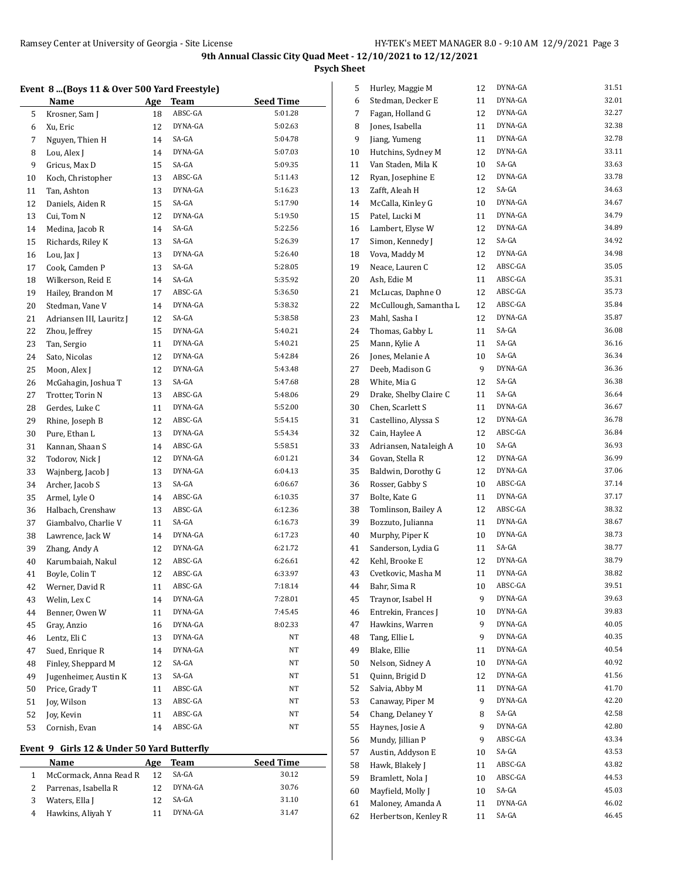**Psych Sheet**

### **Event 8 ...(Boys 11 & Over 500 Yard Freestyle)**

|    | <b>Name</b>              | Age | <u>Team</u> | <b>Seed Time</b> |
|----|--------------------------|-----|-------------|------------------|
| 5  | Krosner, Sam J           | 18  | ABSC-GA     | 5:01.28          |
| 6  | Xu, Eric                 | 12  | DYNA-GA     | 5:02.63          |
| 7  | Nguyen, Thien H          | 14  | SA-GA       | 5:04.78          |
| 8  | Lou, Alex J              | 14  | DYNA-GA     | 5:07.03          |
| 9  | Gricus, Max D            | 15  | SA-GA       | 5:09.35          |
| 10 | Koch, Christopher        | 13  | ABSC-GA     | 5:11.43          |
| 11 | Tan, Ashton              | 13  | DYNA-GA     | 5:16.23          |
| 12 | Daniels, Aiden R         | 15  | SA-GA       | 5:17.90          |
| 13 | Cui, Tom N               | 12  | DYNA-GA     | 5:19.50          |
| 14 | Medina, Jacob R          | 14  | SA-GA       | 5:22.56          |
| 15 | Richards, Riley K        | 13  | SA-GA       | 5:26.39          |
| 16 | Lou, Jax J               | 13  | DYNA-GA     | 5:26.40          |
| 17 | Cook, Camden P           | 13  | SA-GA       | 5:28.05          |
| 18 | Wilkerson, Reid E        | 14  | SA-GA       | 5:35.92          |
| 19 | Hailey, Brandon M        | 17  | ABSC-GA     | 5:36.50          |
| 20 | Stedman, Vane V          | 14  | DYNA-GA     | 5:38.32          |
| 21 | Adriansen III, Lauritz J | 12  | SA-GA       | 5:38.58          |
| 22 | Zhou, Jeffrey            | 15  | DYNA-GA     | 5:40.21          |
| 23 | Tan, Sergio              | 11  | DYNA-GA     | 5:40.21          |
| 24 | Sato, Nicolas            | 12  | DYNA-GA     | 5:42.84          |
| 25 | Moon, Alex J             | 12  | DYNA-GA     | 5:43.48          |
| 26 | McGahagin, Joshua T      | 13  | SA-GA       | 5:47.68          |
| 27 | Trotter, Torin N         | 13  | ABSC-GA     | 5:48.06          |
| 28 | Gerdes, Luke C           | 11  | DYNA-GA     | 5:52.00          |
| 29 | Rhine, Joseph B          | 12  | ABSC-GA     | 5:54.15          |
| 30 | Pure, Ethan L            | 13  | DYNA-GA     | 5:54.34          |
| 31 | Kannan, Shaan S          | 14  | ABSC-GA     | 5:58.51          |
| 32 | Todorov, Nick J          | 12  | DYNA-GA     | 6:01.21          |
| 33 | Wajnberg, Jacob J        | 13  | DYNA-GA     | 6:04.13          |
| 34 | Archer, Jacob S          | 13  | SA-GA       | 6:06.67          |
| 35 | Armel, Lyle O            | 14  | ABSC-GA     | 6:10.35          |
| 36 | Halbach, Crenshaw        | 13  | ABSC-GA     | 6:12.36          |
| 37 | Giambalvo, Charlie V     | 11  | SA-GA       | 6:16.73          |
| 38 | Lawrence, Jack W         | 14  | DYNA-GA     | 6:17.23          |
| 39 | Zhang, Andy A            | 12  | DYNA-GA     | 6:21.72          |
| 40 | Karumbaiah, Nakul        | 12  | ABSC-GA     | 6:26.61          |
| 41 | Boyle, Colin T           | 12  | ABSC-GA     | 6:33.97          |
| 42 | Werner, David R          | 11  | ABSC-GA     | 7:18.14          |
| 43 | Welin, Lex C             | 14  | DYNA-GA     | 7:28.01          |
| 44 | Benner, Owen W           | 11  | DYNA-GA     | 7:45.45          |
| 45 | Gray, Anzio              | 16  | DYNA-GA     | 8:02.33          |
| 46 | Lentz, Eli C             | 13  | DYNA-GA     | NΤ               |
| 47 | Sued, Enrique R          | 14  | DYNA-GA     | NT               |
| 48 | Finley, Sheppard M       | 12  | SA-GA       | NT               |
| 49 | Jugenheimer, Austin K    | 13  | SA-GA       | NT               |
| 50 | Price, Grady T           | 11  | ABSC-GA     | NT               |
| 51 | Joy, Wilson              | 13  | ABSC-GA     | NΤ               |
| 52 | Joy, Kevin               | 11  | ABSC-GA     | NT               |
| 53 | Cornish, Evan            | 14  | ABSC-GA     | NT               |

### **Event 9 Girls 12 & Under 50 Yard Butterfly**

|   | Name                   | Age | Team    | <b>Seed Time</b> |
|---|------------------------|-----|---------|------------------|
|   | McCormack, Anna Read R | 12  | SA-GA   | 30.12            |
|   | Parrenas, Isabella R   | 12  | DYNA-GA | 30.76            |
| 3 | Waters, Ella J         | 12  | SA-GA   | 31.10            |
|   | Hawkins, Aliyah Y      |     | DYNA-GA | 31.47            |

| 5        | Hurley, Maggie M       | 12 | DYNA-GA | 31.51 |
|----------|------------------------|----|---------|-------|
| 6        | Stedman, Decker E      | 11 | DYNA-GA | 32.01 |
| 7        | Fagan, Holland G       | 12 | DYNA-GA | 32.27 |
| 8        | Jones, Isabella        | 11 | DYNA-GA | 32.38 |
| 9        | Jiang, Yumeng          | 11 | DYNA-GA | 32.78 |
| 10       | Hutchins, Sydney M     | 12 | DYNA-GA | 33.11 |
| 11       | Van Staden, Mila K     | 10 | SA-GA   | 33.63 |
| 12       | Ryan, Josephine E      | 12 | DYNA-GA | 33.78 |
| 13       | Zafft, Aleah H         | 12 | SA-GA   | 34.63 |
| 14       | McCalla, Kinley G      | 10 | DYNA-GA | 34.67 |
| 15       | Patel, Lucki M         | 11 | DYNA-GA | 34.79 |
| 16       | Lambert, Elyse W       | 12 | DYNA-GA | 34.89 |
| 17       | Simon, Kennedy J       | 12 | SA-GA   | 34.92 |
| 18       | Vova, Maddy M          | 12 | DYNA-GA | 34.98 |
| 19       | Neace, Lauren C        | 12 | ABSC-GA | 35.05 |
| 20       | Ash, Edie M            | 11 | ABSC-GA | 35.31 |
| 21       | McLucas, Daphne O      | 12 | ABSC-GA | 35.73 |
| 22       | McCullough, Samantha L | 12 | ABSC-GA | 35.84 |
| 23       | Mahl, Sasha I          | 12 | DYNA-GA | 35.87 |
| 24       | Thomas, Gabby L        | 11 | SA-GA   | 36.08 |
| 25       | Mann, Kylie A          | 11 | SA-GA   | 36.16 |
| 26       | Jones, Melanie A       | 10 | SA-GA   | 36.34 |
| 27       | Deeb, Madison G        | 9  | DYNA-GA | 36.36 |
| 28       | White, Mia G           | 12 | SA-GA   | 36.38 |
| 29       | Drake, Shelby Claire C | 11 | SA-GA   | 36.64 |
| 30       | Chen, Scarlett S       | 11 | DYNA-GA | 36.67 |
| 31       | Castellino, Alyssa S   | 12 | DYNA-GA | 36.78 |
| 32       | Cain, Haylee A         | 12 | ABSC-GA | 36.84 |
| 33       | Adriansen, Nataleigh A | 10 | SA-GA   | 36.93 |
| 34       | Govan, Stella R        | 12 | DYNA-GA | 36.99 |
|          | Baldwin, Dorothy G     | 12 | DYNA-GA | 37.06 |
| 35<br>36 | Rosser, Gabby S        | 10 | ABSC-GA | 37.14 |
|          |                        |    | DYNA-GA | 37.17 |
| 37       | Bolte, Kate G          | 11 | ABSC-GA | 38.32 |
| 38       | Tomlinson, Bailey A    | 12 |         |       |
| 39       | Bozzuto, Julianna      | 11 | DYNA-GA | 38.67 |
| 40       | Murphy, Piper K        | 10 | DYNA-GA | 38.73 |
| 41       | Sanderson, Lydia G     | 11 | SA-GA   | 38.77 |
| 42       | Kehl, Brooke E         | 12 | DYNA-GA | 38.79 |
| 43       | Cvetkovic, Masha M     | 11 | DYNA-GA | 38.82 |
| 44       | Bahr, Sima R           | 10 | ABSC-GA | 39.51 |
| 45       | Traynor, Isabel H      | 9  | DYNA-GA | 39.63 |
| 46       | Entrekin, Frances J    | 10 | DYNA-GA | 39.83 |
| 47       | Hawkins, Warren        | 9  | DYNA-GA | 40.05 |
| 48       | Tang, Ellie L          | 9  | DYNA-GA | 40.35 |
| 49       | Blake, Ellie           | 11 | DYNA-GA | 40.54 |
| 50       | Nelson, Sidney A       | 10 | DYNA-GA | 40.92 |
| 51       | Quinn, Brigid D        | 12 | DYNA-GA | 41.56 |
| 52       | Salvia, Abby M         | 11 | DYNA-GA | 41.70 |
| 53       | Canaway, Piper M       | 9  | DYNA-GA | 42.20 |
| 54       | Chang, Delaney Y       | 8  | SA-GA   | 42.58 |
| 55       | Haynes, Josie A        | 9  | DYNA-GA | 42.80 |
| 56       | Mundy, Jillian P       | 9  | ABSC-GA | 43.34 |
| 57       | Austin, Addyson E      | 10 | SA-GA   | 43.53 |
| 58       | Hawk, Blakely J        | 11 | ABSC-GA | 43.82 |
| 59       | Bramlett, Nola J       | 10 | ABSC-GA | 44.53 |
| 60       | Mayfield, Molly J      | 10 | SA-GA   | 45.03 |
| 61       | Maloney, Amanda A      | 11 | DYNA-GA | 46.02 |
| 62       | Herbertson, Kenley R   | 11 | SA-GA   | 46.45 |
|          |                        |    |         |       |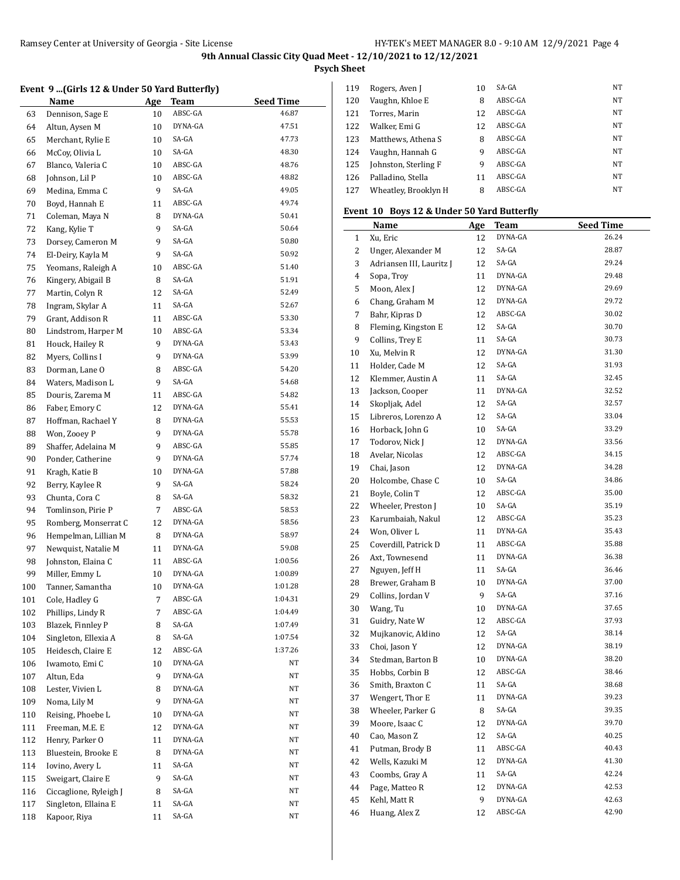**Psych Sheet**

#### **Event 9 ...(Girls 12 & Under 50 Yard Butterfly)**

|     | <b>Name</b>            | <u>Age</u> | Team    | <b>Seed Time</b> |
|-----|------------------------|------------|---------|------------------|
| 63  | Dennison, Sage E       | 10         | ABSC-GA | 46.87            |
| 64  | Altun, Aysen M         | 10         | DYNA-GA | 47.51            |
| 65  | Merchant, Rylie E      | 10         | SA-GA   | 47.73            |
| 66  | McCoy, Olivia L        | 10         | SA-GA   | 48.30            |
| 67  | Blanco, Valeria C      | 10         | ABSC-GA | 48.76            |
| 68  | Johnson, Lil P         | 10         | ABSC-GA | 48.82            |
| 69  | Medina, Emma C         | 9          | SA-GA   | 49.05            |
| 70  | Boyd, Hannah E         | 11         | ABSC-GA | 49.74            |
| 71  | Coleman, Maya N        | 8          | DYNA-GA | 50.41            |
| 72  | Kang, Kylie T          | 9          | SA-GA   | 50.64            |
| 73  | Dorsey, Cameron M      | 9          | SA-GA   | 50.80            |
| 74  | El-Deiry, Kayla M      | 9          | SA-GA   | 50.92            |
| 75  | Yeomans, Raleigh A     | 10         | ABSC-GA | 51.40            |
| 76  | Kingery, Abigail B     | 8          | SA-GA   | 51.91            |
| 77  | Martin, Colyn R        | 12         | SA-GA   | 52.49            |
| 78  | Ingram, Skylar A       | 11         | SA-GA   | 52.67            |
| 79  | Grant, Addison R       | 11         | ABSC-GA | 53.30            |
| 80  | Lindstrom, Harper M    | 10         | ABSC-GA | 53.34            |
| 81  | Houck, Hailey R        | 9          | DYNA-GA | 53.43            |
| 82  | Myers, Collins I       | 9          | DYNA-GA | 53.99            |
| 83  | Dorman, Lane O         | 8          | ABSC-GA | 54.20            |
| 84  | Waters, Madison L      | 9          | SA-GA   | 54.68            |
| 85  | Douris, Zarema M       | 11         | ABSC-GA | 54.82            |
| 86  | Faber, Emory C         | 12         | DYNA-GA | 55.41            |
| 87  | Hoffman, Rachael Y     | 8          | DYNA-GA | 55.53            |
| 88  | Won, Zooey P           | 9          | DYNA-GA | 55.78            |
| 89  | Shaffer, Adelaina M    | 9          | ABSC-GA | 55.85            |
| 90  | Ponder, Catherine      | 9          | DYNA-GA | 57.74            |
| 91  | Kragh, Katie B         | 10         | DYNA-GA | 57.88            |
| 92  | Berry, Kaylee R        | 9          | SA-GA   | 58.24            |
| 93  | Chunta, Cora C         | 8          | SA-GA   | 58.32            |
| 94  | Tomlinson, Pirie P     | 7          | ABSC-GA | 58.53            |
| 95  | Romberg, Monserrat C   | 12         | DYNA-GA | 58.56            |
| 96  | Hempelman, Lillian M   | 8          | DYNA-GA | 58.97            |
| 97  | Newquist, Natalie M    | 11         | DYNA-GA | 59.08            |
| 98  | Johnston, Elaina C     | 11         | ABSC-GA | 1:00.56          |
| 99  | Miller, Emmy L         | 10         | DYNA-GA | 1:00.89          |
| 100 | Tanner, Samantha       | 10         | DYNA-GA | 1:01.28          |
| 101 | Cole, Hadley G         | 7          | ABSC-GA | 1:04.31          |
| 102 | Phillips, Lindy R      | 7          | ABSC-GA | 1:04.49          |
| 103 | Blazek, Finnley P      | 8          | SA-GA   | 1:07.49          |
| 104 | Singleton, Ellexia A   | 8          | SA-GA   | 1:07.54          |
| 105 | Heidesch, Claire E     | 12         | ABSC-GA | 1:37.26          |
| 106 | Iwamoto, Emi C         | 10         | DYNA-GA | NΤ               |
| 107 | Altun, Eda             | 9          | DYNA-GA | NΤ               |
| 108 | Lester, Vivien L       | 8          | DYNA-GA | NΤ               |
| 109 | Noma, Lily M           | 9          | DYNA-GA | NΤ               |
| 110 | Reising, Phoebe L      | 10         | DYNA-GA | NΤ               |
| 111 | Freeman, M.E. E        | 12         | DYNA-GA | NΤ               |
| 112 | Henry, Parker O        | 11         | DYNA-GA | NΤ               |
| 113 | Bluestein, Brooke E    | 8          | DYNA-GA | NΤ               |
| 114 | Iovino, Avery L        | 11         | SA-GA   | NΤ               |
| 115 | Sweigart, Claire E     | 9          | SA-GA   | NΤ               |
| 116 | Ciccaglione, Ryleigh J | 8          | SA-GA   | NΤ               |
| 117 | Singleton, Ellaina E   | 11         | SA-GA   | NΤ               |
| 118 | Kapoor, Riya           | 11         | SA-GA   | NΤ               |
|     |                        |            |         |                  |

| 119 | Rogers, Aven J       | 10 | SA-GA   | NT        |
|-----|----------------------|----|---------|-----------|
| 120 | Vaughn, Khloe E      | 8  | ABSC-GA | <b>NT</b> |
| 121 | Torres, Marin        | 12 | ABSC-GA | <b>NT</b> |
| 122 | Walker, Emi G        | 12 | ABSC-GA | NT        |
| 123 | Matthews, Athena S   | 8  | ABSC-GA | NT        |
| 124 | Vaughn, Hannah G     | q  | ABSC-GA | NT        |
| 125 | Johnston, Sterling F | q  | ABSC-GA | NT        |
| 126 | Palladino, Stella    | 11 | ABSC-GA | NT        |
| 127 | Wheatley, Brooklyn H | 8  | ABSC-GA | NT        |

## **Event 10 Boys 12 & Under 50 Yard Butterfly**

|              | <b>Name</b>              | <u>Age</u> | Team    | <b>Seed Time</b> |
|--------------|--------------------------|------------|---------|------------------|
| $\mathbf{1}$ | Xu, Eric                 | 12         | DYNA-GA | 26.24            |
| 2            | Unger, Alexander M       | 12         | SA-GA   | 28.87            |
| 3            | Adriansen III, Lauritz J | 12         | SA-GA   | 29.24            |
| 4            | Sopa, Troy               | 11         | DYNA-GA | 29.48            |
| 5            | Moon, Alex J             | 12         | DYNA-GA | 29.69            |
| 6            | Chang, Graham M          | 12         | DYNA-GA | 29.72            |
| 7            | Bahr, Kipras D           | 12         | ABSC-GA | 30.02            |
| 8            | Fleming, Kingston E      | 12         | SA-GA   | 30.70            |
| 9            | Collins, Trey E          | 11         | SA-GA   | 30.73            |
| 10           | Xu, Melvin R             | 12         | DYNA-GA | 31.30            |
| 11           | Holder, Cade M           | 12         | SA-GA   | 31.93            |
| 12           | Klemmer, Austin A        | 11         | SA-GA   | 32.45            |
| 13           | Jackson, Cooper          | 11         | DYNA-GA | 32.52            |
| 14           | Skopljak, Adel           | 12         | SA-GA   | 32.57            |
| 15           | Libreros, Lorenzo A      | 12         | SA-GA   | 33.04            |
| 16           | Horback, John G          | 10         | SA-GA   | 33.29            |
| 17           | Todorov, Nick J          | 12         | DYNA-GA | 33.56            |
| 18           | Avelar, Nicolas          | 12         | ABSC-GA | 34.15            |
| 19           | Chai, Jason              | 12         | DYNA-GA | 34.28            |
| 20           | Holcombe, Chase C        | 10         | SA-GA   | 34.86            |
| 21           | Boyle, Colin T           | 12         | ABSC-GA | 35.00            |
| 22           | Wheeler, Preston J       | 10         | SA-GA   | 35.19            |
| 23           | Karumbaiah, Nakul        | 12         | ABSC-GA | 35.23            |
| 24           | Won, Oliver L            | 11         | DYNA-GA | 35.43            |
| 25           | Coverdill, Patrick D     | 11         | ABSC-GA | 35.88            |
| 26           | Axt, Townesend           | 11         | DYNA-GA | 36.38            |
| 27           | Nguyen, Jeff H           | 11         | SA-GA   | 36.46            |
| 28           | Brewer, Graham B         | 10         | DYNA-GA | 37.00            |
| 29           | Collins, Jordan V        | 9          | SA-GA   | 37.16            |
| 30           | Wang, Tu                 | 10         | DYNA-GA | 37.65            |
| 31           | Guidry, Nate W           | 12         | ABSC-GA | 37.93            |
| 32           | Mujkanovic, Aldino       | 12         | SA-GA   | 38.14            |
| 33           | Choi, Jason Y            | 12         | DYNA-GA | 38.19            |
| 34           | Stedman, Barton B        | 10         | DYNA-GA | 38.20            |
| 35           | Hobbs, Corbin B          | 12         | ABSC-GA | 38.46            |
| 36           | Smith, Braxton C         | 11         | SA-GA   | 38.68            |
| 37           | Wengert, Thor E          | 11         | DYNA-GA | 39.23            |
| 38           | Wheeler, Parker G        | 8          | SA-GA   | 39.35            |
| 39           | Moore, Isaac C           | 12         | DYNA-GA | 39.70            |
| 40           | Cao, Mason Z             | 12         | SA-GA   | 40.25            |
| 41           | Putman, Brody B          | 11         | ABSC-GA | 40.43            |
| 42           | Wells, Kazuki M          | 12         | DYNA-GA | 41.30            |
| 43           | Coombs, Gray A           | 11         | SA-GA   | 42.24            |
| 44           | Page, Matteo R           | 12         | DYNA-GA | 42.53            |
| 45           | Kehl, Matt R             | 9          | DYNA-GA | 42.63            |
| 46           | Huang, Alex Z            | 12         | ABSC-GA | 42.90            |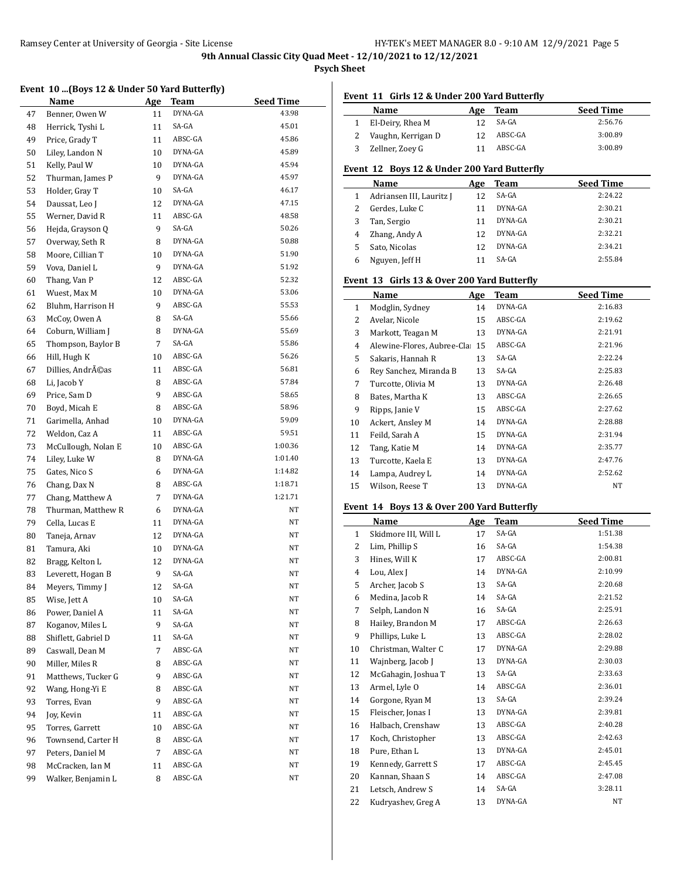**Psych Sheet**

#### **Event 10 ...(Boys 12 & Under 50 Yard Butterfly)**

|    | Name                | <b>Age</b> | Team    | <b>Seed Time</b> |
|----|---------------------|------------|---------|------------------|
| 47 | Benner, Owen W      | 11         | DYNA-GA | 43.98            |
| 48 | Herrick, Tyshi L    | 11         | SA-GA   | 45.01            |
| 49 | Price, Grady T      | 11         | ABSC-GA | 45.86            |
| 50 | Liley, Landon N     | 10         | DYNA-GA | 45.89            |
| 51 | Kelly, Paul W       | 10         | DYNA-GA | 45.94            |
| 52 | Thurman, James P    | 9          | DYNA-GA | 45.97            |
| 53 | Holder, Gray T      | 10         | SA-GA   | 46.17            |
| 54 | Daussat, Leo J      | 12         | DYNA-GA | 47.15            |
| 55 | Werner, David R     | 11         | ABSC-GA | 48.58            |
| 56 | Hejda, Grayson Q    | 9          | SA-GA   | 50.26            |
| 57 | Overway, Seth R     | 8          | DYNA-GA | 50.88            |
| 58 | Moore, Cillian T    | 10         | DYNA-GA | 51.90            |
| 59 | Vova, Daniel L      | 9          | DYNA-GA | 51.92            |
| 60 | Thang, Van P        | 12         | ABSC-GA | 52.32            |
| 61 | Wuest, Max M        | 10         | DYNA-GA | 53.06            |
| 62 | Bluhm, Harrison H   | 9          | ABSC-GA | 55.53            |
| 63 | McCoy, Owen A       | 8          | SA-GA   | 55.66            |
| 64 | Coburn, William J   | 8          | DYNA-GA | 55.69            |
| 65 | Thompson, Baylor B  | 7          | SA-GA   | 55.86            |
| 66 | Hill, Hugh K        | 10         | ABSC-GA | 56.26            |
| 67 | Dillies, Andréas    | 11         | ABSC-GA | 56.81            |
| 68 | Li, Jacob Y         | 8          | ABSC-GA | 57.84            |
| 69 | Price, Sam D        | 9          | ABSC-GA | 58.65            |
| 70 | Boyd, Micah E       | 8          | ABSC-GA | 58.96            |
| 71 | Garimella, Anhad    | 10         | DYNA-GA | 59.09            |
| 72 | Weldon, Caz A       | 11         | ABSC-GA | 59.51            |
| 73 | McCullough, Nolan E | 10         | ABSC-GA | 1:00.36          |
| 74 | Liley, Luke W       | 8          | DYNA-GA | 1:01.40          |
| 75 | Gates, Nico S       | 6          | DYNA-GA | 1:14.82          |
| 76 | Chang, Dax N        | 8          | ABSC-GA | 1:18.71          |
| 77 | Chang, Matthew A    | 7          | DYNA-GA | 1:21.71          |
| 78 | Thurman, Matthew R  | 6          | DYNA-GA | NΤ               |
| 79 | Cella, Lucas E      | 11         | DYNA-GA | NΤ               |
| 80 | Taneja, Arnav       | 12         | DYNA-GA | NT               |
| 81 | Tamura, Aki         | 10         | DYNA-GA | NΤ               |
| 82 | Bragg, Kelton L     | 12         | DYNA-GA | NΤ               |
| 83 | Leverett, Hogan B   | 9          | SA-GA   | NΤ               |
| 84 | Meyers, Timmy J     | 12         | SA-GA   | NΤ               |
| 85 | Wise, Jett A        | 10         | SA-GA   | NΤ               |
| 86 | Power, Daniel A     | 11         | SA-GA   | NΤ               |
| 87 | Koganov, Miles L    | 9          | SA-GA   | NΤ               |
| 88 | Shiflett, Gabriel D | 11         | SA-GA   | NΤ               |
| 89 | Caswall, Dean M     | 7          | ABSC-GA | NΤ               |
| 90 | Miller, Miles R     | 8          | ABSC-GA | NΤ               |
| 91 | Matthews, Tucker G  | 9          | ABSC-GA | NΤ               |
| 92 | Wang, Hong-Yi E     | 8          | ABSC-GA | NΤ               |
| 93 | Torres, Evan        | 9          | ABSC-GA | NΤ               |
| 94 | Jov, Kevin          | 11         | ABSC-GA | NΤ               |
| 95 | Torres, Garrett     | 10         | ABSC-GA | NΤ               |
| 96 | Townsend, Carter H  | 8          | ABSC-GA | NΤ               |
| 97 | Peters, Daniel M    | 7          | ABSC-GA | NΤ               |
| 98 | McCracken, Ian M    | 11         | ABSC-GA | NΤ               |
| 99 | Walker, Benjamin L  | 8          | ABSC-GA | NΤ               |

## **Event 11 Girls 12 & Under 200 Yard Butterfly**

|   | Name               | Age | Team    | <b>Seed Time</b> |
|---|--------------------|-----|---------|------------------|
|   | El-Deiry, Rhea M   |     | SA-GA   | 2:56.76          |
|   | Vaughn, Kerrigan D | 12  | ABSC-GA | 3:00.89          |
| 3 | Zellner, Zoey G    |     | ABSC-GA | 3:00.89          |

#### **Event 12 Boys 12 & Under 200 Yard Butterfly**

|   | Name                     | Age | Team    | <b>Seed Time</b> |
|---|--------------------------|-----|---------|------------------|
|   | Adriansen III, Lauritz J | 12  | SA-GA   | 2:24.22          |
| 2 | Gerdes, Luke C           |     | DYNA-GA | 2:30.21          |
| 3 | Tan, Sergio              | 11  | DYNA-GA | 2:30.21          |
| 4 | Zhang, Andy A            | 12  | DYNA-GA | 2:32.21          |
| 5 | Sato, Nicolas            | 12  | DYNA-GA | 2:34.21          |
| 6 | Nguyen, Jeff H           |     | SA-GA   | 2:55.84          |

## **Event 13 Girls 13 & Over 200 Yard Butterfly**

|    | Name                       | Age | Team    | <b>Seed Time</b> |
|----|----------------------------|-----|---------|------------------|
| 1  | Modglin, Sydney            | 14  | DYNA-GA | 2:16.83          |
| 2  | Avelar, Nicole             | 15  | ABSC-GA | 2:19.62          |
| 3  | Markott, Teagan M          | 13  | DYNA-GA | 2:21.91          |
| 4  | Alewine-Flores, Aubree-Cla | 15  | ABSC-GA | 2:21.96          |
| 5  | Sakaris, Hannah R          | 13  | SA-GA   | 2:22.24          |
| 6  | Rey Sanchez, Miranda B     | 13  | SA-GA   | 2:25.83          |
| 7  | Turcotte, Olivia M         | 13  | DYNA-GA | 2:26.48          |
| 8  | Bates, Martha K            | 13  | ABSC-GA | 2:26.65          |
| 9  | Ripps, Janie V             | 15  | ABSC-GA | 2:27.62          |
| 10 | Ackert, Ansley M           | 14  | DYNA-GA | 2:28.88          |
| 11 | Feild, Sarah A             | 15  | DYNA-GA | 2:31.94          |
| 12 | Tang, Katie M              | 14  | DYNA-GA | 2:35.77          |
| 13 | Turcotte, Kaela E          | 13  | DYNA-GA | 2:47.76          |
| 14 | Lampa, Audrey L            | 14  | DYNA-GA | 2:52.62          |
| 15 | Wilson, Reese T            | 13  | DYNA-GA | NΤ               |
|    |                            |     |         |                  |

## **Event 14 Boys 13 & Over 200 Yard Butterfly**

|              | Name                 | Age | <b>Team</b> | <b>Seed Time</b> |
|--------------|----------------------|-----|-------------|------------------|
| $\mathbf{1}$ | Skidmore III, Will L | 17  | SA-GA       | 1:51.38          |
| 2            | Lim, Phillip S       | 16  | SA-GA       | 1:54.38          |
| 3            | Hines, Will K        | 17  | ABSC-GA     | 2:00.81          |
| 4            | Lou, Alex J          | 14  | DYNA-GA     | 2:10.99          |
| 5            | Archer, Jacob S      | 13  | SA-GA       | 2:20.68          |
| 6            | Medina, Jacob R      | 14  | SA-GA       | 2:21.52          |
| 7            | Selph, Landon N      | 16  | SA-GA       | 2:25.91          |
| 8            | Hailey, Brandon M    | 17  | ABSC-GA     | 2:26.63          |
| 9            | Phillips, Luke L     | 13  | ABSC-GA     | 2:28.02          |
| 10           | Christman, Walter C  | 17  | DYNA-GA     | 2:29.88          |
| 11           | Wajnberg, Jacob J    | 13  | DYNA-GA     | 2:30.03          |
| 12           | McGahagin, Joshua T  | 13  | SA-GA       | 2:33.63          |
| 13           | Armel, Lyle O        | 14  | ABSC-GA     | 2:36.01          |
| 14           | Gorgone, Ryan M      | 13  | SA-GA       | 2:39.24          |
| 15           | Fleischer, Jonas I   | 13  | DYNA-GA     | 2:39.81          |
| 16           | Halbach, Crenshaw    | 13  | ABSC-GA     | 2:40.28          |
| 17           | Koch, Christopher    | 13  | ABSC-GA     | 2:42.63          |
| 18           | Pure. Ethan L        | 13  | DYNA-GA     | 2:45.01          |
| 19           | Kennedy, Garrett S   | 17  | ABSC-GA     | 2:45.45          |
| 20           | Kannan, Shaan S      | 14  | ABSC-GA     | 2:47.08          |
| 21           | Letsch, Andrew S     | 14  | SA-GA       | 3:28.11          |
| 22           | Kudryashev, Greg A   | 13  | DYNA-GA     | NT.              |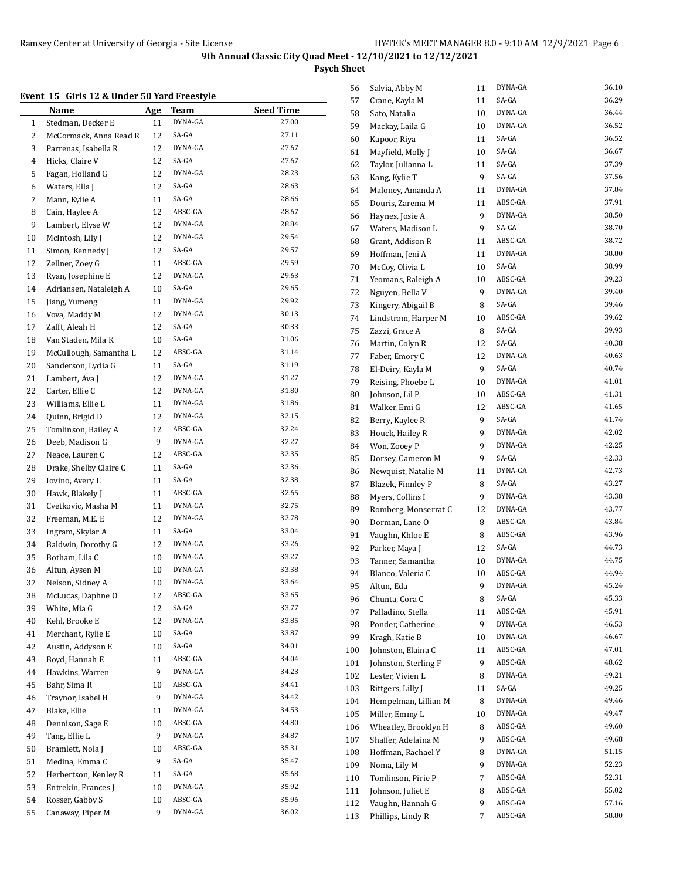**Psych Sheet**

# **Event 15 Girls 12 & Under 50 Yard Freestyle**

| елені тэ | GILIS 12 & UNUEL 50 TATU FLEESLYIE |            |             |                  |
|----------|------------------------------------|------------|-------------|------------------|
|          | Name                               | <u>Age</u> | <u>Team</u> | <b>Seed Time</b> |
| 1        | Stedman, Decker E                  | 11         | DYNA-GA     | 27.00            |
| 2        | McCormack, Anna Read R             | 12         | SA-GA       | 27.11            |
| 3        | Parrenas, Isabella R               | 12         | DYNA-GA     | 27.67            |
| 4        | Hicks, Claire V                    | 12         | SA-GA       | 27.67            |
| 5        | Fagan, Holland G                   | 12         | DYNA-GA     | 28.23            |
| 6        | Waters, Ella J                     | 12         | SA-GA       | 28.63            |
| 7        | Mann, Kylie A                      | 11         | SA-GA       | 28.66            |
| 8        | Cain, Haylee A                     | 12         | ABSC-GA     | 28.67            |
| 9        | Lambert, Elyse W                   | 12         | DYNA-GA     | 28.84            |
| 10       | McIntosh, Lily J                   | 12         | DYNA-GA     | 29.54            |
| 11       | Simon, Kennedy J                   | 12         | SA-GA       | 29.57            |
| 12       | Zellner, Zoey G                    | 11         | ABSC-GA     | 29.59            |
| 13       | Ryan, Josephine E                  | 12         | DYNA-GA     | 29.63            |
| 14       | Adriansen, Nataleigh A             | 10         | SA-GA       | 29.65            |
| 15       | Jiang, Yumeng                      | 11         | DYNA-GA     | 29.92            |
| 16       | Vova, Maddy M                      | 12         | DYNA-GA     | 30.13            |
| 17       | Zafft, Aleah H                     | 12         | SA-GA       | 30.33            |
| 18       | Van Staden, Mila K                 | 10         | SA-GA       | 31.06            |
| 19       | McCullough, Samantha L             | 12         | ABSC-GA     | 31.14            |
| 20       | Sanderson, Lydia G                 | 11         | SA-GA       | 31.19            |
| 21       | Lambert, Ava J                     | 12         | DYNA-GA     | 31.27            |
| 22       | Carter, Ellie C                    | 12         | DYNA-GA     | 31.80            |
| 23       | Williams, Ellie L                  | 11         | DYNA-GA     | 31.86            |
| 24       | Quinn, Brigid D                    | 12         | DYNA-GA     | 32.15            |
| 25       | Tomlinson, Bailey A                | 12         | ABSC-GA     | 32.24            |
| 26       | Deeb, Madison G                    | 9          | DYNA-GA     | 32.27            |
| 27       | Neace, Lauren C                    | 12         | ABSC-GA     | 32.35            |
| 28       | Drake, Shelby Claire C             | 11         | SA-GA       | 32.36            |
| 29       | Iovino, Avery L                    | 11         | SA-GA       | 32.38            |
| 30       | Hawk, Blakely J                    | 11         | ABSC-GA     | 32.65            |
| 31       | Cvetkovic, Masha M                 | 11         | DYNA-GA     | 32.75            |
| 32       | Freeman, M.E. E                    | 12         | DYNA-GA     | 32.78            |
| 33       | Ingram, Skylar A                   | 11         | SA-GA       | 33.04            |
| 34       | Baldwin, Dorothy G                 | 12         | DYNA-GA     | 33.26            |
| 35       | Botham, Lila C                     | 10         | DYNA-GA     | 33.27            |
| 36       | Altun, Aysen M                     | 10         | DYNA-GA     | 33.38            |
| 37       | Nelson, Sidney A                   | 10         | DYNA-GA     | 33.64            |
| 38       | McLucas, Daphne O                  | 12         | ABSC-GA     | 33.65            |
| 39       | White, Mia G                       | 12         | SA-GA       | 33.77            |
| 40       | Kehl, Brooke E                     | 12         | DYNA-GA     | 33.85            |
| 41       | Merchant, Rylie E                  | 10         | SA-GA       | 33.87            |
| 42       | Austin, Addyson E                  | 10         | SA-GA       | 34.01            |
| 43       | Boyd, Hannah E                     | 11         | ABSC-GA     | 34.04            |
| 44       | Hawkins, Warren                    | 9          | DYNA-GA     | 34.23            |
| 45       | Bahr, Sima R                       | 10         | ABSC-GA     | 34.41            |
| 46       | Traynor, Isabel H                  | 9          | DYNA-GA     | 34.42            |
| 47       | Blake, Ellie                       | 11         | DYNA-GA     | 34.53            |
| 48       | Dennison, Sage E                   | 10         | ABSC-GA     | 34.80            |
| 49       | Tang, Ellie L                      | 9          | DYNA-GA     | 34.87            |
| 50       | Bramlett, Nola J                   | 10         | ABSC-GA     | 35.31            |
| 51       | Medina, Emma C                     | 9          | SA-GA       | 35.47            |
| 52       | Herbertson, Kenley R               | 11         | SA-GA       | 35.68            |
| 53       | Entrekin, Frances J                | 10         | DYNA-GA     | 35.92            |
| 54       | Rosser, Gabby S                    | 10         | ABSC-GA     | 35.96            |
| 55       | Canaway, Piper M                   | 9          | DYNA-GA     | 36.02            |
|          |                                    |            |             |                  |

| 56  | Salvia, Abby M       | 11 | DYNA-GA | 36.10 |
|-----|----------------------|----|---------|-------|
| 57  | Crane, Kayla M       | 11 | SA-GA   | 36.29 |
| 58  | Sato, Natalia        | 10 | DYNA-GA | 36.44 |
| 59  | Mackay, Laila G      | 10 | DYNA-GA | 36.52 |
| 60  | Kapoor, Riya         | 11 | SA-GA   | 36.52 |
| 61  | Mayfield, Molly J    | 10 | SA-GA   | 36.67 |
| 62  | Taylor, Julianna L   | 11 | SA-GA   | 37.39 |
| 63  | Kang, Kylie T        | 9  | SA-GA   | 37.56 |
| 64  | Maloney, Amanda A    | 11 | DYNA-GA | 37.84 |
| 65  | Douris, Zarema M     | 11 | ABSC-GA | 37.91 |
| 66  | Haynes, Josie A      | 9  | DYNA-GA | 38.50 |
| 67  | Waters, Madison L    | 9  | SA-GA   | 38.70 |
| 68  | Grant, Addison R     | 11 | ABSC-GA | 38.72 |
| 69  | Hoffman, Jeni A      | 11 | DYNA-GA | 38.80 |
| 70  | McCoy, Olivia L      | 10 | SA-GA   | 38.99 |
| 71  | Yeomans, Raleigh A   | 10 | ABSC-GA | 39.23 |
| 72  | Nguyen, Bella V      | 9  | DYNA-GA | 39.40 |
| 73  | Kingery, Abigail B   | 8  | SA-GA   | 39.46 |
| 74  | Lindstrom, Harper M  | 10 | ABSC-GA | 39.62 |
| 75  | Zazzi, Grace A       | 8  | SA-GA   | 39.93 |
| 76  | Martin, Colyn R      | 12 | SA-GA   | 40.38 |
| 77  | Faber, Emory C       | 12 | DYNA-GA | 40.63 |
| 78  | El-Deiry, Kayla M    | 9  | SA-GA   | 40.74 |
| 79  | Reising, Phoebe L    | 10 | DYNA-GA | 41.01 |
| 80  | Johnson, Lil P       | 10 | ABSC-GA | 41.31 |
| 81  | Walker, Emi G        | 12 | ABSC-GA | 41.65 |
| 82  | Berry, Kaylee R      | 9  | SA-GA   | 41.74 |
| 83  | Houck, Hailey R      | 9  | DYNA-GA | 42.02 |
| 84  | Won, Zooey P         | 9  | DYNA-GA | 42.25 |
| 85  | Dorsey, Cameron M    | 9  | SA-GA   | 42.33 |
| 86  | Newquist, Natalie M  | 11 | DYNA-GA | 42.73 |
| 87  | Blazek, Finnley P    | 8  | SA-GA   | 43.27 |
| 88  | Myers, Collins I     | 9  | DYNA-GA | 43.38 |
| 89  | Romberg, Monserrat C | 12 | DYNA-GA | 43.77 |
| 90  | Dorman, Lane O       | 8  | ABSC-GA | 43.84 |
| 91  | Vaughn, Khloe E      | 8  | ABSC-GA | 43.96 |
| 92  | Parker, Maya J       | 12 | SA-GA   | 44.73 |
| 93  | Tanner, Samantha     | 10 | DYNA-GA | 44.75 |
| 94  | Blanco, Valeria C    | 10 | ABSC-GA | 44.94 |
| 95  | Altun, Eda           | 9  | DYNA-GA | 45.24 |
| 96  | Chunta, Cora C       | 8  | SA-GA   | 45.33 |
| 97  | Palladino, Stella    | 11 | ABSC-GA | 45.91 |
| 98  | Ponder, Catherine    | 9  | DYNA-GA | 46.53 |
| 99  | Kragh, Katie B       | 10 | DYNA-GA | 46.67 |
| 100 | Johnston, Elaina C   | 11 | ABSC-GA | 47.01 |
| 101 | Johnston, Sterling F | 9  | ABSC-GA | 48.62 |
| 102 | Lester, Vivien L     | 8  | DYNA-GA | 49.21 |
| 103 | Rittgers, Lilly J    | 11 | SA-GA   | 49.25 |
| 104 | Hempelman, Lillian M | 8  | DYNA-GA | 49.46 |
| 105 | Miller, Emmy L       | 10 | DYNA-GA | 49.47 |
| 106 | Wheatley, Brooklyn H | 8  | ABSC-GA | 49.60 |
| 107 | Shaffer, Adelaina M  | 9  | ABSC-GA | 49.68 |
| 108 | Hoffman, Rachael Y   | 8  | DYNA-GA | 51.15 |
| 109 | Noma, Lily M         | 9  | DYNA-GA | 52.23 |
| 110 | Tomlinson, Pirie P   | 7  | ABSC-GA | 52.31 |
| 111 | Johnson, Juliet E    | 8  | ABSC-GA | 55.02 |
| 112 | Vaughn, Hannah G     | 9  | ABSC-GA | 57.16 |
| 113 | Phillips, Lindy R    | 7  | ABSC-GA | 58.80 |
|     |                      |    |         |       |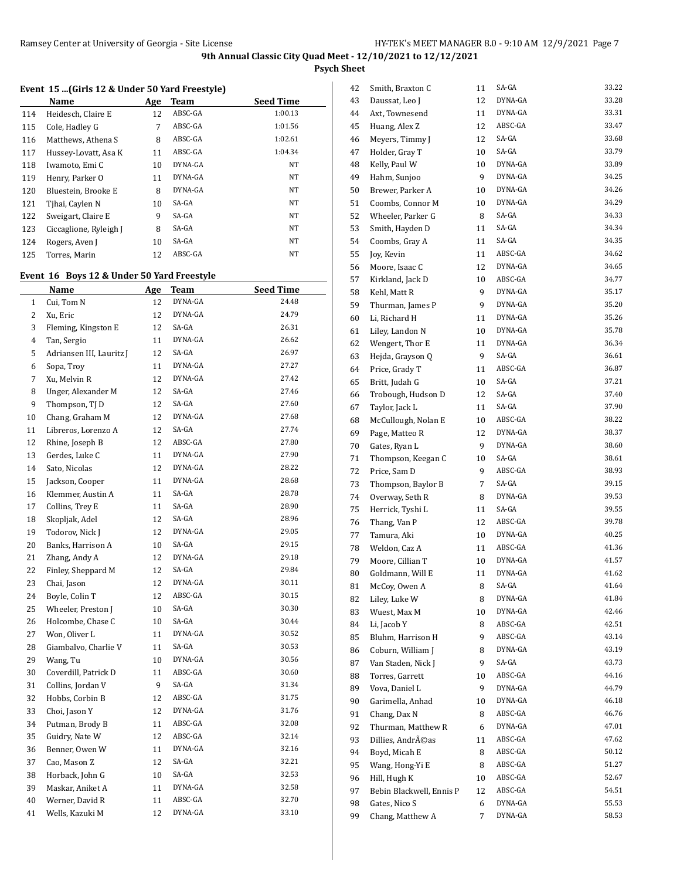**Psych Sheet**

### **Event 15 ...(Girls 12 & Under 50 Yard Freestyle)**

|     | Name                   | Age | Team    | <b>Seed Time</b> |
|-----|------------------------|-----|---------|------------------|
| 114 | Heidesch, Claire E     | 12  | ABSC-GA | 1:00.13          |
| 115 | Cole, Hadley G         | 7   | ABSC-GA | 1:01.56          |
| 116 | Matthews, Athena S     | 8   | ABSC-GA | 1:02.61          |
| 117 | Hussey-Lovatt, Asa K   | 11  | ABSC-GA | 1:04.34          |
| 118 | Iwamoto, Emi C         | 10  | DYNA-GA | <b>NT</b>        |
| 119 | Henry, Parker O        | 11  | DYNA-GA | NT               |
| 120 | Bluestein, Brooke E    | 8   | DYNA-GA | NT               |
| 121 | Tihai, Caylen N        | 10  | SA-GA   | NT               |
| 122 | Sweigart, Claire E     | 9   | SA-GA   | NT               |
| 123 | Ciccaglione, Ryleigh J | 8   | SA-GA   | <b>NT</b>        |
| 124 | Rogers, Aven J         | 10  | SA-GA   | NT               |
| 125 | Torres, Marin          | 12  | ABSC-GA | <b>NT</b>        |
|     |                        |     |         |                  |

## **Event 16 Boys 12 & Under 50 Yard Freestyle**

|              | Name                     | <u>Age</u> | Team    | <b>Seed Time</b> |
|--------------|--------------------------|------------|---------|------------------|
| $\mathbf{1}$ | Cui, Tom N               | 12         | DYNA-GA | 24.48            |
| 2            | Xu, Eric                 | 12         | DYNA-GA | 24.79            |
| 3            | Fleming, Kingston E      | 12         | SA-GA   | 26.31            |
| 4            | Tan, Sergio              | 11         | DYNA-GA | 26.62            |
| 5            | Adriansen III, Lauritz J | 12         | SA-GA   | 26.97            |
| 6            | Sopa, Trov               | 11         | DYNA-GA | 27.27            |
| 7            | Xu, Melvin R             | 12         | DYNA-GA | 27.42            |
| 8            | Unger, Alexander M       | 12         | SA-GA   | 27.46            |
| 9            | Thompson, TJ D           | 12         | SA-GA   | 27.60            |
| 10           | Chang, Graham M          | 12         | DYNA-GA | 27.68            |
| 11           | Libreros, Lorenzo A      | 12         | SA-GA   | 27.74            |
| 12           | Rhine, Joseph B          | 12         | ABSC-GA | 27.80            |
| 13           | Gerdes, Luke C           | 11         | DYNA-GA | 27.90            |
| 14           | Sato, Nicolas            | 12         | DYNA-GA | 28.22            |
| 15           | Jackson, Cooper          | 11         | DYNA-GA | 28.68            |
| 16           | Klemmer, Austin A        | 11         | SA-GA   | 28.78            |
| 17           | Collins, Trey E          | 11         | SA-GA   | 28.90            |
| 18           | Skopljak, Adel           | 12         | SA-GA   | 28.96            |
| 19           | Todorov, Nick J          | 12         | DYNA-GA | 29.05            |
| 20           | Banks, Harrison A        | 10         | SA-GA   | 29.15            |
| 21           | Zhang, Andy A            | 12         | DYNA-GA | 29.18            |
| 22           | Finley, Sheppard M       | 12         | SA-GA   | 29.84            |
| 23           | Chai, Jason              | 12         | DYNA-GA | 30.11            |
| 24           | Boyle, Colin T           | 12         | ABSC-GA | 30.15            |
| 25           | Wheeler, Preston J       | 10         | SA-GA   | 30.30            |
| 26           | Holcombe, Chase C        | 10         | SA-GA   | 30.44            |
| 27           | Won, Oliver L            | 11         | DYNA-GA | 30.52            |
| 28           | Giambalvo, Charlie V     | 11         | SA-GA   | 30.53            |
| 29           | Wang, Tu                 | 10         | DYNA-GA | 30.56            |
| 30           | Coverdill, Patrick D     | 11         | ABSC-GA | 30.60            |
| 31           | Collins, Jordan V        | 9          | SA-GA   | 31.34            |
| 32           | Hobbs, Corbin B          | 12         | ABSC-GA | 31.75            |
| 33           | Choi, Jason Y            | 12         | DYNA-GA | 31.76            |
| 34           | Putman, Brody B          | 11         | ABSC-GA | 32.08            |
| 35           | Guidry, Nate W           | 12         | ABSC-GA | 32.14            |
| 36           | Benner, Owen W           | 11         | DYNA-GA | 32.16            |
| 37           | Cao, Mason Z             | 12         | SA-GA   | 32.21            |
| 38           | Horback, John G          | 10         | SA-GA   | 32.53            |
| 39           | Maskar, Aniket A         | 11         | DYNA-GA | 32.58            |
| 40           | Werner, David R          | 11         | ABSC-GA | 32.70            |
| 41           | Wells, Kazuki M          | 12         | DYNA-GA | 33.10            |

| 42 | Smith, Braxton C         | 11 | SA-GA   | 33.22 |
|----|--------------------------|----|---------|-------|
| 43 | Daussat, Leo J           | 12 | DYNA-GA | 33.28 |
| 44 | Axt, Townesend           | 11 | DYNA-GA | 33.31 |
| 45 | Huang, Alex Z            | 12 | ABSC-GA | 33.47 |
| 46 | Meyers, Timmy J          | 12 | SA-GA   | 33.68 |
| 47 | Holder, Gray T           | 10 | SA-GA   | 33.79 |
| 48 | Kelly, Paul W            | 10 | DYNA-GA | 33.89 |
| 49 | Hahm, Sunjoo             | 9  | DYNA-GA | 34.25 |
| 50 | Brewer, Parker A         | 10 | DYNA-GA | 34.26 |
| 51 | Coombs, Connor M         | 10 | DYNA-GA | 34.29 |
| 52 | Wheeler, Parker G        | 8  | SA-GA   | 34.33 |
| 53 | Smith, Hayden D          | 11 | SA-GA   | 34.34 |
| 54 | Coombs, Gray A           | 11 | SA-GA   | 34.35 |
| 55 | Joy, Kevin               | 11 | ABSC-GA | 34.62 |
| 56 | Moore, Isaac C           | 12 | DYNA-GA | 34.65 |
| 57 | Kirkland, Jack D         | 10 | ABSC-GA | 34.77 |
| 58 | Kehl, Matt R             | 9  | DYNA-GA | 35.17 |
| 59 | Thurman, James P         | 9  | DYNA-GA | 35.20 |
| 60 | Li, Richard H            | 11 | DYNA-GA | 35.26 |
| 61 | Liley, Landon N          | 10 | DYNA-GA | 35.78 |
|    |                          |    | DYNA-GA | 36.34 |
| 62 | Wengert, Thor E          | 11 |         | 36.61 |
| 63 | Hejda, Grayson Q         | 9  | SA-GA   |       |
| 64 | Price, Grady T           | 11 | ABSC-GA | 36.87 |
| 65 | Britt, Judah G           | 10 | SA-GA   | 37.21 |
| 66 | Trobough, Hudson D       | 12 | SA-GA   | 37.40 |
| 67 | Taylor, Jack L           | 11 | SA-GA   | 37.90 |
| 68 | McCullough, Nolan E      | 10 | ABSC-GA | 38.22 |
| 69 | Page, Matteo R           | 12 | DYNA-GA | 38.37 |
| 70 | Gates, Ryan L            | 9  | DYNA-GA | 38.60 |
| 71 | Thompson, Keegan C       | 10 | SA-GA   | 38.61 |
| 72 | Price, Sam D             | 9  | ABSC-GA | 38.93 |
| 73 | Thompson, Baylor B       | 7  | SA-GA   | 39.15 |
| 74 | Overway, Seth R          | 8  | DYNA-GA | 39.53 |
| 75 | Herrick, Tyshi L         | 11 | SA-GA   | 39.55 |
| 76 | Thang, Van P             | 12 | ABSC-GA | 39.78 |
| 77 | Tamura, Aki              | 10 | DYNA-GA | 40.25 |
| 78 | Weldon, Caz A            | 11 | ABSC-GA | 41.36 |
| 79 | Moore, Cillian T         | 10 | DYNA-GA | 41.57 |
| 80 | Goldmann, Will E         | 11 | DYNA-GA | 41.62 |
| 81 | McCoy, Owen A            | 8  | SA-GA   | 41.64 |
| 82 | Liley, Luke W            | 8  | DYNA-GA | 41.84 |
| 83 | Wuest, Max M             | 10 | DYNA-GA | 42.46 |
| 84 | Li, Jacob Y              | 8  | ABSC-GA | 42.51 |
| 85 | Bluhm, Harrison H        | 9  | ABSC-GA | 43.14 |
| 86 | Coburn, William J        | 8  | DYNA-GA | 43.19 |
| 87 | Van Staden, Nick J       | 9  | SA-GA   | 43.73 |
| 88 | Torres, Garrett          | 10 | ABSC-GA | 44.16 |
| 89 | Vova, Daniel L           | 9  | DYNA-GA | 44.79 |
| 90 | Garimella, Anhad         | 10 | DYNA-GA | 46.18 |
| 91 | Chang, Dax N             | 8  | ABSC-GA | 46.76 |
| 92 | Thurman, Matthew R       | 6  | DYNA-GA | 47.01 |
| 93 | Dillies, Andréas         | 11 | ABSC-GA | 47.62 |
| 94 | Boyd, Micah E            | 8  | ABSC-GA | 50.12 |
| 95 | Wang, Hong-Yi E          | 8  | ABSC-GA | 51.27 |
| 96 | Hill, Hugh K             | 10 | ABSC-GA | 52.67 |
| 97 | Bebin Blackwell, Ennis P | 12 | ABSC-GA | 54.51 |
| 98 | Gates, Nico S            | 6  | DYNA-GA | 55.53 |
| 99 | Chang, Matthew A         | 7  | DYNA-GA | 58.53 |
|    |                          |    |         |       |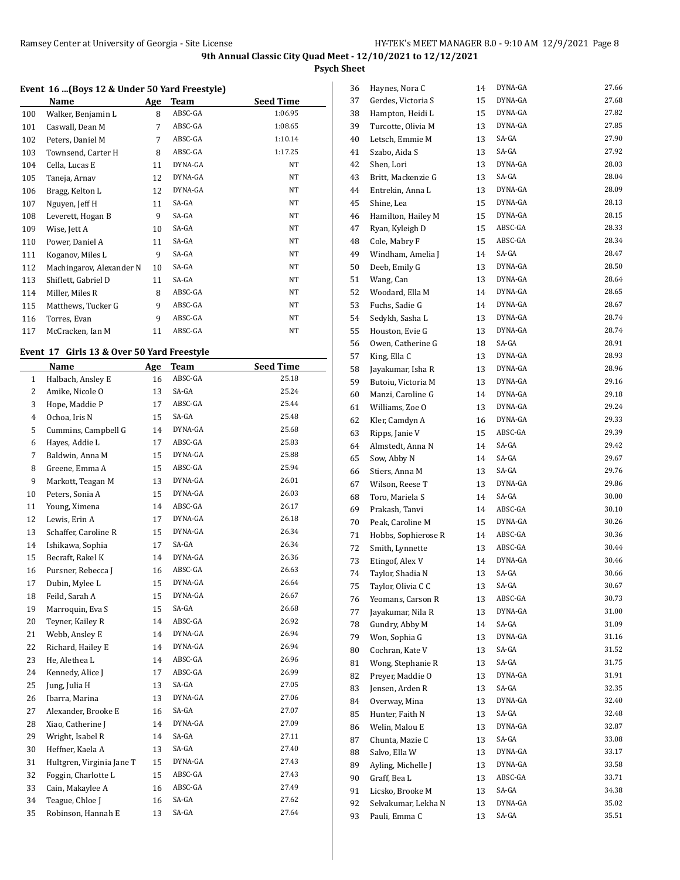**Psych Sheet**

#### **Event 16 ...(Boys 12 & Under 50 Yard Freestyle)**

|     | Name                     | Age | <b>Team</b> | <b>Seed Time</b> |
|-----|--------------------------|-----|-------------|------------------|
| 100 | Walker, Benjamin L       | 8   | ABSC-GA     | 1:06.95          |
| 101 | Caswall, Dean M          | 7   | ABSC-GA     | 1:08.65          |
| 102 | Peters, Daniel M         | 7   | ABSC-GA     | 1:10.14          |
| 103 | Townsend, Carter H       | 8   | ABSC-GA     | 1:17.25          |
| 104 | Cella, Lucas E           | 11  | DYNA-GA     | NT               |
| 105 | Taneja, Arnav            | 12  | DYNA-GA     | NT               |
| 106 | Bragg, Kelton L          | 12  | DYNA-GA     | NT               |
| 107 | Nguyen, Jeff H           | 11  | SA-GA       | NT               |
| 108 | Leverett, Hogan B        | 9   | SA-GA       | NT               |
| 109 | Wise, Jett A             | 10  | SA-GA       | NT               |
| 110 | Power, Daniel A          | 11  | SA-GA       | NT               |
| 111 | Koganov, Miles L         | 9   | SA-GA       | NT               |
| 112 | Machingarov, Alexander N | 10  | SA-GA       | NT               |
| 113 | Shiflett, Gabriel D      | 11  | SA-GA       | NT               |
| 114 | Miller, Miles R          | 8   | ABSC-GA     | NT               |
| 115 | Matthews, Tucker G       | 9   | ABSC-GA     | NT               |
| 116 | Torres, Evan             | 9   | ABSC-GA     | NT               |
| 117 | McCracken, Ian M         | 11  | ABSC-GA     | NT               |

## **Event 17 Girls 13 & Over 50 Yard Freestyle**

|              | <b>Name</b>               | Age | <b>Team</b> | <b>Seed Time</b> |
|--------------|---------------------------|-----|-------------|------------------|
| $\mathbf{1}$ | Halbach, Ansley E         | 16  | ABSC-GA     | 25.18            |
| 2            | Amike, Nicole O           | 13  | SA-GA       | 25.24            |
| 3            | Hope, Maddie P            | 17  | ABSC-GA     | 25.44            |
| 4            | Ochoa, Iris N             | 15  | SA-GA       | 25.48            |
| 5            | Cummins, Campbell G       | 14  | DYNA-GA     | 25.68            |
| 6            | Hayes, Addie L            | 17  | ABSC-GA     | 25.83            |
| 7            | Baldwin, Anna M           | 15  | DYNA-GA     | 25.88            |
| 8            | Greene, Emma A            | 15  | ABSC-GA     | 25.94            |
| 9            | Markott, Teagan M         | 13  | DYNA-GA     | 26.01            |
| 10           | Peters, Sonia A           | 15  | DYNA-GA     | 26.03            |
| 11           | Young, Ximena             | 14  | ABSC-GA     | 26.17            |
| 12           | Lewis, Erin A             | 17  | DYNA-GA     | 26.18            |
| 13           | Schaffer, Caroline R      | 15  | DYNA-GA     | 26.34            |
| 14           | Ishikawa, Sophia          | 17  | SA-GA       | 26.34            |
| 15           | Becraft, Rakel K          | 14  | DYNA-GA     | 26.36            |
| 16           | Pursner, Rebecca J        | 16  | ABSC-GA     | 26.63            |
| 17           | Dubin, Mylee L            | 15  | DYNA-GA     | 26.64            |
| 18           | Feild, Sarah A            | 15  | DYNA-GA     | 26.67            |
| 19           | Marroquin, Eva S          | 15  | SA-GA       | 26.68            |
| 20           | Teyner, Kailey R          | 14  | ABSC-GA     | 26.92            |
| 21           | Webb, Ansley E            | 14  | DYNA-GA     | 26.94            |
| 22           | Richard, Hailey E         | 14  | DYNA-GA     | 26.94            |
| 23           | He, Alethea L             | 14  | ABSC-GA     | 26.96            |
| 24           | Kennedy, Alice J          | 17  | ABSC-GA     | 26.99            |
| 25           | Jung, Julia H             | 13  | SA-GA       | 27.05            |
| 26           | Ibarra, Marina            | 13  | DYNA-GA     | 27.06            |
| 27           | Alexander, Brooke E       | 16  | SA-GA       | 27.07            |
| 28           | Xiao, Catherine J         | 14  | DYNA-GA     | 27.09            |
| 29           | Wright, Isabel R          | 14  | SA-GA       | 27.11            |
| 30           | Heffner, Kaela A          | 13  | SA-GA       | 27.40            |
| 31           | Hultgren, Virginia Jane T | 15  | DYNA-GA     | 27.43            |
| 32           | Foggin, Charlotte L       | 15  | ABSC-GA     | 27.43            |
| 33           | Cain, Makaylee A          | 16  | ABSC-GA     | 27.49            |
| 34           | Teague, Chloe J           | 16  | SA-GA       | 27.62            |
| 35           | Robinson, Hannah E        | 13  | SA-GA       | 27.64            |

| 36       | Haynes, Nora C                          | 14       | DYNA-GA | 27.66 |
|----------|-----------------------------------------|----------|---------|-------|
| 37       | Gerdes, Victoria S                      | 15       | DYNA-GA | 27.68 |
| 38       | Hampton, Heidi L                        | 15       | DYNA-GA | 27.82 |
| 39       | Turcotte, Olivia M                      | 13       | DYNA-GA | 27.85 |
| 40       | Letsch, Emmie M                         | 13       | SA-GA   | 27.90 |
| 41       | Szabo, Aida S                           | 13       | SA-GA   | 27.92 |
| 42       | Shen, Lori                              | 13       | DYNA-GA | 28.03 |
| 43       | Britt, Mackenzie G                      | 13       | SA-GA   | 28.04 |
| 44       | Entrekin, Anna L                        | 13       | DYNA-GA | 28.09 |
| 45       | Shine, Lea                              | 15       | DYNA-GA | 28.13 |
| 46       | Hamilton, Hailey M                      | 15       | DYNA-GA | 28.15 |
| 47       | Ryan, Kyleigh D                         | 15       | ABSC-GA | 28.33 |
| 48       | Cole, Mabry F                           | 15       | ABSC-GA | 28.34 |
| 49       | Windham, Amelia J                       | 14       | SA-GA   | 28.47 |
| 50       | Deeb, Emily G                           | 13       | DYNA-GA | 28.50 |
| 51       | Wang, Can                               | 13       | DYNA-GA | 28.64 |
| 52       | Woodard, Ella M                         | 14       | DYNA-GA | 28.65 |
| 53       |                                         | 14       | DYNA-GA | 28.67 |
|          | Fuchs, Sadie G                          |          | DYNA-GA | 28.74 |
| 54       | Sedykh, Sasha L                         | 13       |         | 28.74 |
| 55       | Houston, Evie G                         | 13       | DYNA-GA |       |
| 56       | Owen, Catherine G                       | 18       | SA-GA   | 28.91 |
| 57       | King, Ella C                            | 13       | DYNA-GA | 28.93 |
| 58       | Jayakumar, Isha R                       | 13       | DYNA-GA | 28.96 |
| 59       | Butoiu, Victoria M                      | 13       | DYNA-GA | 29.16 |
| 60       | Manzi, Caroline G                       | 14       | DYNA-GA | 29.18 |
| 61       | Williams, Zoe O                         | 13       | DYNA-GA | 29.24 |
| 62       | Kler, Camdyn A                          | 16       | DYNA-GA | 29.33 |
| 63       | Ripps, Janie V                          | 15       | ABSC-GA | 29.39 |
| 64       | Almstedt, Anna N                        | 14       | SA-GA   | 29.42 |
| 65       | Sow, Abby N                             | 14       | SA-GA   | 29.67 |
| 66       | Stiers, Anna M                          | 13       | SA-GA   | 29.76 |
| 67       | Wilson, Reese T                         | 13       | DYNA-GA | 29.86 |
| 68       | Toro, Mariela S                         | 14       | SA-GA   | 30.00 |
| 69       | Prakash, Tanvi                          | 14       | ABSC-GA | 30.10 |
| 70       | Peak, Caroline M                        | 15       | DYNA-GA | 30.26 |
| 71       | Hobbs, Sophierose R                     | 14       | ABSC-GA | 30.36 |
| 72       | Smith, Lynnette                         | 13       | ABSC-GA | 30.44 |
| 73       | Etingof, Alex V                         | 14       | DYNA-GA | 30.46 |
| 74       | Taylor, Shadia N                        | 13       | SA-GA   | 30.66 |
| 75       | Taylor, Olivia C C                      | 13       | SA-GA   | 30.67 |
| 76       | Yeomans, Carson R                       | 13       | ABSC-GA | 30.73 |
| 77       | Jayakumar, Nila R                       | 13       | DYNA-GA | 31.00 |
| 78       | Gundry, Abby M                          | 14       | SA-GA   | 31.09 |
| 79       | Won, Sophia G                           | 13       | DYNA-GA | 31.16 |
| 80       | Cochran, Kate V                         | 13       | SA-GA   | 31.52 |
| 81       | Wong, Stephanie R                       | 13       | SA-GA   | 31.75 |
| 82       | Preyer, Maddie O                        | 13       | DYNA-GA | 31.91 |
| 83       | Jensen, Arden R                         | 13       | SA-GA   | 32.35 |
| 84       | Overway, Mina                           | 13       | DYNA-GA | 32.40 |
| 85       | Hunter, Faith N                         | 13       | SA-GA   | 32.48 |
| 86       | Welin, Malou E                          | 13       | DYNA-GA | 32.87 |
| 87       | Chunta, Mazie C                         | 13       | SA-GA   | 33.08 |
| 88       | Salvo, Ella W                           | 13       | DYNA-GA | 33.17 |
|          |                                         |          |         |       |
|          |                                         |          | DYNA-GA | 33.58 |
| 89       | Ayling, Michelle J                      | 13<br>13 | ABSC-GA | 33.71 |
| 90       | Graff, Bea L                            |          | SA-GA   | 34.38 |
| 91<br>92 | Licsko, Brooke M<br>Selvakumar, Lekha N | 13<br>13 | DYNA-GA | 35.02 |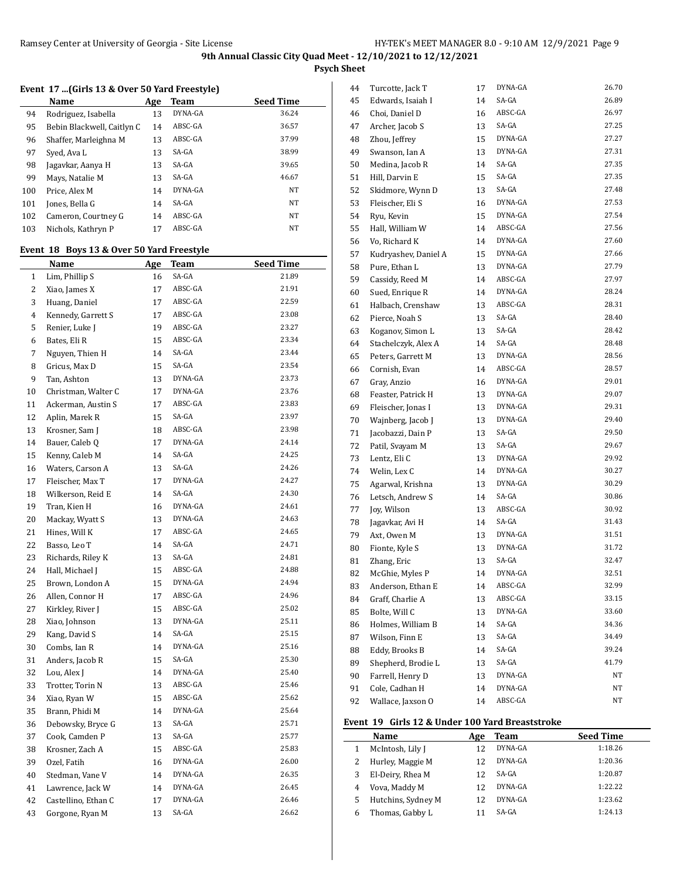**Psych Sheet**

## **Event 17 ...(Girls 13 & Over 50 Yard Freestyle)**

|     | Name                       | Age | Team    | <b>Seed Time</b> |
|-----|----------------------------|-----|---------|------------------|
| 94  | Rodriguez, Isabella        | 13  | DYNA-GA | 36.24            |
| 95  | Bebin Blackwell, Caitlyn C | 14  | ABSC-GA | 36.57            |
| 96  | Shaffer, Marleighna M      | 13  | ABSC-GA | 37.99            |
| 97  | Syed, Ava L                | 13  | SA-GA   | 38.99            |
| 98  | Jagavkar, Aanya H          | 13  | SA-GA   | 39.65            |
| 99  | Mays, Natalie M            | 13  | SA-GA   | 46.67            |
| 100 | Price, Alex M              | 14  | DYNA-GA | <b>NT</b>        |
| 101 | Jones, Bella G             | 14  | SA-GA   | NT               |
| 102 | Cameron, Courtney G        | 14  | ABSC-GA | <b>NT</b>        |
| 103 | Nichols, Kathryn P         | 17  | ABSC-GA | <b>NT</b>        |

# **Event 18 Boys 13 & Over 50 Yard Freestyle**

|                | <u>Name</u>         | <u>Age</u> | <u>Team</u> | <b>Seed Time</b> |
|----------------|---------------------|------------|-------------|------------------|
| $\mathbf{1}$   | Lim, Phillip S      | 16         | SA-GA       | 21.89            |
| $\overline{c}$ | Xiao, James X       | 17         | ABSC-GA     | 21.91            |
| 3              | Huang, Daniel       | 17         | ABSC-GA     | 22.59            |
| 4              | Kennedy, Garrett S  | 17         | ABSC-GA     | 23.08            |
| 5              | Renier, Luke J      | 19         | ABSC-GA     | 23.27            |
| 6              | Bates, Eli R        | 15         | ABSC-GA     | 23.34            |
| 7              | Nguyen, Thien H     | 14         | SA-GA       | 23.44            |
| 8              | Gricus, Max D       | 15         | SA-GA       | 23.54            |
| 9              | Tan, Ashton         | 13         | DYNA-GA     | 23.73            |
| 10             | Christman, Walter C | 17         | DYNA-GA     | 23.76            |
| 11             | Ackerman, Austin S  | 17         | ABSC-GA     | 23.83            |
| 12             | Aplin, Marek R      | 15         | SA-GA       | 23.97            |
| 13             | Krosner, Sam J      | 18         | ABSC-GA     | 23.98            |
| 14             | Bauer, Caleb Q      | 17         | DYNA-GA     | 24.14            |
| 15             | Kenny, Caleb M      | 14         | SA-GA       | 24.25            |
| 16             | Waters, Carson A    | 13         | SA-GA       | 24.26            |
| 17             | Fleischer, Max T    | 17         | DYNA-GA     | 24.27            |
| 18             | Wilkerson, Reid E   | 14         | SA-GA       | 24.30            |
| 19             | Tran, Kien H        | 16         | DYNA-GA     | 24.61            |
| 20             | Mackay, Wyatt S     | 13         | DYNA-GA     | 24.63            |
| 21             | Hines, Will K       | 17         | ABSC-GA     | 24.65            |
| 22             | Basso, Leo T        | 14         | SA-GA       | 24.71            |
| 23             | Richards, Riley K   | 13         | SA-GA       | 24.81            |
| 24             | Hall, Michael J     | 15         | ABSC-GA     | 24.88            |
| 25             | Brown, London A     | 15         | DYNA-GA     | 24.94            |
| 26             | Allen, Connor H     | 17         | ABSC-GA     | 24.96            |
| 27             | Kirkley, River J    | 15         | ABSC-GA     | 25.02            |
| 28             | Xiao, Johnson       | 13         | DYNA-GA     | 25.11            |
| 29             | Kang, David S       | 14         | SA-GA       | 25.15            |
| 30             | Combs, Ian R        | 14         | DYNA-GA     | 25.16            |
| 31             | Anders, Jacob R     | 15         | SA-GA       | 25.30            |
| 32             | Lou, Alex J         | 14         | DYNA-GA     | 25.40            |
| 33             | Trotter, Torin N    | 13         | ABSC-GA     | 25.46            |
| 34             | Xiao, Ryan W        | 15         | ABSC-GA     | 25.62            |
| 35             | Brann, Phidi M      | 14         | DYNA-GA     | 25.64            |
| 36             | Debowsky, Bryce G   | 13         | SA-GA       | 25.71            |
| 37             | Cook, Camden P      | 13         | SA-GA       | 25.77            |
| 38             | Krosner, Zach A     | 15         | ABSC-GA     | 25.83            |
| 39             | Ozel, Fatih         | 16         | DYNA-GA     | 26.00            |
| 40             | Stedman, Vane V     | 14         | DYNA-GA     | 26.35            |
| 41             | Lawrence, Jack W    | 14         | DYNA-GA     | 26.45            |
| 42             | Castellino, Ethan C | 17         | DYNA-GA     | 26.46            |
| 43             | Gorgone, Ryan M     | 13         | SA-GA       | 26.62            |
|                |                     |            |             |                  |

| 44 | Turcotte, Jack T     | 17 | DYNA-GA | 26.70 |
|----|----------------------|----|---------|-------|
| 45 | Edwards, Isaiah I    | 14 | SA-GA   | 26.89 |
| 46 | Choi, Daniel D       | 16 | ABSC-GA | 26.97 |
| 47 | Archer, Jacob S      | 13 | SA-GA   | 27.25 |
| 48 | Zhou, Jeffrey        | 15 | DYNA-GA | 27.27 |
| 49 | Swanson, Ian A       | 13 | DYNA-GA | 27.31 |
| 50 | Medina, Jacob R      | 14 | SA-GA   | 27.35 |
| 51 | Hill, Darvin E       | 15 | SA-GA   | 27.35 |
| 52 | Skidmore, Wynn D     | 13 | SA-GA   | 27.48 |
| 53 | Fleischer, Eli S     | 16 | DYNA-GA | 27.53 |
| 54 | Ryu, Kevin           | 15 | DYNA-GA | 27.54 |
| 55 | Hall, William W      | 14 | ABSC-GA | 27.56 |
| 56 | Vo, Richard K        | 14 | DYNA-GA | 27.60 |
| 57 | Kudryashev, Daniel A | 15 | DYNA-GA | 27.66 |
| 58 | Pure, Ethan L        | 13 | DYNA-GA | 27.79 |
| 59 | Cassidy, Reed M      | 14 | ABSC-GA | 27.97 |
| 60 | Sued, Enrique R      | 14 | DYNA-GA | 28.24 |
| 61 | Halbach, Crenshaw    | 13 | ABSC-GA | 28.31 |
| 62 | Pierce, Noah S       | 13 | SA-GA   | 28.40 |
| 63 | Koganov, Simon L     | 13 | SA-GA   | 28.42 |
| 64 | Stachelczyk, Alex A  | 14 | SA-GA   | 28.48 |
| 65 | Peters, Garrett M    | 13 | DYNA-GA | 28.56 |
| 66 | Cornish, Evan        | 14 | ABSC-GA | 28.57 |
| 67 | Gray, Anzio          | 16 | DYNA-GA | 29.01 |
| 68 | Feaster, Patrick H   | 13 | DYNA-GA | 29.07 |
| 69 | Fleischer, Jonas I   | 13 | DYNA-GA | 29.31 |
| 70 | Wajnberg, Jacob J    | 13 | DYNA-GA | 29.40 |
| 71 | Jacobazzi, Dain P    | 13 | SA-GA   | 29.50 |
| 72 | Patil, Svayam M      | 13 | SA-GA   | 29.67 |
| 73 | Lentz, Eli C         | 13 | DYNA-GA | 29.92 |
| 74 | Welin, Lex C         | 14 | DYNA-GA | 30.27 |
| 75 | Agarwal, Krishna     | 13 | DYNA-GA | 30.29 |
| 76 | Letsch, Andrew S     | 14 | SA-GA   | 30.86 |
| 77 | Joy, Wilson          | 13 | ABSC-GA | 30.92 |
| 78 | Jagavkar, Avi H      | 14 | SA-GA   | 31.43 |
| 79 | Axt, Owen M          | 13 | DYNA-GA | 31.51 |
| 80 | Fionte, Kyle S       | 13 | DYNA-GA | 31.72 |
| 81 | Zhang, Eric          | 13 | SA-GA   | 32.47 |
| 82 | McGhie, Myles P      | 14 | DYNA-GA | 32.51 |
| 83 | Anderson, Ethan E    | 14 | ABSC-GA | 32.99 |
| 84 | Graff, Charlie A     | 13 | ABSC-GA | 33.15 |
| 85 | Bolte, Will C        | 13 | DYNA-GA | 33.60 |
| 86 | Holmes, William B    | 14 | SA-GA   | 34.36 |
| 87 | Wilson, Finn E       | 13 | SA-GA   | 34.49 |
| 88 | Eddy, Brooks B       | 14 | SA-GA   | 39.24 |
| 89 | Shepherd, Brodie L   | 13 | SA-GA   | 41.79 |
| 90 | Farrell, Henry D     | 13 | DYNA-GA | NΤ    |
| 91 | Cole, Cadhan H       | 14 | DYNA-GA | NΤ    |
| 92 | Wallace, Jaxson O    | 14 | ABSC-GA | NΤ    |

### **Event 19 Girls 12 & Under 100 Yard Breaststroke**

|   | Name               | Age | Team    | <b>Seed Time</b> |
|---|--------------------|-----|---------|------------------|
|   | McIntosh, Lily J   | 12  | DYNA-GA | 1:18.26          |
|   | Hurley, Maggie M   | 12  | DYNA-GA | 1:20.36          |
| 3 | El-Deiry, Rhea M   | 12  | SA-GA   | 1:20.87          |
| 4 | Vova, Maddy M      | 12  | DYNA-GA | 1:22.22          |
| 5 | Hutchins, Sydney M | 12  | DYNA-GA | 1:23.62          |
|   | Thomas, Gabby L    |     | SA-GA   | 1:24.13          |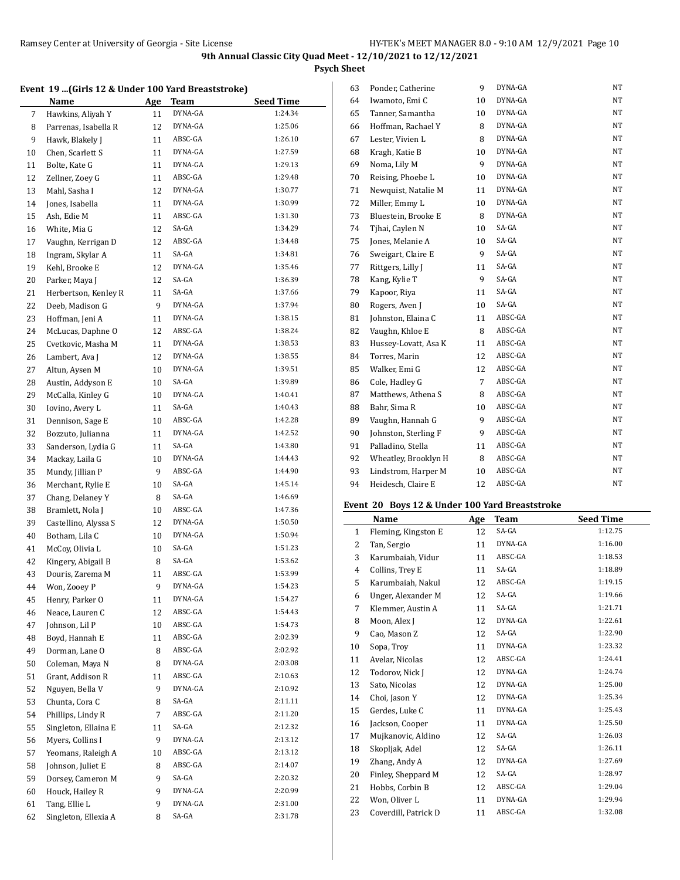**Psych Sheet**

### **Event 19 ...(Girls 12 & Under 100 Yard Breaststroke)**

|    | $100 \text{ m}$ and $12 \text{ m}$ and $100 \text{ nm}$ because $0 \text{ m}$ |     |                        |                             |
|----|-------------------------------------------------------------------------------|-----|------------------------|-----------------------------|
|    | <b>Name</b>                                                                   | Age | <b>Team</b><br>DYNA-GA | <b>Seed Time</b><br>1:24.34 |
| 7  | Hawkins, Aliyah Y                                                             | 11  |                        |                             |
| 8  | Parrenas, Isabella R                                                          | 12  | DYNA-GA                | 1:25.06                     |
| 9  | Hawk, Blakely J                                                               | 11  | ABSC-GA                | 1:26.10                     |
| 10 | Chen, Scarlett S                                                              | 11  | DYNA-GA                | 1:27.59                     |
| 11 | Bolte, Kate G                                                                 | 11  | DYNA-GA                | 1:29.13                     |
| 12 | Zellner, Zoey G                                                               | 11  | ABSC-GA                | 1:29.48                     |
| 13 | Mahl, Sasha I                                                                 | 12  | DYNA-GA                | 1:30.77                     |
| 14 | Jones, Isabella                                                               | 11  | DYNA-GA                | 1:30.99                     |
| 15 | Ash, Edie M                                                                   | 11  | ABSC-GA                | 1:31.30                     |
| 16 | White, Mia G                                                                  | 12  | SA-GA                  | 1:34.29                     |
| 17 | Vaughn, Kerrigan D                                                            | 12  | ABSC-GA                | 1:34.48                     |
| 18 | Ingram, Skylar A                                                              | 11  | SA-GA                  | 1:34.81                     |
| 19 | Kehl, Brooke E                                                                | 12  | DYNA-GA                | 1:35.46                     |
| 20 | Parker, Maya J                                                                | 12  | SA-GA                  | 1:36.39                     |
| 21 | Herbertson, Kenley R                                                          | 11  | SA-GA                  | 1:37.66                     |
| 22 | Deeb, Madison G                                                               | 9   | DYNA-GA                | 1:37.94                     |
| 23 | Hoffman, Jeni A                                                               | 11  | DYNA-GA                | 1:38.15                     |
| 24 | McLucas, Daphne O                                                             | 12  | ABSC-GA                | 1:38.24                     |
| 25 | Cvetkovic, Masha M                                                            | 11  | DYNA-GA                | 1:38.53                     |
| 26 | Lambert, Ava J                                                                | 12  | DYNA-GA                | 1:38.55                     |
| 27 | Altun, Aysen M                                                                | 10  | DYNA-GA                | 1:39.51                     |
| 28 | Austin, Addyson E                                                             | 10  | SA-GA                  | 1:39.89                     |
| 29 | McCalla, Kinley G                                                             | 10  | DYNA-GA                | 1:40.41                     |
| 30 | Iovino, Avery L                                                               | 11  | SA-GA                  | 1:40.43                     |
| 31 | Dennison, Sage E                                                              | 10  | ABSC-GA                | 1:42.28                     |
| 32 | Bozzuto, Julianna                                                             | 11  | DYNA-GA                | 1:42.52                     |
| 33 | Sanderson, Lydia G                                                            | 11  | SA-GA                  | 1:43.80                     |
| 34 | Mackay, Laila G                                                               | 10  | DYNA-GA                | 1:44.43                     |
| 35 |                                                                               | 9   | ABSC-GA                | 1:44.90                     |
|    | Mundy, Jillian P                                                              |     | SA-GA                  | 1:45.14                     |
| 36 | Merchant, Rylie E                                                             | 10  | SA-GA                  | 1:46.69                     |
| 37 | Chang, Delaney Y                                                              | 8   |                        |                             |
| 38 | Bramlett, Nola J                                                              | 10  | ABSC-GA                | 1:47.36                     |
| 39 | Castellino, Alyssa S                                                          | 12  | DYNA-GA                | 1:50.50                     |
| 40 | Botham, Lila C                                                                | 10  | DYNA-GA                | 1:50.94                     |
| 41 | McCoy, Olivia L                                                               | 10  | SA-GA                  | 1:51.23                     |
| 42 | Kingery, Abigail B                                                            | 8   | SA-GA                  | 1:53.62                     |
| 43 | Douris, Zarema M                                                              | 11  | ABSC-GA                | 1:53.99                     |
| 44 | Won, Zooey P                                                                  | 9   | DYNA-GA                | 1:54.23                     |
| 45 | Henry, Parker O                                                               | 11  | DYNA-GA                | 1:54.27                     |
| 46 | Neace, Lauren C                                                               | 12  | ABSC-GA                | 1:54.43                     |
| 47 | Johnson, Lil P                                                                | 10  | ABSC-GA                | 1:54.73                     |
| 48 | Boyd, Hannah E                                                                | 11  | ABSC-GA                | 2:02.39                     |
| 49 | Dorman, Lane O                                                                | 8   | ABSC-GA                | 2:02.92                     |
| 50 | Coleman, Maya N                                                               | 8   | DYNA-GA                | 2:03.08                     |
| 51 | Grant, Addison R                                                              | 11  | ABSC-GA                | 2:10.63                     |
| 52 | Nguyen, Bella V                                                               | 9   | DYNA-GA                | 2:10.92                     |
| 53 | Chunta, Cora C                                                                | 8   | SA-GA                  | 2:11.11                     |
| 54 | Phillips, Lindy R                                                             | 7   | ABSC-GA                | 2:11.20                     |
| 55 | Singleton, Ellaina E                                                          | 11  | SA-GA                  | 2:12.32                     |
| 56 | Myers, Collins I                                                              | 9   | DYNA-GA                | 2:13.12                     |
| 57 | Yeomans, Raleigh A                                                            | 10  | ABSC-GA                | 2:13.12                     |
| 58 | Johnson, Juliet E                                                             | 8   | ABSC-GA                | 2:14.07                     |
| 59 | Dorsey, Cameron M                                                             | 9   | SA-GA                  | 2:20.32                     |
| 60 | Houck, Hailey R                                                               | 9   | DYNA-GA                | 2:20.99                     |
| 61 | Tang, Ellie L                                                                 | 9   | DYNA-GA                | 2:31.00                     |
| 62 | Singleton, Ellexia A                                                          | 8   | SA-GA                  | 2:31.78                     |
|    |                                                                               |     |                        |                             |

| 63 | Ponder, Catherine    | 9              | DYNA-GA | NT  |
|----|----------------------|----------------|---------|-----|
| 64 | Iwamoto, Emi C       | 10             | DYNA-GA | NT  |
| 65 | Tanner, Samantha     | 10             | DYNA-GA | NT  |
| 66 | Hoffman, Rachael Y   | 8              | DYNA-GA | NT  |
| 67 | Lester, Vivien L     | 8              | DYNA-GA | NΤ  |
| 68 | Kragh, Katie B       | 10             | DYNA-GA | NΤ  |
| 69 | Noma, Lily M         | 9              | DYNA-GA | NT  |
| 70 | Reising, Phoebe L    | 10             | DYNA-GA | NT. |
| 71 | Newquist, Natalie M  | 11             | DYNA-GA | NT  |
| 72 | Miller, Emmy L       | 10             | DYNA-GA | NΤ  |
| 73 | Bluestein, Brooke E  | 8              | DYNA-GA | NT  |
| 74 | Tjhai, Caylen N      | 10             | SA-GA   | NΤ  |
| 75 | Jones, Melanie A     | 10             | SA-GA   | NΤ  |
| 76 | Sweigart, Claire E   | 9              | SA-GA   | NT  |
| 77 | Rittgers, Lilly J    | 11             | SA-GA   | NT  |
| 78 | Kang, Kylie T        | 9              | SA-GA   | NΤ  |
| 79 | Kapoor, Riya         | 11             | SA-GA   | NT  |
| 80 | Rogers, Aven J       | 10             | SA-GA   | NΤ  |
| 81 | Johnston, Elaina C   | 11             | ABSC-GA | NΤ  |
| 82 | Vaughn, Khloe E      | 8              | ABSC-GA | NT. |
| 83 | Hussey-Lovatt, Asa K | 11             | ABSC-GA | NT  |
| 84 | Torres, Marin        | 12             | ABSC-GA | NΤ  |
| 85 | Walker, Emi G        | 12             | ABSC-GA | NΤ  |
| 86 | Cole, Hadley G       | $\overline{7}$ | ABSC-GA | NΤ  |
| 87 | Matthews, Athena S   | 8              | ABSC-GA | NΤ  |
| 88 | Bahr, Sima R         | 10             | ABSC-GA | NΤ  |
| 89 | Vaughn, Hannah G     | 9              | ABSC-GA | NT  |
| 90 | Johnston, Sterling F | 9              | ABSC-GA | NΤ  |
| 91 | Palladino, Stella    | 11             | ABSC-GA | NΤ  |
| 92 | Wheatley, Brooklyn H | 8              | ABSC-GA | NT  |
| 93 | Lindstrom, Harper M  | 10             | ABSC-GA | NT  |
| 94 | Heidesch, Claire E   | 12             | ABSC-GA | NΤ  |
|    |                      |                |         |     |

## **Event 20 Boys 12 & Under 100 Yard Breaststroke**

|              | <b>Name</b>          | Age | Team    | <b>Seed Time</b> |
|--------------|----------------------|-----|---------|------------------|
| $\mathbf{1}$ | Fleming, Kingston E  | 12  | SA-GA   | 1:12.75          |
| 2            | Tan, Sergio          | 11  | DYNA-GA | 1:16.00          |
| 3            | Karumbaiah, Vidur    | 11  | ABSC-GA | 1:18.53          |
| 4            | Collins, Trey E      | 11  | SA-GA   | 1:18.89          |
| 5            | Karumbaiah, Nakul    | 12  | ABSC-GA | 1:19.15          |
| 6            | Unger, Alexander M   | 12  | SA-GA   | 1:19.66          |
| 7            | Klemmer, Austin A    | 11  | SA-GA   | 1:21.71          |
| 8            | Moon, Alex J         | 12  | DYNA-GA | 1:22.61          |
| 9            | Cao, Mason Z         | 12  | SA-GA   | 1:22.90          |
| 10           | Sopa, Troy           | 11  | DYNA-GA | 1:23.32          |
| 11           | Avelar, Nicolas      | 12  | ABSC-GA | 1:24.41          |
| 12           | Todorov, Nick J      | 12  | DYNA-GA | 1:24.74          |
| 13           | Sato, Nicolas        | 12  | DYNA-GA | 1:25.00          |
| 14           | Choi, Jason Y        | 12  | DYNA-GA | 1:25.34          |
| 15           | Gerdes, Luke C       | 11  | DYNA-GA | 1:25.43          |
| 16           | Jackson, Cooper      | 11  | DYNA-GA | 1:25.50          |
| 17           | Mujkanovic, Aldino   | 12  | SA-GA   | 1:26.03          |
| 18           | Skopljak, Adel       | 12  | SA-GA   | 1:26.11          |
| 19           | Zhang, Andy A        | 12  | DYNA-GA | 1:27.69          |
| 20           | Finley, Sheppard M   | 12  | SA-GA   | 1:28.97          |
| 21           | Hobbs, Corbin B      | 12  | ABSC-GA | 1:29.04          |
| 22           | Won, Oliver L        | 11  | DYNA-GA | 1:29.94          |
| 23           | Coverdill, Patrick D | 11  | ABSC-GA | 1:32.08          |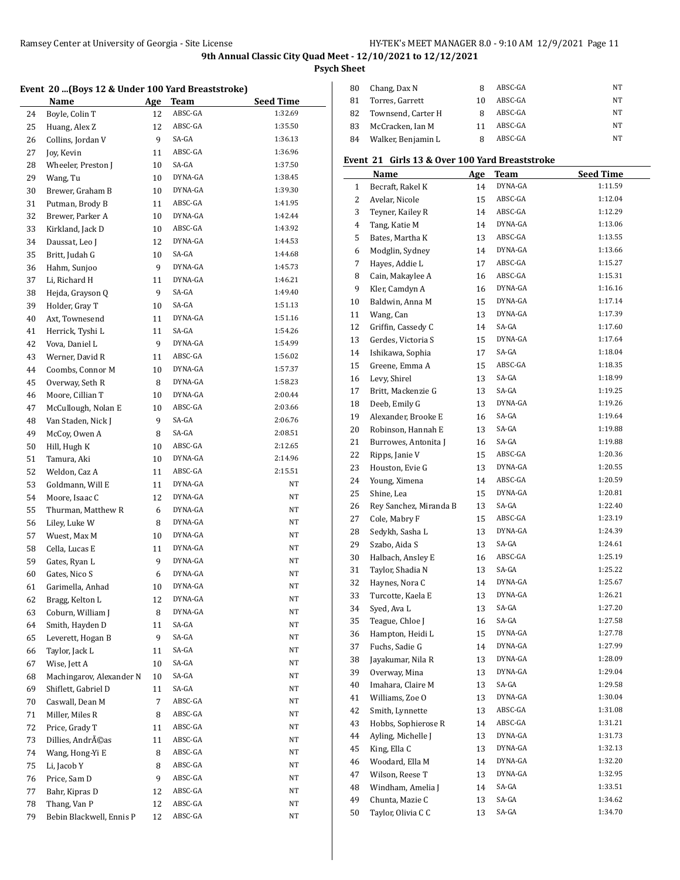**Psych Sheet**

## **Event 20 ...(Boys 12 & Under 100 Yard Breaststroke)**

|    | Little 20  (Doys 12 & Onucl 100 Taru Dicaststrone) |    |          |                  |
|----|----------------------------------------------------|----|----------|------------------|
|    | <b>Name</b>                                        |    | Age Team | <b>Seed Time</b> |
| 24 | Boyle, Colin T                                     | 12 | ABSC-GA  | 1:32.69          |
| 25 | Huang, Alex Z                                      | 12 | ABSC-GA  | 1:35.50          |
| 26 | Collins, Jordan V                                  | 9  | SA-GA    | 1:36.13          |
| 27 | Joy, Kevin                                         | 11 | ABSC-GA  | 1:36.96          |
| 28 | Wheeler, Preston J                                 | 10 | SA-GA    | 1:37.50          |
| 29 | Wang, Tu                                           | 10 | DYNA-GA  | 1:38.45          |
| 30 | Brewer, Graham B                                   | 10 | DYNA-GA  | 1:39.30          |
| 31 | Putman, Brody B                                    | 11 | ABSC-GA  | 1:41.95          |
| 32 | Brewer, Parker A                                   | 10 | DYNA-GA  | 1:42.44          |
| 33 | Kirkland, Jack D                                   | 10 | ABSC-GA  | 1:43.92          |
| 34 | Daussat, Leo J                                     | 12 | DYNA-GA  | 1:44.53          |
|    |                                                    | 10 | SA-GA    | 1:44.68          |
| 35 | Britt, Judah G                                     | 9  | DYNA-GA  | 1:45.73          |
| 36 | Hahm, Sunjoo                                       |    | DYNA-GA  | 1:46.21          |
| 37 | Li, Richard H                                      | 11 | SA-GA    |                  |
| 38 | Hejda, Grayson Q                                   | 9  |          | 1:49.40          |
| 39 | Holder, Gray T                                     | 10 | SA-GA    | 1:51.13          |
| 40 | Axt, Townesend                                     | 11 | DYNA-GA  | 1:51.16          |
| 41 | Herrick, Tyshi L                                   | 11 | SA-GA    | 1:54.26          |
| 42 | Vova, Daniel L                                     | 9  | DYNA-GA  | 1:54.99          |
| 43 | Werner, David R                                    | 11 | ABSC-GA  | 1:56.02          |
| 44 | Coombs, Connor M                                   | 10 | DYNA-GA  | 1:57.37          |
| 45 | Overway, Seth R                                    | 8  | DYNA-GA  | 1:58.23          |
| 46 | Moore, Cillian T                                   | 10 | DYNA-GA  | 2:00.44          |
| 47 | McCullough, Nolan E                                | 10 | ABSC-GA  | 2:03.66          |
| 48 | Van Staden, Nick J                                 | 9  | SA-GA    | 2:06.76          |
| 49 | McCoy, Owen A                                      | 8  | SA-GA    | 2:08.51          |
| 50 | Hill, Hugh K                                       | 10 | ABSC-GA  | 2:12.65          |
| 51 | Tamura, Aki                                        | 10 | DYNA-GA  | 2:14.96          |
| 52 | Weldon, Caz A                                      | 11 | ABSC-GA  | 2:15.51          |
| 53 | Goldmann, Will E                                   | 11 | DYNA-GA  | ΝT               |
| 54 | Moore, Isaac C                                     | 12 | DYNA-GA  | ΝT               |
| 55 | Thurman, Matthew R                                 | 6  | DYNA-GA  | NT               |
| 56 | Liley, Luke W                                      | 8  | DYNA-GA  | NΤ               |
| 57 | Wuest, Max M                                       | 10 | DYNA-GA  | NΤ               |
| 58 | Cella, Lucas E                                     | 11 | DYNA-GA  | NΤ               |
| 59 | Gates, Ryan L                                      | 9  | DYNA-GA  | NΤ               |
| 60 | Gates, Nico S                                      | 6  | DYNA-GA  | NT               |
| 61 | Garimella, Anhad                                   | 10 | DYNA-GA  | NT               |
| 62 | Bragg, Kelton L                                    | 12 | DYNA-GA  | NT               |
| 63 | Coburn, William J                                  | 8  | DYNA-GA  | NΤ               |
| 64 | Smith, Hayden D                                    | 11 | SA-GA    | NΤ               |
| 65 | Leverett, Hogan B                                  | 9  | SA-GA    | NΤ               |
| 66 | Taylor, Jack L                                     | 11 | SA-GA    | NΤ               |
| 67 | Wise, Jett A                                       | 10 | SA-GA    | NΤ               |
| 68 | Machingarov, Alexander N                           | 10 | SA-GA    | NΤ               |
| 69 | Shiflett, Gabriel D                                | 11 | SA-GA    | NΤ               |
| 70 | Caswall, Dean M                                    | 7  | ABSC-GA  | NΤ               |
|    | Miller, Miles R                                    |    | ABSC-GA  | NΤ               |
| 71 |                                                    | 8  | ABSC-GA  | NT               |
| 72 | Price, Grady T                                     | 11 | ABSC-GA  | NT               |
| 73 | Dillies, Andréas                                   | 11 |          |                  |
| 74 | Wang, Hong-Yi E                                    | 8  | ABSC-GA  | NT               |
| 75 | Li, Jacob Y                                        | 8  | ABSC-GA  | NΤ               |
| 76 | Price, Sam D                                       | 9  | ABSC-GA  | NΤ               |
| 77 | Bahr, Kipras D                                     | 12 | ABSC-GA  | NΤ               |
| 78 | Thang, Van P                                       | 12 | ABSC-GA  | ΝT               |
| 79 | Bebin Blackwell, Ennis P                           | 12 | ABSC-GA  | NT               |

| 80 | Chang, Dax N       |    | ABSC-GA | NΤ |
|----|--------------------|----|---------|----|
| 81 | Torres, Garrett    | 10 | ABSC-GA | NΤ |
| 82 | Townsend, Carter H |    | ABSC-GA | NΤ |
| 83 | McCracken, Ian M   |    | ABSC-GA | NΤ |
| 84 | Walker, Benjamin L |    | ABSC-GA | NΤ |

## **Event 21 Girls 13 & Over 100 Yard Breaststroke**

|    | Name                   | Age | Team    | <b>Seed Time</b> |
|----|------------------------|-----|---------|------------------|
| 1  | Becraft, Rakel K       | 14  | DYNA-GA | 1:11.59          |
| 2  | Avelar, Nicole         | 15  | ABSC-GA | 1:12.04          |
| 3  | Teyner, Kailey R       | 14  | ABSC-GA | 1:12.29          |
| 4  | Tang, Katie M          | 14  | DYNA-GA | 1:13.06          |
| 5  | Bates, Martha K        | 13  | ABSC-GA | 1:13.55          |
| 6  | Modglin, Sydney        | 14  | DYNA-GA | 1:13.66          |
| 7  | Hayes, Addie L         | 17  | ABSC-GA | 1:15.27          |
| 8  | Cain, Makaylee A       | 16  | ABSC-GA | 1:15.31          |
| 9  | Kler, Camdyn A         | 16  | DYNA-GA | 1:16.16          |
| 10 | Baldwin, Anna M        | 15  | DYNA-GA | 1:17.14          |
| 11 | Wang, Can              | 13  | DYNA-GA | 1:17.39          |
| 12 | Griffin, Cassedy C     | 14  | SA-GA   | 1:17.60          |
| 13 | Gerdes, Victoria S     | 15  | DYNA-GA | 1:17.64          |
| 14 | Ishikawa, Sophia       | 17  | SA-GA   | 1:18.04          |
| 15 | Greene, Emma A         | 15  | ABSC-GA | 1:18.35          |
| 16 | Levy, Shirel           | 13  | SA-GA   | 1:18.99          |
| 17 | Britt, Mackenzie G     | 13  | SA-GA   | 1:19.25          |
| 18 | Deeb, Emily G          | 13  | DYNA-GA | 1:19.26          |
| 19 | Alexander, Brooke E    | 16  | SA-GA   | 1:19.64          |
| 20 | Robinson, Hannah E     | 13  | SA-GA   | 1:19.88          |
| 21 | Burrowes, Antonita J   | 16  | SA-GA   | 1:19.88          |
| 22 | Ripps, Janie V         | 15  | ABSC-GA | 1:20.36          |
| 23 | Houston, Evie G        | 13  | DYNA-GA | 1:20.55          |
| 24 | Young, Ximena          | 14  | ABSC-GA | 1:20.59          |
| 25 | Shine, Lea             | 15  | DYNA-GA | 1:20.81          |
| 26 | Rey Sanchez, Miranda B | 13  | SA-GA   | 1:22.40          |
| 27 | Cole, Mabry F          | 15  | ABSC-GA | 1:23.19          |
| 28 | Sedykh, Sasha L        | 13  | DYNA-GA | 1:24.39          |
| 29 | Szabo, Aida S          | 13  | SA-GA   | 1:24.61          |
| 30 | Halbach, Ansley E      | 16  | ABSC-GA | 1:25.19          |
| 31 | Taylor, Shadia N       | 13  | SA-GA   | 1:25.22          |
| 32 | Haynes, Nora C         | 14  | DYNA-GA | 1:25.67          |
| 33 | Turcotte, Kaela E      | 13  | DYNA-GA | 1:26.21          |
| 34 | Syed, Ava L            | 13  | SA-GA   | 1:27.20          |
| 35 | Teague, Chloe J        | 16  | SA-GA   | 1:27.58          |
| 36 | Hampton, Heidi L       | 15  | DYNA-GA | 1:27.78          |
| 37 | Fuchs, Sadie G         | 14  | DYNA-GA | 1:27.99          |
| 38 | Jayakumar, Nila R      | 13  | DYNA-GA | 1:28.09          |
| 39 | Overway, Mina          | 13  | DYNA-GA | 1:29.04          |
| 40 | Imahara, Claire M      | 13  | SA-GA   | 1:29.58          |
| 41 | Williams, Zoe O        | 13  | DYNA-GA | 1:30.04          |
| 42 | Smith, Lynnette        | 13  | ABSC-GA | 1:31.08          |
| 43 | Hobbs, Sophierose R    | 14  | ABSC-GA | 1:31.21          |
| 44 | Ayling, Michelle J     | 13  | DYNA-GA | 1:31.73          |
| 45 | King, Ella C           | 13  | DYNA-GA | 1:32.13          |
| 46 | Woodard, Ella M        | 14  | DYNA-GA | 1:32.20          |
| 47 | Wilson, Reese T        | 13  | DYNA-GA | 1:32.95          |
| 48 | Windham, Amelia J      | 14  | SA-GA   | 1:33.51          |
| 49 | Chunta, Mazie C        | 13  | SA-GA   | 1:34.62          |
| 50 | Taylor, Olivia C C     | 13  | SA-GA   | 1:34.70          |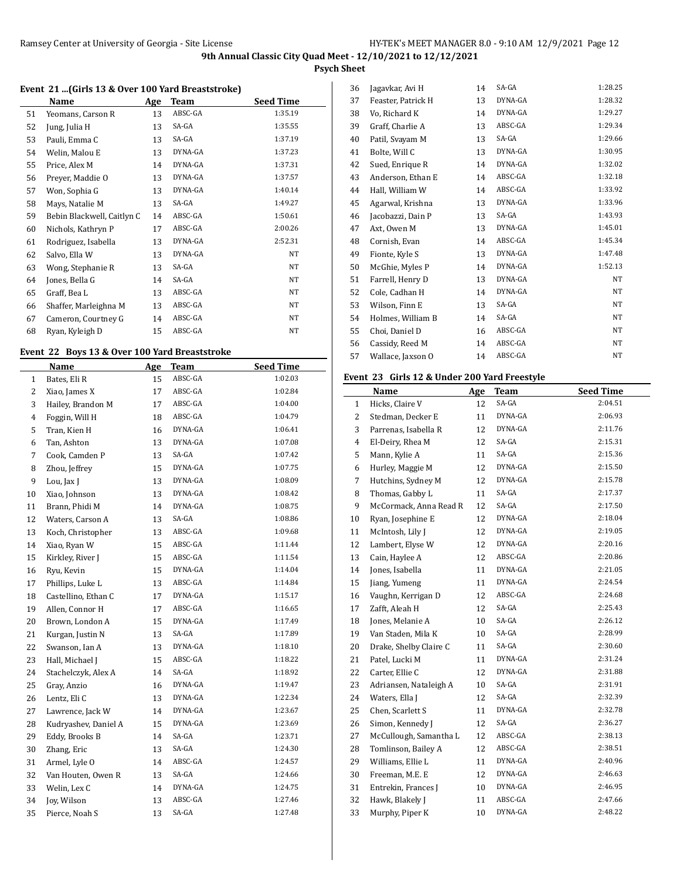**Psych Sheet**

### **Event 21 ...(Girls 13 & Over 100 Yard Breaststroke)**

|    | Name                       | Age | <b>Team</b> | <b>Seed Time</b> |
|----|----------------------------|-----|-------------|------------------|
| 51 | Yeomans, Carson R          | 13  | ABSC-GA     | 1:35.19          |
| 52 | Jung, Julia H              | 13  | SA-GA       | 1:35.55          |
| 53 | Pauli, Emma C              | 13  | SA-GA       | 1:37.19          |
| 54 | Welin, Malou E             | 13  | DYNA-GA     | 1:37.23          |
| 55 | Price, Alex M              | 14  | DYNA-GA     | 1:37.31          |
| 56 | Preyer, Maddie O           | 13  | DYNA-GA     | 1:37.57          |
| 57 | Won, Sophia G              | 13  | DYNA-GA     | 1:40.14          |
| 58 | Mays, Natalie M            | 13  | SA-GA       | 1:49.27          |
| 59 | Bebin Blackwell, Caitlyn C | 14  | ABSC-GA     | 1:50.61          |
| 60 | Nichols, Kathryn P         | 17  | ABSC-GA     | 2:00.26          |
| 61 | Rodriguez, Isabella        | 13  | DYNA-GA     | 2:52.31          |
| 62 | Salvo, Ella W              | 13  | DYNA-GA     | NT               |
| 63 | Wong, Stephanie R          | 13  | SA-GA       | NT               |
| 64 | Jones, Bella G             | 14  | SA-GA       | NT               |
| 65 | Graff, Bea L               | 13  | ABSC-GA     | NT               |
| 66 | Shaffer, Marleighna M      | 13  | ABSC-GA     | NT               |
| 67 | Cameron, Courtney G        | 14  | ABSC-GA     | NT               |
| 68 | Ryan, Kyleigh D            | 15  | ABSC-GA     | NT               |

## **Event 22 Boys 13 & Over 100 Yard Breaststroke**

|                | Name                 | Age | <b>Team</b> | <b>Seed Time</b> |
|----------------|----------------------|-----|-------------|------------------|
| 1              | Bates, Eli R         | 15  | ABSC-GA     | 1:02.03          |
| 2              | Xiao, James X        | 17  | ABSC-GA     | 1:02.84          |
| 3              | Hailey, Brandon M    | 17  | ABSC-GA     | 1:04.00          |
| $\overline{4}$ | Foggin, Will H       | 18  | ABSC-GA     | 1:04.79          |
| 5              | Tran, Kien H         | 16  | DYNA-GA     | 1:06.41          |
| 6              | Tan, Ashton          | 13  | DYNA-GA     | 1:07.08          |
| 7              | Cook, Camden P       | 13  | SA-GA       | 1:07.42          |
| 8              | Zhou, Jeffrey        | 15  | DYNA-GA     | 1:07.75          |
| 9              | Lou, Jax J           | 13  | DYNA-GA     | 1:08.09          |
| 10             | Xiao, Johnson        | 13  | DYNA-GA     | 1:08.42          |
| 11             | Brann, Phidi M       | 14  | DYNA-GA     | 1:08.75          |
| 12             | Waters, Carson A     | 13  | SA-GA       | 1:08.86          |
| 13             | Koch, Christopher    | 13  | ABSC-GA     | 1:09.68          |
| 14             | Xiao, Ryan W         | 15  | ABSC-GA     | 1:11.44          |
| 15             | Kirkley, River J     | 15  | ABSC-GA     | 1:11.54          |
| 16             | Ryu, Kevin           | 15  | DYNA-GA     | 1:14.04          |
| 17             | Phillips, Luke L     | 13  | ABSC-GA     | 1:14.84          |
| 18             | Castellino, Ethan C  | 17  | DYNA-GA     | 1:15.17          |
| 19             | Allen, Connor H      | 17  | ABSC-GA     | 1:16.65          |
| 20             | Brown, London A      | 15  | DYNA-GA     | 1:17.49          |
| 21             | Kurgan, Justin N     | 13  | SA-GA       | 1:17.89          |
| 22             | Swanson, Ian A       | 13  | DYNA-GA     | 1:18.10          |
| 23             | Hall, Michael J      | 15  | ABSC-GA     | 1:18.22          |
| 24             | Stachelczyk, Alex A  | 14  | SA-GA       | 1:18.92          |
| 25             | Gray, Anzio          | 16  | DYNA-GA     | 1:19.47          |
| 26             | Lentz, Eli C         | 13  | DYNA-GA     | 1:22.34          |
| 27             | Lawrence, Jack W     | 14  | DYNA-GA     | 1:23.67          |
| 28             | Kudryashev, Daniel A | 15  | DYNA-GA     | 1:23.69          |
| 29             | Eddy, Brooks B       | 14  | SA-GA       | 1:23.71          |
| 30             | Zhang, Eric          | 13  | SA-GA       | 1:24.30          |
| 31             | Armel, Lyle O        | 14  | ABSC-GA     | 1:24.57          |
| 32             | Van Houten, Owen R   | 13  | SA-GA       | 1:24.66          |
| 33             | Welin, Lex C         | 14  | DYNA-GA     | 1:24.75          |
| 34             | Joy, Wilson          | 13  | ABSC-GA     | 1:27.46          |
| 35             | Pierce, Noah S       | 13  | SA-GA       | 1:27.48          |

| 36 | Jagavkar, Avi H    | 14 | SA-GA   | 1:28.25 |
|----|--------------------|----|---------|---------|
| 37 | Feaster, Patrick H | 13 | DYNA-GA | 1:28.32 |
| 38 | Vo, Richard K      | 14 | DYNA-GA | 1:29.27 |
| 39 | Graff, Charlie A   | 13 | ABSC-GA | 1:29.34 |
| 40 | Patil, Svayam M    | 13 | SA-GA   | 1:29.66 |
| 41 | Bolte, Will C      | 13 | DYNA-GA | 1:30.95 |
| 42 | Sued, Enrique R    | 14 | DYNA-GA | 1:32.02 |
| 43 | Anderson, Ethan E  | 14 | ABSC-GA | 1:32.18 |
| 44 | Hall, William W    | 14 | ABSC-GA | 1:33.92 |
| 45 | Agarwal, Krishna   | 13 | DYNA-GA | 1:33.96 |
| 46 | Jacobazzi, Dain P  | 13 | SA-GA   | 1:43.93 |
| 47 | Axt, Owen M        | 13 | DYNA-GA | 1:45.01 |
| 48 | Cornish, Evan      | 14 | ABSC-GA | 1:45.34 |
| 49 | Fionte, Kyle S     | 13 | DYNA-GA | 1:47.48 |
| 50 | McGhie, Myles P    | 14 | DYNA-GA | 1:52.13 |
| 51 | Farrell, Henry D   | 13 | DYNA-GA | NT      |
| 52 | Cole, Cadhan H     | 14 | DYNA-GA | NT      |
| 53 | Wilson, Finn E     | 13 | SA-GA   | NT      |
| 54 | Holmes, William B  | 14 | SA-GA   | NT      |
| 55 | Choi, Daniel D     | 16 | ABSC-GA | NT      |
| 56 | Cassidy, Reed M    | 14 | ABSC-GA | NT      |
| 57 | Wallace, Jaxson O  | 14 | ABSC-GA | NT      |
|    |                    |    |         |         |

## **Event 23 Girls 12 & Under 200 Yard Freestyle**

|                | Name                   | Age | <b>Team</b> | <b>Seed Time</b> |
|----------------|------------------------|-----|-------------|------------------|
| 1              | Hicks, Claire V        | 12  | SA-GA       | 2:04.51          |
| $\overline{2}$ | Stedman, Decker E      | 11  | DYNA-GA     | 2:06.93          |
| 3              | Parrenas, Isabella R   | 12  | DYNA-GA     | 2:11.76          |
| 4              | El-Deiry, Rhea M       | 12  | SA-GA       | 2:15.31          |
| 5              | Mann, Kylie A          | 11  | SA-GA       | 2:15.36          |
| 6              | Hurley, Maggie M       | 12  | DYNA-GA     | 2:15.50          |
| $\overline{7}$ | Hutchins, Sydney M     | 12  | DYNA-GA     | 2:15.78          |
| 8              | Thomas, Gabby L        | 11  | SA-GA       | 2:17.37          |
| 9              | McCormack, Anna Read R | 12  | SA-GA       | 2:17.50          |
| 10             | Ryan, Josephine E      | 12  | DYNA-GA     | 2:18.04          |
| 11             | McIntosh, Lily J       | 12  | DYNA-GA     | 2:19.05          |
| 12             | Lambert, Elyse W       | 12  | DYNA-GA     | 2:20.16          |
| 13             | Cain, Haylee A         | 12  | ABSC-GA     | 2:20.86          |
| 14             | Jones, Isabella        | 11  | DYNA-GA     | 2:21.05          |
| 15             | Jiang, Yumeng          | 11  | DYNA-GA     | 2:24.54          |
| 16             | Vaughn, Kerrigan D     | 12  | ABSC-GA     | 2:24.68          |
| 17             | Zafft, Aleah H         | 12  | SA-GA       | 2:25.43          |
| 18             | Jones, Melanie A       | 10  | SA-GA       | 2:26.12          |
| 19             | Van Staden, Mila K     | 10  | SA-GA       | 2:28.99          |
| 20             | Drake, Shelby Claire C | 11  | SA-GA       | 2:30.60          |
| 21             | Patel, Lucki M         | 11  | DYNA-GA     | 2:31.24          |
| 22             | Carter, Ellie C        | 12  | DYNA-GA     | 2:31.88          |
| 23             | Adriansen, Nataleigh A | 10  | SA-GA       | 2:31.91          |
| 24             | Waters, Ella J         | 12  | SA-GA       | 2:32.39          |
| 25             | Chen, Scarlett S       | 11  | DYNA-GA     | 2:32.78          |
| 26             | Simon, Kennedy J       | 12  | SA-GA       | 2:36.27          |
| 27             | McCullough, Samantha L | 12  | ABSC-GA     | 2:38.13          |
| 28             | Tomlinson, Bailey A    | 12  | ABSC-GA     | 2:38.51          |
| 29             | Williams, Ellie L      | 11  | DYNA-GA     | 2:40.96          |
| 30             | Freeman, M.E. E        | 12  | DYNA-GA     | 2:46.63          |
| 31             | Entrekin, Frances J    | 10  | DYNA-GA     | 2:46.95          |
| 32             | Hawk, Blakely J        | 11  | ABSC-GA     | 2:47.66          |
| 33             | Murphy, Piper K        | 10  | DYNA-GA     | 2:48.22          |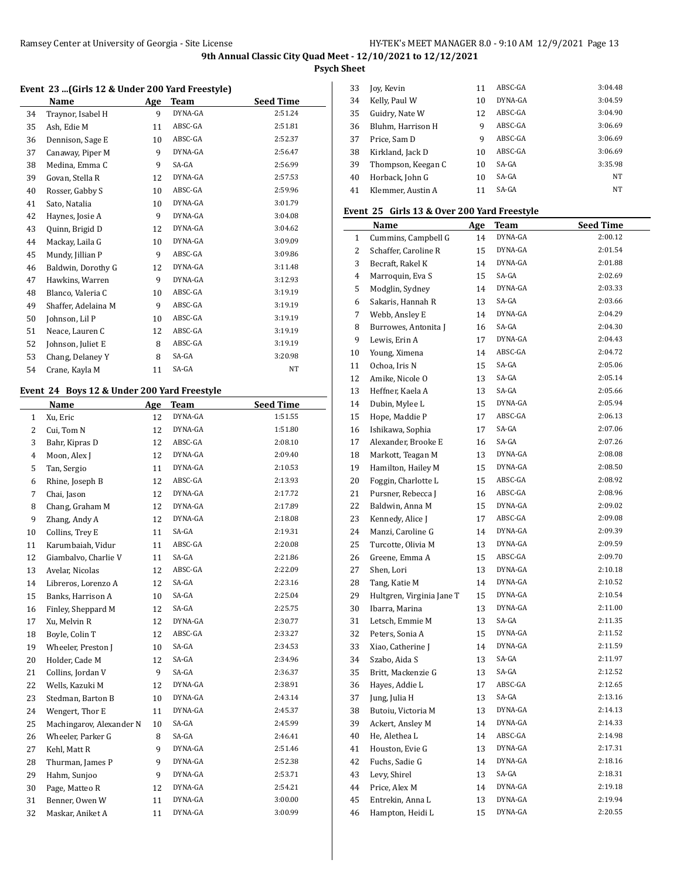**Psych Sheet**

### **Event 23 ...(Girls 12 & Under 200 Yard Freestyle)**

|    | Name                | Age | Team    | <b>Seed Time</b> |
|----|---------------------|-----|---------|------------------|
| 34 | Traynor, Isabel H   | 9   | DYNA-GA | 2:51.24          |
| 35 | Ash, Edie M         | 11  | ABSC-GA | 2:51.81          |
| 36 | Dennison, Sage E    | 10  | ABSC-GA | 2:52.37          |
| 37 | Canaway, Piper M    | 9   | DYNA-GA | 2:56.47          |
| 38 | Medina, Emma C      | 9   | SA-GA   | 2:56.99          |
| 39 | Govan, Stella R     | 12  | DYNA-GA | 2:57.53          |
| 40 | Rosser, Gabby S     | 10  | ABSC-GA | 2:59.96          |
| 41 | Sato, Natalia       | 10  | DYNA-GA | 3:01.79          |
| 42 | Haynes, Josie A     | 9   | DYNA-GA | 3:04.08          |
| 43 | Quinn, Brigid D     | 12  | DYNA-GA | 3:04.62          |
| 44 | Mackay, Laila G     | 10  | DYNA-GA | 3:09.09          |
| 45 | Mundy, Jillian P    | 9   | ABSC-GA | 3:09.86          |
| 46 | Baldwin, Dorothy G  | 12  | DYNA-GA | 3:11.48          |
| 47 | Hawkins, Warren     | 9   | DYNA-GA | 3:12.93          |
| 48 | Blanco, Valeria C   | 10  | ABSC-GA | 3:19.19          |
| 49 | Shaffer, Adelaina M | 9   | ABSC-GA | 3:19.19          |
| 50 | Johnson, Lil P      | 10  | ABSC-GA | 3:19.19          |
| 51 | Neace, Lauren C     | 12  | ABSC-GA | 3:19.19          |
| 52 | Johnson, Juliet E   | 8   | ABSC-GA | 3:19.19          |
| 53 | Chang, Delaney Y    | 8   | SA-GA   | 3:20.98          |
| 54 | Crane, Kayla M      | 11  | SA-GA   | NT               |
|    |                     |     |         |                  |

## **Event 24 Boys 12 & Under 200 Yard Freestyle**

L

|                | Name                     | Age | Team    | <b>Seed Time</b> |
|----------------|--------------------------|-----|---------|------------------|
| $\mathbf{1}$   | Xu, Eric                 | 12  | DYNA-GA | 1:51.55          |
| $\overline{2}$ | Cui, Tom N               | 12  | DYNA-GA | 1:51.80          |
| 3              | Bahr, Kipras D           | 12  | ABSC-GA | 2:08.10          |
| 4              | Moon, Alex J             | 12  | DYNA-GA | 2:09.40          |
| 5              | Tan, Sergio              | 11  | DYNA-GA | 2:10.53          |
| 6              | Rhine, Joseph B          | 12  | ABSC-GA | 2:13.93          |
| 7              | Chai, Jason              | 12  | DYNA-GA | 2:17.72          |
| 8              | Chang, Graham M          | 12  | DYNA-GA | 2:17.89          |
| 9              | Zhang, Andy A            | 12  | DYNA-GA | 2:18.08          |
| 10             | Collins, Trey E          | 11  | SA-GA   | 2:19.31          |
| 11             | Karumbaiah, Vidur        | 11  | ABSC-GA | 2:20.08          |
| 12             | Giambalvo, Charlie V     | 11  | SA-GA   | 2:21.86          |
| 13             | Avelar, Nicolas          | 12  | ABSC-GA | 2:22.09          |
| 14             | Libreros, Lorenzo A      | 12  | SA-GA   | 2:23.16          |
| 15             | Banks, Harrison A        | 10  | SA-GA   | 2:25.04          |
| 16             | Finley, Sheppard M       | 12  | SA-GA   | 2:25.75          |
| 17             | Xu, Melvin R             | 12  | DYNA-GA | 2:30.77          |
| 18             | Boyle, Colin T           | 12  | ABSC-GA | 2:33.27          |
| 19             | Wheeler, Preston J       | 10  | SA-GA   | 2:34.53          |
| 20             | Holder, Cade M           | 12  | SA-GA   | 2:34.96          |
| 21             | Collins, Jordan V        | 9   | SA-GA   | 2:36.37          |
| 22             | Wells, Kazuki M          | 12  | DYNA-GA | 2:38.91          |
| 23             | Stedman, Barton B        | 10  | DYNA-GA | 2:43.14          |
| 24             | Wengert, Thor E          | 11  | DYNA-GA | 2:45.37          |
| 25             | Machingarov, Alexander N | 10  | SA-GA   | 2:45.99          |
| 26             | Wheeler, Parker G        | 8   | SA-GA   | 2:46.41          |
| 27             | Kehl, Matt R             | 9   | DYNA-GA | 2:51.46          |
| 28             | Thurman, James P         | 9   | DYNA-GA | 2:52.38          |
| 29             | Hahm, Sunjoo             | 9   | DYNA-GA | 2:53.71          |
| 30             | Page, Matteo R           | 12  | DYNA-GA | 2:54.21          |
| 31             | Benner, Owen W           | 11  | DYNA-GA | 3:00.00          |
| 32             | Maskar, Aniket A         | 11  | DYNA-GA | 3:00.99          |
|                |                          |     |         |                  |

| 33 | Joy, Kevin         | 11 | ABSC-GA | 3:04.48 |
|----|--------------------|----|---------|---------|
| 34 | Kelly, Paul W      | 10 | DYNA-GA | 3:04.59 |
| 35 | Guidry, Nate W     | 12 | ABSC-GA | 3:04.90 |
| 36 | Bluhm, Harrison H  | 9  | ABSC-GA | 3:06.69 |
| 37 | Price. Sam D       | 9  | ABSC-GA | 3:06.69 |
| 38 | Kirkland, Jack D   | 10 | ABSC-GA | 3:06.69 |
| 39 | Thompson, Keegan C | 10 | $SA-GA$ | 3:35.98 |
| 40 | Horback, John G    | 10 | $SA-GA$ | NT      |
| 41 | Klemmer, Austin A  | 11 | SA-GA   | NT      |

#### **Event 25 Girls 13 & Over 200 Yard Freestyle**

|          | Name                      | <u>Age</u> | Team    | <b>Seed Time</b> |
|----------|---------------------------|------------|---------|------------------|
| 1        | Cummins, Campbell G       | 14         | DYNA-GA | 2:00.12          |
| 2        | Schaffer, Caroline R      | 15         | DYNA-GA | 2:01.54          |
| 3        | Becraft, Rakel K          | 14         | DYNA-GA | 2:01.88          |
| 4        | Marroquin, Eva S          | 15         | SA-GA   | 2:02.69          |
| 5        | Modglin, Sydney           | 14         | DYNA-GA | 2:03.33          |
| 6        | Sakaris, Hannah R         | 13         | SA-GA   | 2:03.66          |
| 7        | Webb, Ansley E            | 14         | DYNA-GA | 2:04.29          |
| 8        | Burrowes, Antonita J      | 16         | SA-GA   | 2:04.30          |
| 9        | Lewis, Erin A             | 17         | DYNA-GA | 2:04.43          |
| 10       | Young, Ximena             | 14         | ABSC-GA | 2:04.72          |
| 11       | Ochoa, Iris N             | 15         | SA-GA   | 2:05.06          |
| 12       | Amike, Nicole O           | 13         | SA-GA   | 2:05.14          |
| 13       | Heffner, Kaela A          | 13         | SA-GA   | 2:05.66          |
| 14       | Dubin, Mylee L            | 15         | DYNA-GA | 2:05.94          |
| 15       | Hope, Maddie P            | 17         | ABSC-GA | 2:06.13          |
| 16       | Ishikawa, Sophia          | 17         | SA-GA   | 2:07.06          |
| 17       | Alexander, Brooke E       | 16         | SA-GA   | 2:07.26          |
| 18       | Markott, Teagan M         | 13         | DYNA-GA | 2:08.08          |
| 19       | Hamilton, Hailey M        | 15         | DYNA-GA | 2:08.50          |
| 20       | Foggin, Charlotte L       | 15         | ABSC-GA | 2:08.92          |
| 21       | Pursner, Rebecca J        | 16         | ABSC-GA | 2:08.96          |
| 22       | Baldwin, Anna M           | 15         | DYNA-GA | 2:09.02          |
| 23       | Kennedy, Alice J          | 17         | ABSC-GA | 2:09.08          |
| 24       | Manzi, Caroline G         | 14         | DYNA-GA | 2:09.39          |
| 25       | Turcotte, Olivia M        | 13         | DYNA-GA | 2:09.59          |
| 26       | Greene, Emma A            | 15         | ABSC-GA | 2:09.70          |
| 27       | Shen, Lori                | 13         | DYNA-GA | 2:10.18          |
| 28       | Tang, Katie M             | 14         | DYNA-GA | 2:10.52          |
| 29       | Hultgren, Virginia Jane T | 15         | DYNA-GA | 2:10.54          |
| 30       | Ibarra, Marina            | 13         | DYNA-GA | 2:11.00          |
| 31       | Letsch, Emmie M           | 13         | SA-GA   | 2:11.35          |
| 32       | Peters, Sonia A           | 15         | DYNA-GA | 2:11.52          |
| 33       | Xiao, Catherine J         | 14         | DYNA-GA | 2:11.59          |
| 34       | Szabo, Aida S             | 13         | SA-GA   | 2:11.97          |
| 35       | Britt, Mackenzie G        | 13         | SA-GA   | 2:12.52          |
| 36       | Hayes, Addie L            | 17         | ABSC-GA | 2:12.65          |
| 37       | Jung, Julia H             | 13         | SA-GA   | 2:13.16          |
| 38       | Butoiu, Victoria M        | 13         | DYNA-GA | 2:14.13          |
| 39       | Ackert, Ansley M          | 14         | DYNA-GA | 2:14.33          |
| 40       | He, Alethea L             | 14         | ABSC-GA | 2:14.98          |
| 41       | Houston, Evie G           | 13         | DYNA-GA | 2:17.31          |
| 42       | Fuchs, Sadie G            | 14         | DYNA-GA | 2:18.16          |
| 43       | Levy, Shirel              | 13         | SA-GA   | 2:18.31          |
| $\bf 44$ | Price, Alex M             | 14         | DYNA-GA | 2:19.18          |
| 45       | Entrekin, Anna L          | 13         | DYNA-GA | 2:19.94          |
| 46       | Hampton, Heidi L          | 15         | DYNA-GA | 2:20.55          |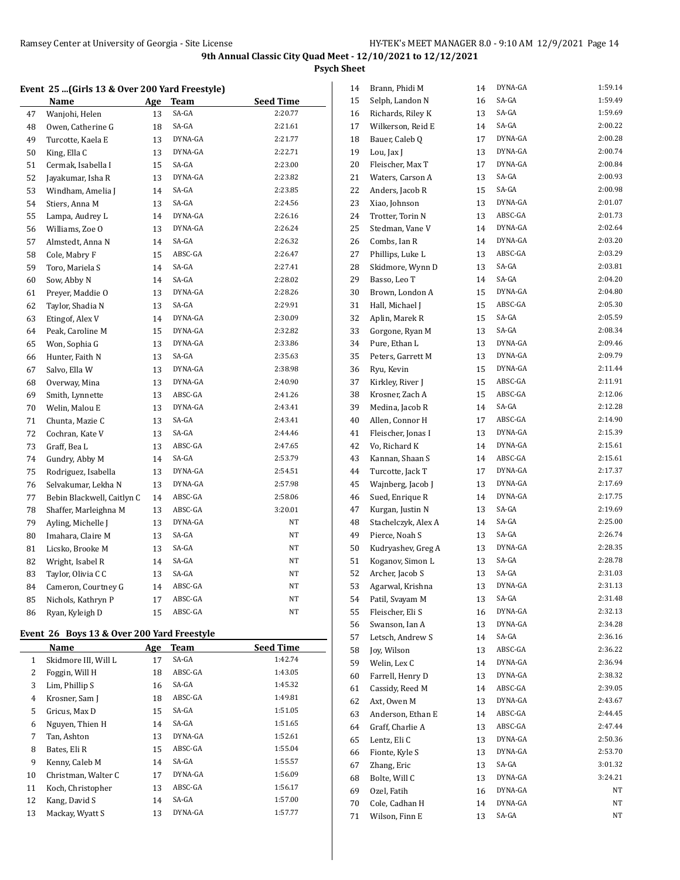**Psych Sheet**

#### **Event 25 ...(Girls 13 & Over 200 Yard Freestyle)**

|    | <b>Name</b>                | Age | Team    | <b>Seed Time</b> |
|----|----------------------------|-----|---------|------------------|
| 47 | Wanjohi, Helen             | 13  | SA-GA   | 2:20.77          |
| 48 | Owen, Catherine G          | 18  | SA-GA   | 2:21.61          |
| 49 | Turcotte, Kaela E          | 13  | DYNA-GA | 2:21.77          |
| 50 | King, Ella C               | 13  | DYNA-GA | 2:22.71          |
| 51 | Cermak, Isabella I         | 15  | SA-GA   | 2:23.00          |
| 52 | Jayakumar, Isha R          | 13  | DYNA-GA | 2:23.82          |
| 53 | Windham, Amelia J          | 14  | SA-GA   | 2:23.85          |
| 54 | Stiers, Anna M             | 13  | SA-GA   | 2:24.56          |
| 55 | Lampa, Audrey L            | 14  | DYNA-GA | 2:26.16          |
| 56 | Williams, Zoe O            | 13  | DYNA-GA | 2:26.24          |
| 57 | Almstedt, Anna N           | 14  | SA-GA   | 2:26.32          |
| 58 | Cole, Mabry F              | 15  | ABSC-GA | 2:26.47          |
| 59 | Toro, Mariela S            | 14  | SA-GA   | 2:27.41          |
| 60 | Sow, Abby N                | 14  | SA-GA   | 2:28.02          |
| 61 | Preyer, Maddie O           | 13  | DYNA-GA | 2:28.26          |
| 62 | Taylor, Shadia N           | 13  | SA-GA   | 2:29.91          |
| 63 | Etingof, Alex V            | 14  | DYNA-GA | 2:30.09          |
| 64 | Peak, Caroline M           | 15  | DYNA-GA | 2:32.82          |
| 65 | Won, Sophia G              | 13  | DYNA-GA | 2:33.86          |
| 66 | Hunter, Faith N            | 13  | SA-GA   | 2:35.63          |
| 67 | Salvo, Ella W              | 13  | DYNA-GA | 2:38.98          |
| 68 | Overway, Mina              | 13  | DYNA-GA | 2:40.90          |
| 69 | Smith, Lynnette            | 13  | ABSC-GA | 2:41.26          |
| 70 | Welin, Malou E             | 13  | DYNA-GA | 2:43.41          |
| 71 | Chunta, Mazie C            | 13  | SA-GA   | 2:43.41          |
| 72 | Cochran, Kate V            | 13  | SA-GA   | 2:44.46          |
| 73 | Graff, Bea L               | 13  | ABSC-GA | 2:47.65          |
| 74 | Gundry, Abby M             | 14  | SA-GA   | 2:53.79          |
| 75 | Rodriguez, Isabella        | 13  | DYNA-GA | 2:54.51          |
| 76 | Selvakumar, Lekha N        | 13  | DYNA-GA | 2:57.98          |
| 77 | Bebin Blackwell, Caitlyn C | 14  | ABSC-GA | 2:58.06          |
| 78 | Shaffer, Marleighna M      | 13  | ABSC-GA | 3:20.01          |
| 79 | Ayling, Michelle J         | 13  | DYNA-GA | NT               |
| 80 | Imahara, Claire M          | 13  | SA-GA   | NΤ               |
| 81 | Licsko, Brooke M           | 13  | SA-GA   | NT               |
| 82 | Wright, Isabel R           | 14  | SA-GA   | NT               |
| 83 | Taylor, Olivia C C         | 13  | SA-GA   | NΤ               |
| 84 | Cameron, Courtney G        | 14  | ABSC-GA | NΤ               |
| 85 | Nichols, Kathryn P         | 17  | ABSC-GA | NΤ               |
| 86 | Ryan, Kyleigh D            | 15  | ABSC-GA | NΤ               |

## **Event 26 Boys 13 & Over 200 Yard Freestyle**

|    | Name                 | Age | Team    | <b>Seed Time</b> |
|----|----------------------|-----|---------|------------------|
| 1  | Skidmore III, Will L | 17  | SA-GA   | 1:42.74          |
| 2  | Foggin, Will H       | 18  | ABSC-GA | 1:43.05          |
| 3  | Lim, Phillip S       | 16  | SA-GA   | 1:45.32          |
| 4  | Krosner, Sam J       | 18  | ABSC-GA | 1:49.81          |
| 5  | Gricus, Max D        | 15  | SA-GA   | 1:51.05          |
| 6  | Nguyen, Thien H      | 14  | SA-GA   | 1:51.65          |
| 7  | Tan, Ashton          | 13  | DYNA-GA | 1:52.61          |
| 8  | Bates, Eli R         | 15  | ABSC-GA | 1:55.04          |
| 9  | Kenny, Caleb M       | 14  | SA-GA   | 1:55.57          |
| 10 | Christman, Walter C  | 17  | DYNA-GA | 1:56.09          |
| 11 | Koch, Christopher    | 13  | ABSC-GA | 1:56.17          |
| 12 | Kang, David S        | 14  | SA-GA   | 1:57.00          |
| 13 | Mackay, Wyatt S      | 13  | DYNA-GA | 1:57.77          |

| 14 | Brann, Phidi M      | 14 | DYNA-GA | 1:59.14 |
|----|---------------------|----|---------|---------|
| 15 | Selph, Landon N     | 16 | SA-GA   | 1:59.49 |
| 16 | Richards, Riley K   | 13 | SA-GA   | 1:59.69 |
| 17 | Wilkerson, Reid E   | 14 | SA-GA   | 2:00.22 |
| 18 | Bauer, Caleb Q      | 17 | DYNA-GA | 2:00.28 |
| 19 | Lou, Jax J          | 13 | DYNA-GA | 2:00.74 |
| 20 | Fleischer, Max T    | 17 | DYNA-GA | 2:00.84 |
| 21 | Waters, Carson A    | 13 | SA-GA   | 2:00.93 |
| 22 | Anders, Jacob R     | 15 | SA-GA   | 2:00.98 |
| 23 | Xiao, Johnson       | 13 | DYNA-GA | 2:01.07 |
| 24 | Trotter, Torin N    | 13 | ABSC-GA | 2:01.73 |
| 25 | Stedman, Vane V     | 14 | DYNA-GA | 2:02.64 |
| 26 | Combs, Ian R        | 14 | DYNA-GA | 2:03.20 |
| 27 | Phillips, Luke L    | 13 | ABSC-GA | 2:03.29 |
| 28 | Skidmore, Wynn D    | 13 | SA-GA   | 2:03.81 |
| 29 | Basso, Leo T        | 14 | SA-GA   | 2:04.20 |
| 30 | Brown, London A     | 15 | DYNA-GA | 2:04.80 |
| 31 | Hall, Michael J     | 15 | ABSC-GA | 2:05.30 |
| 32 | Aplin, Marek R      | 15 | SA-GA   | 2:05.59 |
| 33 | Gorgone, Ryan M     | 13 | SA-GA   | 2:08.34 |
| 34 | Pure, Ethan L       | 13 | DYNA-GA | 2:09.46 |
| 35 | Peters, Garrett M   | 13 | DYNA-GA | 2:09.79 |
| 36 | Ryu, Kevin          | 15 | DYNA-GA | 2:11.44 |
| 37 | Kirkley, River J    | 15 | ABSC-GA | 2:11.91 |
| 38 | Krosner, Zach A     | 15 | ABSC-GA | 2:12.06 |
| 39 | Medina, Jacob R     | 14 | SA-GA   | 2:12.28 |
| 40 | Allen, Connor H     | 17 | ABSC-GA | 2:14.90 |
| 41 | Fleischer, Jonas I  | 13 | DYNA-GA | 2:15.39 |
| 42 | Vo, Richard K       | 14 | DYNA-GA | 2:15.61 |
| 43 | Kannan, Shaan S     | 14 | ABSC-GA | 2:15.61 |
| 44 | Turcotte, Jack T    | 17 | DYNA-GA | 2:17.37 |
| 45 | Wajnberg, Jacob J   | 13 | DYNA-GA | 2:17.69 |
| 46 | Sued, Enrique R     | 14 | DYNA-GA | 2:17.75 |
| 47 | Kurgan, Justin N    | 13 | SA-GA   | 2:19.69 |
| 48 | Stachelczyk, Alex A | 14 | SA-GA   | 2:25.00 |
|    |                     |    | SA-GA   | 2:26.74 |
| 49 | Pierce, Noah S      | 13 | DYNA-GA | 2:28.35 |
| 50 | Kudryashev, Greg A  | 13 | SA-GA   | 2:28.78 |
| 51 | Koganov, Simon L    | 13 | SA-GA   | 2:31.03 |
| 52 | Archer, Jacob S     | 13 |         |         |
| 53 | Agarwal, Krishna    | 13 | DYNA-GA | 2:31.13 |
| 54 | Patil, Svayam M     | 13 | SA-GA   | 2:31.48 |
| 55 | Fleischer, Eli S    | 16 | DYNA-GA | 2:32.13 |
| 56 | Swanson, Ian A      | 13 | DYNA-GA | 2:34.28 |
| 57 | Letsch, Andrew S    | 14 | SA-GA   | 2:36.16 |
| 58 | Joy, Wilson         | 13 | ABSC-GA | 2:36.22 |
| 59 | Welin, Lex C        | 14 | DYNA-GA | 2:36.94 |
| 60 | Farrell, Henry D    | 13 | DYNA-GA | 2:38.32 |
| 61 | Cassidy, Reed M     | 14 | ABSC-GA | 2:39.05 |
| 62 | Axt, Owen M         | 13 | DYNA-GA | 2:43.67 |
| 63 | Anderson, Ethan E   | 14 | ABSC-GA | 2:44.45 |
| 64 | Graff, Charlie A    | 13 | ABSC-GA | 2:47.44 |
| 65 | Lentz, Eli C        | 13 | DYNA-GA | 2:50.36 |
| 66 | Fionte, Kyle S      | 13 | DYNA-GA | 2:53.70 |
| 67 | Zhang, Eric         | 13 | SA-GA   | 3:01.32 |
| 68 | Bolte, Will C       | 13 | DYNA-GA | 3:24.21 |
| 69 | Ozel, Fatih         | 16 | DYNA-GA | NΤ      |
| 70 | Cole, Cadhan H      | 14 | DYNA-GA | NΤ      |
| 71 | Wilson, Finn E      | 13 | SA-GA   | NΤ      |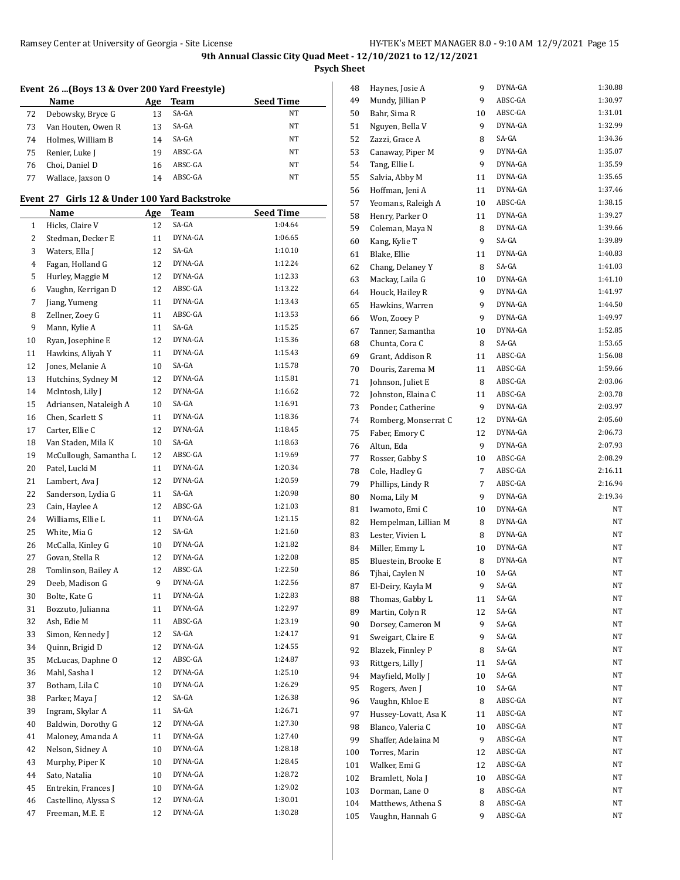**Psych Sheet**

## **Event 26 ...(Boys 13 & Over 200 Yard Freestyle)**

|    | Name               | Age | <b>Team</b> | <b>Seed Time</b> |
|----|--------------------|-----|-------------|------------------|
| 72 | Debowsky, Bryce G  | 13  | SA-GA       | NΤ               |
| 73 | Van Houten, Owen R | 13  | SA-GA       | NT               |
| 74 | Holmes, William B  | 14  | SA-GA       | NT               |
| 75 | Renier, Luke J     | 19  | ABSC-GA     | <b>NT</b>        |
| 76 | Choi, Daniel D     | 16  | ABSC-GA     | <b>NT</b>        |
| 77 | Wallace, Jaxson O  | 14  | ABSC-GA     | <b>NT</b>        |

### **Event 27 Girls 12 & Under 100 Yard Backstroke**

|    | Name                   | <u>Age</u> | Team    | <b>Seed Time</b> |
|----|------------------------|------------|---------|------------------|
| 1  | Hicks, Claire V        | 12         | SA-GA   | 1:04.64          |
| 2  | Stedman, Decker E      | 11         | DYNA-GA | 1:06.65          |
| 3  | Waters, Ella J         | 12         | SA-GA   | 1:10.10          |
| 4  | Fagan, Holland G       | 12         | DYNA-GA | 1:12.24          |
| 5  | Hurley, Maggie M       | 12         | DYNA-GA | 1:12.33          |
| 6  | Vaughn, Kerrigan D     | 12         | ABSC-GA | 1:13.22          |
| 7  | Jiang, Yumeng          | 11         | DYNA-GA | 1:13.43          |
| 8  | Zellner, Zoey G        | 11         | ABSC-GA | 1:13.53          |
| 9  | Mann, Kylie A          | 11         | SA-GA   | 1:15.25          |
| 10 | Ryan, Josephine E      | 12         | DYNA-GA | 1:15.36          |
| 11 | Hawkins, Aliyah Y      | 11         | DYNA-GA | 1:15.43          |
| 12 | Jones, Melanie A       | 10         | SA-GA   | 1:15.78          |
| 13 | Hutchins, Sydney M     | 12         | DYNA-GA | 1:15.81          |
| 14 | McIntosh, Lily J       | 12         | DYNA-GA | 1:16.62          |
| 15 | Adriansen, Nataleigh A | 10         | SA-GA   | 1:16.91          |
| 16 | Chen, Scarlett S       | 11         | DYNA-GA | 1:18.36          |
| 17 | Carter, Ellie C        | 12         | DYNA-GA | 1:18.45          |
| 18 | Van Staden, Mila K     | 10         | SA-GA   | 1:18.63          |
| 19 | McCullough, Samantha L | 12         | ABSC-GA | 1:19.69          |
| 20 | Patel, Lucki M         | 11         | DYNA-GA | 1:20.34          |
| 21 | Lambert, Ava J         | 12         | DYNA-GA | 1:20.59          |
| 22 | Sanderson, Lydia G     | 11         | SA-GA   | 1:20.98          |
| 23 | Cain, Haylee A         | 12         | ABSC-GA | 1:21.03          |
| 24 | Williams, Ellie L      | 11         | DYNA-GA | 1:21.15          |
| 25 | White, Mia G           | 12         | SA-GA   | 1:21.60          |
| 26 | McCalla, Kinley G      | 10         | DYNA-GA | 1:21.82          |
| 27 | Govan, Stella R        | 12         | DYNA-GA | 1:22.08          |
| 28 | Tomlinson, Bailey A    | 12         | ABSC-GA | 1:22.50          |
| 29 | Deeb, Madison G        | 9          | DYNA-GA | 1:22.56          |
| 30 | Bolte, Kate G          | 11         | DYNA-GA | 1:22.83          |
| 31 | Bozzuto, Julianna      | 11         | DYNA-GA | 1:22.97          |
| 32 | Ash, Edie M            | 11         | ABSC-GA | 1:23.19          |
| 33 | Simon, Kennedy J       | 12         | SA-GA   | 1:24.17          |
| 34 | Quinn, Brigid D        | 12         | DYNA-GA | 1:24.55          |
| 35 | McLucas, Daphne O      | 12         | ABSC-GA | 1:24.87          |
| 36 | Mahl, Sasha I          | 12         | DYNA-GA | 1:25.10          |
| 37 | Botham, Lila C         | 10         | DYNA-GA | 1:26.29          |
| 38 | Parker, Maya J         | 12         | SA-GA   | 1:26.38          |
| 39 | Ingram, Skylar A       | 11         | SA-GA   | 1:26.71          |
| 40 | Baldwin, Dorothy G     | 12         | DYNA-GA | 1:27.30          |
| 41 | Maloney, Amanda A      | 11         | DYNA-GA | 1:27.40          |
| 42 | Nelson, Sidney A       | 10         | DYNA-GA | 1:28.18          |
| 43 | Murphy, Piper K        | 10         | DYNA-GA | 1:28.45          |
| 44 | Sato, Natalia          | 10         | DYNA-GA | 1:28.72          |
| 45 | Entrekin, Frances J    | 10         | DYNA-GA | 1:29.02          |
| 46 | Castellino, Alyssa S   | 12         | DYNA-GA | 1:30.01          |
| 47 | Freeman, M.E. E        | 12         | DYNA-GA | 1:30.28          |

| 48  | Haynes, Josie A      | 9  | DYNA-GA | 1:30.88 |
|-----|----------------------|----|---------|---------|
| 49  | Mundy, Jillian P     | 9  | ABSC-GA | 1:30.97 |
| 50  | Bahr, Sima R         | 10 | ABSC-GA | 1:31.01 |
| 51  | Nguyen, Bella V      | 9  | DYNA-GA | 1:32.99 |
| 52  | Zazzi, Grace A       | 8  | SA-GA   | 1:34.36 |
| 53  | Canaway, Piper M     | 9  | DYNA-GA | 1:35.07 |
| 54  | Tang, Ellie L        | 9  | DYNA-GA | 1:35.59 |
| 55  | Salvia, Abby M       | 11 | DYNA-GA | 1:35.65 |
| 56  | Hoffman, Jeni A      | 11 | DYNA-GA | 1:37.46 |
| 57  | Yeomans, Raleigh A   | 10 | ABSC-GA | 1:38.15 |
| 58  | Henry, Parker O      | 11 | DYNA-GA | 1:39.27 |
| 59  | Coleman, Maya N      | 8  | DYNA-GA | 1:39.66 |
| 60  | Kang, Kylie T        | 9  | SA-GA   | 1:39.89 |
| 61  | Blake, Ellie         | 11 | DYNA-GA | 1:40.83 |
| 62  | Chang, Delaney Y     | 8  | SA-GA   | 1:41.03 |
| 63  | Mackay, Laila G      | 10 | DYNA-GA | 1:41.10 |
| 64  | Houck, Hailey R      | 9  | DYNA-GA | 1:41.97 |
| 65  | Hawkins, Warren      | 9  | DYNA-GA | 1:44.50 |
| 66  | Won, Zooey P         | 9  | DYNA-GA | 1:49.97 |
| 67  | Tanner, Samantha     | 10 | DYNA-GA | 1:52.85 |
| 68  | Chunta, Cora C       | 8  | SA-GA   | 1:53.65 |
|     |                      |    | ABSC-GA | 1:56.08 |
| 69  | Grant, Addison R     | 11 | ABSC-GA | 1:59.66 |
| 70  | Douris, Zarema M     | 11 | ABSC-GA |         |
| 71  | Johnson, Juliet E    | 8  |         | 2:03.06 |
| 72  | Johnston, Elaina C   | 11 | ABSC-GA | 2:03.78 |
| 73  | Ponder, Catherine    | 9  | DYNA-GA | 2:03.97 |
| 74  | Romberg, Monserrat C | 12 | DYNA-GA | 2:05.60 |
| 75  | Faber, Emory C       | 12 | DYNA-GA | 2:06.73 |
| 76  | Altun, Eda           | 9  | DYNA-GA | 2:07.93 |
| 77  | Rosser, Gabby S      | 10 | ABSC-GA | 2:08.29 |
| 78  | Cole, Hadley G       | 7  | ABSC-GA | 2:16.11 |
| 79  | Phillips, Lindy R    | 7  | ABSC-GA | 2:16.94 |
| 80  | Noma, Lily M         | 9  | DYNA-GA | 2:19.34 |
| 81  | Iwamoto, Emi C       | 10 | DYNA-GA | NΤ      |
| 82  | Hempelman, Lillian M | 8  | DYNA-GA | NΤ      |
| 83  | Lester, Vivien L     | 8  | DYNA-GA | NT.     |
| 84  | Miller, Emmy L       | 10 | DYNA-GA | NΤ      |
| 85  | Bluestein, Brooke E  | 8  | DYNA-GA | NΤ      |
| 86  | Tjhai, Caylen N      | 10 | SA-GA   | NT      |
| 87  | El-Deiry, Kayla M    | 9  | SA-GA   | NΤ      |
| 88  | Thomas, Gabby L      | 11 | SA-GA   | NΤ      |
| 89  | Martin, Colyn R      | 12 | SA-GA   | NT      |
| 90  | Dorsey, Cameron M    | 9  | SA-GA   | NΤ      |
| 91  | Sweigart, Claire E   | 9  | SA-GA   | NΤ      |
| 92  | Blazek, Finnley P    | 8  | SA-GA   | NΤ      |
| 93  | Rittgers, Lilly J    | 11 | SA-GA   | NΤ      |
| 94  | Mayfield, Molly J    | 10 | SA-GA   | NΤ      |
| 95  | Rogers, Aven J       | 10 | SA-GA   | NΤ      |
| 96  | Vaughn, Khloe E      | 8  | ABSC-GA | NΤ      |
| 97  | Hussey-Lovatt, Asa K | 11 | ABSC-GA | NΤ      |
| 98  | Blanco, Valeria C    | 10 | ABSC-GA | NΤ      |
| 99  | Shaffer, Adelaina M  | 9  | ABSC-GA | NΤ      |
| 100 | Torres, Marin        | 12 | ABSC-GA | NΤ      |
| 101 | Walker, Emi G        | 12 | ABSC-GA | NΤ      |
| 102 | Bramlett, Nola J     | 10 | ABSC-GA | NΤ      |
| 103 | Dorman, Lane O       | 8  | ABSC-GA | NΤ      |
|     |                      |    | ABSC-GA | NΤ      |
| 104 | Matthews, Athena S   | 8  |         |         |
| 105 | Vaughn, Hannah G     | 9  | ABSC-GA | NΤ      |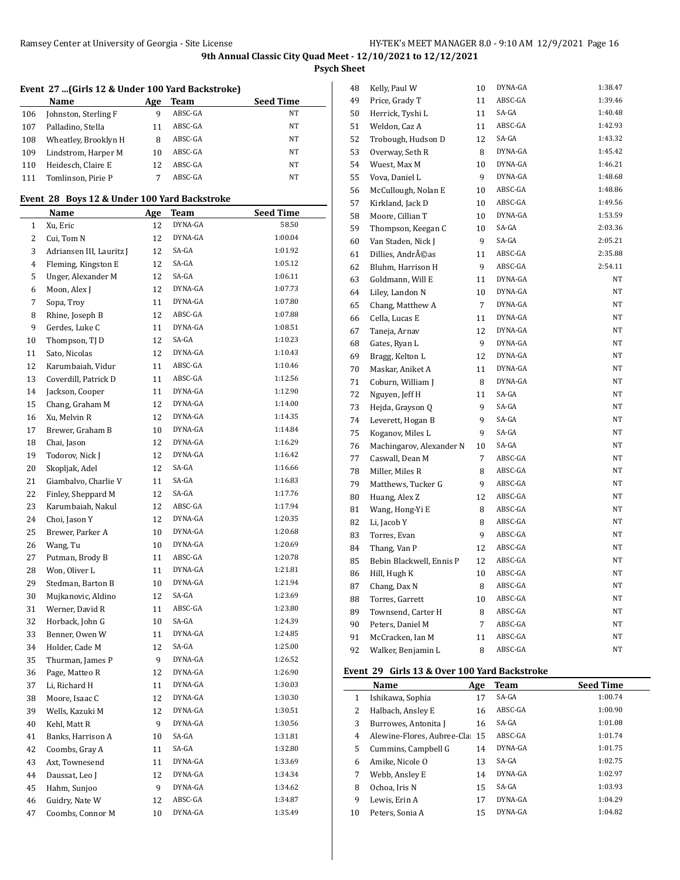**Psych Sheet**

## **Event 27 ...(Girls 12 & Under 100 Yard Backstroke)**

|     | Name                 | Age | <b>Team</b> | <b>Seed Time</b> |
|-----|----------------------|-----|-------------|------------------|
| 106 | Johnston, Sterling F | 9   | ABSC-GA     | NT               |
| 107 | Palladino, Stella    | 11  | ABSC-GA     | NT               |
| 108 | Wheatley, Brooklyn H | 8   | ABSC-GA     | NT               |
| 109 | Lindstrom, Harper M  | 10  | ABSC-GA     | NT               |
| 110 | Heidesch, Claire E   | 12  | ABSC-GA     | NT               |
| 111 | Tomlinson, Pirie P   |     | ABSC-GA     | NT               |

#### **Event 28 Boys 12 & Under 100 Yard Backstroke**

|    | Name                     | Age | <b>Team</b> | <b>Seed Time</b> |
|----|--------------------------|-----|-------------|------------------|
| 1  | Xu, Eric                 | 12  | DYNA-GA     | 58.50            |
| 2  | Cui, Tom N               | 12  | DYNA-GA     | 1:00.04          |
| 3  | Adriansen III, Lauritz J | 12  | SA-GA       | 1:01.92          |
| 4  | Fleming, Kingston E      | 12  | SA-GA       | 1:05.12          |
| 5  | Unger, Alexander M       | 12  | SA-GA       | 1:06.11          |
| 6  | Moon, Alex J             | 12  | DYNA-GA     | 1:07.73          |
| 7  | Sopa, Troy               | 11  | DYNA-GA     | 1:07.80          |
| 8  | Rhine, Joseph B          | 12  | ABSC-GA     | 1:07.88          |
| 9  | Gerdes, Luke C           | 11  | DYNA-GA     | 1:08.51          |
| 10 | Thompson, TJ D           | 12  | SA-GA       | 1:10.23          |
| 11 | Sato, Nicolas            | 12  | DYNA-GA     | 1:10.43          |
| 12 | Karumbaiah, Vidur        | 11  | ABSC-GA     | 1:10.46          |
| 13 | Coverdill, Patrick D     | 11  | ABSC-GA     | 1:12.56          |
| 14 | Jackson, Cooper          | 11  | DYNA-GA     | 1:12.90          |
| 15 | Chang, Graham M          | 12  | DYNA-GA     | 1:14.00          |
| 16 | Xu, Melvin R             | 12  | DYNA-GA     | 1:14.35          |
| 17 | Brewer, Graham B         | 10  | DYNA-GA     | 1:14.84          |
| 18 | Chai, Jason              | 12  | DYNA-GA     | 1:16.29          |
| 19 | Todorov, Nick J          | 12  | DYNA-GA     | 1:16.42          |
| 20 | Skopljak, Adel           | 12  | SA-GA       | 1:16.66          |
| 21 | Giambalvo, Charlie V     | 11  | SA-GA       | 1:16.83          |
| 22 | Finley, Sheppard M       | 12  | SA-GA       | 1:17.76          |
| 23 | Karumbaiah, Nakul        | 12  | ABSC-GA     | 1:17.94          |
| 24 | Choi, Jason Y            | 12  | DYNA-GA     | 1:20.35          |
| 25 | Brewer, Parker A         | 10  | DYNA-GA     | 1:20.68          |
| 26 | Wang, Tu                 | 10  | DYNA-GA     | 1:20.69          |
| 27 | Putman, Brody B          | 11  | ABSC-GA     | 1:20.78          |
| 28 | Won, Oliver L            | 11  | DYNA-GA     | 1:21.81          |
| 29 | Stedman, Barton B        | 10  | DYNA-GA     | 1:21.94          |
| 30 | Mujkanovic, Aldino       | 12  | SA-GA       | 1:23.69          |
| 31 | Werner, David R          | 11  | ABSC-GA     | 1:23.80          |
| 32 | Horback, John G          | 10  | SA-GA       | 1:24.39          |
| 33 | Benner, Owen W           | 11  | DYNA-GA     | 1:24.85          |
| 34 | Holder, Cade M           | 12  | SA-GA       | 1:25.00          |
| 35 | Thurman, James P         | 9   | DYNA-GA     | 1:26.52          |
| 36 | Page, Matteo R           | 12  | DYNA-GA     | 1:26.90          |
| 37 | Li, Richard H            | 11  | DYNA-GA     | 1:30.03          |
| 38 | Moore, Isaac C           | 12  | DYNA-GA     | 1:30.30          |
| 39 | Wells, Kazuki M          | 12  | DYNA-GA     | 1:30.51          |
| 40 | Kehl, Matt R             | 9   | DYNA-GA     | 1:30.56          |
| 41 | Banks, Harrison A        | 10  | SA-GA       | 1:31.81          |
| 42 | Coombs, Gray A           | 11  | SA-GA       | 1:32.80          |
| 43 | Axt, Townesend           | 11  | DYNA-GA     | 1:33.69          |
| 44 | Daussat, Leo J           | 12  | DYNA-GA     | 1:34.34          |
| 45 | Hahm, Sunjoo             | 9   | DYNA-GA     | 1:34.62          |
| 46 | Guidry, Nate W           | 12  | ABSC-GA     | 1:34.87          |
| 47 | Coombs, Connor M         | 10  | DYNA-GA     | 1:35.49          |

| 48 | Kelly, Paul W            | 10             | DYNA-GA | 1:38.47 |
|----|--------------------------|----------------|---------|---------|
| 49 | Price, Grady T           | 11             | ABSC-GA | 1:39.46 |
| 50 | Herrick, Tyshi L         | 11             | SA-GA   | 1:40.48 |
| 51 | Weldon, Caz A            | 11             | ABSC-GA | 1:42.93 |
| 52 | Trobough, Hudson D       | 12             | SA-GA   | 1:43.32 |
| 53 | Overway, Seth R          | 8              | DYNA-GA | 1:45.42 |
| 54 | Wuest, Max M             | 10             | DYNA-GA | 1:46.21 |
| 55 | Vova, Daniel L           | 9              | DYNA-GA | 1:48.68 |
| 56 | McCullough, Nolan E      | 10             | ABSC-GA | 1:48.86 |
| 57 | Kirkland, Jack D         | 10             | ABSC-GA | 1:49.56 |
| 58 | Moore, Cillian T         | 10             | DYNA-GA | 1:53.59 |
| 59 | Thompson, Keegan C       | 10             | SA-GA   | 2:03.36 |
| 60 | Van Staden, Nick J       | 9              | SA-GA   | 2:05.21 |
| 61 | Dillies, Andréas         | 11             | ABSC-GA | 2:35.88 |
| 62 | Bluhm, Harrison H        | 9              | ABSC-GA | 2:54.11 |
| 63 | Goldmann, Will E         | 11             | DYNA-GA | NΤ      |
| 64 | Liley, Landon N          | 10             | DYNA-GA | NT      |
| 65 | Chang, Matthew A         | $\overline{7}$ | DYNA-GA | NT      |
| 66 | Cella, Lucas E           | 11             | DYNA-GA | NT      |
| 67 | Taneja, Arnav            | 12             | DYNA-GA | NT      |
| 68 | Gates, Ryan L            | 9              | DYNA-GA | NT      |
| 69 | Bragg, Kelton L          | 12             | DYNA-GA | NT      |
| 70 | Maskar, Aniket A         | 11             | DYNA-GA | NT      |
| 71 | Coburn, William J        | 8              | DYNA-GA | NT      |
| 72 | Nguyen, Jeff H           | 11             | SA-GA   | NT      |
| 73 | Hejda, Grayson Q         | 9              | SA-GA   | NT      |
| 74 | Leverett, Hogan B        | 9              | SA-GA   | NT      |
| 75 | Koganov, Miles L         | 9              | SA-GA   | NT      |
| 76 | Machingarov, Alexander N | 10             | SA-GA   | NΤ      |
| 77 | Caswall, Dean M          | $\overline{7}$ | ABSC-GA | NT      |
| 78 | Miller, Miles R          | 8              | ABSC-GA | NT      |
| 79 | Matthews, Tucker G       | 9              | ABSC-GA | NT      |
| 80 | Huang, Alex Z            | 12             | ABSC-GA | NT      |
| 81 | Wang, Hong-Yi E          | 8              | ABSC-GA | NT      |
| 82 | Li, Jacob Y              | 8              | ABSC-GA | NT      |
| 83 | Torres, Evan             | 9              | ABSC-GA | NT      |
| 84 | Thang, Van P             | 12             | ABSC-GA | NT      |
| 85 | Bebin Blackwell, Ennis P | 12             | ABSC-GA | NT      |
| 86 | Hill, Hugh K             | 10             | ABSC-GA | NT      |
| 87 | Chang, Dax N             | 8              | ABSC-GA | NΤ      |
| 88 | Torres, Garrett          | 10             | ABSC-GA | NT      |
| 89 | Townsend, Carter H       | 8              | ABSC-GA | NT      |
| 90 | Peters, Daniel M         | 7              | ABSC-GA | NT      |
| 91 | McCracken, Ian M         | 11             | ABSC-GA | NT      |
| 92 | Walker, Benjamin L       | 8              | ABSC-GA | NT      |

#### **Event 29 Girls 13 & Over 100 Yard Backstroke**

|    | Name                           | Age | Team    | <b>Seed Time</b> |
|----|--------------------------------|-----|---------|------------------|
| 1  | Ishikawa, Sophia               | 17  | SA-GA   | 1:00.74          |
| 2  | Halbach, Ansley E              | 16  | ABSC-GA | 1:00.90          |
| 3  | Burrowes, Antonita J           | 16  | $SA-GA$ | 1:01.08          |
| 4  | Alewine-Flores. Aubree-Cla: 15 |     | ABSC-GA | 1:01.74          |
| 5  | Cummins, Campbell G            | 14  | DYNA-GA | 1:01.75          |
| 6  | Amike, Nicole O                | 13  | $SA-GA$ | 1:02.75          |
| 7  | Webb, Ansley E                 | 14  | DYNA-GA | 1:02.97          |
| 8  | Ochoa. Iris N                  | 15  | SA-GA   | 1:03.93          |
| 9  | Lewis, Erin A                  | 17  | DYNA-GA | 1:04.29          |
| 10 | Peters, Sonia A                | 15  | DYNA-GA | 1:04.82          |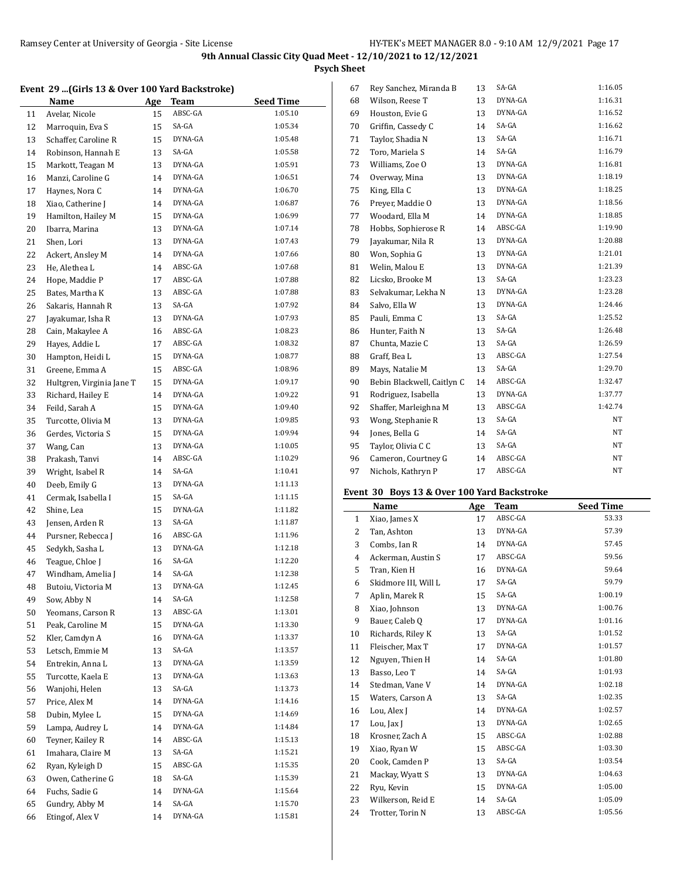**Psych Sheet**

### **Event 29 ...(Girls 13 & Over 100 Yard Backstroke)**

|          | Name                             | <u>Age</u> | <b>Team</b>    | <b>Seed Time</b>   |
|----------|----------------------------------|------------|----------------|--------------------|
| 11       | Avelar, Nicole                   | 15         | ABSC-GA        | 1:05.10            |
| 12       | Marroquin, Eva S                 | 15         | SA-GA          | 1:05.34            |
| 13       | Schaffer, Caroline R             | 15         | DYNA-GA        | 1:05.48            |
| 14       | Robinson, Hannah E               | 13         | SA-GA          | 1:05.58            |
| 15       | Markott, Teagan M                | 13         | DYNA-GA        | 1:05.91            |
| 16       | Manzi, Caroline G                | 14         | DYNA-GA        | 1:06.51            |
| 17       | Haynes, Nora C                   | 14         | DYNA-GA        | 1:06.70            |
| 18       | Xiao, Catherine J                | 14         | DYNA-GA        | 1:06.87            |
| 19       | Hamilton, Hailey M               | 15         | DYNA-GA        | 1:06.99            |
| 20       | Ibarra, Marina                   | 13         | DYNA-GA        | 1:07.14            |
| 21       | Shen, Lori                       | 13         | DYNA-GA        | 1:07.43            |
| 22       | Ackert, Ansley M                 | 14         | DYNA-GA        | 1:07.66            |
| 23       | He, Alethea L                    | 14         | ABSC-GA        | 1:07.68            |
| 24       | Hope, Maddie P                   | 17         | ABSC-GA        | 1:07.88            |
| 25       | Bates, Martha K                  | 13         | ABSC-GA        | 1:07.88            |
| 26       | Sakaris, Hannah R                | 13         | SA-GA          | 1:07.92            |
| 27       | Jayakumar, Isha R                | 13         | DYNA-GA        | 1:07.93            |
| 28       | Cain, Makaylee A                 | 16         | ABSC-GA        | 1:08.23            |
| 29       | Hayes, Addie L                   | 17         | ABSC-GA        | 1:08.32            |
| 30       | Hampton, Heidi L                 | 15         | DYNA-GA        | 1:08.77            |
| 31       | Greene, Emma A                   | 15         | ABSC-GA        | 1:08.96            |
| 32       | Hultgren, Virginia Jane T        | 15         | DYNA-GA        | 1:09.17            |
| 33       | Richard, Hailey E                | 14         | DYNA-GA        | 1:09.22            |
| 34       | Feild, Sarah A                   | 15         | DYNA-GA        | 1:09.40            |
| 35       | Turcotte, Olivia M               | 13         | DYNA-GA        | 1:09.85            |
| 36       | Gerdes, Victoria S               | 15         | DYNA-GA        | 1:09.94            |
| 37       | Wang, Can                        | 13         | DYNA-GA        | 1:10.05            |
| 38       | Prakash, Tanvi                   | 14         | ABSC-GA        | 1:10.29            |
| 39       | Wright, Isabel R                 | 14         | SA-GA          | 1:10.41            |
| 40       | Deeb, Emily G                    | 13         | DYNA-GA        | 1:11.13            |
| 41       | Cermak, Isabella I               | 15         | SA-GA          | 1:11.15            |
| 42       | Shine, Lea                       | 15         | DYNA-GA        | 1:11.82            |
| 43       | Jensen, Arden R                  | 13         | SA-GA          | 1:11.87            |
| 44       | Pursner, Rebecca J               | 16         | ABSC-GA        | 1:11.96            |
| 45       | Sedykh, Sasha L                  | 13         | DYNA-GA        | 1:12.18            |
| 46       | Teague, Chloe J                  | 16         | SA-GA<br>SA-GA | 1:12.20<br>1:12.38 |
| 47       | Windham, Amelia J                | 14         | DYNA-GA        | 1:12.45            |
| 48       | Butoiu, Victoria M               | 13         | SA-GA          | 1:12.58            |
| 49       | Sow, Abby N<br>Yeomans, Carson R | 14         | ABSC-GA        | 1:13.01            |
| 50<br>51 | Peak, Caroline M                 | 13         | DYNA-GA        | 1:13.30            |
| 52       | Kler, Camdyn A                   | 15         | DYNA-GA        | 1:13.37            |
| 53       | Letsch, Emmie M                  | 16<br>13   | SA-GA          | 1:13.57            |
| 54       | Entrekin, Anna L                 | 13         | DYNA-GA        | 1:13.59            |
| 55       | Turcotte. Kaela E                | 13         | DYNA-GA        | 1:13.63            |
| 56       | Wanjohi, Helen                   | 13         | SA-GA          | 1:13.73            |
| 57       | Price, Alex M                    | 14         | DYNA-GA        | 1:14.16            |
| 58       | Dubin, Mylee L                   | 15         | DYNA-GA        | 1:14.69            |
| 59       | Lampa, Audrey L                  | 14         | DYNA-GA        | 1:14.84            |
| 60       | Teyner, Kailey R                 | 14         | ABSC-GA        | 1:15.13            |
| 61       | Imahara, Claire M                | 13         | SA-GA          | 1:15.21            |
| 62       | Ryan, Kyleigh D                  | 15         | ABSC-GA        | 1:15.35            |
| 63       | Owen, Catherine G                | 18         | SA-GA          | 1:15.39            |
| 64       | Fuchs, Sadie G                   | 14         | DYNA-GA        | 1:15.64            |
| 65       | Gundry, Abby M                   | 14         | SA-GA          | 1:15.70            |
| 66       | Etingof, Alex V                  | 14         | DYNA-GA        | 1:15.81            |
|          |                                  |            |                |                    |

| 67 | Rey Sanchez, Miranda B     | 13 | SA-GA   | 1:16.05 |
|----|----------------------------|----|---------|---------|
| 68 | Wilson, Reese T            | 13 | DYNA-GA | 1:16.31 |
| 69 | Houston, Evie G            | 13 | DYNA-GA | 1:16.52 |
| 70 | Griffin, Cassedy C         | 14 | SA-GA   | 1:16.62 |
| 71 | Taylor, Shadia N           | 13 | SA-GA   | 1:16.71 |
| 72 | Toro, Mariela S            | 14 | SA-GA   | 1:16.79 |
| 73 | Williams, Zoe O            | 13 | DYNA-GA | 1:16.81 |
| 74 | Overway, Mina              | 13 | DYNA-GA | 1:18.19 |
| 75 | King, Ella C               | 13 | DYNA-GA | 1:18.25 |
| 76 | Prever, Maddie O           | 13 | DYNA-GA | 1:18.56 |
| 77 | Woodard, Ella M            | 14 | DYNA-GA | 1:18.85 |
| 78 | Hobbs, Sophierose R        | 14 | ABSC-GA | 1:19.90 |
| 79 | Jayakumar, Nila R          | 13 | DYNA-GA | 1:20.88 |
| 80 | Won, Sophia G              | 13 | DYNA-GA | 1:21.01 |
| 81 | Welin, Malou E             | 13 | DYNA-GA | 1:21.39 |
| 82 | Licsko, Brooke M           | 13 | SA-GA   | 1:23.23 |
| 83 | Selvakumar, Lekha N        | 13 | DYNA-GA | 1:23.28 |
| 84 | Salvo, Ella W              | 13 | DYNA-GA | 1:24.46 |
| 85 | Pauli, Emma C              | 13 | SA-GA   | 1:25.52 |
| 86 | Hunter, Faith N            | 13 | SA-GA   | 1:26.48 |
| 87 | Chunta, Mazie C            | 13 | SA-GA   | 1:26.59 |
| 88 | Graff, Bea L               | 13 | ABSC-GA | 1:27.54 |
| 89 | Mays, Natalie M            | 13 | SA-GA   | 1:29.70 |
| 90 | Bebin Blackwell, Caitlyn C | 14 | ABSC-GA | 1:32.47 |
| 91 | Rodriguez, Isabella        | 13 | DYNA-GA | 1:37.77 |
| 92 | Shaffer, Marleighna M      | 13 | ABSC-GA | 1:42.74 |
| 93 | Wong, Stephanie R          | 13 | SA-GA   | NT      |
| 94 | Jones, Bella G             | 14 | SA-GA   | NT      |
| 95 | Taylor, Olivia C C         | 13 | SA-GA   | NT      |
| 96 | Cameron, Courtney G        | 14 | ABSC-GA | NT      |
| 97 | Nichols, Kathryn P         | 17 | ABSC-GA | NT      |

# **Event 30 Boys 13 & Over 100 Yard Backstroke**

|              | Name                 | Age | <b>Team</b> | <b>Seed Time</b> |
|--------------|----------------------|-----|-------------|------------------|
| $\mathbf{1}$ | Xiao, James X        | 17  | ABSC-GA     | 53.33            |
| 2            | Tan, Ashton          | 13  | DYNA-GA     | 57.39            |
| 3            | Combs, Ian R         | 14  | DYNA-GA     | 57.45            |
| 4            | Ackerman, Austin S   | 17  | ABSC-GA     | 59.56            |
| 5            | Tran, Kien H         | 16  | DYNA-GA     | 59.64            |
| 6            | Skidmore III, Will L | 17  | SA-GA       | 59.79            |
| 7            | Aplin, Marek R       | 15  | SA-GA       | 1:00.19          |
| 8            | Xiao, Johnson        | 13  | DYNA-GA     | 1:00.76          |
| 9            | Bauer, Caleb Q       | 17  | DYNA-GA     | 1:01.16          |
| 10           | Richards, Riley K    | 13  | SA-GA       | 1:01.52          |
| 11           | Fleischer, Max T     | 17  | DYNA-GA     | 1:01.57          |
| 12           | Nguyen, Thien H      | 14  | SA-GA       | 1:01.80          |
| 13           | Basso, Leo T         | 14  | SA-GA       | 1:01.93          |
| 14           | Stedman, Vane V      | 14  | DYNA-GA     | 1:02.18          |
| 15           | Waters, Carson A     | 13  | SA-GA       | 1:02.35          |
| 16           | Lou, Alex J          | 14  | DYNA-GA     | 1:02.57          |
| 17           | Lou, Jax J           | 13  | DYNA-GA     | 1:02.65          |
| 18           | Krosner, Zach A      | 15  | ABSC-GA     | 1:02.88          |
| 19           | Xiao, Ryan W         | 15  | ABSC-GA     | 1:03.30          |
| 20           | Cook, Camden P       | 13  | SA-GA       | 1:03.54          |
| 21           | Mackay, Wyatt S      | 13  | DYNA-GA     | 1:04.63          |
| 22           | Ryu, Kevin           | 15  | DYNA-GA     | 1:05.00          |
| 23           | Wilkerson, Reid E    | 14  | SA-GA       | 1:05.09          |
| 24           | Trotter. Torin N     | 13  | ABSC-GA     | 1:05.56          |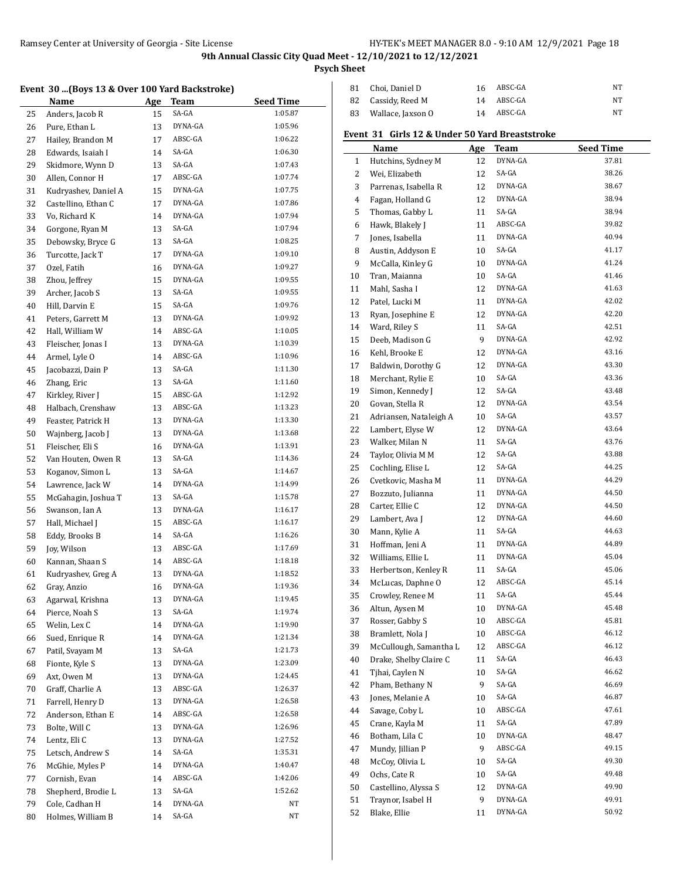**Psych Sheet**

#### **Event 30 ...(Boys 13 & Over 100 Yard Backstroke)**

|          | <b>Name</b>          | Age      | <b>Team</b> | <b>Seed Time</b><br>1:05.87 |
|----------|----------------------|----------|-------------|-----------------------------|
| 25       | Anders, Jacob R      | 15       | SA-GA       |                             |
| 26       | Pure, Ethan L        | 13       | DYNA-GA     | 1:05.96                     |
| 27       | Hailey, Brandon M    | 17       | ABSC-GA     | 1:06.22                     |
| 28       | Edwards, Isaiah I    | 14       | SA-GA       | 1:06.30                     |
| 29       | Skidmore, Wynn D     | 13       | SA-GA       | 1:07.43                     |
| 30       | Allen, Connor H      | 17       | ABSC-GA     | 1:07.74                     |
| 31       | Kudryashev, Daniel A | 15       | DYNA-GA     | 1:07.75                     |
| 32       | Castellino, Ethan C  | 17       | DYNA-GA     | 1:07.86                     |
| 33       | Vo, Richard K        | 14       | DYNA-GA     | 1:07.94                     |
| 34       | Gorgone, Ryan M      | 13       | SA-GA       | 1:07.94                     |
| 35       | Debowsky, Bryce G    | 13       | SA-GA       | 1:08.25                     |
| 36       | Turcotte, Jack T     | 17       | DYNA-GA     | 1:09.10                     |
| 37       | Ozel, Fatih          | 16       | DYNA-GA     | 1:09.27                     |
| 38       | Zhou, Jeffrey        | 15       | DYNA-GA     | 1:09.55                     |
| 39       | Archer, Jacob S      | 13       | SA-GA       | 1:09.55                     |
| 40       | Hill, Darvin E       | 15       | SA-GA       | 1:09.76                     |
| 41       | Peters, Garrett M    | 13       | DYNA-GA     | 1:09.92                     |
| 42       | Hall, William W      | 14       | ABSC-GA     | 1:10.05                     |
| 43       | Fleischer, Jonas I   | 13       | DYNA-GA     | 1:10.39                     |
| 44       | Armel, Lyle O        | 14       | ABSC-GA     | 1:10.96                     |
| 45       | Jacobazzi, Dain P    | 13       | SA-GA       | 1:11.30                     |
| 46       | Zhang, Eric          | 13       | SA-GA       | 1:11.60                     |
| 47       | Kirkley, River J     | 15       | ABSC-GA     | 1:12.92                     |
| 48       | Halbach, Crenshaw    | 13       | ABSC-GA     | 1:13.23                     |
| 49       | Feaster, Patrick H   | 13       | DYNA-GA     | 1:13.30                     |
| 50       | Wajnberg, Jacob J    | 13       | DYNA-GA     | 1:13.68                     |
| 51       | Fleischer, Eli S     | 16       | DYNA-GA     | 1:13.91                     |
| 52       | Van Houten, Owen R   | 13       | SA-GA       | 1:14.36                     |
| 53       | Koganov, Simon L     | 13       | SA-GA       | 1:14.67                     |
| 54       | Lawrence, Jack W     | 14       | DYNA-GA     | 1:14.99                     |
| 55       | McGahagin, Joshua T  | 13       | SA-GA       | 1:15.78                     |
| 56       | Swanson, Ian A       | 13       | DYNA-GA     | 1:16.17                     |
| 57       | Hall, Michael J      | 15       | ABSC-GA     | 1:16.17                     |
| 58       | Eddy, Brooks B       | 14       | SA-GA       | 1:16.26                     |
| 59       | Joy, Wilson          | 13       | ABSC-GA     | 1:17.69                     |
| 60       | Kannan, Shaan S      | 14       | ABSC-GA     | 1:18.18                     |
| 61       | Kudryashev, Greg A   | 13       | DYNA-GA     | 1:18.52                     |
| 62       | Gray, Anzio          | 16       | DYNA-GA     | 1:19.36                     |
| 63       | Agarwal, Krishna     | 13       | DYNA-GA     | 1:19.45                     |
| 64       | Pierce, Noah S       | 13       | SA-GA       | 1:19.74                     |
| 65       | Welin, Lex C         | 14       | DYNA-GA     | 1:19.90                     |
|          | Sued, Enrique R      |          | DYNA-GA     | 1:21.34                     |
| 66<br>67 | Patil, Svayam M      | 14<br>13 | SA-GA       | 1:21.73                     |
|          | Fionte, Kyle S       |          | DYNA-GA     | 1:23.09                     |
| 68       |                      | 13       | DYNA-GA     | 1:24.45                     |
| 69       | Axt, Owen M          | 13       |             | 1:26.37                     |
| $70\,$   | Graff, Charlie A     | 13       | ABSC-GA     |                             |
| 71       | Farrell, Henry D     | 13       | DYNA-GA     | 1:26.58                     |
| 72       | Anderson, Ethan E    | 14       | ABSC-GA     | 1:26.58                     |
| 73       | Bolte, Will C        | 13       | DYNA-GA     | 1:26.96                     |
| 74       | Lentz, Eli C         | 13       | DYNA-GA     | 1:27.52                     |
| 75       | Letsch, Andrew S     | 14       | SA-GA       | 1:35.31                     |
| 76       | McGhie, Myles P      | 14       | DYNA-GA     | 1:40.47                     |
| 77       | Cornish, Evan        | 14       | ABSC-GA     | 1:42.06                     |
| 78       | Shepherd, Brodie L   | 13       | SA-GA       | 1:52.62                     |
| 79       | Cole, Cadhan H       | 14       | DYNA-GA     | NΤ                          |
| 80       | Holmes, William B    | 14       | SA-GA       | NΤ                          |

| 81 Choi. Daniel D    | 16 | ABSC-GA    | NΤ |  |
|----------------------|----|------------|----|--|
| 82 Cassidy, Reed M   |    | 14 ABSC-GA | NT |  |
| 83 Wallace, Jaxson 0 | 14 | ABSC-GA    | NΤ |  |

### **Event 31 Girls 12 & Under 50 Yard Breaststroke**

| DYNA-GA<br>37.81<br>Hutchins, Sydney M<br>12<br>1<br>SA-GA<br>38.26<br>Wei, Elizabeth<br>2<br>12<br>3<br>DYNA-GA<br>38.67<br>Parrenas, Isabella R<br>12<br>DYNA-GA<br>38.94<br>4<br>Fagan, Holland G<br>12<br>SA-GA<br>38.94<br>5<br>Thomas, Gabby L<br>11<br>ABSC-GA<br>39.82<br>Hawk, Blakely J<br>6<br>11<br>40.94<br>DYNA-GA<br>7<br>Jones, Isabella<br>11<br>41.17<br>Austin, Addyson E<br>SA-GA<br>10<br>8<br>DYNA-GA<br>41.24<br>9<br>McCalla, Kinley G<br>10<br>SA-GA<br>41.46<br>Tran, Maianna<br>10<br>10<br>Mahl, Sasha I<br>DYNA-GA<br>41.63<br>11<br>12<br>12<br>Patel, Lucki M<br>42.02<br>DYNA-GA<br>11<br>DYNA-GA<br>42.20<br>13<br>Ryan, Josephine E<br>12<br>Ward, Riley S<br>SA-GA<br>42.51<br>14<br>11<br>9<br>DYNA-GA<br>42.92<br>15<br>Deeb, Madison G<br>DYNA-GA<br>43.16<br>Kehl, Brooke E<br>12<br>16<br>43.30<br>DYNA-GA<br>17<br>Baldwin, Dorothy G<br>12<br>Merchant, Rylie E<br>SA-GA<br>43.36<br>18<br>10<br>SA-GA<br>43.48<br>19<br>Simon, Kennedy J<br>12<br>Govan, Stella R<br>DYNA-GA<br>43.54<br>20<br>12<br>SA-GA<br>43.57<br>21<br>Adriansen, Nataleigh A<br>10<br>DYNA-GA<br>Lambert, Elyse W<br>43.64<br>22<br>12<br>SA-GA<br>Walker, Milan N<br>43.76<br>23<br>11<br>24<br>SA-GA<br>Taylor, Olivia M M<br>12<br>43.88<br>SA-GA<br>Cochling, Elise L<br>44.25<br>25<br>12<br>Cvetkovic, Masha M<br>DYNA-GA<br>44.29<br>26<br>11<br>27<br>DYNA-GA<br>44.50<br>Bozzuto, Julianna<br>11<br>DYNA-GA<br>44.50<br>28<br>Carter, Ellie C<br>12<br>DYNA-GA<br>44.60<br>29<br>Lambert, Ava J<br>12<br>SA-GA<br>44.63<br>30<br>Mann, Kylie A<br>11<br>DYNA-GA<br>44.89<br>31<br>Hoffman, Jeni A<br>11<br>45.04<br>Williams, Ellie L<br>DYNA-GA<br>32<br>11<br>SA-GA<br>45.06<br>33<br>Herbertson, Kenley R<br>11<br>ABSC-GA<br>45.14<br>34<br>McLucas, Daphne O<br>12<br>45.44<br>Crowley, Renee M<br>SA-GA<br>35<br>11<br>45.48<br>36<br>Altun, Aysen M<br>DYNA-GA<br>10<br>ABSC-GA<br>Rosser, Gabby S<br>45.81<br>37<br>10<br>ABSC-GA<br>46.12<br>38<br>Bramlett, Nola J<br>10<br>McCullough, Samantha L<br>ABSC-GA<br>46.12<br>39<br>12<br>SA-GA<br>46.43<br>Drake, Shelby Claire C<br>40<br>11<br>SA-GA<br>46.62<br>Tjhai, Caylen N<br>41<br>10<br>42<br>9<br>SA-GA<br>46.69<br>Pham, Bethany N<br>SA-GA<br>46.87<br>Jones, Melanie A<br>43<br>10<br>ABSC-GA<br>47.61<br>Savage, Coby L<br>44<br>10<br>SA-GA<br>47.89<br>45<br>Crane, Kayla M<br>11<br>Botham, Lila C<br>DYNA-GA<br>48.47<br>46<br>10<br>ABSC-GA<br>49.15<br>Mundy, Jillian P<br>9<br>47<br>McCoy, Olivia L<br>SA-GA<br>49.30<br>48<br>10<br>SA-GA<br>49<br>49.48<br>Ochs, Cate R<br>10<br>49.90<br>50<br>Castellino, Alyssa S<br>DYNA-GA<br>12<br>51<br>Traynor, Isabel H<br>9<br>DYNA-GA<br>49.91<br>52<br>Blake, Ellie<br>DYNA-GA<br>50.92<br>11 | Name | <b>Age</b> | <b>Team</b> | <b>Seed Time</b> |
|------------------------------------------------------------------------------------------------------------------------------------------------------------------------------------------------------------------------------------------------------------------------------------------------------------------------------------------------------------------------------------------------------------------------------------------------------------------------------------------------------------------------------------------------------------------------------------------------------------------------------------------------------------------------------------------------------------------------------------------------------------------------------------------------------------------------------------------------------------------------------------------------------------------------------------------------------------------------------------------------------------------------------------------------------------------------------------------------------------------------------------------------------------------------------------------------------------------------------------------------------------------------------------------------------------------------------------------------------------------------------------------------------------------------------------------------------------------------------------------------------------------------------------------------------------------------------------------------------------------------------------------------------------------------------------------------------------------------------------------------------------------------------------------------------------------------------------------------------------------------------------------------------------------------------------------------------------------------------------------------------------------------------------------------------------------------------------------------------------------------------------------------------------------------------------------------------------------------------------------------------------------------------------------------------------------------------------------------------------------------------------------------------------------------------------------------------------------------------------------------------------------------------------------------------------------------------------------------------------------------------------------------------------------------------------------------------------------------------------------------------|------|------------|-------------|------------------|
|                                                                                                                                                                                                                                                                                                                                                                                                                                                                                                                                                                                                                                                                                                                                                                                                                                                                                                                                                                                                                                                                                                                                                                                                                                                                                                                                                                                                                                                                                                                                                                                                                                                                                                                                                                                                                                                                                                                                                                                                                                                                                                                                                                                                                                                                                                                                                                                                                                                                                                                                                                                                                                                                                                                                                      |      |            |             |                  |
|                                                                                                                                                                                                                                                                                                                                                                                                                                                                                                                                                                                                                                                                                                                                                                                                                                                                                                                                                                                                                                                                                                                                                                                                                                                                                                                                                                                                                                                                                                                                                                                                                                                                                                                                                                                                                                                                                                                                                                                                                                                                                                                                                                                                                                                                                                                                                                                                                                                                                                                                                                                                                                                                                                                                                      |      |            |             |                  |
|                                                                                                                                                                                                                                                                                                                                                                                                                                                                                                                                                                                                                                                                                                                                                                                                                                                                                                                                                                                                                                                                                                                                                                                                                                                                                                                                                                                                                                                                                                                                                                                                                                                                                                                                                                                                                                                                                                                                                                                                                                                                                                                                                                                                                                                                                                                                                                                                                                                                                                                                                                                                                                                                                                                                                      |      |            |             |                  |
|                                                                                                                                                                                                                                                                                                                                                                                                                                                                                                                                                                                                                                                                                                                                                                                                                                                                                                                                                                                                                                                                                                                                                                                                                                                                                                                                                                                                                                                                                                                                                                                                                                                                                                                                                                                                                                                                                                                                                                                                                                                                                                                                                                                                                                                                                                                                                                                                                                                                                                                                                                                                                                                                                                                                                      |      |            |             |                  |
|                                                                                                                                                                                                                                                                                                                                                                                                                                                                                                                                                                                                                                                                                                                                                                                                                                                                                                                                                                                                                                                                                                                                                                                                                                                                                                                                                                                                                                                                                                                                                                                                                                                                                                                                                                                                                                                                                                                                                                                                                                                                                                                                                                                                                                                                                                                                                                                                                                                                                                                                                                                                                                                                                                                                                      |      |            |             |                  |
|                                                                                                                                                                                                                                                                                                                                                                                                                                                                                                                                                                                                                                                                                                                                                                                                                                                                                                                                                                                                                                                                                                                                                                                                                                                                                                                                                                                                                                                                                                                                                                                                                                                                                                                                                                                                                                                                                                                                                                                                                                                                                                                                                                                                                                                                                                                                                                                                                                                                                                                                                                                                                                                                                                                                                      |      |            |             |                  |
|                                                                                                                                                                                                                                                                                                                                                                                                                                                                                                                                                                                                                                                                                                                                                                                                                                                                                                                                                                                                                                                                                                                                                                                                                                                                                                                                                                                                                                                                                                                                                                                                                                                                                                                                                                                                                                                                                                                                                                                                                                                                                                                                                                                                                                                                                                                                                                                                                                                                                                                                                                                                                                                                                                                                                      |      |            |             |                  |
|                                                                                                                                                                                                                                                                                                                                                                                                                                                                                                                                                                                                                                                                                                                                                                                                                                                                                                                                                                                                                                                                                                                                                                                                                                                                                                                                                                                                                                                                                                                                                                                                                                                                                                                                                                                                                                                                                                                                                                                                                                                                                                                                                                                                                                                                                                                                                                                                                                                                                                                                                                                                                                                                                                                                                      |      |            |             |                  |
|                                                                                                                                                                                                                                                                                                                                                                                                                                                                                                                                                                                                                                                                                                                                                                                                                                                                                                                                                                                                                                                                                                                                                                                                                                                                                                                                                                                                                                                                                                                                                                                                                                                                                                                                                                                                                                                                                                                                                                                                                                                                                                                                                                                                                                                                                                                                                                                                                                                                                                                                                                                                                                                                                                                                                      |      |            |             |                  |
|                                                                                                                                                                                                                                                                                                                                                                                                                                                                                                                                                                                                                                                                                                                                                                                                                                                                                                                                                                                                                                                                                                                                                                                                                                                                                                                                                                                                                                                                                                                                                                                                                                                                                                                                                                                                                                                                                                                                                                                                                                                                                                                                                                                                                                                                                                                                                                                                                                                                                                                                                                                                                                                                                                                                                      |      |            |             |                  |
|                                                                                                                                                                                                                                                                                                                                                                                                                                                                                                                                                                                                                                                                                                                                                                                                                                                                                                                                                                                                                                                                                                                                                                                                                                                                                                                                                                                                                                                                                                                                                                                                                                                                                                                                                                                                                                                                                                                                                                                                                                                                                                                                                                                                                                                                                                                                                                                                                                                                                                                                                                                                                                                                                                                                                      |      |            |             |                  |
|                                                                                                                                                                                                                                                                                                                                                                                                                                                                                                                                                                                                                                                                                                                                                                                                                                                                                                                                                                                                                                                                                                                                                                                                                                                                                                                                                                                                                                                                                                                                                                                                                                                                                                                                                                                                                                                                                                                                                                                                                                                                                                                                                                                                                                                                                                                                                                                                                                                                                                                                                                                                                                                                                                                                                      |      |            |             |                  |
|                                                                                                                                                                                                                                                                                                                                                                                                                                                                                                                                                                                                                                                                                                                                                                                                                                                                                                                                                                                                                                                                                                                                                                                                                                                                                                                                                                                                                                                                                                                                                                                                                                                                                                                                                                                                                                                                                                                                                                                                                                                                                                                                                                                                                                                                                                                                                                                                                                                                                                                                                                                                                                                                                                                                                      |      |            |             |                  |
|                                                                                                                                                                                                                                                                                                                                                                                                                                                                                                                                                                                                                                                                                                                                                                                                                                                                                                                                                                                                                                                                                                                                                                                                                                                                                                                                                                                                                                                                                                                                                                                                                                                                                                                                                                                                                                                                                                                                                                                                                                                                                                                                                                                                                                                                                                                                                                                                                                                                                                                                                                                                                                                                                                                                                      |      |            |             |                  |
|                                                                                                                                                                                                                                                                                                                                                                                                                                                                                                                                                                                                                                                                                                                                                                                                                                                                                                                                                                                                                                                                                                                                                                                                                                                                                                                                                                                                                                                                                                                                                                                                                                                                                                                                                                                                                                                                                                                                                                                                                                                                                                                                                                                                                                                                                                                                                                                                                                                                                                                                                                                                                                                                                                                                                      |      |            |             |                  |
|                                                                                                                                                                                                                                                                                                                                                                                                                                                                                                                                                                                                                                                                                                                                                                                                                                                                                                                                                                                                                                                                                                                                                                                                                                                                                                                                                                                                                                                                                                                                                                                                                                                                                                                                                                                                                                                                                                                                                                                                                                                                                                                                                                                                                                                                                                                                                                                                                                                                                                                                                                                                                                                                                                                                                      |      |            |             |                  |
|                                                                                                                                                                                                                                                                                                                                                                                                                                                                                                                                                                                                                                                                                                                                                                                                                                                                                                                                                                                                                                                                                                                                                                                                                                                                                                                                                                                                                                                                                                                                                                                                                                                                                                                                                                                                                                                                                                                                                                                                                                                                                                                                                                                                                                                                                                                                                                                                                                                                                                                                                                                                                                                                                                                                                      |      |            |             |                  |
|                                                                                                                                                                                                                                                                                                                                                                                                                                                                                                                                                                                                                                                                                                                                                                                                                                                                                                                                                                                                                                                                                                                                                                                                                                                                                                                                                                                                                                                                                                                                                                                                                                                                                                                                                                                                                                                                                                                                                                                                                                                                                                                                                                                                                                                                                                                                                                                                                                                                                                                                                                                                                                                                                                                                                      |      |            |             |                  |
|                                                                                                                                                                                                                                                                                                                                                                                                                                                                                                                                                                                                                                                                                                                                                                                                                                                                                                                                                                                                                                                                                                                                                                                                                                                                                                                                                                                                                                                                                                                                                                                                                                                                                                                                                                                                                                                                                                                                                                                                                                                                                                                                                                                                                                                                                                                                                                                                                                                                                                                                                                                                                                                                                                                                                      |      |            |             |                  |
|                                                                                                                                                                                                                                                                                                                                                                                                                                                                                                                                                                                                                                                                                                                                                                                                                                                                                                                                                                                                                                                                                                                                                                                                                                                                                                                                                                                                                                                                                                                                                                                                                                                                                                                                                                                                                                                                                                                                                                                                                                                                                                                                                                                                                                                                                                                                                                                                                                                                                                                                                                                                                                                                                                                                                      |      |            |             |                  |
|                                                                                                                                                                                                                                                                                                                                                                                                                                                                                                                                                                                                                                                                                                                                                                                                                                                                                                                                                                                                                                                                                                                                                                                                                                                                                                                                                                                                                                                                                                                                                                                                                                                                                                                                                                                                                                                                                                                                                                                                                                                                                                                                                                                                                                                                                                                                                                                                                                                                                                                                                                                                                                                                                                                                                      |      |            |             |                  |
|                                                                                                                                                                                                                                                                                                                                                                                                                                                                                                                                                                                                                                                                                                                                                                                                                                                                                                                                                                                                                                                                                                                                                                                                                                                                                                                                                                                                                                                                                                                                                                                                                                                                                                                                                                                                                                                                                                                                                                                                                                                                                                                                                                                                                                                                                                                                                                                                                                                                                                                                                                                                                                                                                                                                                      |      |            |             |                  |
|                                                                                                                                                                                                                                                                                                                                                                                                                                                                                                                                                                                                                                                                                                                                                                                                                                                                                                                                                                                                                                                                                                                                                                                                                                                                                                                                                                                                                                                                                                                                                                                                                                                                                                                                                                                                                                                                                                                                                                                                                                                                                                                                                                                                                                                                                                                                                                                                                                                                                                                                                                                                                                                                                                                                                      |      |            |             |                  |
|                                                                                                                                                                                                                                                                                                                                                                                                                                                                                                                                                                                                                                                                                                                                                                                                                                                                                                                                                                                                                                                                                                                                                                                                                                                                                                                                                                                                                                                                                                                                                                                                                                                                                                                                                                                                                                                                                                                                                                                                                                                                                                                                                                                                                                                                                                                                                                                                                                                                                                                                                                                                                                                                                                                                                      |      |            |             |                  |
|                                                                                                                                                                                                                                                                                                                                                                                                                                                                                                                                                                                                                                                                                                                                                                                                                                                                                                                                                                                                                                                                                                                                                                                                                                                                                                                                                                                                                                                                                                                                                                                                                                                                                                                                                                                                                                                                                                                                                                                                                                                                                                                                                                                                                                                                                                                                                                                                                                                                                                                                                                                                                                                                                                                                                      |      |            |             |                  |
|                                                                                                                                                                                                                                                                                                                                                                                                                                                                                                                                                                                                                                                                                                                                                                                                                                                                                                                                                                                                                                                                                                                                                                                                                                                                                                                                                                                                                                                                                                                                                                                                                                                                                                                                                                                                                                                                                                                                                                                                                                                                                                                                                                                                                                                                                                                                                                                                                                                                                                                                                                                                                                                                                                                                                      |      |            |             |                  |
|                                                                                                                                                                                                                                                                                                                                                                                                                                                                                                                                                                                                                                                                                                                                                                                                                                                                                                                                                                                                                                                                                                                                                                                                                                                                                                                                                                                                                                                                                                                                                                                                                                                                                                                                                                                                                                                                                                                                                                                                                                                                                                                                                                                                                                                                                                                                                                                                                                                                                                                                                                                                                                                                                                                                                      |      |            |             |                  |
|                                                                                                                                                                                                                                                                                                                                                                                                                                                                                                                                                                                                                                                                                                                                                                                                                                                                                                                                                                                                                                                                                                                                                                                                                                                                                                                                                                                                                                                                                                                                                                                                                                                                                                                                                                                                                                                                                                                                                                                                                                                                                                                                                                                                                                                                                                                                                                                                                                                                                                                                                                                                                                                                                                                                                      |      |            |             |                  |
|                                                                                                                                                                                                                                                                                                                                                                                                                                                                                                                                                                                                                                                                                                                                                                                                                                                                                                                                                                                                                                                                                                                                                                                                                                                                                                                                                                                                                                                                                                                                                                                                                                                                                                                                                                                                                                                                                                                                                                                                                                                                                                                                                                                                                                                                                                                                                                                                                                                                                                                                                                                                                                                                                                                                                      |      |            |             |                  |
|                                                                                                                                                                                                                                                                                                                                                                                                                                                                                                                                                                                                                                                                                                                                                                                                                                                                                                                                                                                                                                                                                                                                                                                                                                                                                                                                                                                                                                                                                                                                                                                                                                                                                                                                                                                                                                                                                                                                                                                                                                                                                                                                                                                                                                                                                                                                                                                                                                                                                                                                                                                                                                                                                                                                                      |      |            |             |                  |
|                                                                                                                                                                                                                                                                                                                                                                                                                                                                                                                                                                                                                                                                                                                                                                                                                                                                                                                                                                                                                                                                                                                                                                                                                                                                                                                                                                                                                                                                                                                                                                                                                                                                                                                                                                                                                                                                                                                                                                                                                                                                                                                                                                                                                                                                                                                                                                                                                                                                                                                                                                                                                                                                                                                                                      |      |            |             |                  |
|                                                                                                                                                                                                                                                                                                                                                                                                                                                                                                                                                                                                                                                                                                                                                                                                                                                                                                                                                                                                                                                                                                                                                                                                                                                                                                                                                                                                                                                                                                                                                                                                                                                                                                                                                                                                                                                                                                                                                                                                                                                                                                                                                                                                                                                                                                                                                                                                                                                                                                                                                                                                                                                                                                                                                      |      |            |             |                  |
|                                                                                                                                                                                                                                                                                                                                                                                                                                                                                                                                                                                                                                                                                                                                                                                                                                                                                                                                                                                                                                                                                                                                                                                                                                                                                                                                                                                                                                                                                                                                                                                                                                                                                                                                                                                                                                                                                                                                                                                                                                                                                                                                                                                                                                                                                                                                                                                                                                                                                                                                                                                                                                                                                                                                                      |      |            |             |                  |
|                                                                                                                                                                                                                                                                                                                                                                                                                                                                                                                                                                                                                                                                                                                                                                                                                                                                                                                                                                                                                                                                                                                                                                                                                                                                                                                                                                                                                                                                                                                                                                                                                                                                                                                                                                                                                                                                                                                                                                                                                                                                                                                                                                                                                                                                                                                                                                                                                                                                                                                                                                                                                                                                                                                                                      |      |            |             |                  |
|                                                                                                                                                                                                                                                                                                                                                                                                                                                                                                                                                                                                                                                                                                                                                                                                                                                                                                                                                                                                                                                                                                                                                                                                                                                                                                                                                                                                                                                                                                                                                                                                                                                                                                                                                                                                                                                                                                                                                                                                                                                                                                                                                                                                                                                                                                                                                                                                                                                                                                                                                                                                                                                                                                                                                      |      |            |             |                  |
|                                                                                                                                                                                                                                                                                                                                                                                                                                                                                                                                                                                                                                                                                                                                                                                                                                                                                                                                                                                                                                                                                                                                                                                                                                                                                                                                                                                                                                                                                                                                                                                                                                                                                                                                                                                                                                                                                                                                                                                                                                                                                                                                                                                                                                                                                                                                                                                                                                                                                                                                                                                                                                                                                                                                                      |      |            |             |                  |
|                                                                                                                                                                                                                                                                                                                                                                                                                                                                                                                                                                                                                                                                                                                                                                                                                                                                                                                                                                                                                                                                                                                                                                                                                                                                                                                                                                                                                                                                                                                                                                                                                                                                                                                                                                                                                                                                                                                                                                                                                                                                                                                                                                                                                                                                                                                                                                                                                                                                                                                                                                                                                                                                                                                                                      |      |            |             |                  |
|                                                                                                                                                                                                                                                                                                                                                                                                                                                                                                                                                                                                                                                                                                                                                                                                                                                                                                                                                                                                                                                                                                                                                                                                                                                                                                                                                                                                                                                                                                                                                                                                                                                                                                                                                                                                                                                                                                                                                                                                                                                                                                                                                                                                                                                                                                                                                                                                                                                                                                                                                                                                                                                                                                                                                      |      |            |             |                  |
|                                                                                                                                                                                                                                                                                                                                                                                                                                                                                                                                                                                                                                                                                                                                                                                                                                                                                                                                                                                                                                                                                                                                                                                                                                                                                                                                                                                                                                                                                                                                                                                                                                                                                                                                                                                                                                                                                                                                                                                                                                                                                                                                                                                                                                                                                                                                                                                                                                                                                                                                                                                                                                                                                                                                                      |      |            |             |                  |
|                                                                                                                                                                                                                                                                                                                                                                                                                                                                                                                                                                                                                                                                                                                                                                                                                                                                                                                                                                                                                                                                                                                                                                                                                                                                                                                                                                                                                                                                                                                                                                                                                                                                                                                                                                                                                                                                                                                                                                                                                                                                                                                                                                                                                                                                                                                                                                                                                                                                                                                                                                                                                                                                                                                                                      |      |            |             |                  |
|                                                                                                                                                                                                                                                                                                                                                                                                                                                                                                                                                                                                                                                                                                                                                                                                                                                                                                                                                                                                                                                                                                                                                                                                                                                                                                                                                                                                                                                                                                                                                                                                                                                                                                                                                                                                                                                                                                                                                                                                                                                                                                                                                                                                                                                                                                                                                                                                                                                                                                                                                                                                                                                                                                                                                      |      |            |             |                  |
|                                                                                                                                                                                                                                                                                                                                                                                                                                                                                                                                                                                                                                                                                                                                                                                                                                                                                                                                                                                                                                                                                                                                                                                                                                                                                                                                                                                                                                                                                                                                                                                                                                                                                                                                                                                                                                                                                                                                                                                                                                                                                                                                                                                                                                                                                                                                                                                                                                                                                                                                                                                                                                                                                                                                                      |      |            |             |                  |
|                                                                                                                                                                                                                                                                                                                                                                                                                                                                                                                                                                                                                                                                                                                                                                                                                                                                                                                                                                                                                                                                                                                                                                                                                                                                                                                                                                                                                                                                                                                                                                                                                                                                                                                                                                                                                                                                                                                                                                                                                                                                                                                                                                                                                                                                                                                                                                                                                                                                                                                                                                                                                                                                                                                                                      |      |            |             |                  |
|                                                                                                                                                                                                                                                                                                                                                                                                                                                                                                                                                                                                                                                                                                                                                                                                                                                                                                                                                                                                                                                                                                                                                                                                                                                                                                                                                                                                                                                                                                                                                                                                                                                                                                                                                                                                                                                                                                                                                                                                                                                                                                                                                                                                                                                                                                                                                                                                                                                                                                                                                                                                                                                                                                                                                      |      |            |             |                  |
|                                                                                                                                                                                                                                                                                                                                                                                                                                                                                                                                                                                                                                                                                                                                                                                                                                                                                                                                                                                                                                                                                                                                                                                                                                                                                                                                                                                                                                                                                                                                                                                                                                                                                                                                                                                                                                                                                                                                                                                                                                                                                                                                                                                                                                                                                                                                                                                                                                                                                                                                                                                                                                                                                                                                                      |      |            |             |                  |
|                                                                                                                                                                                                                                                                                                                                                                                                                                                                                                                                                                                                                                                                                                                                                                                                                                                                                                                                                                                                                                                                                                                                                                                                                                                                                                                                                                                                                                                                                                                                                                                                                                                                                                                                                                                                                                                                                                                                                                                                                                                                                                                                                                                                                                                                                                                                                                                                                                                                                                                                                                                                                                                                                                                                                      |      |            |             |                  |
|                                                                                                                                                                                                                                                                                                                                                                                                                                                                                                                                                                                                                                                                                                                                                                                                                                                                                                                                                                                                                                                                                                                                                                                                                                                                                                                                                                                                                                                                                                                                                                                                                                                                                                                                                                                                                                                                                                                                                                                                                                                                                                                                                                                                                                                                                                                                                                                                                                                                                                                                                                                                                                                                                                                                                      |      |            |             |                  |
|                                                                                                                                                                                                                                                                                                                                                                                                                                                                                                                                                                                                                                                                                                                                                                                                                                                                                                                                                                                                                                                                                                                                                                                                                                                                                                                                                                                                                                                                                                                                                                                                                                                                                                                                                                                                                                                                                                                                                                                                                                                                                                                                                                                                                                                                                                                                                                                                                                                                                                                                                                                                                                                                                                                                                      |      |            |             |                  |
|                                                                                                                                                                                                                                                                                                                                                                                                                                                                                                                                                                                                                                                                                                                                                                                                                                                                                                                                                                                                                                                                                                                                                                                                                                                                                                                                                                                                                                                                                                                                                                                                                                                                                                                                                                                                                                                                                                                                                                                                                                                                                                                                                                                                                                                                                                                                                                                                                                                                                                                                                                                                                                                                                                                                                      |      |            |             |                  |
|                                                                                                                                                                                                                                                                                                                                                                                                                                                                                                                                                                                                                                                                                                                                                                                                                                                                                                                                                                                                                                                                                                                                                                                                                                                                                                                                                                                                                                                                                                                                                                                                                                                                                                                                                                                                                                                                                                                                                                                                                                                                                                                                                                                                                                                                                                                                                                                                                                                                                                                                                                                                                                                                                                                                                      |      |            |             |                  |
|                                                                                                                                                                                                                                                                                                                                                                                                                                                                                                                                                                                                                                                                                                                                                                                                                                                                                                                                                                                                                                                                                                                                                                                                                                                                                                                                                                                                                                                                                                                                                                                                                                                                                                                                                                                                                                                                                                                                                                                                                                                                                                                                                                                                                                                                                                                                                                                                                                                                                                                                                                                                                                                                                                                                                      |      |            |             |                  |
|                                                                                                                                                                                                                                                                                                                                                                                                                                                                                                                                                                                                                                                                                                                                                                                                                                                                                                                                                                                                                                                                                                                                                                                                                                                                                                                                                                                                                                                                                                                                                                                                                                                                                                                                                                                                                                                                                                                                                                                                                                                                                                                                                                                                                                                                                                                                                                                                                                                                                                                                                                                                                                                                                                                                                      |      |            |             |                  |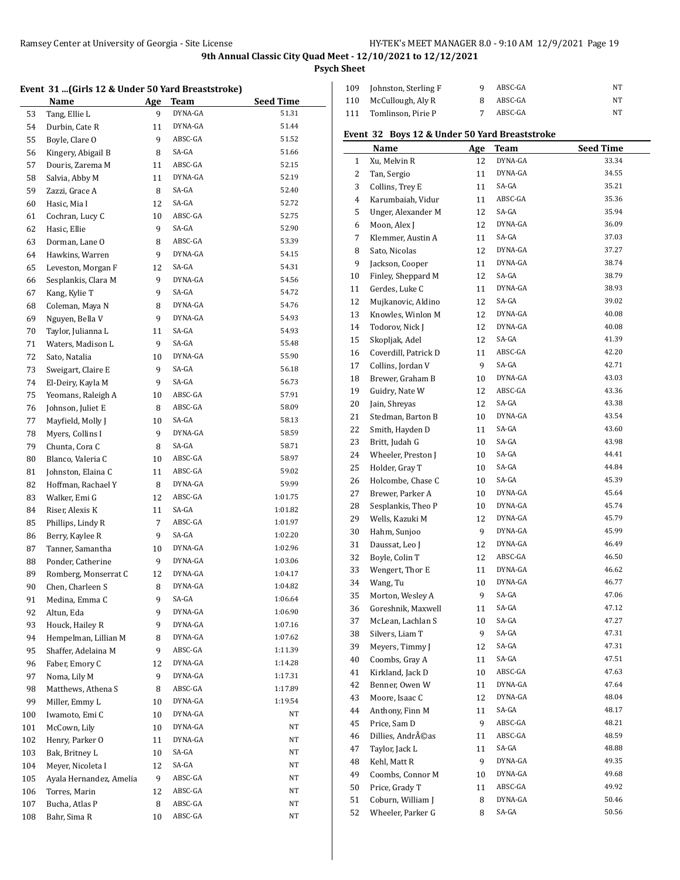**Psych Sheet**

## **Event 31 ...(Girls 12 & Under 50 Yard Breaststroke)**

|     | 20 million of the context of the preases and t |     |             |                  |
|-----|------------------------------------------------|-----|-------------|------------------|
|     | <b>Name</b>                                    | Age | <b>Team</b> | <b>Seed Time</b> |
| 53  | Tang, Ellie L                                  | 9   | DYNA-GA     | 51.31            |
| 54  | Durbin, Cate R                                 | 11  | DYNA-GA     | 51.44            |
| 55  | Boyle, Clare O                                 | 9   | ABSC-GA     | 51.52            |
| 56  | Kingery, Abigail B                             | 8   | SA-GA       | 51.66            |
| 57  | Douris, Zarema M                               | 11  | ABSC-GA     | 52.15            |
| 58  | Salvia, Abby M                                 | 11  | DYNA-GA     | 52.19            |
| 59  | Zazzi, Grace A                                 | 8   | SA-GA       | 52.40            |
| 60  | Hasic, Mia I                                   | 12  | SA-GA       | 52.72            |
| 61  | Cochran, Lucy C                                | 10  | ABSC-GA     | 52.75            |
| 62  | Hasic, Ellie                                   | 9   | SA-GA       | 52.90            |
| 63  | Dorman, Lane O                                 | 8   | ABSC-GA     | 53.39            |
| 64  | Hawkins, Warren                                | 9   | DYNA-GA     | 54.15            |
| 65  | Leveston, Morgan F                             | 12  | SA-GA       | 54.31            |
| 66  | Sesplankis, Clara M                            | 9   | DYNA-GA     | 54.56            |
| 67  | Kang, Kylie T                                  | 9   | SA-GA       | 54.72            |
| 68  | Coleman, Maya N                                | 8   | DYNA-GA     | 54.76            |
| 69  | Nguyen, Bella V                                | 9   | DYNA-GA     | 54.93            |
| 70  | Taylor, Julianna L                             | 11  | SA-GA       | 54.93            |
| 71  | Waters, Madison L                              | 9   | SA-GA       | 55.48            |
| 72  | Sato, Natalia                                  | 10  | DYNA-GA     | 55.90            |
| 73  | Sweigart, Claire E                             | 9   | SA-GA       | 56.18            |
| 74  | El-Deiry, Kayla M                              | 9   | SA-GA       | 56.73            |
| 75  | Yeomans, Raleigh A                             | 10  | ABSC-GA     | 57.91            |
| 76  | Johnson, Juliet E                              | 8   | ABSC-GA     | 58.09            |
| 77  | Mayfield, Molly J                              | 10  | SA-GA       | 58.13            |
| 78  | Myers, Collins I                               | 9   | DYNA-GA     | 58.59            |
| 79  | Chunta, Cora C                                 | 8   | SA-GA       | 58.71            |
| 80  | Blanco, Valeria C                              | 10  | ABSC-GA     | 58.97            |
| 81  | Johnston, Elaina C                             | 11  | ABSC-GA     | 59.02            |
| 82  | Hoffman, Rachael Y                             | 8   | DYNA-GA     | 59.99            |
| 83  | Walker, Emi G                                  | 12  | ABSC-GA     | 1:01.75          |
|     |                                                | 11  | SA-GA       | 1:01.82          |
| 84  | Riser, Alexis K                                | 7   | ABSC-GA     | 1:01.97          |
| 85  | Phillips, Lindy R<br>Berry, Kaylee R           | 9   | SA-GA       | 1:02.20          |
| 86  |                                                |     | DYNA-GA     | 1:02.96          |
| 87  | Tanner, Samantha                               | 10  | DYNA-GA     | 1:03.06          |
| 88  | Ponder, Catherine                              | 9   | DYNA-GA     | 1:04.17          |
| 89  | Romberg, Monserrat C                           | 12  |             |                  |
| 90  | Chen, Charleen S                               | 8   | DYNA-GA     | 1:04.82          |
| 91  | Medina, Emma C                                 | 9   | SA-GA       | 1:06.64          |
| 92  | Altun, Eda                                     | 9   | DYNA-GA     | 1:06.90          |
| 93  | Houck, Hailey R                                | 9   | DYNA-GA     | 1:07.16          |
| 94  | Hempelman, Lillian M                           | 8   | DYNA-GA     | 1:07.62          |
| 95  | Shaffer, Adelaina M                            | 9   | ABSC-GA     | 1:11.39          |
| 96  | Faber, Emory C                                 | 12  | DYNA-GA     | 1:14.28          |
| 97  | Noma, Lily M                                   | 9   | DYNA-GA     | 1:17.31          |
| 98  | Matthews, Athena S                             | 8   | ABSC-GA     | 1:17.89          |
| 99  | Miller, Emmy L                                 | 10  | DYNA-GA     | 1:19.54          |
| 100 | Iwamoto, Emi C                                 | 10  | DYNA-GA     | NΤ               |
| 101 | McCown, Lily                                   | 10  | DYNA-GA     | NΤ               |
| 102 | Henry, Parker O                                | 11  | DYNA-GA     | NΤ               |
| 103 | Bak, Britney L                                 | 10  | SA-GA       | NT               |
| 104 | Meyer, Nicoleta I                              | 12  | SA-GA       | NT               |
| 105 | Ayala Hernandez, Amelia                        | 9   | ABSC-GA     | NT               |
| 106 | Torres, Marin                                  | 12  | ABSC-GA     | NT               |
| 107 | Bucha, Atlas P                                 | 8   | ABSC-GA     | NΤ               |
| 108 | Bahr, Sima R                                   | 10  | ABSC-GA     | NΤ               |

|     | 109 Johnston, Sterling F | Q | ABSC-GA | NΤ |
|-----|--------------------------|---|---------|----|
|     | 110 McCullough, Aly R    |   | ABSC-GA | NT |
| 111 | Tomlinson. Pirie P       |   | ABSC-GA | NΤ |

## **Event 32 Boys 12 & Under 50 Yard Breaststroke**

|    | Name                 | Age | <b>Team</b> | <b>Seed Time</b> |
|----|----------------------|-----|-------------|------------------|
| 1  | Xu, Melvin R         | 12  | DYNA-GA     | 33.34            |
| 2  | Tan, Sergio          | 11  | DYNA-GA     | 34.55            |
| 3  | Collins, Trey E      | 11  | SA-GA       | 35.21            |
| 4  | Karumbaiah, Vidur    | 11  | ABSC-GA     | 35.36            |
| 5  | Unger, Alexander M   | 12  | SA-GA       | 35.94            |
| 6  | Moon, Alex J         | 12  | DYNA-GA     | 36.09            |
| 7  | Klemmer, Austin A    | 11  | SA-GA       | 37.03            |
| 8  | Sato, Nicolas        | 12  | DYNA-GA     | 37.27            |
| 9  | Jackson, Cooper      | 11  | DYNA-GA     | 38.74            |
| 10 | Finley, Sheppard M   | 12  | SA-GA       | 38.79            |
| 11 | Gerdes, Luke C       | 11  | DYNA-GA     | 38.93            |
| 12 | Mujkanovic, Aldino   | 12  | SA-GA       | 39.02            |
| 13 | Knowles, Winlon M    | 12  | DYNA-GA     | 40.08            |
| 14 | Todorov, Nick J      | 12  | DYNA-GA     | 40.08            |
| 15 | Skopljak, Adel       | 12  | SA-GA       | 41.39            |
| 16 | Coverdill, Patrick D | 11  | ABSC-GA     | 42.20            |
| 17 | Collins, Jordan V    | 9   | SA-GA       | 42.71            |
| 18 | Brewer, Graham B     | 10  | DYNA-GA     | 43.03            |
| 19 | Guidry, Nate W       | 12  | ABSC-GA     | 43.36            |
| 20 | Jain, Shreyas        | 12  | SA-GA       | 43.38            |
| 21 | Stedman, Barton B    | 10  | DYNA-GA     | 43.54            |
| 22 | Smith, Hayden D      | 11  | SA-GA       | 43.60            |
| 23 | Britt, Judah G       | 10  | SA-GA       | 43.98            |
| 24 | Wheeler, Preston J   | 10  | SA-GA       | 44.41            |
| 25 | Holder, Gray T       | 10  | SA-GA       | 44.84            |
| 26 | Holcombe, Chase C    | 10  | SA-GA       | 45.39            |
| 27 | Brewer, Parker A     | 10  | DYNA-GA     | 45.64            |
| 28 | Sesplankis, Theo P   | 10  | DYNA-GA     | 45.74            |
| 29 | Wells, Kazuki M      | 12  | DYNA-GA     | 45.79            |
| 30 | Hahm, Sunjoo         | 9   | DYNA-GA     | 45.99            |
| 31 | Daussat, Leo J       | 12  | DYNA-GA     | 46.49            |
| 32 | Boyle, Colin T       | 12  | ABSC-GA     | 46.50            |
| 33 | Wengert, Thor E      | 11  | DYNA-GA     | 46.62            |
| 34 | Wang, Tu             | 10  | DYNA-GA     | 46.77            |
| 35 | Morton, Wesley A     | 9   | SA-GA       | 47.06            |
| 36 | Goreshnik, Maxwell   | 11  | SA-GA       | 47.12            |
| 37 | McLean, Lachlan S    | 10  | SA-GA       | 47.27            |
| 38 | Silvers, Liam T      | 9   | SA-GA       | 47.31            |
| 39 | Meyers, Timmy J      | 12  | SA-GA       | 47.31            |
| 40 | Coombs, Gray A       | 11  | SA-GA       | 47.51            |
| 41 | Kirkland, Jack D     | 10  | ABSC-GA     | 47.63            |
| 42 | Benner, Owen W       | 11  | DYNA-GA     | 47.64            |
| 43 | Moore, Isaac C       | 12  | DYNA-GA     | 48.04            |
| 44 | Anthony, Finn M      | 11  | SA-GA       | 48.17            |
| 45 | Price, Sam D         | 9   | ABSC-GA     | 48.21            |
| 46 | Dillies, Andréas     | 11  | ABSC-GA     | 48.59            |
| 47 | Taylor, Jack L       | 11  | SA-GA       | 48.88            |
| 48 | Kehl, Matt R         | 9   | DYNA-GA     | 49.35            |
| 49 | Coombs, Connor M     | 10  | DYNA-GA     | 49.68            |
| 50 | Price, Grady T       | 11  | ABSC-GA     | 49.92            |
| 51 | Coburn, William J    | 8   | DYNA-GA     | 50.46            |
| 52 | Wheeler, Parker G    | 8   | SA-GA       | 50.56            |
|    |                      |     |             |                  |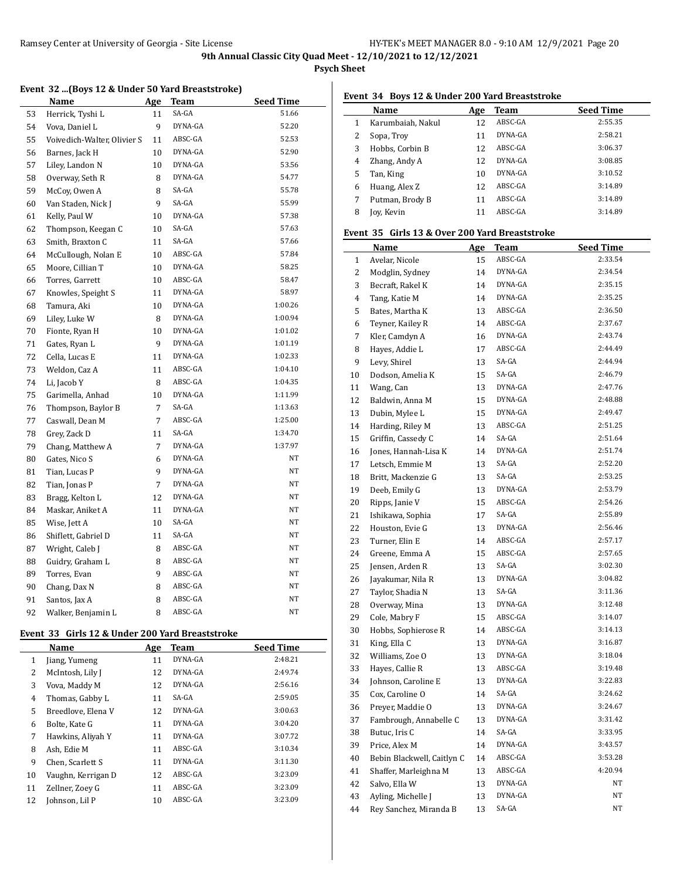**Psych Sheet**

## **Event 32 ...(Boys 12 & Under 50 Yard Breaststroke)**

|    | Name                        | <u>Age</u>     | <b>Team</b> | <b>Seed Time</b> |
|----|-----------------------------|----------------|-------------|------------------|
| 53 | Herrick, Tyshi L            | 11             | SA-GA       | 51.66            |
| 54 | Vova, Daniel L              | 9              | DYNA-GA     | 52.20            |
| 55 | Voivedich-Walter, Olivier S | 11             | ABSC-GA     | 52.53            |
| 56 | Barnes, Jack H              | 10             | DYNA-GA     | 52.90            |
| 57 | Liley, Landon N             | 10             | DYNA-GA     | 53.56            |
| 58 | Overway, Seth R             | 8              | DYNA-GA     | 54.77            |
| 59 | McCoy, Owen A               | 8              | SA-GA       | 55.78            |
| 60 | Van Staden, Nick J          | 9              | SA-GA       | 55.99            |
| 61 | Kelly, Paul W               | 10             | DYNA-GA     | 57.38            |
| 62 | Thompson, Keegan C          | 10             | SA-GA       | 57.63            |
| 63 | Smith, Braxton C            | 11             | SA-GA       | 57.66            |
| 64 | McCullough, Nolan E         | 10             | ABSC-GA     | 57.84            |
| 65 | Moore, Cillian T            | 10             | DYNA-GA     | 58.25            |
| 66 | Torres, Garrett             | 10             | ABSC-GA     | 58.47            |
| 67 | Knowles, Speight S          | 11             | DYNA-GA     | 58.97            |
| 68 | Tamura, Aki                 | 10             | DYNA-GA     | 1:00.26          |
| 69 | Liley, Luke W               | 8              | DYNA-GA     | 1:00.94          |
| 70 | Fionte, Ryan H              | 10             | DYNA-GA     | 1:01.02          |
| 71 | Gates, Ryan L               | 9              | DYNA-GA     | 1:01.19          |
| 72 | Cella, Lucas E              | 11             | DYNA-GA     | 1:02.33          |
| 73 | Weldon, Caz A               | 11             | ABSC-GA     | 1:04.10          |
| 74 | Li, Jacob Y                 | 8              | ABSC-GA     | 1:04.35          |
| 75 | Garimella, Anhad            | 10             | DYNA-GA     | 1:11.99          |
| 76 | Thompson, Baylor B          | $\overline{7}$ | SA-GA       | 1:13.63          |
| 77 | Caswall, Dean M             | 7              | ABSC-GA     | 1:25.00          |
| 78 | Grey, Zack D                | 11             | SA-GA       | 1:34.70          |
| 79 | Chang, Matthew A            | $\overline{7}$ | DYNA-GA     | 1:37.97          |
| 80 | Gates, Nico S               | 6              | DYNA-GA     | NΤ               |
| 81 | Tian, Lucas P               | 9              | DYNA-GA     | NT               |
| 82 | Tian, Jonas P               | 7              | DYNA-GA     | NT               |
| 83 | Bragg, Kelton L             | 12             | DYNA-GA     | NT               |
| 84 | Maskar, Aniket A            | 11             | DYNA-GA     | NT               |
| 85 | Wise, Jett A                | 10             | SA-GA       | NT               |
| 86 | Shiflett, Gabriel D         | 11             | SA-GA       | NT               |
| 87 | Wright, Caleb J             | 8              | ABSC-GA     | NT               |
| 88 | Guidry, Graham L            | 8              | ABSC-GA     | $_{\rm NT}$      |
| 89 | Torres, Evan                | 9              | ABSC-GA     | $_{\rm NT}$      |
| 90 | Chang, Dax N                | 8              | ABSC-GA     | $_{\rm NT}$      |
| 91 | Santos, Jax A               | 8              | ABSC-GA     | NT               |
| 92 | Walker, Benjamin L          | 8              | ABSC-GA     | NT               |

#### **Event 33 Girls 12 & Under 200 Yard Breaststroke**

|    | Name               | Age | <b>Team</b> | <b>Seed Time</b> |
|----|--------------------|-----|-------------|------------------|
| 1  | Jiang, Yumeng      | 11  | DYNA-GA     | 2:48.21          |
| 2  | McIntosh, Lily J   | 12  | DYNA-GA     | 2:49.74          |
| 3  | Vova, Maddy M      | 12  | DYNA-GA     | 2:56.16          |
| 4  | Thomas, Gabby L    | 11  | SA-GA       | 2:59.05          |
| 5  | Breedlove, Elena V | 12  | DYNA-GA     | 3:00.63          |
| 6  | Bolte. Kate G      | 11  | DYNA-GA     | 3:04.20          |
| 7  | Hawkins, Aliyah Y  | 11  | DYNA-GA     | 3:07.72          |
| 8  | Ash, Edie M        | 11  | ABSC-GA     | 3:10.34          |
| 9  | Chen, Scarlett S   | 11  | DYNA-GA     | 3:11.30          |
| 10 | Vaughn, Kerrigan D | 12  | ABSC-GA     | 3:23.09          |
| 11 | Zellner, Zoey G    | 11  | ABSC-GA     | 3:23.09          |
| 12 | Johnson. Lil P     | 10  | ABSC-GA     | 3:23.09          |

### **Event 34 Boys 12 & Under 200 Yard Breaststroke**

|   | Name              | Age | Team    | <b>Seed Time</b> |
|---|-------------------|-----|---------|------------------|
|   | Karumbaiah, Nakul | 12  | ABSC-GA | 2:55.35          |
|   | Sopa, Troy        | 11  | DYNA-GA | 2:58.21          |
| 3 | Hobbs, Corbin B   | 12  | ABSC-GA | 3:06.37          |
| 4 | Zhang, Andy A     | 12  | DYNA-GA | 3:08.85          |
| 5 | Tan, King         | 10  | DYNA-GA | 3:10.52          |
| 6 | Huang, Alex Z     | 12  | ABSC-GA | 3:14.89          |
|   | Putman, Brody B   | 11  | ABSC-GA | 3:14.89          |
| 8 | Joy, Kevin        |     | ABSC-GA | 3:14.89          |

### **Event 35 Girls 13 & Over 200 Yard Breaststroke**

|                | Name                       | <u>Age</u> | Team    | <b>Seed Time</b> |
|----------------|----------------------------|------------|---------|------------------|
| $\mathbf{1}$   | Avelar, Nicole             | 15         | ABSC-GA | 2:33.54          |
| 2              | Modglin, Sydney            | 14         | DYNA-GA | 2:34.54          |
| 3              | Becraft, Rakel K           | 14         | DYNA-GA | 2:35.15          |
| 4              | Tang, Katie M              | 14         | DYNA-GA | 2:35.25          |
| 5              | Bates, Martha K            | 13         | ABSC-GA | 2:36.50          |
| 6              | Teyner, Kailey R           | 14         | ABSC-GA | 2:37.67          |
| $\overline{7}$ | Kler, Camdyn A             | 16         | DYNA-GA | 2:43.74          |
| 8              | Hayes, Addie L             | 17         | ABSC-GA | 2:44.49          |
| 9              | Levy, Shirel               | 13         | SA-GA   | 2:44.94          |
| 10             | Dodson, Amelia K           | 15         | SA-GA   | 2:46.79          |
| 11             | Wang, Can                  | 13         | DYNA-GA | 2:47.76          |
| 12             | Baldwin, Anna M            | 15         | DYNA-GA | 2:48.88          |
| 13             | Dubin, Mylee L             | 15         | DYNA-GA | 2:49.47          |
| 14             | Harding, Riley M           | 13         | ABSC-GA | 2:51.25          |
| 15             | Griffin, Cassedy C         | 14         | SA-GA   | 2:51.64          |
| 16             | Jones, Hannah-Lisa K       | 14         | DYNA-GA | 2:51.74          |
| 17             | Letsch, Emmie M            | 13         | SA-GA   | 2:52.20          |
| 18             | Britt, Mackenzie G         | 13         | SA-GA   | 2:53.25          |
| 19             | Deeb, Emily G              | 13         | DYNA-GA | 2:53.79          |
| 20             | Ripps, Janie V             | 15         | ABSC-GA | 2:54.26          |
| 21             | Ishikawa, Sophia           | 17         | SA-GA   | 2:55.89          |
| 22             | Houston, Evie G            | 13         | DYNA-GA | 2:56.46          |
| 23             | Turner, Elin E             | 14         | ABSC-GA | 2:57.17          |
| 24             | Greene, Emma A             | 15         | ABSC-GA | 2:57.65          |
| 25             | Jensen, Arden R            | 13         | SA-GA   | 3:02.30          |
| 26             | Jayakumar, Nila R          | 13         | DYNA-GA | 3:04.82          |
| 27             | Taylor, Shadia N           | 13         | SA-GA   | 3:11.36          |
| 28             | Overway, Mina              | 13         | DYNA-GA | 3:12.48          |
| 29             | Cole, Mabry F              | 15         | ABSC-GA | 3:14.07          |
| 30             | Hobbs, Sophierose R        | 14         | ABSC-GA | 3:14.13          |
| 31             | King, Ella C               | 13         | DYNA-GA | 3:16.87          |
| 32             | Williams, Zoe O            | 13         | DYNA-GA | 3:18.04          |
| 33             | Hayes, Callie R            | 13         | ABSC-GA | 3:19.48          |
| 34             | Johnson, Caroline E        | 13         | DYNA-GA | 3:22.83          |
| 35             | Cox, Caroline O            | 14         | SA-GA   | 3:24.62          |
| 36             | Preyer, Maddie O           | 13         | DYNA-GA | 3:24.67          |
| 37             | Fambrough, Annabelle C     | 13         | DYNA-GA | 3:31.42          |
| 38             | Butuc, Iris C              | 14         | SA-GA   | 3:33.95          |
| 39             | Price, Alex M              | 14         | DYNA-GA | 3:43.57          |
| 40             | Bebin Blackwell, Caitlyn C | 14         | ABSC-GA | 3:53.28          |
| 41             | Shaffer, Marleighna M      | 13         | ABSC-GA | 4:20.94          |
| 42             | Salvo, Ella W              | 13         | DYNA-GA | NT               |
| 43             | Ayling, Michelle J         | 13         | DYNA-GA | NT               |
| 44             | Rey Sanchez, Miranda B     | 13         | SA-GA   | NT               |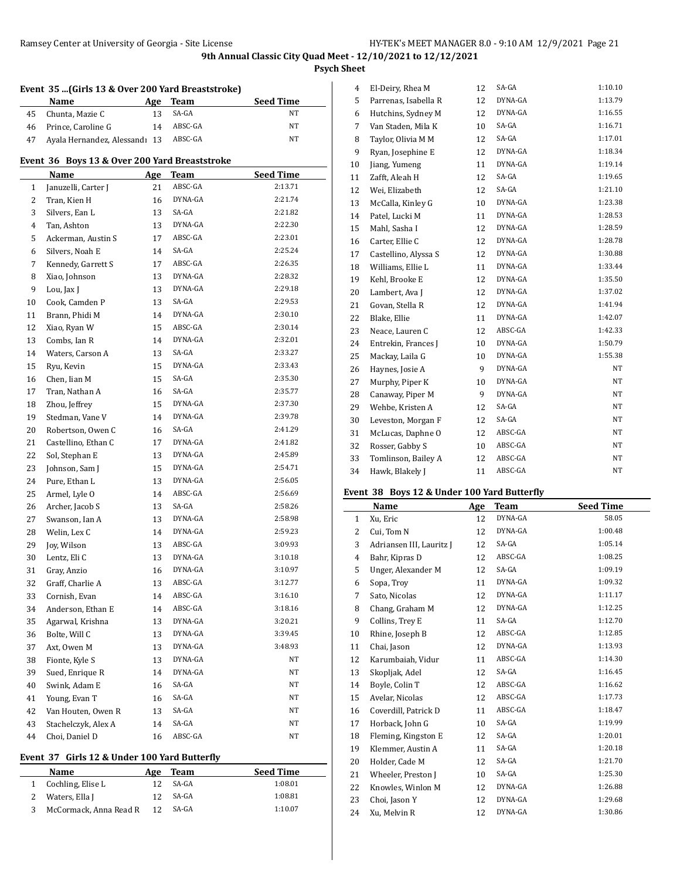**Psych Sheet**

|    | Name                                          | Age | Team    | <b>Seed Time</b> |
|----|-----------------------------------------------|-----|---------|------------------|
| 45 | Chunta, Mazie C                               | 13  | SA-GA   | NΤ               |
| 46 | Prince, Caroline G                            | 14  | ABSC-GA | NT               |
| 47 | Ayala Hernandez, Alessandı 13                 |     | ABSC-GA | NT               |
|    | Event 36 Boys 13 & Over 200 Yard Breaststroke |     |         |                  |
|    | Name                                          | Age | Team    | <b>Seed Time</b> |
| 1  | Januzelli, Carter J                           | 21  | ABSC-GA | 2:13.71          |
| 2  | Tran, Kien H                                  | 16  | DYNA-GA | 2:21.74          |
| 3  | Silvers. Ean L                                | 13  | SA-GA   | 2:21.82          |
| 4  | Tan, Ashton                                   | 13  | DYNA-GA | 2:22.30          |
| 5  | Ackerman, Austin S                            | 17  | ABSC-GA | 2:23.01          |
| 6  | Silvers, Noah E                               | 14  | SA-GA   | 2:25.24          |
| 7  | Kennedy, Garrett S                            | 17  | ABSC-GA | 2:26.35          |
| 8  | Xiao, Johnson                                 | 13  | DYNA-GA | 2:28.32          |
| 9  | Lou, Jax J                                    | 13  | DYNA-GA | 2:29.18          |
| 10 | Cook, Camden P                                | 13  | SA-GA   | 2:29.53          |
| 11 | Brann, Phidi M                                | 14  | DYNA-GA | 2:30.10          |
| 12 | Xiao, Ryan W                                  | 15  | ABSC-GA | 2:30.14          |
| 13 | Combs, Ian R                                  | 14  | DYNA-GA | 2:32.01          |
| 14 | Waters, Carson A                              | 13  | SA-GA   | 2:33.27          |
| 15 | Ryu, Kevin                                    | 15  | DYNA-GA | 2:33.43          |
| 16 | Chen, Iian M                                  | 15  | SA-GA   | 2:35.30          |
| 17 | Tran, Nathan A                                | 16  | SA-GA   | 2:35.77          |
| 18 | Zhou, Jeffrey                                 | 15  | DYNA-GA | 2:37.30          |
| 19 | Stedman, Vane V                               | 14  | DYNA-GA | 2:39.78          |
| 20 | Robertson, Owen C                             | 16  | SA-GA   | 2:41.29          |
| 21 | Castellino, Ethan C                           | 17  | DYNA-GA | 2:41.82          |
| 22 | Sol, Stephan E                                | 13  | DYNA-GA | 2:45.89          |
| 23 | Johnson, Sam J                                | 15  | DYNA-GA | 2:54.71          |
| 24 | Pure, Ethan L                                 | 13  | DYNA-GA | 2:56.05          |
| 25 | Armel, Lyle O                                 | 14  | ABSC-GA | 2:56.69          |
| 26 | Archer, Jacob S                               | 13  | SA-GA   | 2:58.26          |
| 27 | Swanson, Ian A                                | 13  | DYNA-GA | 2:58.98          |
| 28 | Welin, Lex C                                  | 14  | DYNA-GA | 2:59.23          |
| 29 | Joy, Wilson                                   | 13  | ABSC-GA | 3:09.93          |
| 30 | Lentz, Eli C                                  | 13  | DYNA-GA | 3:10.18          |
| 31 | Gray, Anzio                                   | 16  | DYNA-GA | 3:10.97          |
| 32 | Graff, Charlie A                              | 13  | ABSC-GA | 3:12.77          |
| 33 | Cornish, Evan                                 | 14  | ABSC-GA | 3:16.10          |
| 34 | Anderson, Ethan E                             | 14  | ABSC-GA | 3:18.16          |
| 35 | Agarwal, Krishna                              | 13  | DYNA-GA | 3:20.21          |
| 36 | Bolte, Will C                                 | 13  | DYNA-GA | 3:39.45          |
| 37 | Axt, Owen M                                   | 13  | DYNA-GA | 3:48.93          |
| 38 | Fionte, Kyle S                                | 13  | DYNA-GA | NΤ               |
| 39 | Sued, Enrique R                               | 14  | DYNA-GA | NΤ               |
| 40 | Swink, Adam E                                 | 16  | SA-GA   | NΤ               |
| 41 | Young, Evan T                                 | 16  | SA-GA   | NΤ               |
| 42 | Van Houten, Owen R                            | 13  | SA-GA   | NT               |
| 43 | Stachelczyk, Alex A                           | 14  | SA-GA   | NT               |
|    | Choi, Daniel D                                | 16  | ABSC-GA | NT               |

# **Event 37 Girls 12 & Under 100 Yard Butterfly**

| Name                     | Age | Team  | <b>Seed Time</b> |
|--------------------------|-----|-------|------------------|
| 1 Cochling, Elise L      |     | SA-GA | 1:08.01          |
| 2 Waters, Ella J         | 12  | SA-GA | 1:08.81          |
| 3 McCormack, Anna Read R | 12  | SA-GA | 1:10.07          |

| 4  | El-Deiry, Rhea M     | 12 | SA-GA   | 1:10.10 |
|----|----------------------|----|---------|---------|
| 5  | Parrenas, Isabella R | 12 | DYNA-GA | 1:13.79 |
| 6  | Hutchins, Sydney M   | 12 | DYNA-GA | 1:16.55 |
| 7  | Van Staden, Mila K   | 10 | SA-GA   | 1:16.71 |
| 8  | Taylor, Olivia M M   | 12 | SA-GA   | 1:17.01 |
| 9  | Ryan, Josephine E    | 12 | DYNA-GA | 1:18.34 |
| 10 | Jiang, Yumeng        | 11 | DYNA-GA | 1:19.14 |
| 11 | Zafft, Aleah H       | 12 | SA-GA   | 1:19.65 |
| 12 | Wei, Elizabeth       | 12 | SA-GA   | 1:21.10 |
| 13 | McCalla, Kinley G    | 10 | DYNA-GA | 1:23.38 |
| 14 | Patel, Lucki M       | 11 | DYNA-GA | 1:28.53 |
| 15 | Mahl, Sasha I        | 12 | DYNA-GA | 1:28.59 |
| 16 | Carter, Ellie C      | 12 | DYNA-GA | 1:28.78 |
| 17 | Castellino, Alyssa S | 12 | DYNA-GA | 1:30.88 |
| 18 | Williams, Ellie L    | 11 | DYNA-GA | 1:33.44 |
| 19 | Kehl, Brooke E       | 12 | DYNA-GA | 1:35.50 |
| 20 | Lambert, Ava J       | 12 | DYNA-GA | 1:37.02 |
| 21 | Govan, Stella R      | 12 | DYNA-GA | 1:41.94 |
| 22 | Blake, Ellie         | 11 | DYNA-GA | 1:42.07 |
| 23 | Neace, Lauren C      | 12 | ABSC-GA | 1:42.33 |
| 24 | Entrekin, Frances J  | 10 | DYNA-GA | 1:50.79 |
| 25 | Mackay, Laila G      | 10 | DYNA-GA | 1:55.38 |
| 26 | Haynes, Josie A      | 9  | DYNA-GA | NT      |
| 27 | Murphy, Piper K      | 10 | DYNA-GA | NT      |
| 28 | Canaway, Piper M     | 9  | DYNA-GA | NT      |
| 29 | Wehbe, Kristen A     | 12 | SA-GA   | NT      |
| 30 | Leveston, Morgan F   | 12 | SA-GA   | NT      |
| 31 | McLucas, Daphne O    | 12 | ABSC-GA | NT      |
| 32 | Rosser, Gabby S      | 10 | ABSC-GA | NT      |
| 33 | Tomlinson, Bailey A  | 12 | ABSC-GA | NT      |
| 34 | Hawk, Blakely J      | 11 | ABSC-GA | NT      |
|    |                      |    |         |         |

## **Event 38 Boys 12 & Under 100 Yard Butterfly**

|              | Name                     | Age | <b>Team</b> | <b>Seed Time</b> |
|--------------|--------------------------|-----|-------------|------------------|
| $\mathbf{1}$ | Xu, Eric                 | 12  | DYNA-GA     | 58.05            |
| 2            | Cui, Tom N               | 12  | DYNA-GA     | 1:00.48          |
| 3            | Adriansen III, Lauritz J | 12  | SA-GA       | 1:05.14          |
| 4            | Bahr, Kipras D           | 12  | ABSC-GA     | 1:08.25          |
| 5            | Unger, Alexander M       | 12  | SA-GA       | 1:09.19          |
| 6            | Sopa, Troy               | 11  | DYNA-GA     | 1:09.32          |
| 7            | Sato, Nicolas            | 12  | DYNA-GA     | 1:11.17          |
| 8            | Chang, Graham M          | 12  | DYNA-GA     | 1:12.25          |
| 9            | Collins, Trey E          | 11  | SA-GA       | 1:12.70          |
| 10           | Rhine, Joseph B          | 12  | ABSC-GA     | 1:12.85          |
| 11           | Chai, Jason              | 12  | DYNA-GA     | 1:13.93          |
| 12           | Karumbaiah, Vidur        | 11  | ABSC-GA     | 1:14.30          |
| 13           | Skopljak, Adel           | 12  | SA-GA       | 1:16.45          |
| 14           | Boyle, Colin T           | 12  | ABSC-GA     | 1:16.62          |
| 15           | Avelar, Nicolas          | 12  | ABSC-GA     | 1:17.73          |
| 16           | Coverdill, Patrick D     | 11  | ABSC-GA     | 1:18.47          |
| 17           | Horback, John G          | 10  | SA-GA       | 1:19.99          |
| 18           | Fleming, Kingston E      | 12  | SA-GA       | 1:20.01          |
| 19           | Klemmer, Austin A        | 11  | SA-GA       | 1:20.18          |
| 20           | Holder, Cade M           | 12  | SA-GA       | 1:21.70          |
| 21           | Wheeler, Preston J       | 10  | SA-GA       | 1:25.30          |
| 22           | Knowles, Winlon M        | 12  | DYNA-GA     | 1:26.88          |
| 23           | Choi, Jason Y            | 12  | DYNA-GA     | 1:29.68          |
| 24           | Xu. Melvin R             | 12  | DYNA-GA     | 1:30.86          |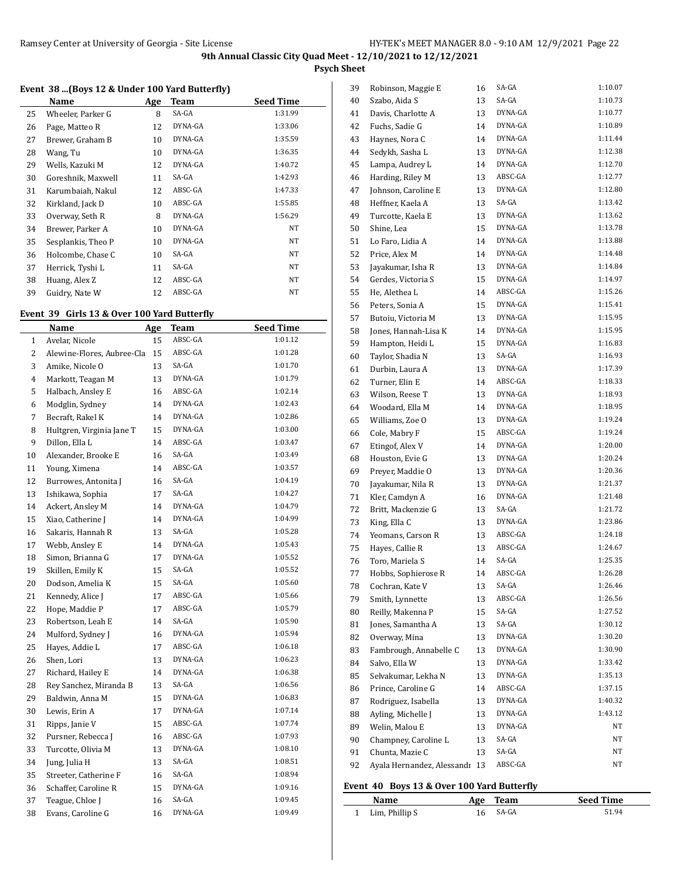**Psych Sheet**

## **Event 38 ...(Boys 12 & Under 100 Yard Butterfly)**

|    | Name               | Age | Team    | <b>Seed Time</b> |
|----|--------------------|-----|---------|------------------|
| 25 | Wheeler, Parker G  | 8   | SA-GA   | 1:31.99          |
| 26 | Page, Matteo R     | 12  | DYNA-GA | 1:33.06          |
| 27 | Brewer, Graham B   | 10  | DYNA-GA | 1:35.59          |
| 28 | Wang, Tu           | 10  | DYNA-GA | 1:36.35          |
| 29 | Wells, Kazuki M    | 12  | DYNA-GA | 1:40.72          |
| 30 | Goreshnik, Maxwell | 11  | SA-GA   | 1:42.93          |
| 31 | Karumbaiah, Nakul  | 12  | ABSC-GA | 1:47.33          |
| 32 | Kirkland, Jack D   | 10  | ABSC-GA | 1:55.85          |
| 33 | Overway, Seth R    | 8   | DYNA-GA | 1:56.29          |
| 34 | Brewer, Parker A   | 10  | DYNA-GA | NT               |
| 35 | Sesplankis, Theo P | 10  | DYNA-GA | NT               |
| 36 | Holcombe, Chase C  | 10  | SA-GA   | NT               |
| 37 | Herrick, Tyshi L   | 11  | SA-GA   | NT               |
| 38 | Huang, Alex Z      | 12  | ABSC-GA | NT               |
| 39 | Guidry, Nate W     | 12  | ABSC-GA | NT               |

## **Event 39 Girls 13 & Over 100 Yard Butterfly**

|              | Name                       | <u>Age</u> | <b>Team</b> | <u>Seed Time</u> |
|--------------|----------------------------|------------|-------------|------------------|
| $\mathbf{1}$ | Avelar, Nicole             | 15         | ABSC-GA     | 1:01.12          |
| 2            | Alewine-Flores, Aubree-Cla | 15         | ABSC-GA     | 1:01.28          |
| 3            | Amike, Nicole O            | 13         | SA-GA       | 1:01.70          |
| 4            | Markott, Teagan M          | 13         | DYNA-GA     | 1:01.79          |
| 5            | Halbach, Ansley E          | 16         | ABSC-GA     | 1:02.14          |
| 6            | Modglin, Sydney            | 14         | DYNA-GA     | 1:02.43          |
| 7            | Becraft, Rakel K           | 14         | DYNA-GA     | 1:02.86          |
| 8            | Hultgren, Virginia Jane T  | 15         | DYNA-GA     | 1:03.00          |
| 9            | Dillon, Ella L             | 14         | ABSC-GA     | 1:03.47          |
| 10           | Alexander, Brooke E        | 16         | SA-GA       | 1:03.49          |
| 11           | Young, Ximena              | 14         | ABSC-GA     | 1:03.57          |
| 12           | Burrowes, Antonita J       | 16         | SA-GA       | 1:04.19          |
| 13           | Ishikawa, Sophia           | 17         | SA-GA       | 1:04.27          |
| 14           | Ackert, Ansley M           | 14         | DYNA-GA     | 1:04.79          |
| 15           | Xiao, Catherine J          | 14         | DYNA-GA     | 1:04.99          |
| 16           | Sakaris, Hannah R          | 13         | SA-GA       | 1:05.28          |
| 17           | Webb, Ansley E             | 14         | DYNA-GA     | 1:05.43          |
| 18           | Simon, Brianna G           | 17         | DYNA-GA     | 1:05.52          |
| 19           | Skillen, Emily K           | 15         | SA-GA       | 1:05.52          |
| 20           | Dodson, Amelia K           | 15         | SA-GA       | 1:05.60          |
| 21           | Kennedy, Alice J           | 17         | ABSC-GA     | 1:05.66          |
| 22           | Hope, Maddie P             | 17         | ABSC-GA     | 1:05.79          |
| 23           | Robertson, Leah E          | 14         | SA-GA       | 1:05.90          |
| 24           | Mulford, Sydney J          | 16         | DYNA-GA     | 1:05.94          |
| 25           | Hayes, Addie L             | 17         | ABSC-GA     | 1:06.18          |
| 26           | Shen, Lori                 | 13         | DYNA-GA     | 1:06.23          |
| 27           | Richard, Hailey E          | 14         | DYNA-GA     | 1:06.38          |
| 28           | Rey Sanchez, Miranda B     | 13         | SA-GA       | 1:06.56          |
| 29           | Baldwin, Anna M            | 15         | DYNA-GA     | 1:06.83          |
| 30           | Lewis, Erin A              | 17         | DYNA-GA     | 1:07.14          |
| 31           | Ripps, Janie V             | 15         | ABSC-GA     | 1:07.74          |
| 32           | Pursner, Rebecca J         | 16         | ABSC-GA     | 1:07.93          |
| 33           | Turcotte, Olivia M         | 13         | DYNA-GA     | 1:08.10          |
| 34           | Jung, Julia H              | 13         | SA-GA       | 1:08.51          |
| 35           | Streeter, Catherine F      | 16         | SA-GA       | 1:08.94          |
| 36           | Schaffer, Caroline R       | 15         | DYNA-GA     | 1:09.16          |
| 37           | Teague, Chloe J            | 16         | SA-GA       | 1:09.45          |
| 38           | Evans, Caroline G          | 16         | DYNA-GA     | 1:09.49          |

| 39 | Robinson, Maggie E         | 16 | SA-GA   | 1:10.07 |
|----|----------------------------|----|---------|---------|
| 40 | Szabo, Aida S              | 13 | SA-GA   | 1:10.73 |
| 41 | Davis, Charlotte A         | 13 | DYNA-GA | 1:10.77 |
| 42 | Fuchs, Sadie G             | 14 | DYNA-GA | 1:10.89 |
| 43 | Haynes, Nora C             | 14 | DYNA-GA | 1:11.44 |
| 44 | Sedykh, Sasha L            | 13 | DYNA-GA | 1:12.38 |
| 45 | Lampa, Audrey L            | 14 | DYNA-GA | 1:12.70 |
| 46 | Harding, Riley M           | 13 | ABSC-GA | 1:12.77 |
| 47 | Johnson, Caroline E        | 13 | DYNA-GA | 1:12.80 |
| 48 | Heffner, Kaela A           | 13 | SA-GA   | 1:13.42 |
| 49 | Turcotte, Kaela E          | 13 | DYNA-GA | 1:13.62 |
| 50 | Shine, Lea                 | 15 | DYNA-GA | 1:13.78 |
| 51 | Lo Faro, Lidia A           | 14 | DYNA-GA | 1:13.88 |
| 52 | Price, Alex M              | 14 | DYNA-GA | 1:14.48 |
| 53 | Jayakumar, Isha R          | 13 | DYNA-GA | 1:14.84 |
| 54 | Gerdes, Victoria S         | 15 | DYNA-GA | 1:14.97 |
| 55 | He, Alethea L              | 14 | ABSC-GA | 1:15.26 |
| 56 | Peters, Sonia A            | 15 | DYNA-GA | 1:15.41 |
| 57 | Butoiu, Victoria M         | 13 | DYNA-GA | 1:15.95 |
| 58 | Jones, Hannah-Lisa K       | 14 | DYNA-GA | 1:15.95 |
| 59 | Hampton, Heidi L           | 15 | DYNA-GA | 1:16.83 |
| 60 | Taylor, Shadia N           | 13 | SA-GA   | 1:16.93 |
| 61 | Durbin, Laura A            | 13 | DYNA-GA | 1:17.39 |
| 62 | Turner, Elin E             | 14 | ABSC-GA | 1:18.33 |
| 63 | Wilson, Reese T            | 13 | DYNA-GA | 1:18.93 |
| 64 | Woodard, Ella M            | 14 | DYNA-GA | 1:18.95 |
| 65 | Williams, Zoe O            | 13 | DYNA-GA | 1:19.24 |
| 66 | Cole, Mabry F              | 15 | ABSC-GA | 1:19.24 |
|    | Etingof, Alex V            | 14 | DYNA-GA | 1:20.00 |
| 67 |                            |    | DYNA-GA | 1:20.24 |
| 68 | Houston, Evie G            | 13 | DYNA-GA | 1:20.36 |
| 69 | Preyer, Maddie O           | 13 | DYNA-GA | 1:21.37 |
| 70 | Jayakumar, Nila R          | 13 | DYNA-GA |         |
| 71 | Kler, Camdyn A             | 16 |         | 1:21.48 |
| 72 | Britt, Mackenzie G         | 13 | SA-GA   | 1:21.72 |
| 73 | King, Ella C               | 13 | DYNA-GA | 1:23.86 |
| 74 | Yeomans, Carson R          | 13 | ABSC-GA | 1:24.18 |
| 75 | Hayes, Callie R            | 13 | ABSC-GA | 1:24.67 |
| 76 | Toro, Mariela S            | 14 | SA-GA   | 1:25.35 |
| 77 | Hobbs, Sophierose R        | 14 | ABSC-GA | 1:26.28 |
| 78 | Cochran, Kate V            | 13 | SA-GA   | 1:26.46 |
| 79 | Smith, Lynnette            | 13 | ABSC-GA | 1:26.56 |
| 80 | Reilly, Makenna P          | 15 | SA-GA   | 1:27.52 |
| 81 | Jones, Samantha A          | 13 | SA-GA   | 1:30.12 |
| 82 | Overway, Mina              | 13 | DYNA-GA | 1:30.20 |
| 83 | Fambrough, Annabelle C     | 13 | DYNA-GA | 1:30.90 |
| 84 | Salvo, Ella W              | 13 | DYNA-GA | 1:33.42 |
| 85 | Selvakumar, Lekha N        | 13 | DYNA-GA | 1:35.13 |
| 86 | Prince, Caroline G         | 14 | ABSC-GA | 1:37.15 |
| 87 | Rodriguez, Isabella        | 13 | DYNA-GA | 1:40.32 |
| 88 | Ayling, Michelle J         | 13 | DYNA-GA | 1:43.12 |
| 89 | Welin, Malou E             | 13 | DYNA-GA | NT      |
| 90 | Champney, Caroline L       | 13 | SA-GA   | NΤ      |
| 91 | Chunta, Mazie C            | 13 | SA-GA   | NΤ      |
| 92 | Ayala Hernandez, Alessandı | 13 | ABSC-GA | NΤ      |
|    |                            |    |         |         |

### **Event 40 Boys 13 & Over 100 Yard Butterfly**

| Name             | Age Team | <b>Seed Time</b> |
|------------------|----------|------------------|
| 1 Lim, Phillip S | 16 SA-GA | 51.94            |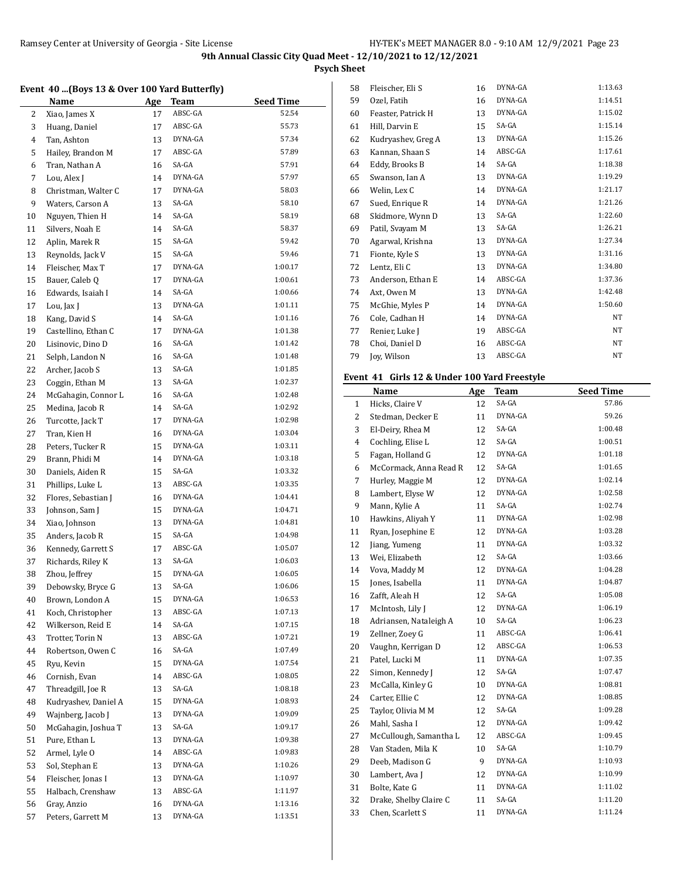**Psych Sheet**

### **Event 40 ...(Boys 13 & Over 100 Yard Butterfly)**

|    | <b>Name</b>          | <u>Age</u> | <b>Team</b>        | <b>Seed Time</b>   |
|----|----------------------|------------|--------------------|--------------------|
| 2  | Xiao, James X        | 17         | ABSC-GA            | 52.54              |
| 3  | Huang, Daniel        | 17         | ABSC-GA            | 55.73              |
| 4  | Tan, Ashton          | 13         | DYNA-GA            | 57.34              |
| 5  | Hailey, Brandon M    | 17         | ABSC-GA            | 57.89              |
| 6  | Tran, Nathan A       | 16         | SA-GA              | 57.91              |
| 7  | Lou, Alex J          | 14         | DYNA-GA            | 57.97              |
| 8  | Christman, Walter C  | 17         | DYNA-GA            | 58.03              |
| 9  | Waters, Carson A     | 13         | SA-GA              | 58.10              |
| 10 | Nguyen, Thien H      | 14         | SA-GA              | 58.19              |
| 11 | Silvers, Noah E      | 14         | SA-GA              | 58.37              |
| 12 | Aplin, Marek R       | 15         | SA-GA              | 59.42              |
| 13 | Reynolds, Jack V     | 15         | SA-GA              | 59.46              |
| 14 | Fleischer, Max T     | 17         | DYNA-GA            | 1:00.17            |
| 15 | Bauer, Caleb Q       | 17         | DYNA-GA            | 1:00.61            |
| 16 | Edwards, Isaiah I    | 14         | SA-GA              | 1:00.66            |
| 17 | Lou, Jax J           | 13         | DYNA-GA            | 1:01.11            |
| 18 | Kang, David S        | 14         | SA-GA              | 1:01.16            |
| 19 | Castellino, Ethan C  | 17         | DYNA-GA            | 1:01.38            |
| 20 | Lisinovic, Dino D    | 16         | SA-GA              | 1:01.42            |
| 21 | Selph, Landon N      | 16         | SA-GA              | 1:01.48            |
| 22 | Archer, Jacob S      | 13         | SA-GA              | 1:01.85            |
| 23 | Coggin, Ethan M      | 13         | SA-GA              | 1:02.37            |
| 24 | McGahagin, Connor L  | 16         | SA-GA              | 1:02.48            |
| 25 | Medina, Jacob R      | 14         | SA-GA              | 1:02.92            |
| 26 | Turcotte, Jack T     | 17         | DYNA-GA            | 1:02.98            |
| 27 | Tran, Kien H         | 16         | DYNA-GA            | 1:03.04            |
| 28 | Peters, Tucker R     | 15         | DYNA-GA            | 1:03.11            |
| 29 | Brann, Phidi M       | 14         | DYNA-GA            | 1:03.18            |
| 30 | Daniels, Aiden R     | 15         | SA-GA              | 1:03.32            |
| 31 | Phillips, Luke L     | 13         | ABSC-GA            | 1:03.35            |
| 32 | Flores, Sebastian J  | 16         | DYNA-GA            | 1:04.41            |
| 33 | Johnson, Sam J       | 15         | DYNA-GA            | 1:04.71            |
| 34 | Xiao, Johnson        | 13         | DYNA-GA            | 1:04.81            |
| 35 | Anders, Jacob R      | 15         | SA-GA              | 1:04.98            |
| 36 | Kennedy, Garrett S   | 17         | ABSC-GA            | 1:05.07            |
| 37 | Richards, Riley K    | 13         | SA-GA              | 1:06.03            |
| 38 | Zhou, Jeffrey        | 15         | DYNA-GA            | 1:06.05            |
| 39 | Debowsky, Bryce G    | 13         | SA-GA              | 1:06.06            |
| 40 | Brown, London A      | 15         | DYNA-GA            | 1:06.53            |
| 41 | Koch, Christopher    | 13         | ABSC-GA            | 1:07.13            |
| 42 | Wilkerson, Reid E    | 14         | SA-GA              | 1:07.15            |
| 43 | Trotter, Torin N     | 13         | ABSC-GA            | 1:07.21            |
| 44 | Robertson, Owen C    | 16         | SA-GA              | 1:07.49            |
| 45 | Ryu, Kevin           | 15         | DYNA-GA            | 1:07.54            |
| 46 | Cornish, Evan        | 14         | ABSC-GA            | 1:08.05            |
| 47 | Threadgill, Joe R    | 13         | SA-GA              | 1:08.18            |
|    | Kudryashev, Daniel A |            | DYNA-GA            | 1:08.93            |
| 48 |                      | 15         | DYNA-GA            |                    |
| 49 | Wajnberg, Jacob J    | 13         | SA-GA              | 1:09.09<br>1:09.17 |
| 50 | McGahagin, Joshua T  | 13         |                    |                    |
| 51 | Pure, Ethan L        | 13         | DYNA-GA            | 1:09.38            |
| 52 | Armel, Lyle O        | 14         | ABSC-GA<br>DYNA-GA | 1:09.83            |
| 53 | Sol, Stephan E       | 13         | DYNA-GA            | 1:10.26<br>1:10.97 |
| 54 | Fleischer, Jonas I   | 13         |                    |                    |
| 55 | Halbach, Crenshaw    | 13         | ABSC-GA            | 1:11.97            |
| 56 | Gray, Anzio          | 16         | DYNA-GA            | 1:13.16            |
| 57 | Peters, Garrett M    | 13         | DYNA-GA            | 1:13.51            |

| 58 | Fleischer, Eli S   | 16 | DYNA-GA | 1:13.63 |
|----|--------------------|----|---------|---------|
| 59 | Ozel, Fatih        | 16 | DYNA-GA | 1:14.51 |
| 60 | Feaster, Patrick H | 13 | DYNA-GA | 1:15.02 |
| 61 | Hill, Darvin E     | 15 | SA-GA   | 1:15.14 |
| 62 | Kudryashev, Greg A | 13 | DYNA-GA | 1:15.26 |
| 63 | Kannan, Shaan S    | 14 | ABSC-GA | 1:17.61 |
| 64 | Eddy, Brooks B     | 14 | SA-GA   | 1:18.38 |
| 65 | Swanson, Ian A     | 13 | DYNA-GA | 1:19.29 |
| 66 | Welin, Lex C       | 14 | DYNA-GA | 1:21.17 |
| 67 | Sued, Enrique R    | 14 | DYNA-GA | 1:21.26 |
| 68 | Skidmore, Wynn D   | 13 | SA-GA   | 1:22.60 |
| 69 | Patil, Svayam M    | 13 | SA-GA   | 1:26.21 |
| 70 | Agarwal, Krishna   | 13 | DYNA-GA | 1:27.34 |
| 71 | Fionte, Kyle S     | 13 | DYNA-GA | 1:31.16 |
| 72 | Lentz, Eli C       | 13 | DYNA-GA | 1:34.80 |
| 73 | Anderson, Ethan E  | 14 | ABSC-GA | 1:37.36 |
| 74 | Axt, Owen M        | 13 | DYNA-GA | 1:42.48 |
| 75 | McGhie, Myles P    | 14 | DYNA-GA | 1:50.60 |
| 76 | Cole, Cadhan H     | 14 | DYNA-GA | NT      |
| 77 | Renier, Luke J     | 19 | ABSC-GA | NT      |
| 78 | Choi, Daniel D     | 16 | ABSC-GA | NT      |
| 79 | Joy, Wilson        | 13 | ABSC-GA | NT      |
|    |                    |    |         |         |

## **Event 41 Girls 12 & Under 100 Yard Freestyle**

|                | <b>Name</b>            | Age | Team    | <b>Seed Time</b> |
|----------------|------------------------|-----|---------|------------------|
| 1              | Hicks, Claire V        | 12  | SA-GA   | 57.86            |
| 2              | Stedman, Decker E      | 11  | DYNA-GA | 59.26            |
| 3              | El-Deiry, Rhea M       | 12  | SA-GA   | 1:00.48          |
| $\overline{4}$ | Cochling, Elise L      | 12  | SA-GA   | 1:00.51          |
| 5              | Fagan, Holland G       | 12  | DYNA-GA | 1:01.18          |
| 6              | McCormack, Anna Read R | 12  | SA-GA   | 1:01.65          |
| 7              | Hurley, Maggie M       | 12  | DYNA-GA | 1:02.14          |
| 8              | Lambert, Elyse W       | 12  | DYNA-GA | 1:02.58          |
| 9              | Mann, Kylie A          | 11  | SA-GA   | 1:02.74          |
| 10             | Hawkins, Aliyah Y      | 11  | DYNA-GA | 1:02.98          |
| 11             | Ryan, Josephine E      | 12  | DYNA-GA | 1:03.28          |
| 12             | Jiang, Yumeng          | 11  | DYNA-GA | 1:03.32          |
| 13             | Wei, Elizabeth         | 12  | SA-GA   | 1:03.66          |
| 14             | Vova, Maddy M          | 12  | DYNA-GA | 1:04.28          |
| 15             | Jones, Isabella        | 11  | DYNA-GA | 1:04.87          |
| 16             | Zafft, Aleah H         | 12  | SA-GA   | 1:05.08          |
| 17             | McIntosh, Lily J       | 12  | DYNA-GA | 1:06.19          |
| 18             | Adriansen, Nataleigh A | 10  | SA-GA   | 1:06.23          |
| 19             | Zellner, Zoev G        | 11  | ABSC-GA | 1:06.41          |
| 20             | Vaughn, Kerrigan D     | 12  | ABSC-GA | 1:06.53          |
| 21             | Patel, Lucki M         | 11  | DYNA-GA | 1:07.35          |
| 22             | Simon, Kennedy J       | 12  | SA-GA   | 1:07.47          |
| 23             | McCalla, Kinley G      | 10  | DYNA-GA | 1:08.81          |
| 24             | Carter, Ellie C        | 12  | DYNA-GA | 1:08.85          |
| 25             | Taylor, Olivia M M     | 12  | SA-GA   | 1:09.28          |
| 26             | Mahl, Sasha I          | 12  | DYNA-GA | 1:09.42          |
| 27             | McCullough, Samantha L | 12  | ABSC-GA | 1:09.45          |
| 28             | Van Staden, Mila K     | 10  | SA-GA   | 1:10.79          |
| 29             | Deeb, Madison G        | 9   | DYNA-GA | 1:10.93          |
| 30             | Lambert, Ava J         | 12  | DYNA-GA | 1:10.99          |
| 31             | Bolte, Kate G          | 11  | DYNA-GA | 1:11.02          |
| 32             | Drake, Shelby Claire C | 11  | SA-GA   | 1:11.20          |
| 33             | Chen, Scarlett S       | 11  | DYNA-GA | 1:11.24          |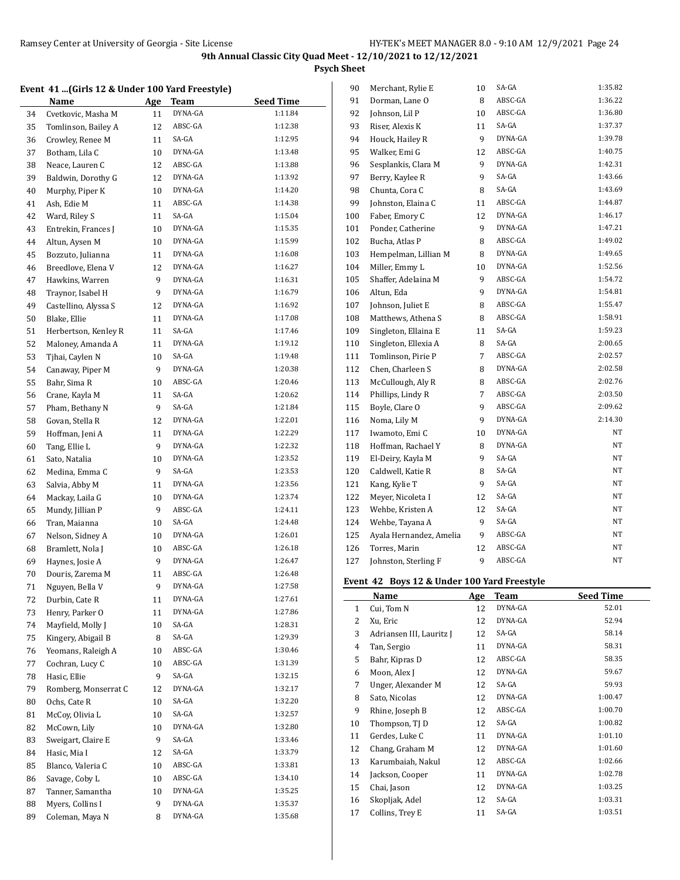**Psych Sheet**

# **Event 41 ...(Girls 12 & Under 100 Yard Freestyle)**

|    | $\alpha$ (GHTs 12 $\alpha$ onder two faid Freestyle) |     |         |                  |
|----|------------------------------------------------------|-----|---------|------------------|
|    | <b>Name</b>                                          | Age | Team    | <b>Seed Time</b> |
| 34 | Cvetkovic, Masha M                                   | 11  | DYNA-GA | 1:11.84          |
| 35 | Tomlinson, Bailey A                                  | 12  | ABSC-GA | 1:12.38          |
| 36 | Crowley, Renee M                                     | 11  | SA-GA   | 1:12.95          |
| 37 | Botham, Lila C                                       | 10  | DYNA-GA | 1:13.48          |
| 38 | Neace, Lauren C                                      | 12  | ABSC-GA | 1:13.88          |
| 39 | Baldwin, Dorothy G                                   | 12  | DYNA-GA | 1:13.92          |
| 40 | Murphy, Piper K                                      | 10  | DYNA-GA | 1:14.20          |
|    |                                                      |     | ABSC-GA | 1:14.38          |
| 41 | Ash, Edie M                                          | 11  | SA-GA   |                  |
| 42 | Ward, Riley S                                        | 11  |         | 1:15.04          |
| 43 | Entrekin, Frances J                                  | 10  | DYNA-GA | 1:15.35          |
| 44 | Altun, Aysen M                                       | 10  | DYNA-GA | 1:15.99          |
| 45 | Bozzuto, Julianna                                    | 11  | DYNA-GA | 1:16.08          |
| 46 | Breedlove, Elena V                                   | 12  | DYNA-GA | 1:16.27          |
| 47 | Hawkins, Warren                                      | 9   | DYNA-GA | 1:16.31          |
| 48 | Traynor, Isabel H                                    | 9   | DYNA-GA | 1:16.79          |
| 49 | Castellino, Alyssa S                                 | 12  | DYNA-GA | 1:16.92          |
| 50 | Blake, Ellie                                         | 11  | DYNA-GA | 1:17.08          |
| 51 | Herbertson, Kenley R                                 | 11  | SA-GA   | 1:17.46          |
| 52 | Maloney, Amanda A                                    | 11  | DYNA-GA | 1:19.12          |
| 53 | Tjhai, Caylen N                                      | 10  | SA-GA   | 1:19.48          |
| 54 | Canaway, Piper M                                     | 9   | DYNA-GA | 1:20.38          |
| 55 | Bahr, Sima R                                         | 10  | ABSC-GA | 1:20.46          |
| 56 | Crane, Kayla M                                       | 11  | SA-GA   | 1:20.62          |
| 57 | Pham, Bethany N                                      | 9   | SA-GA   | 1:21.84          |
| 58 | Govan, Stella R                                      | 12  | DYNA-GA | 1:22.01          |
| 59 | Hoffman, Jeni A                                      | 11  | DYNA-GA | 1:22.29          |
| 60 | Tang, Ellie L                                        | 9   | DYNA-GA | 1:22.32          |
| 61 | Sato, Natalia                                        | 10  | DYNA-GA | 1:23.52          |
| 62 | Medina, Emma C                                       | 9   | SA-GA   | 1:23.53          |
| 63 | Salvia, Abby M                                       | 11  | DYNA-GA | 1:23.56          |
| 64 | Mackay, Laila G                                      | 10  | DYNA-GA | 1:23.74          |
| 65 | Mundy, Jillian P                                     | 9   | ABSC-GA | 1:24.11          |
| 66 | Tran, Maianna                                        | 10  | SA-GA   | 1:24.48          |
| 67 | Nelson, Sidney A                                     | 10  | DYNA-GA | 1:26.01          |
| 68 | Bramlett, Nola J                                     | 10  | ABSC-GA | 1:26.18          |
| 69 | Haynes, Josie A                                      | 9   | DYNA-GA | 1:26.47          |
| 70 | Douris, Zarema M                                     | 11  | ABSC-GA | 1:26.48          |
| 71 | Nguyen, Bella V                                      | 9   | DYNA-GA | 1:27.58          |
| 72 | Durbin, Cate R                                       | 11  | DYNA-GA | 1:27.61          |
| 73 | Henry, Parker O                                      | 11  | DYNA-GA | 1:27.86          |
|    | Mayfield, Molly J                                    |     | SA-GA   | 1:28.31          |
| 74 |                                                      | 10  | SA-GA   | 1:29.39          |
| 75 | Kingery, Abigail B                                   | 8   | ABSC-GA | 1:30.46          |
| 76 | Yeomans, Raleigh A                                   | 10  |         |                  |
| 77 | Cochran, Lucy C                                      | 10  | ABSC-GA | 1:31.39          |
| 78 | Hasic, Ellie                                         | 9   | SA-GA   | 1:32.15          |
| 79 | Romberg, Monserrat C                                 | 12  | DYNA-GA | 1:32.17          |
| 80 | Ochs, Cate R                                         | 10  | SA-GA   | 1:32.20          |
| 81 | McCoy, Olivia L                                      | 10  | SA-GA   | 1:32.57          |
| 82 | McCown, Lily                                         | 10  | DYNA-GA | 1:32.80          |
| 83 | Sweigart, Claire E                                   | 9   | SA-GA   | 1:33.46          |
| 84 | Hasic, Mia I                                         | 12  | SA-GA   | 1:33.79          |
| 85 | Blanco, Valeria C                                    | 10  | ABSC-GA | 1:33.81          |
| 86 | Savage, Coby L                                       | 10  | ABSC-GA | 1:34.10          |
| 87 | Tanner, Samantha                                     | 10  | DYNA-GA | 1:35.25          |
| 88 | Myers, Collins I                                     | 9   | DYNA-GA | 1:35.37          |
| 89 | Coleman, Maya N                                      | 8   | DYNA-GA | 1:35.68          |

| 90  | Merchant, Rylie E       | 10 | SA-GA   | 1:35.82 |
|-----|-------------------------|----|---------|---------|
| 91  | Dorman, Lane O          | 8  | ABSC-GA | 1:36.22 |
| 92  | Johnson, Lil P          | 10 | ABSC-GA | 1:36.80 |
| 93  | Riser, Alexis K         | 11 | SA-GA   | 1:37.37 |
| 94  | Houck, Hailey R         | 9  | DYNA-GA | 1:39.78 |
| 95  | Walker, Emi G           | 12 | ABSC-GA | 1:40.75 |
| 96  | Sesplankis, Clara M     | 9  | DYNA-GA | 1:42.31 |
| 97  | Berry, Kaylee R         | 9  | SA-GA   | 1:43.66 |
| 98  | Chunta, Cora C          | 8  | SA-GA   | 1:43.69 |
| 99  | Johnston, Elaina C      | 11 | ABSC-GA | 1:44.87 |
| 100 | Faber, Emory C          | 12 | DYNA-GA | 1:46.17 |
| 101 | Ponder, Catherine       | 9  | DYNA-GA | 1:47.21 |
| 102 | Bucha, Atlas P          | 8  | ABSC-GA | 1:49.02 |
| 103 | Hempelman, Lillian M    | 8  | DYNA-GA | 1:49.65 |
| 104 | Miller, Emmy L          | 10 | DYNA-GA | 1:52.56 |
| 105 | Shaffer, Adelaina M     | 9  | ABSC-GA | 1:54.72 |
| 106 | Altun, Eda              | 9  | DYNA-GA | 1:54.81 |
| 107 | Johnson, Juliet E       | 8  | ABSC-GA | 1:55.47 |
| 108 | Matthews, Athena S      | 8  | ABSC-GA | 1:58.91 |
| 109 | Singleton, Ellaina E    | 11 | SA-GA   | 1:59.23 |
| 110 | Singleton, Ellexia A    | 8  | SA-GA   | 2:00.65 |
| 111 | Tomlinson, Pirie P      | 7  | ABSC-GA | 2:02.57 |
| 112 | Chen, Charleen S        | 8  | DYNA-GA | 2:02.58 |
| 113 | McCullough, Aly R       | 8  | ABSC-GA | 2:02.76 |
| 114 | Phillips, Lindy R       | 7  | ABSC-GA | 2:03.50 |
| 115 | Boyle, Clare O          | 9  | ABSC-GA | 2:09.62 |
| 116 | Noma, Lily M            | 9  | DYNA-GA | 2:14.30 |
| 117 | Iwamoto, Emi C          | 10 | DYNA-GA | NT      |
| 118 | Hoffman, Rachael Y      | 8  | DYNA-GA | NΤ      |
| 119 | El-Deiry, Kayla M       | 9  | SA-GA   | NΤ      |
| 120 | Caldwell, Katie R       | 8  | SA-GA   | NΤ      |
| 121 | Kang, Kylie T           | 9  | SA-GA   | NΤ      |
| 122 | Meyer, Nicoleta I       | 12 | SA-GA   | NΤ      |
| 123 | Wehbe, Kristen A        | 12 | SA-GA   | NΤ      |
| 124 | Wehbe, Tayana A         | 9  | SA-GA   | NΤ      |
| 125 | Ayala Hernandez, Amelia | 9  | ABSC-GA | NΤ      |
| 126 | Torres, Marin           | 12 | ABSC-GA | NΤ      |
| 127 | Johnston, Sterling F    | 9  | ABSC-GA | NΤ      |

### **Event 42 Boys 12 & Under 100 Yard Freestyle**

|    | Name                     | Age | Team    | <b>Seed Time</b> |
|----|--------------------------|-----|---------|------------------|
| 1  | Cui, Tom N               | 12  | DYNA-GA | 52.01            |
| 2  | Xu, Eric                 | 12  | DYNA-GA | 52.94            |
| 3  | Adriansen III, Lauritz J | 12  | SA-GA   | 58.14            |
| 4  | Tan, Sergio              | 11  | DYNA-GA | 58.31            |
| 5  | Bahr, Kipras D           | 12  | ABSC-GA | 58.35            |
| 6  | Moon, Alex J             | 12  | DYNA-GA | 59.67            |
| 7  | Unger, Alexander M       | 12  | SA-GA   | 59.93            |
| 8  | Sato, Nicolas            | 12  | DYNA-GA | 1:00.47          |
| 9  | Rhine, Joseph B          | 12  | ABSC-GA | 1:00.70          |
| 10 | Thompson, TJ D           | 12  | SA-GA   | 1:00.82          |
| 11 | Gerdes, Luke C           | 11  | DYNA-GA | 1:01.10          |
| 12 | Chang, Graham M          | 12  | DYNA-GA | 1:01.60          |
| 13 | Karumbaiah, Nakul        | 12  | ABSC-GA | 1:02.66          |
| 14 | Jackson, Cooper          | 11  | DYNA-GA | 1:02.78          |
| 15 | Chai, Jason              | 12  | DYNA-GA | 1:03.25          |
| 16 | Skopljak, Adel           | 12  | SA-GA   | 1:03.31          |
| 17 | Collins, Trev E          | 11  | SA-GA   | 1:03.51          |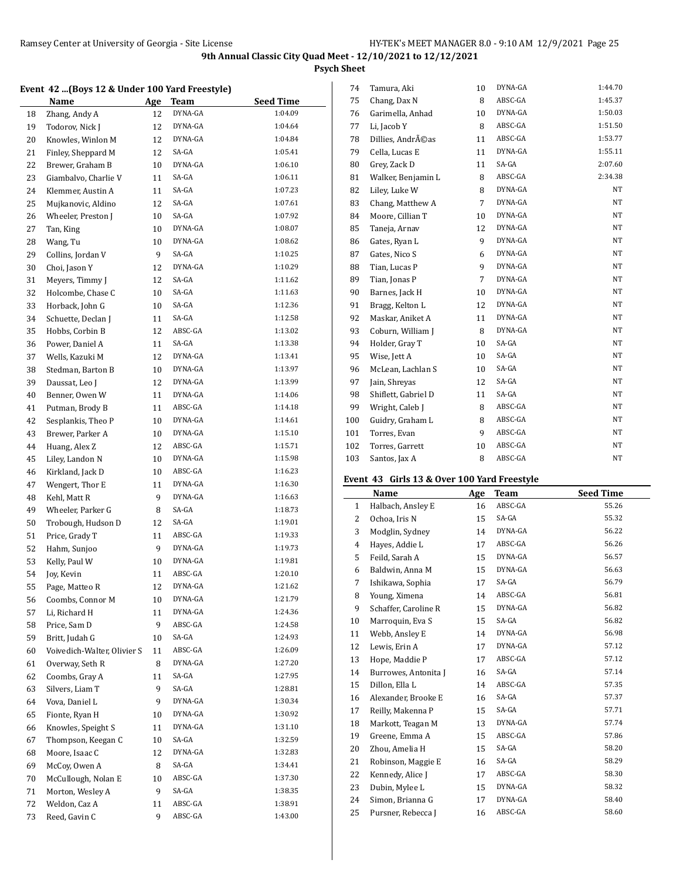**Psych Sheet**

# **Event 42 ...(Boys 12 & Under 100 Yard Freestyle)**

|    | Event 42 (Doys 12 & Onder 100 raid ricestyle) |     |             |                  |
|----|-----------------------------------------------|-----|-------------|------------------|
|    | Name                                          | Age | <b>Team</b> | <b>Seed Time</b> |
| 18 | Zhang, Andy A                                 | 12  | DYNA-GA     | 1:04.09          |
| 19 | Todorov, Nick J                               | 12  | DYNA-GA     | 1:04.64          |
| 20 | Knowles, Winlon M                             | 12  | DYNA-GA     | 1:04.84          |
| 21 | Finley, Sheppard M                            | 12  | SA-GA       | 1:05.41          |
| 22 | Brewer, Graham B                              | 10  | DYNA-GA     | 1:06.10          |
| 23 | Giambalvo, Charlie V                          | 11  | SA-GA       | 1:06.11          |
| 24 | Klemmer, Austin A                             | 11  | SA-GA       | 1:07.23          |
| 25 | Mujkanovic, Aldino                            | 12  | SA-GA       | 1:07.61          |
| 26 | Wheeler, Preston J                            | 10  | SA-GA       | 1:07.92          |
| 27 | Tan, King                                     | 10  | DYNA-GA     | 1:08.07          |
| 28 | Wang, Tu                                      | 10  | DYNA-GA     | 1:08.62          |
| 29 | Collins, Jordan V                             | 9   | SA-GA       | 1:10.25          |
| 30 | Choi, Jason Y                                 | 12  | DYNA-GA     | 1:10.29          |
| 31 | Meyers, Timmy J                               | 12  | SA-GA       | 1:11.62          |
| 32 | Holcombe, Chase C                             | 10  | SA-GA       | 1:11.63          |
| 33 | Horback, John G                               | 10  | SA-GA       | 1:12.36          |
| 34 | Schuette, Declan J                            | 11  | SA-GA       | 1:12.58          |
| 35 | Hobbs, Corbin B                               | 12  | ABSC-GA     | 1:13.02          |
|    | Power, Daniel A                               | 11  | SA-GA       | 1:13.38          |
| 36 |                                               |     | DYNA-GA     | 1:13.41          |
| 37 | Wells, Kazuki M                               | 12  | DYNA-GA     | 1:13.97          |
| 38 | Stedman, Barton B                             | 10  | DYNA-GA     |                  |
| 39 | Daussat, Leo J                                | 12  |             | 1:13.99          |
| 40 | Benner, Owen W                                | 11  | DYNA-GA     | 1:14.06          |
| 41 | Putman, Brody B                               | 11  | ABSC-GA     | 1:14.18          |
| 42 | Sesplankis, Theo P                            | 10  | DYNA-GA     | 1:14.61          |
| 43 | Brewer, Parker A                              | 10  | DYNA-GA     | 1:15.10          |
| 44 | Huang, Alex Z                                 | 12  | ABSC-GA     | 1:15.71          |
| 45 | Liley, Landon N                               | 10  | DYNA-GA     | 1:15.98          |
| 46 | Kirkland, Jack D                              | 10  | ABSC-GA     | 1:16.23          |
| 47 | Wengert, Thor E                               | 11  | DYNA-GA     | 1:16.30          |
| 48 | Kehl, Matt R                                  | 9   | DYNA-GA     | 1:16.63          |
| 49 | Wheeler, Parker G                             | 8   | SA-GA       | 1:18.73          |
| 50 | Trobough, Hudson D                            | 12  | SA-GA       | 1:19.01          |
| 51 | Price, Grady T                                | 11  | ABSC-GA     | 1:19.33          |
| 52 | Hahm, Sunjoo                                  | 9   | DYNA-GA     | 1:19.73          |
| 53 | Kelly, Paul W                                 | 10  | DYNA-GA     | 1:19.81          |
| 54 | Joy, Kevin                                    | 11  | ABSC-GA     | 1:20.10          |
| 55 | Page, Matteo R                                | 12  | DYNA-GA     | 1:21.62          |
| 56 | Coombs, Connor M                              | 10  | DYNA-GA     | 1:21.79          |
| 57 | Li, Richard H                                 | 11  | DYNA-GA     | 1:24.36          |
| 58 | Price, Sam D                                  | 9   | ABSC-GA     | 1:24.58          |
| 59 | Britt, Judah G                                | 10  | SA-GA       | 1:24.93          |
| 60 | Voivedich-Walter, Olivier S                   | 11  | ABSC-GA     | 1:26.09          |
| 61 | Overway, Seth R                               | 8   | DYNA-GA     | 1:27.20          |
| 62 | Coombs, Gray A                                | 11  | SA-GA       | 1:27.95          |
| 63 | Silvers, Liam T                               | 9   | SA-GA       | 1:28.81          |
| 64 | Vova, Daniel L                                | 9   | DYNA-GA     | 1:30.34          |
| 65 | Fionte, Ryan H                                | 10  | DYNA-GA     | 1:30.92          |
| 66 | Knowles, Speight S                            | 11  | DYNA-GA     | 1:31.10          |
| 67 | Thompson, Keegan C                            | 10  | SA-GA       | 1:32.59          |
| 68 | Moore, Isaac C                                | 12  | DYNA-GA     | 1:32.83          |
| 69 | McCoy, Owen A                                 | 8   | SA-GA       | 1:34.41          |
| 70 | McCullough, Nolan E                           | 10  | ABSC-GA     | 1:37.30          |
| 71 | Morton, Wesley A                              | 9   | SA-GA       | 1:38.35          |
| 72 | Weldon, Caz A                                 | 11  | ABSC-GA     | 1:38.91          |
| 73 | Reed, Gavin C                                 | 9   | ABSC-GA     | 1:43.00          |
|    |                                               |     |             |                  |

| 74  | Tamura, Aki         | 10 | DYNA-GA | 1:44.70   |
|-----|---------------------|----|---------|-----------|
| 75  | Chang, Dax N        | 8  | ABSC-GA | 1:45.37   |
| 76  | Garimella, Anhad    | 10 | DYNA-GA | 1:50.03   |
| 77  | Li, Jacob Y         | 8  | ABSC-GA | 1:51.50   |
| 78  | Dillies, Andréas    | 11 | ABSC-GA | 1:53.77   |
| 79  | Cella, Lucas E      | 11 | DYNA-GA | 1:55.11   |
| 80  | Grey, Zack D        | 11 | SA-GA   | 2:07.60   |
| 81  | Walker, Benjamin L  | 8  | ABSC-GA | 2:34.38   |
| 82  | Liley, Luke W       | 8  | DYNA-GA | NT        |
| 83  | Chang, Matthew A    | 7  | DYNA-GA | NT        |
| 84  | Moore, Cillian T    | 10 | DYNA-GA | <b>NT</b> |
| 85  | Taneja, Arnav       | 12 | DYNA-GA | NT        |
| 86  | Gates, Ryan L       | 9  | DYNA-GA | NT        |
| 87  | Gates, Nico S       | 6  | DYNA-GA | NT        |
| 88  | Tian, Lucas P       | 9  | DYNA-GA | NT        |
| 89  | Tian, Jonas P       | 7  | DYNA-GA | NT        |
| 90  | Barnes, Jack H      | 10 | DYNA-GA | NT        |
| 91  | Bragg, Kelton L     | 12 | DYNA-GA | NT        |
| 92  | Maskar, Aniket A    | 11 | DYNA-GA | NT        |
| 93  | Coburn, William J   | 8  | DYNA-GA | NT        |
| 94  | Holder, Gray T      | 10 | SA-GA   | NT        |
| 95  | Wise, Jett A        | 10 | SA-GA   | NT        |
| 96  | McLean, Lachlan S   | 10 | SA-GA   | NT        |
| 97  | Jain, Shreyas       | 12 | SA-GA   | NT        |
| 98  | Shiflett, Gabriel D | 11 | SA-GA   | NT        |
| 99  | Wright, Caleb J     | 8  | ABSC-GA | NT        |
| 100 | Guidry, Graham L    | 8  | ABSC-GA | NT        |
| 101 | Torres, Evan        | 9  | ABSC-GA | NT        |
| 102 | Torres, Garrett     | 10 | ABSC-GA | <b>NT</b> |
| 103 | Santos, Jax A       | 8  | ABSC-GA | NT        |
|     |                     |    |         |           |

## **Event 43 Girls 13 & Over 100 Yard Freestyle**

|                | Name                 | Age | Team    | <b>Seed Time</b> |
|----------------|----------------------|-----|---------|------------------|
| $\mathbf{1}$   | Halbach, Ansley E    | 16  | ABSC-GA | 55.26            |
| $\overline{2}$ | Ochoa, Iris N        | 15  | SA-GA   | 55.32            |
| 3              | Modglin, Sydney      | 14  | DYNA-GA | 56.22            |
| 4              | Hayes, Addie L       | 17  | ABSC-GA | 56.26            |
| 5              | Feild, Sarah A       | 15  | DYNA-GA | 56.57            |
| 6              | Baldwin, Anna M      | 15  | DYNA-GA | 56.63            |
| 7              | Ishikawa, Sophia     | 17  | SA-GA   | 56.79            |
| 8              | Young, Ximena        | 14  | ABSC-GA | 56.81            |
| 9              | Schaffer, Caroline R | 15  | DYNA-GA | 56.82            |
| 10             | Marroquin, Eva S     | 15  | SA-GA   | 56.82            |
| 11             | Webb, Ansley E       | 14  | DYNA-GA | 56.98            |
| 12             | Lewis, Erin A        | 17  | DYNA-GA | 57.12            |
| 13             | Hope, Maddie P       | 17  | ABSC-GA | 57.12            |
| 14             | Burrowes, Antonita J | 16  | SA-GA   | 57.14            |
| 15             | Dillon, Ella L       | 14  | ABSC-GA | 57.35            |
| 16             | Alexander, Brooke E  | 16  | SA-GA   | 57.37            |
| 17             | Reilly, Makenna P    | 15  | SA-GA   | 57.71            |
| 18             | Markott, Teagan M    | 13  | DYNA-GA | 57.74            |
| 19             | Greene, Emma A       | 15  | ABSC-GA | 57.86            |
| 20             | Zhou, Amelia H       | 15  | SA-GA   | 58.20            |
| 21             | Robinson, Maggie E   | 16  | SA-GA   | 58.29            |
| 22             | Kennedy, Alice J     | 17  | ABSC-GA | 58.30            |
| 23             | Dubin, Mylee L       | 15  | DYNA-GA | 58.32            |
| 24             | Simon, Brianna G     | 17  | DYNA-GA | 58.40            |
| 25             | Pursner, Rebecca J   | 16  | ABSC-GA | 58.60            |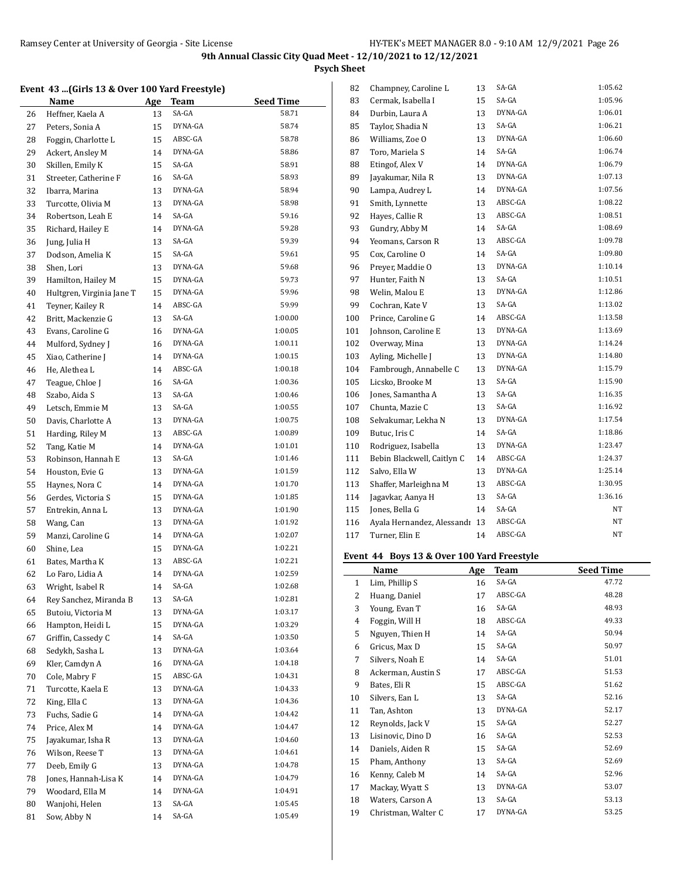**Psych Sheet**

#### **Event 43 ...(Girls 13 & Over 100 Yard Freestyle)**

|    | Name                      | <u>Age</u> | <u>Team</u> | Seed Time |
|----|---------------------------|------------|-------------|-----------|
| 26 | Heffner, Kaela A          | 13         | SA-GA       | 58.71     |
| 27 | Peters, Sonia A           | 15         | DYNA-GA     | 58.74     |
| 28 | Foggin, Charlotte L       | 15         | ABSC-GA     | 58.78     |
| 29 | Ackert, Ansley M          | 14         | DYNA-GA     | 58.86     |
| 30 | Skillen, Emily K          | 15         | SA-GA       | 58.91     |
| 31 | Streeter, Catherine F     | 16         | SA-GA       | 58.93     |
| 32 | Ibarra, Marina            | 13         | DYNA-GA     | 58.94     |
| 33 | Turcotte, Olivia M        | 13         | DYNA-GA     | 58.98     |
| 34 | Robertson, Leah E         | 14         | SA-GA       | 59.16     |
| 35 | Richard, Hailey E         | 14         | DYNA-GA     | 59.28     |
| 36 | Jung, Julia H             | 13         | SA-GA       | 59.39     |
| 37 | Dodson. Amelia K          | 15         | SA-GA       | 59.61     |
| 38 | Shen, Lori                | 13         | DYNA-GA     | 59.68     |
| 39 | Hamilton, Hailey M        | 15         | DYNA-GA     | 59.73     |
| 40 | Hultgren, Virginia Jane T | 15         | DYNA-GA     | 59.96     |
| 41 | Teyner, Kailey R          | 14         | ABSC-GA     | 59.99     |
| 42 | Britt, Mackenzie G        | 13         | SA-GA       | 1:00.00   |
| 43 | Evans, Caroline G         | 16         | DYNA-GA     | 1:00.05   |
| 44 | Mulford, Sydney J         | 16         | DYNA-GA     | 1:00.11   |
| 45 | Xiao, Catherine J         | 14         | DYNA-GA     | 1:00.15   |
| 46 | He, Alethea L             | 14         | ABSC-GA     | 1:00.18   |
| 47 | Teague, Chloe J           | 16         | SA-GA       | 1:00.36   |
| 48 |                           | 13         | SA-GA       | 1:00.46   |
|    | Szabo, Aida S             |            | SA-GA       | 1:00.55   |
| 49 | Letsch, Emmie M           | 13         | DYNA-GA     | 1:00.75   |
| 50 | Davis, Charlotte A        | 13         | ABSC-GA     | 1:00.89   |
| 51 | Harding, Riley M          | 13         | DYNA-GA     | 1:01.01   |
| 52 | Tang, Katie M             | 14         |             |           |
| 53 | Robinson, Hannah E        | 13         | SA-GA       | 1:01.46   |
| 54 | Houston, Evie G           | 13         | DYNA-GA     | 1:01.59   |
| 55 | Haynes, Nora C            | 14         | DYNA-GA     | 1:01.70   |
| 56 | Gerdes, Victoria S        | 15         | DYNA-GA     | 1:01.85   |
| 57 | Entrekin, Anna L          | 13         | DYNA-GA     | 1:01.90   |
| 58 | Wang, Can                 | 13         | DYNA-GA     | 1:01.92   |
| 59 | Manzi, Caroline G         | 14         | DYNA-GA     | 1:02.07   |
| 60 | Shine, Lea                | 15         | DYNA-GA     | 1:02.21   |
| 61 | Bates, Martha K           | 13         | ABSC-GA     | 1:02.21   |
| 62 | Lo Faro, Lidia A          | 14         | DYNA-GA     | 1:02.59   |
| 63 | Wright, Isabel R          | 14         | SA-GA       | 1:02.68   |
| 64 | Rey Sanchez, Miranda B    | 13         | SA-GA       | 1:02.81   |
| 65 | Butoiu, Victoria M        | 13         | DYNA-GA     | 1:03.17   |
| 66 | Hampton, Heidi L          | 15         | DYNA-GA     | 1:03.29   |
| 67 | Griffin, Cassedy C        | 14         | SA-GA       | 1:03.50   |
| 68 | Sedykh, Sasha L           | 13         | DYNA-GA     | 1:03.64   |
| 69 | Kler, Camdyn A            | 16         | DYNA-GA     | 1:04.18   |
| 70 | Cole, Mabry F             | 15         | ABSC-GA     | 1:04.31   |
| 71 | Turcotte, Kaela E         | 13         | DYNA-GA     | 1:04.33   |
| 72 | King, Ella C              | 13         | DYNA-GA     | 1:04.36   |
| 73 | Fuchs, Sadie G            | 14         | DYNA-GA     | 1:04.42   |
| 74 | Price, Alex M             | 14         | DYNA-GA     | 1:04.47   |
| 75 | Jayakumar, Isha R         | 13         | DYNA-GA     | 1:04.60   |
| 76 | Wilson, Reese T           | 13         | DYNA-GA     | 1:04.61   |
| 77 | Deeb, Emily G             | 13         | DYNA-GA     | 1:04.78   |
| 78 | Jones, Hannah-Lisa K      | 14         | DYNA-GA     | 1:04.79   |
| 79 | Woodard, Ella M           | 14         | DYNA-GA     | 1:04.91   |
| 80 | Wanjohi, Helen            | 13         | SA-GA       | 1:05.45   |
| 81 | Sow, Abby N               | 14         | SA-GA       | 1:05.49   |

| 82  | Champney, Caroline L       | 13 | SA-GA   | 1:05.62 |
|-----|----------------------------|----|---------|---------|
| 83  | Cermak, Isabella I         | 15 | SA-GA   | 1:05.96 |
| 84  | Durbin, Laura A            | 13 | DYNA-GA | 1:06.01 |
| 85  | Taylor, Shadia N           | 13 | SA-GA   | 1:06.21 |
| 86  | Williams, Zoe O            | 13 | DYNA-GA | 1:06.60 |
| 87  | Toro, Mariela S            | 14 | SA-GA   | 1:06.74 |
| 88  | Etingof, Alex V            | 14 | DYNA-GA | 1:06.79 |
| 89  | Jayakumar, Nila R          | 13 | DYNA-GA | 1:07.13 |
| 90  | Lampa, Audrey L            | 14 | DYNA-GA | 1:07.56 |
| 91  | Smith, Lynnette            | 13 | ABSC-GA | 1:08.22 |
| 92  | Hayes, Callie R            | 13 | ABSC-GA | 1:08.51 |
| 93  | Gundry, Abby M             | 14 | SA-GA   | 1:08.69 |
| 94  | Yeomans, Carson R          | 13 | ABSC-GA | 1:09.78 |
| 95  | Cox, Caroline O            | 14 | SA-GA   | 1:09.80 |
| 96  | Preyer, Maddie O           | 13 | DYNA-GA | 1:10.14 |
| 97  | Hunter, Faith N            | 13 | SA-GA   | 1:10.51 |
| 98  | Welin, Malou E             | 13 | DYNA-GA | 1:12.86 |
| 99  | Cochran, Kate V            | 13 | SA-GA   | 1:13.02 |
| 100 | Prince, Caroline G         | 14 | ABSC-GA | 1:13.58 |
| 101 | Johnson, Caroline E        | 13 | DYNA-GA | 1:13.69 |
| 102 | Overway, Mina              | 13 | DYNA-GA | 1:14.24 |
| 103 | Ayling, Michelle J         | 13 | DYNA-GA | 1:14.80 |
| 104 | Fambrough, Annabelle C     | 13 | DYNA-GA | 1:15.79 |
| 105 | Licsko, Brooke M           | 13 | SA-GA   | 1:15.90 |
| 106 | Jones, Samantha A          | 13 | SA-GA   | 1:16.35 |
| 107 | Chunta, Mazie C            | 13 | SA-GA   | 1:16.92 |
| 108 | Selvakumar, Lekha N        | 13 | DYNA-GA | 1:17.54 |
| 109 | Butuc, Iris C              | 14 | SA-GA   | 1:18.86 |
| 110 | Rodriguez, Isabella        | 13 | DYNA-GA | 1:23.47 |
| 111 | Bebin Blackwell, Caitlyn C | 14 | ABSC-GA | 1:24.37 |
| 112 | Salvo, Ella W              | 13 | DYNA-GA | 1:25.14 |
| 113 | Shaffer, Marleighna M      | 13 | ABSC-GA | 1:30.95 |
| 114 | Jagavkar, Aanya H          | 13 | SA-GA   | 1:36.16 |
| 115 | Jones, Bella G             | 14 | SA-GA   | NT      |
| 116 | Ayala Hernandez, Alessandı | 13 | ABSC-GA | NΤ      |
| 117 | Turner, Elin E             | 14 | ABSC-GA | NT      |
|     |                            |    |         |         |

## **Event 44 Boys 13 & Over 100 Yard Freestyle**

|    | Name                | Age | Team    | <b>Seed Time</b> |
|----|---------------------|-----|---------|------------------|
| 1  | Lim, Phillip S      | 16  | SA-GA   | 47.72            |
| 2  | Huang, Daniel       | 17  | ABSC-GA | 48.28            |
| 3  | Young, Evan T       | 16  | SA-GA   | 48.93            |
| 4  | Foggin, Will H      | 18  | ABSC-GA | 49.33            |
| 5  | Nguyen, Thien H     | 14  | SA-GA   | 50.94            |
| 6  | Gricus, Max D       | 15  | SA-GA   | 50.97            |
| 7  | Silvers, Noah E     | 14  | SA-GA   | 51.01            |
| 8  | Ackerman, Austin S  | 17  | ABSC-GA | 51.53            |
| 9  | Bates, Eli R        | 15  | ABSC-GA | 51.62            |
| 10 | Silvers, Ean L      | 13  | SA-GA   | 52.16            |
| 11 | Tan, Ashton         | 13  | DYNA-GA | 52.17            |
| 12 | Reynolds, Jack V    | 15  | SA-GA   | 52.27            |
| 13 | Lisinovic, Dino D   | 16  | SA-GA   | 52.53            |
| 14 | Daniels, Aiden R    | 15  | SA-GA   | 52.69            |
| 15 | Pham, Anthony       | 13  | SA-GA   | 52.69            |
| 16 | Kenny, Caleb M      | 14  | SA-GA   | 52.96            |
| 17 | Mackay, Wyatt S     | 13  | DYNA-GA | 53.07            |
| 18 | Waters, Carson A    | 13  | SA-GA   | 53.13            |
| 19 | Christman, Walter C | 17  | DYNA-GA | 53.25            |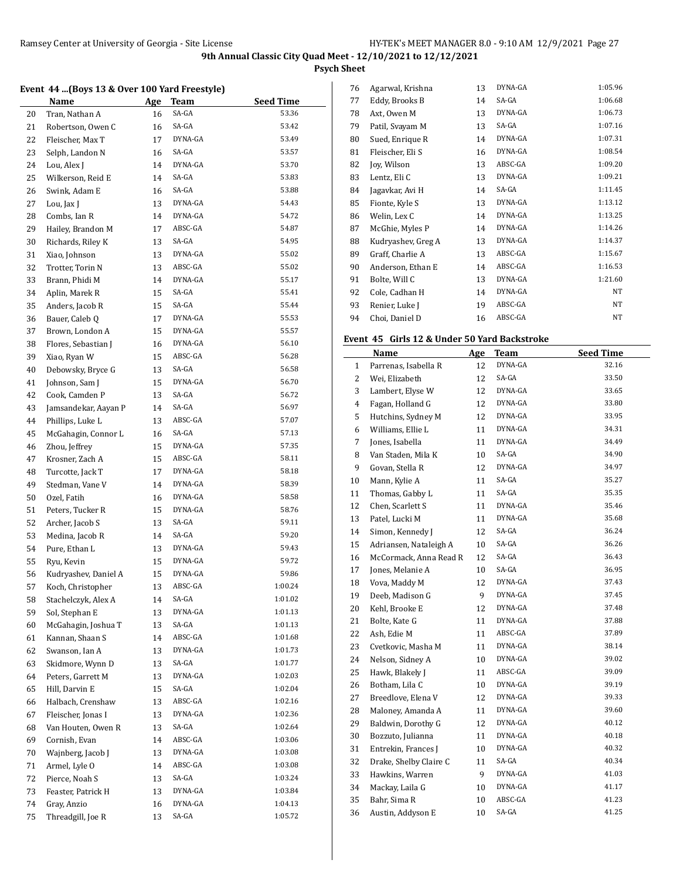**Psych Sheet**

#### **Event 44 ...(Boys 13 & Over 100 Yard Freestyle)**

|    | N <u>ame</u>         | <u>Age</u> | <b>Team</b> | <b>Seed Time</b> |
|----|----------------------|------------|-------------|------------------|
| 20 | Tran, Nathan A       | 16         | SA-GA       | 53.36            |
| 21 | Robertson, Owen C    | 16         | SA-GA       | 53.42            |
| 22 | Fleischer, Max T     | 17         | DYNA-GA     | 53.49            |
| 23 | Selph, Landon N      | 16         | SA-GA       | 53.57            |
| 24 | Lou, Alex J          | 14         | DYNA-GA     | 53.70            |
| 25 | Wilkerson, Reid E    | 14         | SA-GA       | 53.83            |
| 26 | Swink, Adam E        | 16         | SA-GA       | 53.88            |
| 27 | Lou, Jax J           | 13         | DYNA-GA     | 54.43            |
| 28 | Combs, Ian R         | 14         | DYNA-GA     | 54.72            |
| 29 | Hailey, Brandon M    | 17         | ABSC-GA     | 54.87            |
| 30 | Richards, Riley K    | 13         | SA-GA       | 54.95            |
| 31 | Xiao, Johnson        | 13         | DYNA-GA     | 55.02            |
| 32 | Trotter, Torin N     | 13         | ABSC-GA     | 55.02            |
| 33 | Brann, Phidi M       | 14         | DYNA-GA     | 55.17            |
| 34 | Aplin, Marek R       | 15         | SA-GA       | 55.41            |
| 35 | Anders, Jacob R      | 15         | SA-GA       | 55.44            |
| 36 | Bauer, Caleb Q       | 17         | DYNA-GA     | 55.53            |
| 37 | Brown, London A      | 15         | DYNA-GA     | 55.57            |
| 38 | Flores, Sebastian J  | 16         | DYNA-GA     | 56.10            |
| 39 | Xiao, Ryan W         | 15         | ABSC-GA     | 56.28            |
| 40 | Debowsky, Bryce G    | 13         | SA-GA       | 56.58            |
| 41 | Johnson, Sam J       | 15         | DYNA-GA     | 56.70            |
| 42 | Cook, Camden P       | 13         | SA-GA       | 56.72            |
| 43 | Jamsandekar, Aayan P | 14         | SA-GA       | 56.97            |
| 44 | Phillips, Luke L     | 13         | ABSC-GA     | 57.07            |
| 45 | McGahagin, Connor L  | 16         | SA-GA       | 57.13            |
| 46 | Zhou, Jeffrey        | 15         | DYNA-GA     | 57.35            |
| 47 | Krosner, Zach A      | 15         | ABSC-GA     | 58.11            |
| 48 | Turcotte, Jack T     | 17         | DYNA-GA     | 58.18            |
| 49 | Stedman, Vane V      | 14         | DYNA-GA     | 58.39            |
| 50 | Ozel, Fatih          | 16         | DYNA-GA     | 58.58            |
| 51 | Peters, Tucker R     | 15         | DYNA-GA     | 58.76            |
| 52 | Archer, Jacob S      | 13         | SA-GA       | 59.11            |
| 53 | Medina, Jacob R      | 14         | SA-GA       | 59.20            |
| 54 | Pure, Ethan L        | 13         | DYNA-GA     | 59.43            |
| 55 | Ryu, Kevin           | 15         | DYNA-GA     | 59.72            |
| 56 | Kudryashev, Daniel A | 15         | DYNA-GA     | 59.86            |
| 57 | Koch, Christopher    | 13         | ABSC-GA     | 1:00.24          |
| 58 | Stachelczyk, Alex A  | 14         | SA-GA       | 1:01.02          |
| 59 | Sol, Stephan E       | 13         | DYNA-GA     | 1:01.13          |
| 60 | McGahagin, Joshua T  | 13         | SA-GA       | 1:01.13          |
| 61 | Kannan, Shaan S      | 14         | ABSC-GA     | 1:01.68          |
| 62 | Swanson, Ian A       | 13         | DYNA-GA     | 1:01.73          |
| 63 | Skidmore, Wynn D     | 13         | SA-GA       | 1:01.77          |
| 64 | Peters, Garrett M    | 13         | DYNA-GA     | 1:02.03          |
| 65 | Hill, Darvin E       | 15         | SA-GA       | 1:02.04          |
| 66 | Halbach, Crenshaw    | 13         | ABSC-GA     | 1:02.16          |
| 67 | Fleischer, Jonas I   | 13         | DYNA-GA     | 1:02.36          |
| 68 | Van Houten, Owen R   | 13         | SA-GA       | 1:02.64          |
| 69 | Cornish, Evan        | 14         | ABSC-GA     | 1:03.06          |
| 70 | Wajnberg, Jacob J    | 13         | DYNA-GA     | 1:03.08          |
| 71 | Armel, Lyle O        | 14         | ABSC-GA     | 1:03.08          |
| 72 | Pierce, Noah S       | 13         | SA-GA       | 1:03.24          |
| 73 | Feaster, Patrick H   | 13         | DYNA-GA     | 1:03.84          |
| 74 | Gray, Anzio          | 16         | DYNA-GA     | 1:04.13          |
| 75 | Threadgill, Joe R    | 13         | SA-GA       | 1:05.72          |

| 76 | Agarwal, Krishna   | 13 | DYNA-GA | 1:05.96 |
|----|--------------------|----|---------|---------|
| 77 | Eddy, Brooks B     | 14 | SA-GA   | 1:06.68 |
| 78 | Axt, Owen M        | 13 | DYNA-GA | 1:06.73 |
| 79 | Patil, Svayam M    | 13 | SA-GA   | 1:07.16 |
| 80 | Sued, Enrique R    | 14 | DYNA-GA | 1:07.31 |
| 81 | Fleischer, Eli S   | 16 | DYNA-GA | 1:08.54 |
| 82 | Joy, Wilson        | 13 | ABSC-GA | 1:09.20 |
| 83 | Lentz, Eli C       | 13 | DYNA-GA | 1:09.21 |
| 84 | Jagavkar, Avi H    | 14 | SA-GA   | 1:11.45 |
| 85 | Fionte, Kyle S     | 13 | DYNA-GA | 1:13.12 |
| 86 | Welin, Lex C       | 14 | DYNA-GA | 1:13.25 |
| 87 | McGhie, Myles P    | 14 | DYNA-GA | 1:14.26 |
| 88 | Kudryashev, Greg A | 13 | DYNA-GA | 1:14.37 |
| 89 | Graff, Charlie A   | 13 | ABSC-GA | 1:15.67 |
| 90 | Anderson, Ethan E  | 14 | ABSC-GA | 1:16.53 |
| 91 | Bolte, Will C      | 13 | DYNA-GA | 1:21.60 |
| 92 | Cole, Cadhan H     | 14 | DYNA-GA | NT      |
| 93 | Renier, Luke J     | 19 | ABSC-GA | NT      |
| 94 | Choi, Daniel D     | 16 | ABSC-GA | NT      |
|    |                    |    |         |         |

# **Event 45 Girls 12 & Under 50 Yard Backstroke**

|              | Name                   | Age | <b>Team</b> | <b>Seed Time</b> |
|--------------|------------------------|-----|-------------|------------------|
| $\mathbf{1}$ | Parrenas, Isabella R   | 12  | DYNA-GA     | 32.16            |
| 2            | Wei, Elizabeth         | 12  | SA-GA       | 33.50            |
| 3            | Lambert, Elyse W       | 12  | DYNA-GA     | 33.65            |
| 4            | Fagan, Holland G       | 12  | DYNA-GA     | 33.80            |
| 5            | Hutchins, Sydney M     | 12  | DYNA-GA     | 33.95            |
| 6            | Williams, Ellie L      | 11  | DYNA-GA     | 34.31            |
| 7            | Jones, Isabella        | 11  | DYNA-GA     | 34.49            |
| 8            | Van Staden, Mila K     | 10  | SA-GA       | 34.90            |
| 9            | Govan, Stella R        | 12  | DYNA-GA     | 34.97            |
| 10           | Mann, Kylie A          | 11  | SA-GA       | 35.27            |
| 11           | Thomas, Gabby L        | 11  | SA-GA       | 35.35            |
| 12           | Chen, Scarlett S       | 11  | DYNA-GA     | 35.46            |
| 13           | Patel, Lucki M         | 11  | DYNA-GA     | 35.68            |
| 14           | Simon, Kennedy J       | 12  | SA-GA       | 36.24            |
| 15           | Adriansen, Nataleigh A | 10  | SA-GA       | 36.26            |
| 16           | McCormack, Anna Read R | 12  | SA-GA       | 36.43            |
| 17           | Jones, Melanie A       | 10  | SA-GA       | 36.95            |
| 18           | Vova, Maddy M          | 12  | DYNA-GA     | 37.43            |
| 19           | Deeb, Madison G        | 9   | DYNA-GA     | 37.45            |
| 20           | Kehl, Brooke E         | 12  | DYNA-GA     | 37.48            |
| 21           | Bolte, Kate G          | 11  | DYNA-GA     | 37.88            |
| 22           | Ash, Edie M            | 11  | ABSC-GA     | 37.89            |
| 23           | Cvetkovic, Masha M     | 11  | DYNA-GA     | 38.14            |
| 24           | Nelson, Sidney A       | 10  | DYNA-GA     | 39.02            |
| 25           | Hawk, Blakely J        | 11  | ABSC-GA     | 39.09            |
| 26           | Botham, Lila C         | 10  | DYNA-GA     | 39.19            |
| 27           | Breedlove, Elena V     | 12  | DYNA-GA     | 39.33            |
| 28           | Maloney, Amanda A      | 11  | DYNA-GA     | 39.60            |
| 29           | Baldwin, Dorothy G     | 12  | DYNA-GA     | 40.12            |
| 30           | Bozzuto, Julianna      | 11  | DYNA-GA     | 40.18            |
| 31           | Entrekin, Frances J    | 10  | DYNA-GA     | 40.32            |
| 32           | Drake, Shelby Claire C | 11  | SA-GA       | 40.34            |
| 33           | Hawkins, Warren        | 9   | DYNA-GA     | 41.03            |
| 34           | Mackay, Laila G        | 10  | DYNA-GA     | 41.17            |
| 35           | Bahr, Sima R           | 10  | ABSC-GA     | 41.23            |
| 36           | Austin, Addyson E      | 10  | SA-GA       | 41.25            |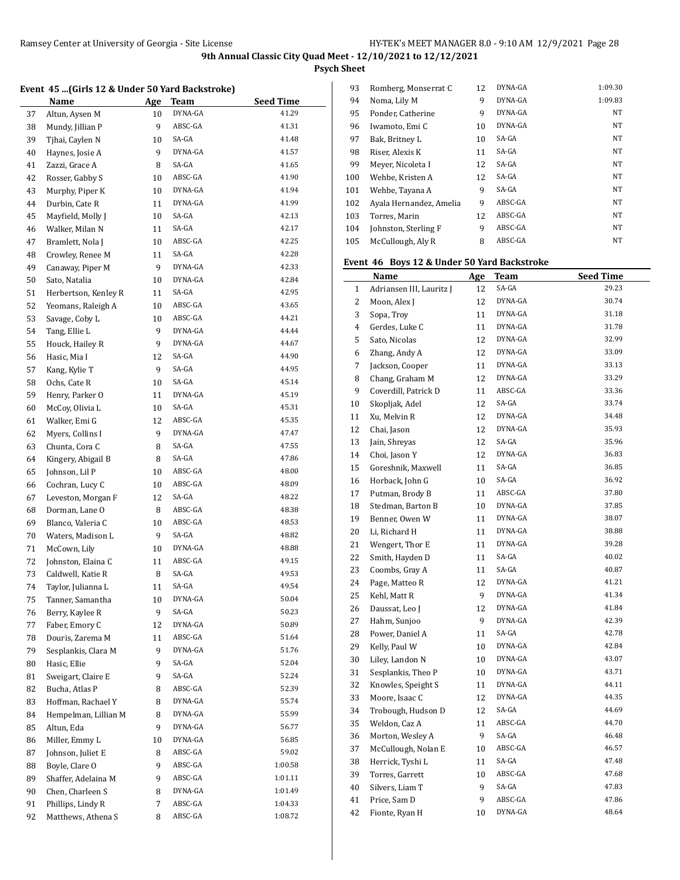**Psych Sheet**

### **Event 45 ...(Girls 12 & Under 50 Yard Backstroke)**

|    | <b>Name</b>          | <u>Age</u> | <u>Team</u> | <b>Seed Time</b> |
|----|----------------------|------------|-------------|------------------|
| 37 | Altun, Aysen M       | 10         | DYNA-GA     | 41.29            |
| 38 | Mundy, Jillian P     | 9          | ABSC-GA     | 41.31            |
| 39 | Tjhai, Caylen N      | 10         | SA-GA       | 41.48            |
| 40 | Haynes, Josie A      | 9          | DYNA-GA     | 41.57            |
| 41 | Zazzi, Grace A       | 8          | SA-GA       | 41.65            |
| 42 | Rosser, Gabby S      | 10         | ABSC-GA     | 41.90            |
| 43 | Murphy, Piper K      | 10         | DYNA-GA     | 41.94            |
| 44 | Durbin, Cate R       | 11         | DYNA-GA     | 41.99            |
| 45 | Mayfield, Molly J    | 10         | SA-GA       | 42.13            |
| 46 | Walker, Milan N      | 11         | SA-GA       | 42.17            |
| 47 | Bramlett, Nola J     | 10         | ABSC-GA     | 42.25            |
| 48 | Crowley, Renee M     | 11         | SA-GA       | 42.28            |
| 49 | Canaway, Piper M     | 9          | DYNA-GA     | 42.33            |
| 50 | Sato, Natalia        | 10         | DYNA-GA     | 42.84            |
| 51 | Herbertson, Kenley R | 11         | SA-GA       | 42.95            |
| 52 | Yeomans, Raleigh A   | 10         | ABSC-GA     | 43.65            |
| 53 | Savage, Coby L       | 10         | ABSC-GA     | 44.21            |
| 54 | Tang, Ellie L        | 9          | DYNA-GA     | 44.44            |
| 55 | Houck, Hailey R      | 9          | DYNA-GA     | 44.67            |
| 56 | Hasic, Mia I         | 12         | SA-GA       | 44.90            |
| 57 | Kang, Kylie T        | 9          | SA-GA       | 44.95            |
| 58 | Ochs, Cate R         | 10         | SA-GA       | 45.14            |
| 59 | Henry, Parker O      | 11         | DYNA-GA     | 45.19            |
| 60 | McCoy, Olivia L      | 10         | SA-GA       | 45.31            |
| 61 | Walker, Emi G        | 12         | ABSC-GA     | 45.35            |
| 62 | Myers, Collins I     | 9          | DYNA-GA     | 47.47            |
| 63 | Chunta, Cora C       | 8          | SA-GA       | 47.55            |
| 64 | Kingery, Abigail B   | 8          | SA-GA       | 47.86            |
| 65 | Johnson, Lil P       | 10         | ABSC-GA     | 48.00            |
| 66 | Cochran, Lucy C      | 10         | ABSC-GA     | 48.09            |
| 67 | Leveston, Morgan F   | 12         | SA-GA       | 48.22            |
| 68 | Dorman, Lane O       | 8          | ABSC-GA     | 48.38            |
| 69 | Blanco, Valeria C    | 10         | ABSC-GA     | 48.53            |
| 70 | Waters, Madison L    | 9          | SA-GA       | 48.82            |
| 71 | McCown, Lily         | 10         | DYNA-GA     | 48.88            |
| 72 | Johnston, Elaina C   | 11         | ABSC-GA     | 49.15            |
| 73 | Caldwell, Katie R    | 8          | SA-GA       | 49.53            |
| 74 | Taylor, Julianna L   | 11         | SA-GA       | 49.54            |
| 75 | Tanner, Samantha     | 10         | DYNA-GA     | 50.04            |
| 76 | Berry, Kaylee R      | 9          | SA-GA       | 50.23            |
| 77 | Faber, Emory C       | 12         | DYNA-GA     | 50.89            |
| 78 | Douris, Zarema M     | 11         | ABSC-GA     | 51.64            |
| 79 | Sesplankis, Clara M  | 9          | DYNA-GA     | 51.76            |
| 80 | Hasic, Ellie         | 9          | SA-GA       | 52.04            |
| 81 | Sweigart, Claire E   | 9          | SA-GA       | 52.24            |
| 82 | Bucha, Atlas P       | 8          | ABSC-GA     | 52.39            |
| 83 | Hoffman, Rachael Y   | 8          | DYNA-GA     | 55.74            |
| 84 | Hempelman, Lillian M | 8          | DYNA-GA     | 55.99            |
| 85 | Altun, Eda           | 9          | DYNA-GA     | 56.77            |
| 86 | Miller, Emmy L       | 10         | DYNA-GA     | 56.85            |
| 87 | Johnson, Juliet E    | 8          | ABSC-GA     | 59.02            |
| 88 | Boyle, Clare O       | 9          | ABSC-GA     | 1:00.58          |
| 89 | Shaffer, Adelaina M  | 9          | ABSC-GA     | 1:01.11          |
| 90 | Chen, Charleen S     | 8          | DYNA-GA     | 1:01.49          |
| 91 | Phillips, Lindy R    | 7          | ABSC-GA     | 1:04.33          |
| 92 | Matthews, Athena S   | 8          | ABSC-GA     | 1:08.72          |

| 93  | Romberg, Monserrat C    | 12 | DYNA-GA | 1:09.30   |
|-----|-------------------------|----|---------|-----------|
| 94  | Noma, Lily M            | 9  | DYNA-GA | 1:09.83   |
| 95  | Ponder, Catherine       | 9  | DYNA-GA | <b>NT</b> |
| 96  | Iwamoto, Emi C          | 10 | DYNA-GA | <b>NT</b> |
| 97  | Bak, Britney L          | 10 | SA-GA   | <b>NT</b> |
| 98  | Riser. Alexis K         | 11 | SA-GA   | <b>NT</b> |
| 99  | Meyer, Nicoleta I       | 12 | SA-GA   | <b>NT</b> |
| 100 | Wehbe, Kristen A        | 12 | SA-GA   | <b>NT</b> |
| 101 | Wehbe, Tayana A         | 9  | SA-GA   | <b>NT</b> |
| 102 | Avala Hernandez, Amelia | 9  | ABSC-GA | <b>NT</b> |
| 103 | Torres, Marin           | 12 | ABSC-GA | <b>NT</b> |
| 104 | Johnston, Sterling F    | 9  | ABSC-GA | <b>NT</b> |
| 105 | McCullough, Aly R       | 8  | ABSC-GA | <b>NT</b> |
|     |                         |    |         |           |

# **Event 46 Boys 12 & Under 50 Yard Backstroke**

|                | Name                     | <u>Age</u> | <b>Team</b> | <b>Seed Time</b> |
|----------------|--------------------------|------------|-------------|------------------|
| $\mathbf{1}$   | Adriansen III, Lauritz J | 12         | SA-GA       | 29.23            |
| 2              | Moon, Alex J             | 12         | DYNA-GA     | 30.74            |
| 3              | Sopa, Troy               | 11         | DYNA-GA     | 31.18            |
| $\overline{4}$ | Gerdes, Luke C           | 11         | DYNA-GA     | 31.78            |
| 5              | Sato, Nicolas            | 12         | DYNA-GA     | 32.99            |
| 6              | Zhang, Andy A            | 12         | DYNA-GA     | 33.09            |
| 7              | Jackson, Cooper          | 11         | DYNA-GA     | 33.13            |
| 8              | Chang, Graham M          | 12         | DYNA-GA     | 33.29            |
| 9              | Coverdill, Patrick D     | 11         | ABSC-GA     | 33.36            |
| 10             | Skopljak, Adel           | 12         | SA-GA       | 33.74            |
| 11             | Xu, Melvin R             | 12         | DYNA-GA     | 34.48            |
| 12             | Chai, Jason              | 12         | DYNA-GA     | 35.93            |
| 13             | Jain, Shreyas            | 12         | SA-GA       | 35.96            |
| 14             | Choi, Jason Y            | 12         | DYNA-GA     | 36.83            |
| 15             | Goreshnik, Maxwell       | 11         | SA-GA       | 36.85            |
| 16             | Horback, John G          | 10         | SA-GA       | 36.92            |
| 17             | Putman, Brody B          | 11         | ABSC-GA     | 37.80            |
| 18             | Stedman, Barton B        | 10         | DYNA-GA     | 37.85            |
| 19             | Benner, Owen W           | 11         | DYNA-GA     | 38.07            |
| 20             | Li, Richard H            | 11         | DYNA-GA     | 38.88            |
| 21             | Wengert, Thor E          | 11         | DYNA-GA     | 39.28            |
| 22             | Smith, Hayden D          | 11         | SA-GA       | 40.02            |
| 23             | Coombs, Gray A           | 11         | SA-GA       | 40.87            |
| 24             | Page, Matteo R           | 12         | DYNA-GA     | 41.21            |
| 25             | Kehl, Matt R             | 9          | DYNA-GA     | 41.34            |
| 26             | Daussat, Leo J           | 12         | DYNA-GA     | 41.84            |
| 27             | Hahm, Sunjoo             | 9          | DYNA-GA     | 42.39            |
| 28             | Power, Daniel A          | 11         | SA-GA       | 42.78            |
| 29             | Kelly, Paul W            | 10         | DYNA-GA     | 42.84            |
| 30             | Liley, Landon N          | 10         | DYNA-GA     | 43.07            |
| 31             | Sesplankis, Theo P       | 10         | DYNA-GA     | 43.71            |
| 32             | Knowles, Speight S       | 11         | DYNA-GA     | 44.11            |
| 33             | Moore, Isaac C           | 12         | DYNA-GA     | 44.35            |
| 34             | Trobough, Hudson D       | 12         | SA-GA       | 44.69            |
| 35             | Weldon, Caz A            | 11         | ABSC-GA     | 44.70            |
| 36             | Morton, Wesley A         | 9          | SA-GA       | 46.48            |
| 37             | McCullough, Nolan E      | 10         | ABSC-GA     | 46.57            |
| 38             | Herrick, Tyshi L         | 11         | SA-GA       | 47.48            |
| 39             | Torres, Garrett          | 10         | ABSC-GA     | 47.68            |
| 40             | Silvers, Liam T          | 9          | SA-GA       | 47.83            |
| 41             | Price, Sam D             | 9          | ABSC-GA     | 47.86            |
| 42             | Fionte, Ryan H           | 10         | DYNA-GA     | 48.64            |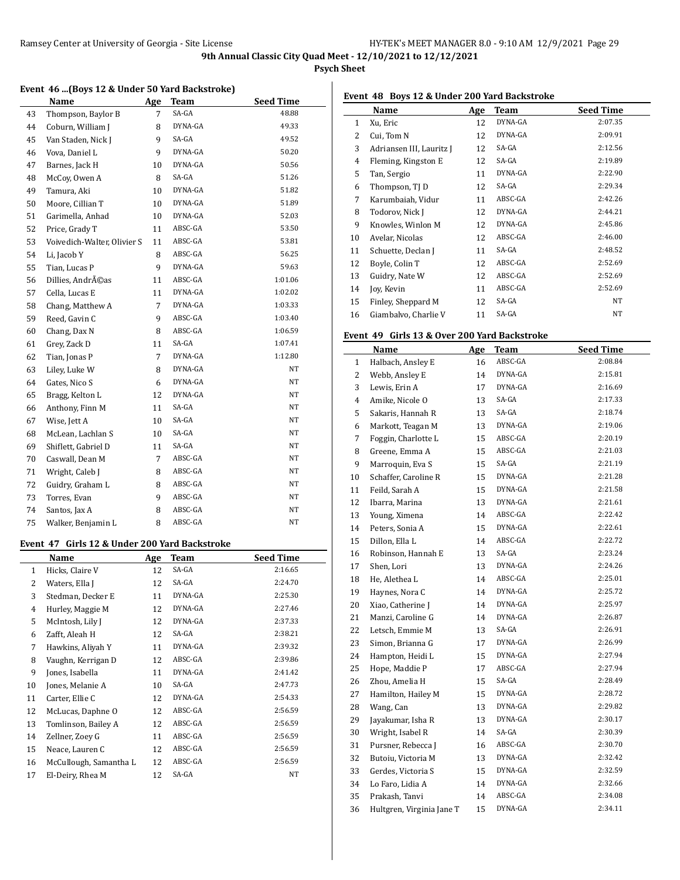## **Psych Sheet**

### **Event 46 ...(Boys 12 & Under 50 Yard Backstroke)**

|    | Name                        | Age            | <b>Team</b> | <b>Seed Time</b> |
|----|-----------------------------|----------------|-------------|------------------|
| 43 | Thompson, Baylor B          | 7              | SA-GA       | 48.88            |
| 44 | Coburn, William J           | 8              | DYNA-GA     | 49.33            |
| 45 | Van Staden, Nick J          | 9              | SA-GA       | 49.52            |
| 46 | Vova, Daniel L              | 9              | DYNA-GA     | 50.20            |
| 47 | Barnes, Jack H              | 10             | DYNA-GA     | 50.56            |
| 48 | McCoy, Owen A               | 8              | SA-GA       | 51.26            |
| 49 | Tamura, Aki                 | 10             | DYNA-GA     | 51.82            |
| 50 | Moore, Cillian T            | 10             | DYNA-GA     | 51.89            |
| 51 | Garimella, Anhad            | 10             | DYNA-GA     | 52.03            |
| 52 | Price, Grady T              | 11             | ABSC-GA     | 53.50            |
| 53 | Voivedich-Walter, Olivier S | 11             | ABSC-GA     | 53.81            |
| 54 | Li, Jacob Y                 | 8              | ABSC-GA     | 56.25            |
| 55 | Tian, Lucas P               | 9              | DYNA-GA     | 59.63            |
| 56 | Dillies, Andréas            | 11             | ABSC-GA     | 1:01.06          |
| 57 | Cella, Lucas E              | 11             | DYNA-GA     | 1:02.02          |
| 58 | Chang, Matthew A            | $\overline{7}$ | DYNA-GA     | 1:03.33          |
| 59 | Reed, Gavin C               | 9              | ABSC-GA     | 1:03.40          |
| 60 | Chang, Dax N                | 8              | ABSC-GA     | 1:06.59          |
| 61 | Grey, Zack D                | 11             | SA-GA       | 1:07.41          |
| 62 | Tian, Jonas P               | 7              | DYNA-GA     | 1:12.80          |
| 63 | Liley, Luke W               | 8              | DYNA-GA     | NT               |
| 64 | Gates, Nico S               | 6              | DYNA-GA     | NT               |
| 65 | Bragg, Kelton L             | 12             | DYNA-GA     | NT               |
| 66 | Anthony, Finn M             | 11             | SA-GA       | NT               |
| 67 | Wise, Jett A                | 10             | SA-GA       | NT               |
| 68 | McLean, Lachlan S           | 10             | SA-GA       | NΤ               |
| 69 | Shiflett, Gabriel D         | 11             | SA-GA       | NT               |
| 70 | Caswall, Dean M             | $\overline{7}$ | ABSC-GA     | NT               |
| 71 | Wright, Caleb J             | 8              | ABSC-GA     | NT               |
| 72 | Guidry, Graham L            | 8              | ABSC-GA     | NΤ               |
| 73 | Torres, Evan                | 9              | ABSC-GA     | NT               |
| 74 | Santos, Jax A               | 8              | ABSC-GA     | NΤ               |
| 75 | Walker, Benjamin L          | 8              | ABSC-GA     | $_{\rm NT}$      |

# **Event 47 Girls 12 & Under 200 Yard Backstroke**

|              | Name                   | Age | Team    | Seed Time |
|--------------|------------------------|-----|---------|-----------|
| $\mathbf{1}$ | Hicks, Claire V        | 12  | SA-GA   | 2:16.65   |
| 2            | Waters, Ella J         | 12  | SA-GA   | 2:24.70   |
| 3            | Stedman, Decker E      | 11  | DYNA-GA | 2:25.30   |
| 4            | Hurley, Maggie M       | 12  | DYNA-GA | 2:27.46   |
| 5            | McIntosh, Lily J       | 12  | DYNA-GA | 2:37.33   |
| 6            | Zafft, Aleah H         | 12  | SA-GA   | 2:38.21   |
| 7            | Hawkins, Aliyah Y      | 11  | DYNA-GA | 2:39.32   |
| 8            | Vaughn, Kerrigan D     | 12  | ABSC-GA | 2:39.86   |
| 9            | Jones, Isabella        | 11  | DYNA-GA | 2:41.42   |
| 10           | Jones, Melanie A       | 10  | SA-GA   | 2:47.73   |
| 11           | Carter, Ellie C        | 12  | DYNA-GA | 2:54.33   |
| 12           | McLucas, Daphne O      | 12  | ABSC-GA | 2:56.59   |
| 13           | Tomlinson, Bailey A    | 12  | ABSC-GA | 2:56.59   |
| 14           | Zellner, Zoey G        | 11  | ABSC-GA | 2:56.59   |
| 15           | Neace, Lauren C        | 12  | ABSC-GA | 2:56.59   |
| 16           | McCullough, Samantha L | 12  | ABSC-GA | 2:56.59   |
| 17           | El-Deiry, Rhea M       | 12  | SA-GA   | NT        |

### **Event 48 Boys 12 & Under 200 Yard Backstroke**

|    | Name                     | Age | <b>Team</b> | <b>Seed Time</b> |
|----|--------------------------|-----|-------------|------------------|
| 1  | Xu, Eric                 | 12  | DYNA-GA     | 2:07.35          |
| 2  | Cui, Tom N               | 12  | DYNA-GA     | 2:09.91          |
| 3  | Adriansen III, Lauritz J | 12  | SA-GA       | 2:12.56          |
| 4  | Fleming, Kingston E      | 12  | SA-GA       | 2:19.89          |
| 5  | Tan, Sergio              | 11  | DYNA-GA     | 2:22.90          |
| 6  | Thompson, TJ D           | 12  | SA-GA       | 2:29.34          |
| 7  | Karumbaiah, Vidur        | 11  | ABSC-GA     | 2:42.26          |
| 8  | Todorov, Nick J          | 12  | DYNA-GA     | 2:44.21          |
| 9  | Knowles, Winlon M        | 12  | DYNA-GA     | 2:45.86          |
| 10 | Avelar, Nicolas          | 12  | ABSC-GA     | 2:46.00          |
| 11 | Schuette, Declan J       | 11  | SA-GA       | 2:48.52          |
| 12 | Boyle, Colin T           | 12  | ABSC-GA     | 2:52.69          |
| 13 | Guidry, Nate W           | 12  | ABSC-GA     | 2:52.69          |
| 14 | Joy, Kevin               | 11  | ABSC-GA     | 2:52.69          |
| 15 | Finley, Sheppard M       | 12  | SA-GA       | NT               |
| 16 | Giambalvo, Charlie V     | 11  | SA-GA       | NT               |

### **Event 49 Girls 13 & Over 200 Yard Backstroke**

|    | Name                      | Age | Team    | <b>Seed Time</b> |
|----|---------------------------|-----|---------|------------------|
| 1  | Halbach, Ansley E         | 16  | ABSC-GA | 2:08.84          |
| 2  | Webb, Ansley E            | 14  | DYNA-GA | 2:15.81          |
| 3  | Lewis, Erin A             | 17  | DYNA-GA | 2:16.69          |
| 4  | Amike, Nicole O           | 13  | SA-GA   | 2:17.33          |
| 5  | Sakaris, Hannah R         | 13  | SA-GA   | 2:18.74          |
| 6  | Markott, Teagan M         | 13  | DYNA-GA | 2:19.06          |
| 7  | Foggin, Charlotte L       | 15  | ABSC-GA | 2:20.19          |
| 8  | Greene, Emma A            | 15  | ABSC-GA | 2:21.03          |
| 9  | Marroquin, Eva S          | 15  | SA-GA   | 2:21.19          |
| 10 | Schaffer, Caroline R      | 15  | DYNA-GA | 2:21.28          |
| 11 | Feild, Sarah A            | 15  | DYNA-GA | 2:21.58          |
| 12 | Ibarra, Marina            | 13  | DYNA-GA | 2:21.61          |
| 13 | Young, Ximena             | 14  | ABSC-GA | 2:22.42          |
| 14 | Peters, Sonia A           | 15  | DYNA-GA | 2:22.61          |
| 15 | Dillon, Ella L            | 14  | ABSC-GA | 2:22.72          |
| 16 | Robinson, Hannah E        | 13  | SA-GA   | 2:23.24          |
| 17 | Shen, Lori                | 13  | DYNA-GA | 2:24.26          |
| 18 | He, Alethea L             | 14  | ABSC-GA | 2:25.01          |
| 19 | Haynes, Nora C            | 14  | DYNA-GA | 2:25.72          |
| 20 | Xiao, Catherine J         | 14  | DYNA-GA | 2:25.97          |
| 21 | Manzi, Caroline G         | 14  | DYNA-GA | 2:26.87          |
| 22 | Letsch, Emmie M           | 13  | SA-GA   | 2:26.91          |
| 23 | Simon, Brianna G          | 17  | DYNA-GA | 2:26.99          |
| 24 | Hampton, Heidi L          | 15  | DYNA-GA | 2:27.94          |
| 25 | Hope, Maddie P            | 17  | ABSC-GA | 2:27.94          |
| 26 | Zhou, Amelia H            | 15  | SA-GA   | 2:28.49          |
| 27 | Hamilton, Hailey M        | 15  | DYNA-GA | 2:28.72          |
| 28 | Wang, Can                 | 13  | DYNA-GA | 2:29.82          |
| 29 | Jayakumar, Isha R         | 13  | DYNA-GA | 2:30.17          |
| 30 | Wright, Isabel R          | 14  | SA-GA   | 2:30.39          |
| 31 | Pursner, Rebecca J        | 16  | ABSC-GA | 2:30.70          |
| 32 | Butoiu, Victoria M        | 13  | DYNA-GA | 2:32.42          |
| 33 | Gerdes, Victoria S        | 15  | DYNA-GA | 2:32.59          |
| 34 | Lo Faro, Lidia A          | 14  | DYNA-GA | 2:32.66          |
| 35 | Prakash, Tanvi            | 14  | ABSC-GA | 2:34.08          |
| 36 | Hultgren, Virginia Jane T | 15  | DYNA-GA | 2:34.11          |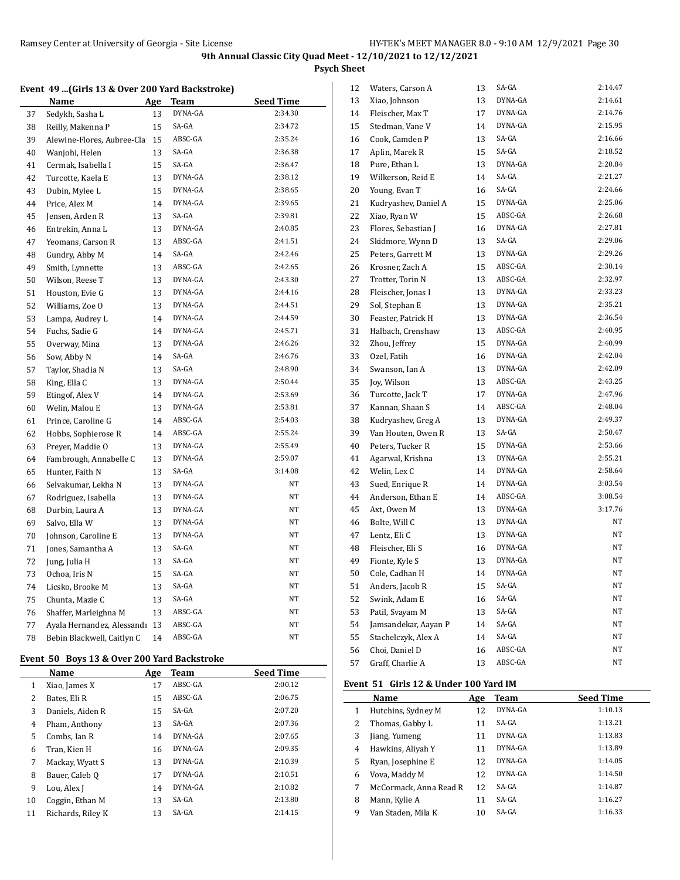**Psych Sheet**

### **Event 49 ...(Girls 13 & Over 200 Yard Backstroke)**

|    | Name                       | Age | Team    | <b>Seed Time</b> |
|----|----------------------------|-----|---------|------------------|
| 37 | Sedykh, Sasha L            | 13  | DYNA-GA | 2:34.30          |
| 38 | Reilly, Makenna P          | 15  | SA-GA   | 2:34.72          |
| 39 | Alewine-Flores, Aubree-Cla | 15  | ABSC-GA | 2:35.24          |
| 40 | Wanjohi, Helen             | 13  | SA-GA   | 2:36.38          |
| 41 | Cermak, Isabella I         | 15  | SA-GA   | 2:36.47          |
| 42 | Turcotte, Kaela E          | 13  | DYNA-GA | 2:38.12          |
| 43 | Dubin, Mylee L             | 15  | DYNA-GA | 2:38.65          |
| 44 | Price, Alex M              | 14  | DYNA-GA | 2:39.65          |
| 45 | Jensen, Arden R            | 13  | SA-GA   | 2:39.81          |
| 46 | Entrekin, Anna L           | 13  | DYNA-GA | 2:40.85          |
| 47 | Yeomans, Carson R          | 13  | ABSC-GA | 2:41.51          |
| 48 | Gundry, Abby M             | 14  | SA-GA   | 2:42.46          |
| 49 | Smith, Lynnette            | 13  | ABSC-GA | 2:42.65          |
| 50 | Wilson, Reese T            | 13  | DYNA-GA | 2:43.30          |
| 51 | Houston, Evie G            | 13  | DYNA-GA | 2:44.16          |
| 52 | Williams, Zoe O            | 13  | DYNA-GA | 2:44.51          |
| 53 | Lampa, Audrey L            | 14  | DYNA-GA | 2:44.59          |
| 54 | Fuchs, Sadie G             | 14  | DYNA-GA | 2:45.71          |
| 55 | Overway, Mina              | 13  | DYNA-GA | 2:46.26          |
| 56 | Sow, Abby N                | 14  | SA-GA   | 2:46.76          |
| 57 | Taylor, Shadia N           | 13  | SA-GA   | 2:48.90          |
| 58 | King, Ella C               | 13  | DYNA-GA | 2:50.44          |
| 59 | Etingof, Alex V            | 14  | DYNA-GA | 2:53.69          |
| 60 | Welin, Malou E             | 13  | DYNA-GA | 2:53.81          |
| 61 | Prince, Caroline G         | 14  | ABSC-GA | 2:54.03          |
| 62 | Hobbs, Sophierose R        | 14  | ABSC-GA | 2:55.24          |
| 63 | Preyer, Maddie O           | 13  | DYNA-GA | 2:55.49          |
| 64 | Fambrough, Annabelle C     | 13  | DYNA-GA | 2:59.07          |
| 65 | Hunter, Faith N            | 13  | SA-GA   | 3:14.08          |
| 66 | Selvakumar, Lekha N        | 13  | DYNA-GA | NT               |
| 67 | Rodriguez, Isabella        | 13  | DYNA-GA | NT               |
| 68 | Durbin, Laura A            | 13  | DYNA-GA | NΤ               |
| 69 | Salvo, Ella W              | 13  | DYNA-GA | NT               |
| 70 | Johnson, Caroline E        | 13  | DYNA-GA | NT               |
| 71 | Jones, Samantha A          | 13  | SA-GA   | NT               |
| 72 | Jung, Julia H              | 13  | SA-GA   | ΝT               |
| 73 | Ochoa, Iris N              | 15  | SA-GA   | NT               |
| 74 | Licsko, Brooke M           | 13  | SA-GA   | NT               |
| 75 | Chunta, Mazie C            | 13  | SA-GA   | NT               |
| 76 | Shaffer, Marleighna M      | 13  | ABSC-GA | NT               |
| 77 | Ayala Hernandez, Alessandı | 13  | ABSC-GA | NΤ               |
| 78 | Bebin Blackwell, Caitlyn C | 14  | ABSC-GA | NT               |

# **Event 50 Boys 13 & Over 200 Yard Backstroke**

|    | Name              | Age | Team    | <b>Seed Time</b> |
|----|-------------------|-----|---------|------------------|
| 1  | Xiao, James X     | 17  | ABSC-GA | 2:00.12          |
| 2  | Bates, Eli R      | 15  | ABSC-GA | 2:06.75          |
| 3  | Daniels, Aiden R  | 15  | SA-GA   | 2:07.20          |
| 4  | Pham, Anthony     | 13  | SA-GA   | 2:07.36          |
| 5  | Combs, Ian R      | 14  | DYNA-GA | 2:07.65          |
| 6  | Tran, Kien H      | 16  | DYNA-GA | 2:09.35          |
| 7  | Mackay, Wyatt S   | 13  | DYNA-GA | 2:10.39          |
| 8  | Bauer, Caleb Q    | 17  | DYNA-GA | 2:10.51          |
| 9  | Lou, Alex J       | 14  | DYNA-GA | 2:10.82          |
| 10 | Coggin, Ethan M   | 13  | SA-GA   | 2:13.80          |
| 11 | Richards, Riley K | 13  | SA-GA   | 2:14.15          |

| 12 | Waters, Carson A     | 13 | SA-GA   | 2:14.47 |
|----|----------------------|----|---------|---------|
| 13 | Xiao, Johnson        | 13 | DYNA-GA | 2:14.61 |
| 14 | Fleischer, Max T     | 17 | DYNA-GA | 2:14.76 |
| 15 | Stedman, Vane V      | 14 | DYNA-GA | 2:15.95 |
| 16 | Cook, Camden P       | 13 | SA-GA   | 2:16.66 |
| 17 | Aplin, Marek R       | 15 | SA-GA   | 2:18.52 |
| 18 | Pure, Ethan L        | 13 | DYNA-GA | 2:20.84 |
| 19 | Wilkerson, Reid E    | 14 | SA-GA   | 2:21.27 |
| 20 | Young, Evan T        | 16 | SA-GA   | 2:24.66 |
| 21 | Kudryashev, Daniel A | 15 | DYNA-GA | 2:25.06 |
| 22 | Xiao, Ryan W         | 15 | ABSC-GA | 2:26.68 |
| 23 | Flores, Sebastian J  | 16 | DYNA-GA | 2:27.81 |
| 24 | Skidmore, Wynn D     | 13 | SA-GA   | 2:29.06 |
| 25 | Peters, Garrett M    | 13 | DYNA-GA | 2:29.26 |
| 26 | Krosner, Zach A      | 15 | ABSC-GA | 2:30.14 |
| 27 | Trotter, Torin N     | 13 | ABSC-GA | 2:32.97 |
| 28 | Fleischer, Jonas I   | 13 | DYNA-GA | 2:33.23 |
| 29 | Sol, Stephan E       | 13 | DYNA-GA | 2:35.21 |
| 30 | Feaster, Patrick H   | 13 | DYNA-GA | 2:36.54 |
| 31 | Halbach, Crenshaw    | 13 | ABSC-GA | 2:40.95 |
| 32 | Zhou, Jeffrey        | 15 | DYNA-GA | 2:40.99 |
| 33 | Ozel, Fatih          | 16 | DYNA-GA | 2:42.04 |
| 34 | Swanson, Ian A       | 13 | DYNA-GA | 2:42.09 |
| 35 | Joy, Wilson          | 13 | ABSC-GA | 2:43.25 |
| 36 | Turcotte, Jack T     | 17 | DYNA-GA | 2:47.96 |
| 37 | Kannan, Shaan S      | 14 | ABSC-GA | 2:48.04 |
| 38 | Kudryashev, Greg A   | 13 | DYNA-GA | 2:49.37 |
| 39 | Van Houten, Owen R   | 13 | SA-GA   | 2:50.47 |
| 40 | Peters, Tucker R     | 15 | DYNA-GA | 2:53.66 |
| 41 | Agarwal, Krishna     | 13 | DYNA-GA | 2:55.21 |
| 42 | Welin, Lex C         | 14 | DYNA-GA | 2:58.64 |
| 43 | Sued, Enrique R      | 14 | DYNA-GA | 3:03.54 |
| 44 | Anderson, Ethan E    | 14 | ABSC-GA | 3:08.54 |
| 45 | Axt, Owen M          | 13 | DYNA-GA | 3:17.76 |
| 46 | Bolte, Will C        | 13 | DYNA-GA | NT      |
| 47 | Lentz, Eli C         | 13 | DYNA-GA | NT      |
| 48 | Fleischer, Eli S     | 16 | DYNA-GA | NT      |
| 49 | Fionte, Kyle S       | 13 | DYNA-GA | NT      |
| 50 | Cole, Cadhan H       | 14 | DYNA-GA | NΤ      |
| 51 | Anders, Jacob R      | 15 | SA-GA   | NT      |
| 52 | Swink, Adam E        | 16 | SA-GA   | NT      |
| 53 | Patil, Svayam M      | 13 | SA-GA   | NT      |
| 54 | Jamsandekar, Aayan P | 14 | SA-GA   | NΤ      |
| 55 | Stachelczyk, Alex A  | 14 | SA-GA   | NT      |
| 56 | Choi, Daniel D       | 16 | ABSC-GA | NT      |
| 57 | Graff, Charlie A     | 13 | ABSC-GA | NΤ      |

## **Event 51 Girls 12 & Under 100 Yard IM**

|   | Name                   | Age | <b>Team</b> | <b>Seed Time</b> |
|---|------------------------|-----|-------------|------------------|
| 1 | Hutchins, Sydney M     | 12  | DYNA-GA     | 1:10.13          |
| 2 | Thomas, Gabby L        | 11  | $SA-GA$     | 1:13.21          |
| 3 | Jiang, Yumeng          | 11  | DYNA-GA     | 1:13.83          |
| 4 | Hawkins, Aliyah Y      | 11  | DYNA-GA     | 1:13.89          |
| 5 | Ryan, Josephine E      | 12  | DYNA-GA     | 1:14.05          |
| 6 | Vova, Maddy M          | 12  | DYNA-GA     | 1:14.50          |
| 7 | McCormack, Anna Read R | 12  | $SA-GA$     | 1:14.87          |
| 8 | Mann, Kylie A          | 11  | SA-GA       | 1:16.27          |
| 9 | Van Staden, Mila K     | 10  | SA-GA       | 1:16.33          |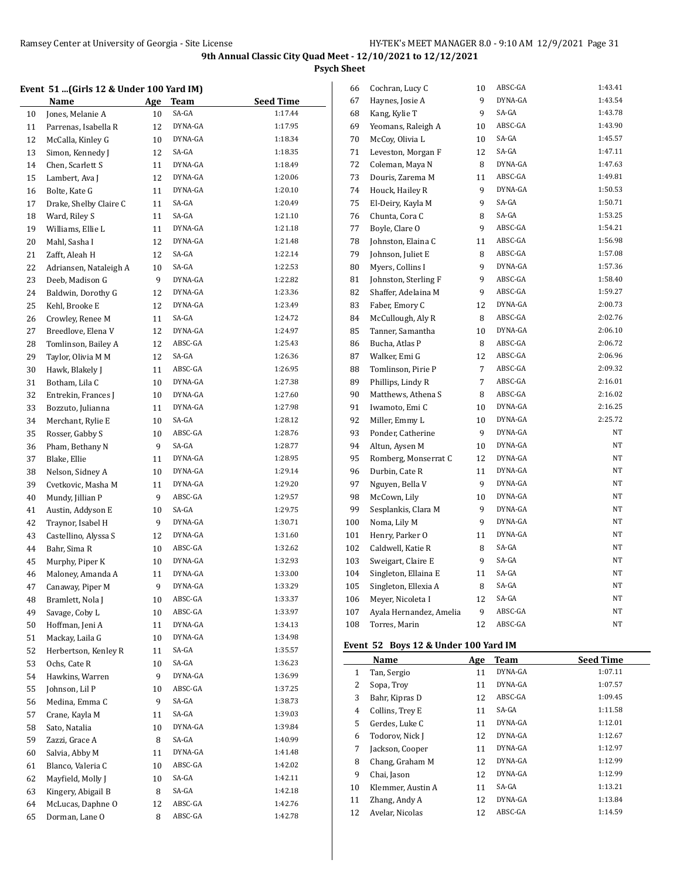**Psych Sheet**

# **Event 51 ...(Girls 12 & Under 100 Yard IM)**

|    | event 51 (Gifis 12 & Under 100 yard imj |            |             |                    |
|----|-----------------------------------------|------------|-------------|--------------------|
|    | <u>Name</u>                             | <u>Age</u> | <u>Team</u> | <b>Seed Time</b>   |
| 10 | Jones, Melanie A                        | 10         | SA-GA       | 1:17.44            |
| 11 | Parrenas, Isabella R                    | 12         | DYNA-GA     | 1:17.95            |
| 12 | McCalla, Kinley G                       | 10         | DYNA-GA     | 1:18.34            |
| 13 | Simon, Kennedy J                        | 12         | SA-GA       | 1:18.35            |
| 14 | Chen, Scarlett S                        | 11         | DYNA-GA     | 1:18.49            |
| 15 | Lambert, Ava J                          | 12         | DYNA-GA     | 1:20.06            |
| 16 | Bolte, Kate G                           | 11         | DYNA-GA     | 1:20.10            |
| 17 | Drake, Shelby Claire C                  | 11         | SA-GA       | 1:20.49            |
| 18 | Ward, Riley S                           | 11         | SA-GA       | 1:21.10            |
| 19 | Williams, Ellie L                       | 11         | DYNA-GA     | 1:21.18            |
| 20 | Mahl, Sasha I                           | 12         | DYNA-GA     | 1:21.48            |
| 21 | Zafft, Aleah H                          | 12         | SA-GA       | 1:22.14            |
| 22 | Adriansen, Nataleigh A                  | 10         | SA-GA       | 1:22.53            |
| 23 | Deeb, Madison G                         | 9          | DYNA-GA     | 1:22.82            |
| 24 | Baldwin, Dorothy G                      | 12         | DYNA-GA     | 1:23.36            |
| 25 | Kehl, Brooke E                          | 12         | DYNA-GA     | 1:23.49            |
| 26 | Crowley, Renee M                        | 11         | SA-GA       | 1:24.72            |
| 27 | Breedlove, Elena V                      | 12         | DYNA-GA     | 1:24.97            |
| 28 | Tomlinson, Bailey A                     | 12         | ABSC-GA     | 1:25.43            |
| 29 | Taylor, Olivia M M                      | 12         | SA-GA       | 1:26.36            |
| 30 | Hawk, Blakely J                         | 11         | ABSC-GA     | 1:26.95            |
| 31 | Botham, Lila C                          | 10         | DYNA-GA     | 1:27.38            |
| 32 | Entrekin, Frances J                     | 10         | DYNA-GA     | 1:27.60            |
| 33 | Bozzuto, Julianna                       | 11         | DYNA-GA     | 1:27.98            |
| 34 | Merchant, Rylie E                       | 10         | SA-GA       | 1:28.12            |
| 35 | Rosser, Gabby S                         | 10         | ABSC-GA     | 1:28.76            |
| 36 | Pham, Bethany N                         | 9          | SA-GA       | 1:28.77            |
| 37 | Blake, Ellie                            | 11         | DYNA-GA     | 1:28.95            |
| 38 | Nelson, Sidney A                        | 10         | DYNA-GA     | 1:29.14            |
| 39 | Cvetkovic, Masha M                      | 11         | DYNA-GA     | 1:29.20            |
| 40 | Mundy, Jillian P                        | 9          | ABSC-GA     | 1:29.57            |
| 41 | Austin, Addyson E                       | 10         | SA-GA       | 1:29.75            |
| 42 | Traynor, Isabel H                       | 9          | DYNA-GA     | 1:30.71            |
| 43 | Castellino, Alyssa S                    | 12         | DYNA-GA     | 1:31.60            |
| 44 | Bahr, Sima R                            | 10         | ABSC-GA     | 1:32.62            |
| 45 |                                         |            | DYNA-GA     | 1:32.93            |
| 46 | Murphy, Piper K<br>Maloney, Amanda A    | 10<br>11   | DYNA-GA     | 1:33.00            |
|    |                                         |            | DYNA-GA     | 1:33.29            |
| 47 | Canaway, Piper M                        | 9          | ABSC-GA     | 1:33.37            |
| 48 | Bramlett, Nola J<br>Savage, Coby L      | 10         | ABSC-GA     | 1:33.97            |
| 49 |                                         | 10         | DYNA-GA     | 1:34.13            |
| 50 | Hoffman, Jeni A                         | 11         | DYNA-GA     |                    |
| 51 | Mackay, Laila G                         | 10         | SA-GA       | 1:34.98            |
| 52 | Herbertson, Kenley R                    | 11         | SA-GA       | 1:35.57<br>1:36.23 |
| 53 | Ochs, Cate R                            | 10         |             |                    |
| 54 | Hawkins, Warren                         | 9          | DYNA-GA     | 1:36.99            |
| 55 | Johnson, Lil P                          | 10         | ABSC-GA     | 1:37.25            |
| 56 | Medina, Emma C                          | 9          | SA-GA       | 1:38.73            |
| 57 | Crane, Kayla M                          | 11         | SA-GA       | 1:39.03            |
| 58 | Sato, Natalia                           | 10         | DYNA-GA     | 1:39.84            |
| 59 | Zazzi, Grace A                          | 8          | SA-GA       | 1:40.99            |
| 60 | Salvia, Abby M                          | 11         | DYNA-GA     | 1:41.48            |
| 61 | Blanco, Valeria C                       | 10         | ABSC-GA     | 1:42.02            |
| 62 | Mayfield, Molly J                       | 10         | SA-GA       | 1:42.11            |
| 63 | Kingery, Abigail B                      | 8          | SA-GA       | 1:42.18            |
| 64 | McLucas, Daphne O                       | 12         | ABSC-GA     | 1:42.76            |
| 65 | Dorman, Lane O                          | 8          | ABSC-GA     | 1:42.78            |

| 66  | Cochran, Lucy C         | 10 | ABSC-GA | 1:43.41 |
|-----|-------------------------|----|---------|---------|
| 67  | Haynes, Josie A         | 9  | DYNA-GA | 1:43.54 |
| 68  | Kang, Kylie T           | 9  | SA-GA   | 1:43.78 |
| 69  | Yeomans, Raleigh A      | 10 | ABSC-GA | 1:43.90 |
| 70  | McCoy, Olivia L         | 10 | SA-GA   | 1:45.57 |
| 71  | Leveston, Morgan F      | 12 | SA-GA   | 1:47.11 |
| 72  | Coleman, Maya N         | 8  | DYNA-GA | 1:47.63 |
| 73  | Douris, Zarema M        | 11 | ABSC-GA | 1:49.81 |
| 74  | Houck, Hailey R         | 9  | DYNA-GA | 1:50.53 |
| 75  | El-Deiry, Kayla M       | 9  | SA-GA   | 1:50.71 |
| 76  | Chunta, Cora C          | 8  | SA-GA   | 1:53.25 |
| 77  | Boyle, Clare O          | 9  | ABSC-GA | 1:54.21 |
| 78  | Johnston, Elaina C      | 11 | ABSC-GA | 1:56.98 |
| 79  | Johnson, Juliet E       | 8  | ABSC-GA | 1:57.08 |
| 80  | Myers, Collins I        | 9  | DYNA-GA | 1:57.36 |
| 81  | Johnston, Sterling F    | 9  | ABSC-GA | 1:58.40 |
| 82  | Shaffer, Adelaina M     | 9  | ABSC-GA | 1:59.27 |
| 83  | Faber, Emory C          | 12 | DYNA-GA | 2:00.73 |
| 84  | McCullough, Aly R       | 8  | ABSC-GA | 2:02.76 |
| 85  | Tanner, Samantha        | 10 | DYNA-GA | 2:06.10 |
| 86  | Bucha, Atlas P          | 8  | ABSC-GA | 2:06.72 |
| 87  | Walker, Emi G           | 12 | ABSC-GA | 2:06.96 |
| 88  | Tomlinson, Pirie P      | 7  | ABSC-GA | 2:09.32 |
| 89  | Phillips, Lindy R       | 7  | ABSC-GA | 2:16.01 |
| 90  | Matthews, Athena S      | 8  | ABSC-GA | 2:16.02 |
| 91  | Iwamoto, Emi C          | 10 | DYNA-GA | 2:16.25 |
| 92  | Miller, Emmy L          | 10 | DYNA-GA | 2:25.72 |
| 93  | Ponder, Catherine       | 9  | DYNA-GA | NΤ      |
| 94  | Altun, Aysen M          | 10 | DYNA-GA | NΤ      |
| 95  | Romberg, Monserrat C    | 12 | DYNA-GA | NT      |
| 96  | Durbin, Cate R          | 11 | DYNA-GA | NT      |
| 97  | Nguyen, Bella V         | 9  | DYNA-GA | NΤ      |
| 98  | McCown, Lily            | 10 | DYNA-GA | NT      |
| 99  | Sesplankis, Clara M     | 9  | DYNA-GA | NT      |
| 100 | Noma, Lily M            | 9  | DYNA-GA | NT      |
| 101 | Henry, Parker O         | 11 | DYNA-GA | NT      |
| 102 | Caldwell, Katie R       | 8  | SA-GA   | NT      |
| 103 | Sweigart, Claire E      | 9  | SA-GA   | NT      |
| 104 | Singleton, Ellaina E    | 11 | SA-GA   | NT      |
| 105 | Singleton, Ellexia A    | 8  | SA-GA   | NΤ      |
| 106 | Meyer, Nicoleta I       | 12 | SA-GA   | NT      |
| 107 | Ayala Hernandez, Amelia | 9  | ABSC-GA | NT      |
| 108 | Torres, Marin           | 12 | ABSC-GA | NT      |

# **Event 52 Boys 12 & Under 100 Yard IM**

|    | Name              | Age | Team    | <b>Seed Time</b> |
|----|-------------------|-----|---------|------------------|
| 1  | Tan, Sergio       | 11  | DYNA-GA | 1:07.11          |
| 2  | Sopa, Troy        | 11  | DYNA-GA | 1:07.57          |
| 3  | Bahr, Kipras D    | 12  | ABSC-GA | 1:09.45          |
| 4  | Collins, Trey E   | 11  | SA-GA   | 1:11.58          |
| 5  | Gerdes, Luke C    | 11  | DYNA-GA | 1:12.01          |
| 6  | Todorov, Nick J   | 12  | DYNA-GA | 1:12.67          |
| 7  | Jackson, Cooper   | 11  | DYNA-GA | 1:12.97          |
| 8  | Chang, Graham M   | 12  | DYNA-GA | 1:12.99          |
| 9  | Chai, Jason       | 12  | DYNA-GA | 1:12.99          |
| 10 | Klemmer, Austin A | 11  | SA-GA   | 1:13.21          |
| 11 | Zhang, Andy A     | 12  | DYNA-GA | 1:13.84          |
| 12 | Avelar, Nicolas   | 12  | ABSC-GA | 1:14.59          |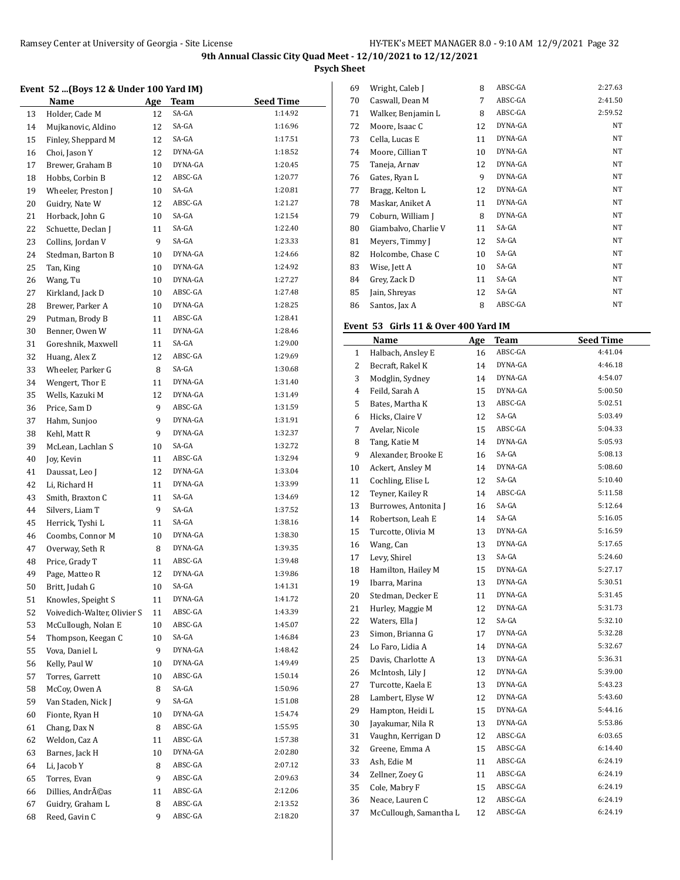**Psych Sheet**

#### **Event 52 ...(Boys 12 & Under 100 Yard IM)**

|    | $100 \text{ km/s}$ (Doys 12 & onder 100 1ard not |    |          |                  |
|----|--------------------------------------------------|----|----------|------------------|
|    | <b>Name</b>                                      |    | Age Team | <b>Seed Time</b> |
| 13 | Holder, Cade M                                   | 12 | SA-GA    | 1:14.92          |
| 14 | Mujkanovic, Aldino                               | 12 | SA-GA    | 1:16.96          |
| 15 | Finley, Sheppard M                               | 12 | SA-GA    | 1:17.51          |
| 16 | Choi, Jason Y                                    | 12 | DYNA-GA  | 1:18.52          |
| 17 | Brewer, Graham B                                 | 10 | DYNA-GA  | 1:20.45          |
| 18 | Hobbs, Corbin B                                  | 12 | ABSC-GA  | 1:20.77          |
| 19 | Wheeler, Preston J                               | 10 | SA-GA    | 1:20.81          |
| 20 | Guidry, Nate W                                   | 12 | ABSC-GA  | 1:21.27          |
| 21 | Horback, John G                                  | 10 | SA-GA    | 1:21.54          |
| 22 | Schuette, Declan J                               | 11 | SA-GA    | 1:22.40          |
| 23 | Collins, Jordan V                                | 9  | SA-GA    | 1:23.33          |
| 24 | Stedman, Barton B                                | 10 | DYNA-GA  | 1:24.66          |
| 25 | Tan, King                                        | 10 | DYNA-GA  | 1:24.92          |
| 26 | Wang, Tu                                         | 10 | DYNA-GA  | 1:27.27          |
| 27 | Kirkland, Jack D                                 | 10 | ABSC-GA  | 1:27.48          |
| 28 | Brewer, Parker A                                 | 10 | DYNA-GA  | 1:28.25          |
| 29 | Putman, Brody B                                  | 11 | ABSC-GA  | 1:28.41          |
| 30 | Benner, Owen W                                   | 11 | DYNA-GA  | 1:28.46          |
| 31 | Goreshnik, Maxwell                               | 11 | SA-GA    | 1:29.00          |
| 32 | Huang, Alex Z                                    | 12 | ABSC-GA  | 1:29.69          |
| 33 | Wheeler, Parker G                                | 8  | SA-GA    | 1:30.68          |
| 34 | Wengert, Thor E                                  | 11 | DYNA-GA  | 1:31.40          |
| 35 | Wells, Kazuki M                                  | 12 | DYNA-GA  | 1:31.49          |
| 36 | Price, Sam D                                     | 9  | ABSC-GA  | 1:31.59          |
| 37 | Hahm, Sunjoo                                     | 9  | DYNA-GA  | 1:31.91          |
| 38 | Kehl, Matt R                                     | 9  | DYNA-GA  | 1:32.37          |
| 39 | McLean, Lachlan S                                | 10 | SA-GA    | 1:32.72          |
| 40 | Joy, Kevin                                       | 11 | ABSC-GA  | 1:32.94          |
| 41 | Daussat, Leo J                                   | 12 | DYNA-GA  | 1:33.04          |
| 42 | Li, Richard H                                    | 11 | DYNA-GA  | 1:33.99          |
| 43 | Smith, Braxton C                                 | 11 | SA-GA    | 1:34.69          |
| 44 | Silvers, Liam T                                  | 9  | SA-GA    | 1:37.52          |
| 45 | Herrick, Tyshi L                                 | 11 | SA-GA    | 1:38.16          |
| 46 | Coombs, Connor M                                 | 10 | DYNA-GA  | 1:38.30          |
| 47 | Overway, Seth R                                  | 8  | DYNA-GA  | 1:39.35          |
| 48 | Price, Grady T                                   | 11 | ABSC-GA  | 1:39.48          |
| 49 | Page, Matteo R                                   | 12 | DYNA-GA  | 1:39.86          |
| 50 | Britt. Judah G                                   | 10 | SA-GA    | 1:41.31          |
| 51 | Knowles, Speight S                               | 11 | DYNA-GA  | 1:41.72          |
| 52 | Voivedich-Walter, Olivier S                      | 11 | ABSC-GA  | 1:43.39          |
| 53 | McCullough, Nolan E                              | 10 | ABSC-GA  | 1:45.07          |
| 54 | Thompson, Keegan C                               | 10 | SA-GA    | 1:46.84          |
| 55 | Vova, Daniel L                                   | 9  | DYNA-GA  | 1:48.42          |
| 56 | Kelly, Paul W                                    | 10 | DYNA-GA  | 1:49.49          |
| 57 | Torres, Garrett                                  | 10 | ABSC-GA  | 1:50.14          |
| 58 | McCoy, Owen A                                    | 8  | SA-GA    | 1:50.96          |
| 59 | Van Staden, Nick J                               | 9  | SA-GA    | 1:51.08          |
| 60 | Fionte, Ryan H                                   | 10 | DYNA-GA  | 1:54.74          |
| 61 | Chang, Dax N                                     | 8  | ABSC-GA  | 1:55.95          |
| 62 | Weldon, Caz A                                    | 11 | ABSC-GA  | 1:57.38          |
| 63 | Barnes, Jack H                                   | 10 | DYNA-GA  | 2:02.80          |
| 64 | Li, Jacob Y                                      | 8  | ABSC-GA  | 2:07.12          |
|    |                                                  | 9  | ABSC-GA  | 2:09.63          |
| 65 | Torres, Evan<br>Dillies, Andréas                 |    | ABSC-GA  | 2:12.06          |
| 66 |                                                  | 11 | ABSC-GA  | 2:13.52          |
| 67 | Guidry, Graham L                                 | 8  | ABSC-GA  | 2:18.20          |
| 68 | Reed, Gavin C                                    | 9  |          |                  |

| 69 | Wright, Caleb J      | 8  | ABSC-GA | 2:27.63 |
|----|----------------------|----|---------|---------|
| 70 | Caswall, Dean M      | 7  | ABSC-GA | 2:41.50 |
| 71 | Walker, Benjamin L   | 8  | ABSC-GA | 2:59.52 |
| 72 | Moore, Isaac C       | 12 | DYNA-GA | NT      |
| 73 | Cella, Lucas E       | 11 | DYNA-GA | NT      |
| 74 | Moore, Cillian T     | 10 | DYNA-GA | NT      |
| 75 | Taneja, Arnav        | 12 | DYNA-GA | NT      |
| 76 | Gates, Ryan L        | 9  | DYNA-GA | NT      |
| 77 | Bragg, Kelton L      | 12 | DYNA-GA | NT      |
| 78 | Maskar, Aniket A     | 11 | DYNA-GA | NT      |
| 79 | Coburn, William J    | 8  | DYNA-GA | NT      |
| 80 | Giambalvo, Charlie V | 11 | SA-GA   | NT      |
| 81 | Meyers, Timmy J      | 12 | SA-GA   | NT      |
| 82 | Holcombe, Chase C    | 10 | SA-GA   | NT      |
| 83 | Wise, Jett A         | 10 | SA-GA   | NT      |
| 84 | Grey, Zack D         | 11 | SA-GA   | NT      |
| 85 | Jain, Shreyas        | 12 | SA-GA   | NT      |
| 86 | Santos, Jax A        | 8  | ABSC-GA | NT      |

### **Event 53 Girls 11 & Over 400 Yard IM**

|              | Name                   | <b>Age</b> | <b>Team</b> | <b>Seed Time</b> |
|--------------|------------------------|------------|-------------|------------------|
| $\mathbf{1}$ | Halbach, Ansley E      | 16         | ABSC-GA     | 4:41.04          |
| 2            | Becraft, Rakel K       | 14         | DYNA-GA     | 4:46.18          |
| 3            | Modglin, Sydney        | 14         | DYNA-GA     | 4:54.07          |
| 4            | Feild, Sarah A         | 15         | DYNA-GA     | 5:00.50          |
| 5            | Bates, Martha K        | 13         | ABSC-GA     | 5:02.51          |
| 6            | Hicks, Claire V        | 12         | SA-GA       | 5:03.49          |
| 7            | Avelar, Nicole         | 15         | ABSC-GA     | 5:04.33          |
| 8            | Tang, Katie M          | 14         | DYNA-GA     | 5:05.93          |
| 9            | Alexander, Brooke E    | 16         | SA-GA       | 5:08.13          |
| 10           | Ackert, Ansley M       | 14         | DYNA-GA     | 5:08.60          |
| 11           | Cochling, Elise L      | 12         | SA-GA       | 5:10.40          |
| 12           | Teyner, Kailey R       | 14         | ABSC-GA     | 5:11.58          |
| 13           | Burrowes, Antonita J   | 16         | SA-GA       | 5:12.64          |
| 14           | Robertson, Leah E      | 14         | SA-GA       | 5:16.05          |
| 15           | Turcotte, Olivia M     | 13         | DYNA-GA     | 5:16.59          |
| 16           | Wang, Can              | 13         | DYNA-GA     | 5:17.65          |
| 17           | Levy, Shirel           | 13         | SA-GA       | 5:24.60          |
| 18           | Hamilton, Hailey M     | 15         | DYNA-GA     | 5:27.17          |
| 19           | Ibarra, Marina         | 13         | DYNA-GA     | 5:30.51          |
| 20           | Stedman, Decker E      | 11         | DYNA-GA     | 5:31.45          |
| 21           | Hurley, Maggie M       | 12         | DYNA-GA     | 5:31.73          |
| 22           | Waters, Ella J         | 12         | SA-GA       | 5:32.10          |
| 23           | Simon, Brianna G       | 17         | DYNA-GA     | 5:32.28          |
| 24           | Lo Faro, Lidia A       | 14         | DYNA-GA     | 5:32.67          |
| 25           | Davis, Charlotte A     | 13         | DYNA-GA     | 5:36.31          |
| 26           | McIntosh, Lily J       | 12         | DYNA-GA     | 5:39.00          |
| 27           | Turcotte, Kaela E      | 13         | DYNA-GA     | 5:43.23          |
| 28           | Lambert, Elyse W       | 12         | DYNA-GA     | 5:43.60          |
| 29           | Hampton, Heidi L       | 15         | DYNA-GA     | 5:44.16          |
| 30           | Jayakumar, Nila R      | 13         | DYNA-GA     | 5:53.86          |
| 31           | Vaughn, Kerrigan D     | 12         | ABSC-GA     | 6:03.65          |
| 32           | Greene, Emma A         | 15         | ABSC-GA     | 6:14.40          |
| 33           | Ash, Edie M            | 11         | ABSC-GA     | 6:24.19          |
| 34           | Zellner, Zoey G        | 11         | ABSC-GA     | 6:24.19          |
| 35           | Cole, Mabry F          | 15         | ABSC-GA     | 6:24.19          |
| 36           | Neace, Lauren C        | 12         | ABSC-GA     | 6:24.19          |
| 37           | McCullough, Samantha L | 12         | ABSC-GA     | 6:24.19          |